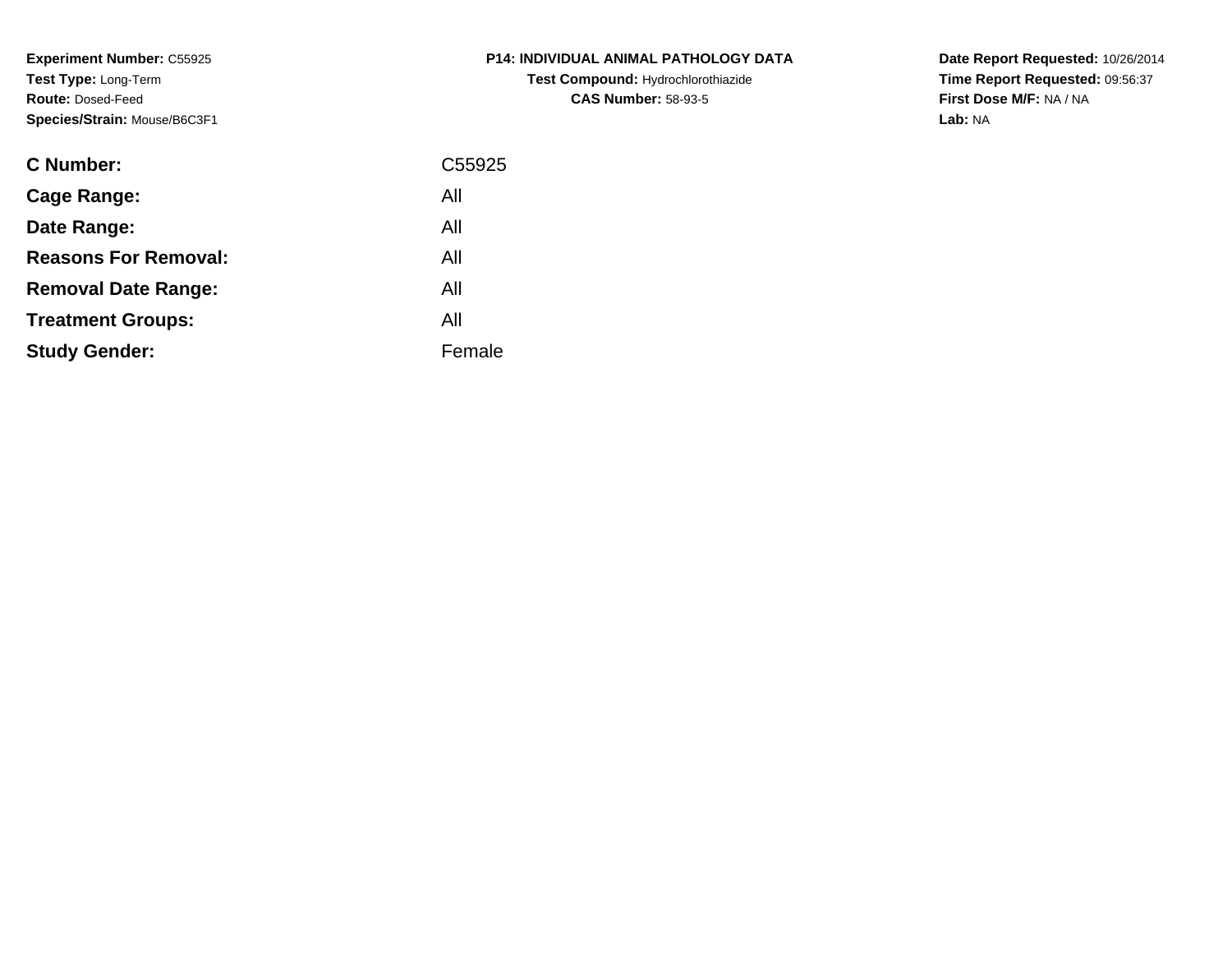**Experiment Number:** C55925**Test Type:** Long-Term**Route:** Dosed-Feed**Species/Strain:** Mouse/B6C3F1

| <b>C Number:</b>            | C55925 |
|-----------------------------|--------|
| Cage Range:                 | All    |
| Date Range:                 | All    |
| <b>Reasons For Removal:</b> | All    |
| <b>Removal Date Range:</b>  | All    |
| <b>Treatment Groups:</b>    | All    |
| <b>Study Gender:</b>        | Female |
|                             |        |

**P14: INDIVIDUAL ANIMAL PATHOLOGY DATATest Compound:** Hydrochlorothiazide**CAS Number:** 58-93-5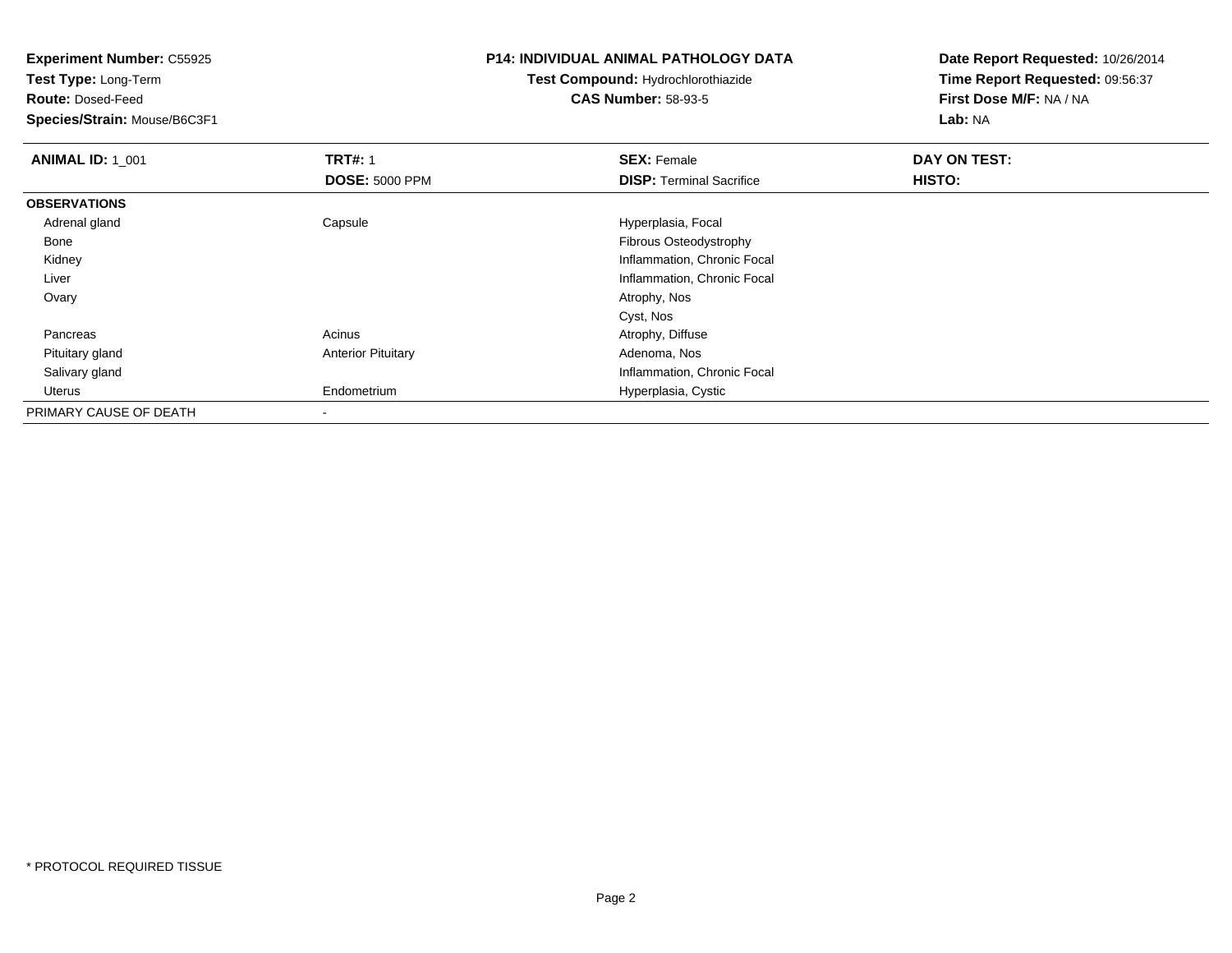**Experiment Number:** C55925**Test Type:** Long-Term**Route:** Dosed-Feed **Species/Strain:** Mouse/B6C3F1**P14: INDIVIDUAL ANIMAL PATHOLOGY DATATest Compound:** Hydrochlorothiazide**CAS Number:** 58-93-5**Date Report Requested:** 10/26/2014**Time Report Requested:** 09:56:37**First Dose M/F:** NA / NA**Lab:** NA**ANIMAL ID: 1\_001 TRT#:** 1 **SEX:** Female **DAY ON TEST: DOSE:** 5000 PPM**DISP:** Terminal Sacrifice **HISTO: OBSERVATIONS** Adrenal glandCapsule **Capsule Hyperplasia**, Focal Bone Fibrous Osteodystrophy Kidney Inflammation, Chronic Focal Liver Inflammation, Chronic Focal Ovaryy and the control of the control of the control of the control of the control of the control of the control of the control of the control of the control of the control of the control of the control of the control of the co Cyst, Noss and the contract of the Acinus Acinus and the Acinus Atrophy, Diffuse PancreasAdenoma, Nos Pituitary glandAnterior Pituitary Salivary gland Inflammation, Chronic Focal Uterus EndometriumHyperplasia, Cystic

PRIMARY CAUSE OF DEATH-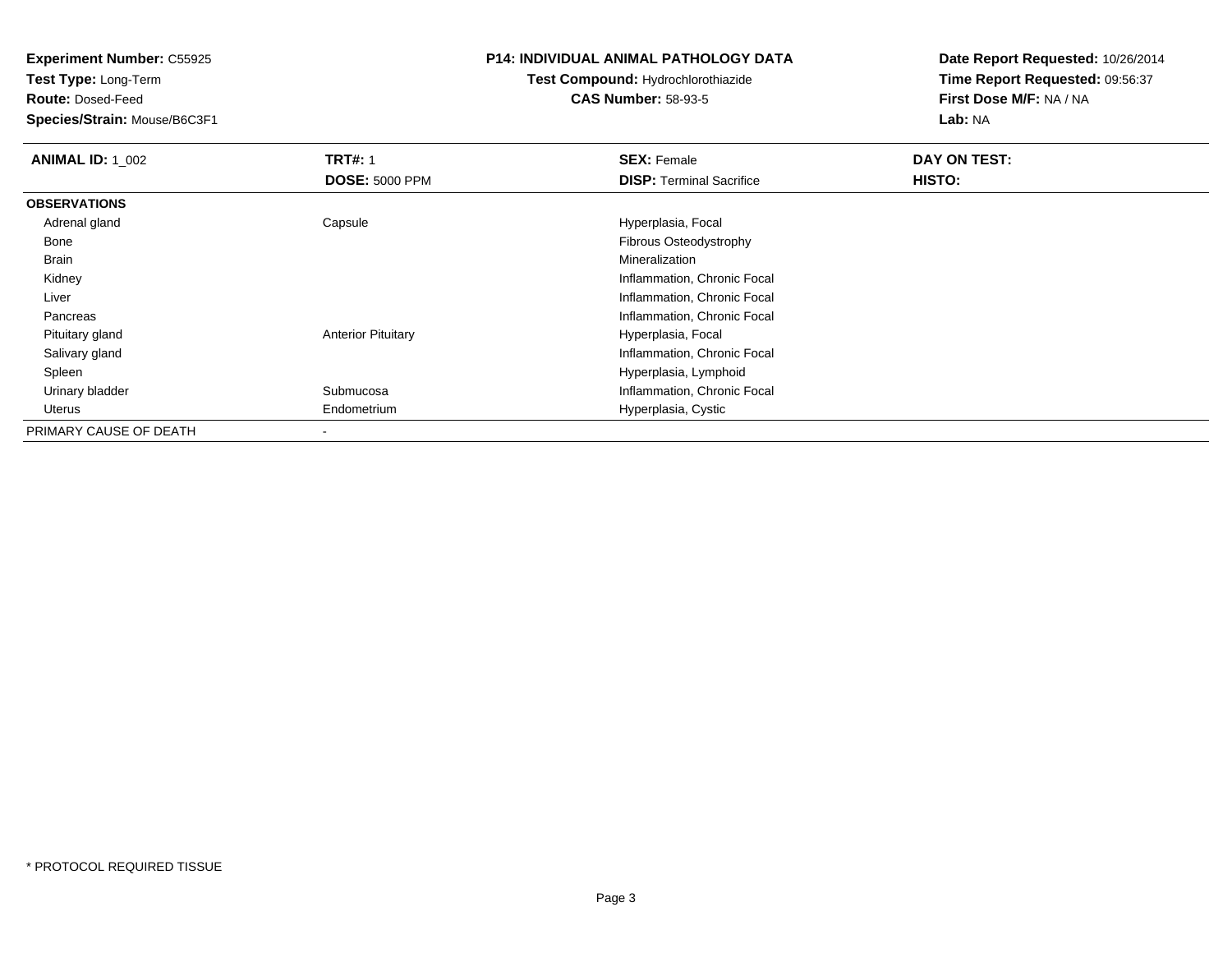**Test Type:** Long-Term

**Route:** Dosed-Feed

**Species/Strain:** Mouse/B6C3F1

#### **P14: INDIVIDUAL ANIMAL PATHOLOGY DATA**

# **Test Compound:** Hydrochlorothiazide**CAS Number:** 58-93-5

| <b>ANIMAL ID: 1_002</b> | <b>TRT#: 1</b>            | <b>SEX: Female</b>              | DAY ON TEST: |
|-------------------------|---------------------------|---------------------------------|--------------|
|                         | <b>DOSE: 5000 PPM</b>     | <b>DISP: Terminal Sacrifice</b> | HISTO:       |
| <b>OBSERVATIONS</b>     |                           |                                 |              |
| Adrenal gland           | Capsule                   | Hyperplasia, Focal              |              |
| Bone                    |                           | Fibrous Osteodystrophy          |              |
| Brain                   |                           | Mineralization                  |              |
| Kidney                  |                           | Inflammation, Chronic Focal     |              |
| Liver                   |                           | Inflammation, Chronic Focal     |              |
| Pancreas                |                           | Inflammation, Chronic Focal     |              |
| Pituitary gland         | <b>Anterior Pituitary</b> | Hyperplasia, Focal              |              |
| Salivary gland          |                           | Inflammation, Chronic Focal     |              |
| Spleen                  |                           | Hyperplasia, Lymphoid           |              |
| Urinary bladder         | Submucosa                 | Inflammation, Chronic Focal     |              |
| Uterus                  | Endometrium               | Hyperplasia, Cystic             |              |
| PRIMARY CAUSE OF DEATH  |                           |                                 |              |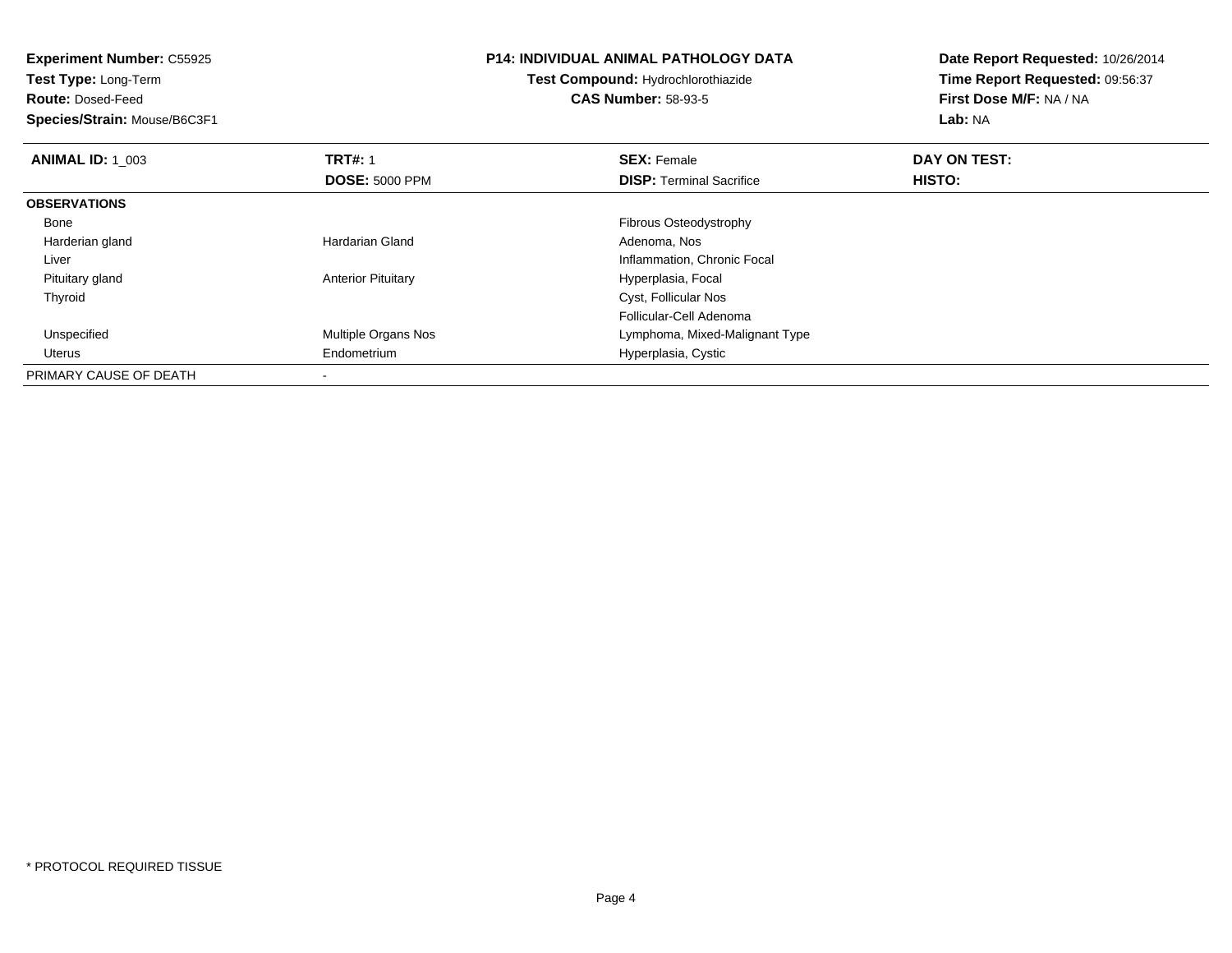| <b>Experiment Number: C55925</b><br>Test Type: Long-Term<br><b>Route: Dosed-Feed</b> |                           | <b>P14: INDIVIDUAL ANIMAL PATHOLOGY DATA</b><br><b>Test Compound: Hydrochlorothiazide</b> | Date Report Requested: 10/26/2014<br>Time Report Requested: 09:56:37 |  |
|--------------------------------------------------------------------------------------|---------------------------|-------------------------------------------------------------------------------------------|----------------------------------------------------------------------|--|
|                                                                                      |                           | <b>CAS Number: 58-93-5</b>                                                                | First Dose M/F: NA / NA                                              |  |
| Species/Strain: Mouse/B6C3F1                                                         |                           |                                                                                           | Lab: NA                                                              |  |
| <b>ANIMAL ID: 1 003</b>                                                              | <b>TRT#: 1</b>            | <b>SEX: Female</b>                                                                        | DAY ON TEST:                                                         |  |
|                                                                                      | <b>DOSE: 5000 PPM</b>     | <b>DISP:</b> Terminal Sacrifice                                                           | HISTO:                                                               |  |
| <b>OBSERVATIONS</b>                                                                  |                           |                                                                                           |                                                                      |  |
| Bone                                                                                 |                           | Fibrous Osteodystrophy                                                                    |                                                                      |  |
| Harderian gland                                                                      | Hardarian Gland           | Adenoma, Nos                                                                              |                                                                      |  |
| Liver                                                                                |                           | Inflammation, Chronic Focal                                                               |                                                                      |  |
| Pituitary gland                                                                      | <b>Anterior Pituitary</b> | Hyperplasia, Focal                                                                        |                                                                      |  |
| Thyroid                                                                              |                           | Cyst, Follicular Nos                                                                      |                                                                      |  |
|                                                                                      |                           | Follicular-Cell Adenoma                                                                   |                                                                      |  |
| Unspecified                                                                          | Multiple Organs Nos       | Lymphoma, Mixed-Malignant Type                                                            |                                                                      |  |
| Uterus                                                                               | Endometrium               | Hyperplasia, Cystic                                                                       |                                                                      |  |
| PRIMARY CAUSE OF DEATH                                                               |                           |                                                                                           |                                                                      |  |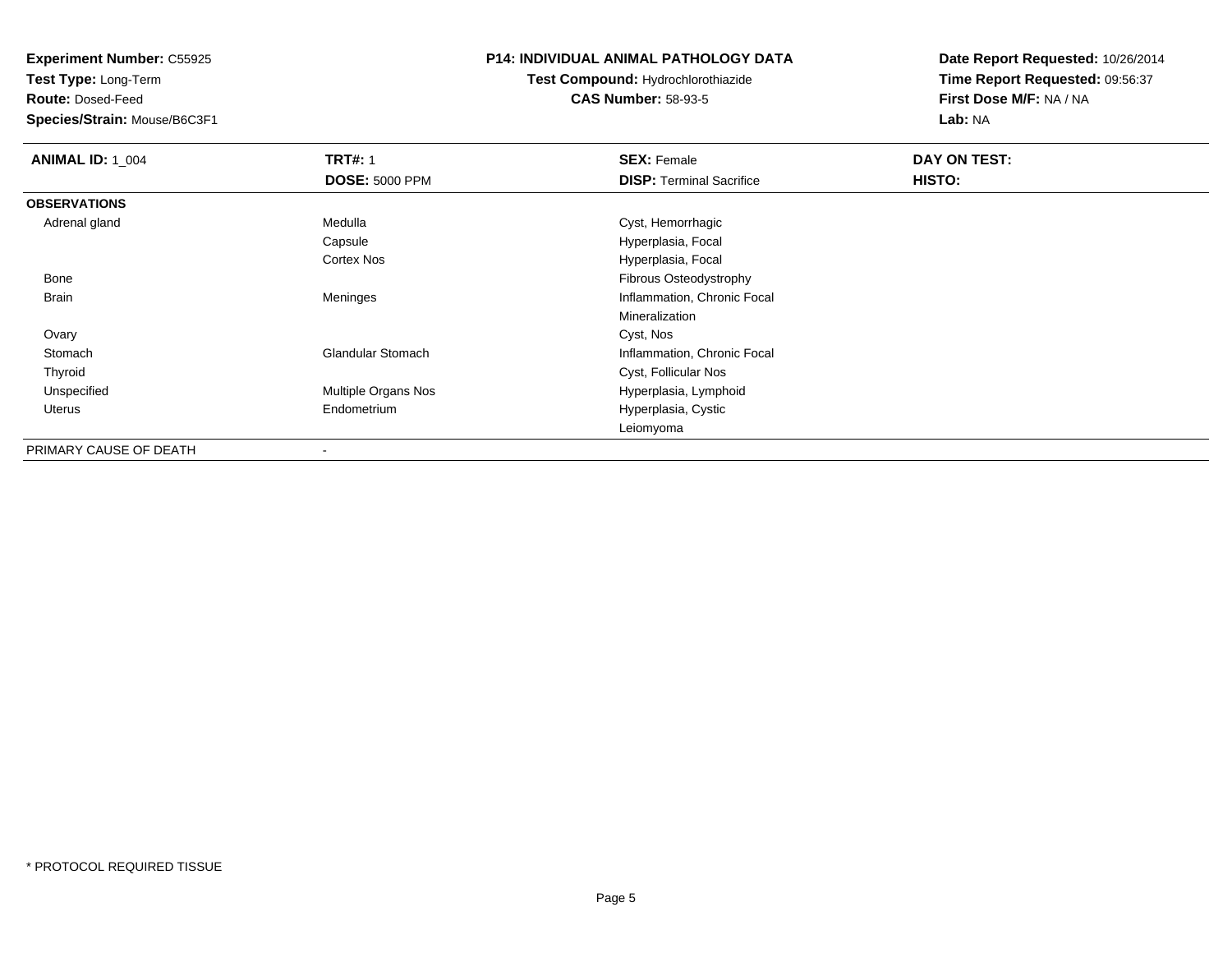**Test Type:** Long-Term

**Route:** Dosed-Feed

**Species/Strain:** Mouse/B6C3F1

## **P14: INDIVIDUAL ANIMAL PATHOLOGY DATA**

**Test Compound:** Hydrochlorothiazide**CAS Number:** 58-93-5

| <b>ANIMAL ID: 1 004</b> | <b>TRT#: 1</b>           | <b>SEX: Female</b>              | DAY ON TEST: |  |
|-------------------------|--------------------------|---------------------------------|--------------|--|
|                         | <b>DOSE: 5000 PPM</b>    | <b>DISP: Terminal Sacrifice</b> | HISTO:       |  |
| <b>OBSERVATIONS</b>     |                          |                                 |              |  |
| Adrenal gland           | Medulla                  | Cyst, Hemorrhagic               |              |  |
|                         | Capsule                  | Hyperplasia, Focal              |              |  |
|                         | <b>Cortex Nos</b>        | Hyperplasia, Focal              |              |  |
| Bone                    |                          | Fibrous Osteodystrophy          |              |  |
| <b>Brain</b>            | Meninges                 | Inflammation, Chronic Focal     |              |  |
|                         |                          | Mineralization                  |              |  |
| Ovary                   |                          | Cyst, Nos                       |              |  |
| Stomach                 | <b>Glandular Stomach</b> | Inflammation, Chronic Focal     |              |  |
| Thyroid                 |                          | Cyst, Follicular Nos            |              |  |
| Unspecified             | Multiple Organs Nos      | Hyperplasia, Lymphoid           |              |  |
| Uterus                  | Endometrium              | Hyperplasia, Cystic             |              |  |
|                         |                          | Leiomyoma                       |              |  |
| PRIMARY CAUSE OF DEATH  |                          |                                 |              |  |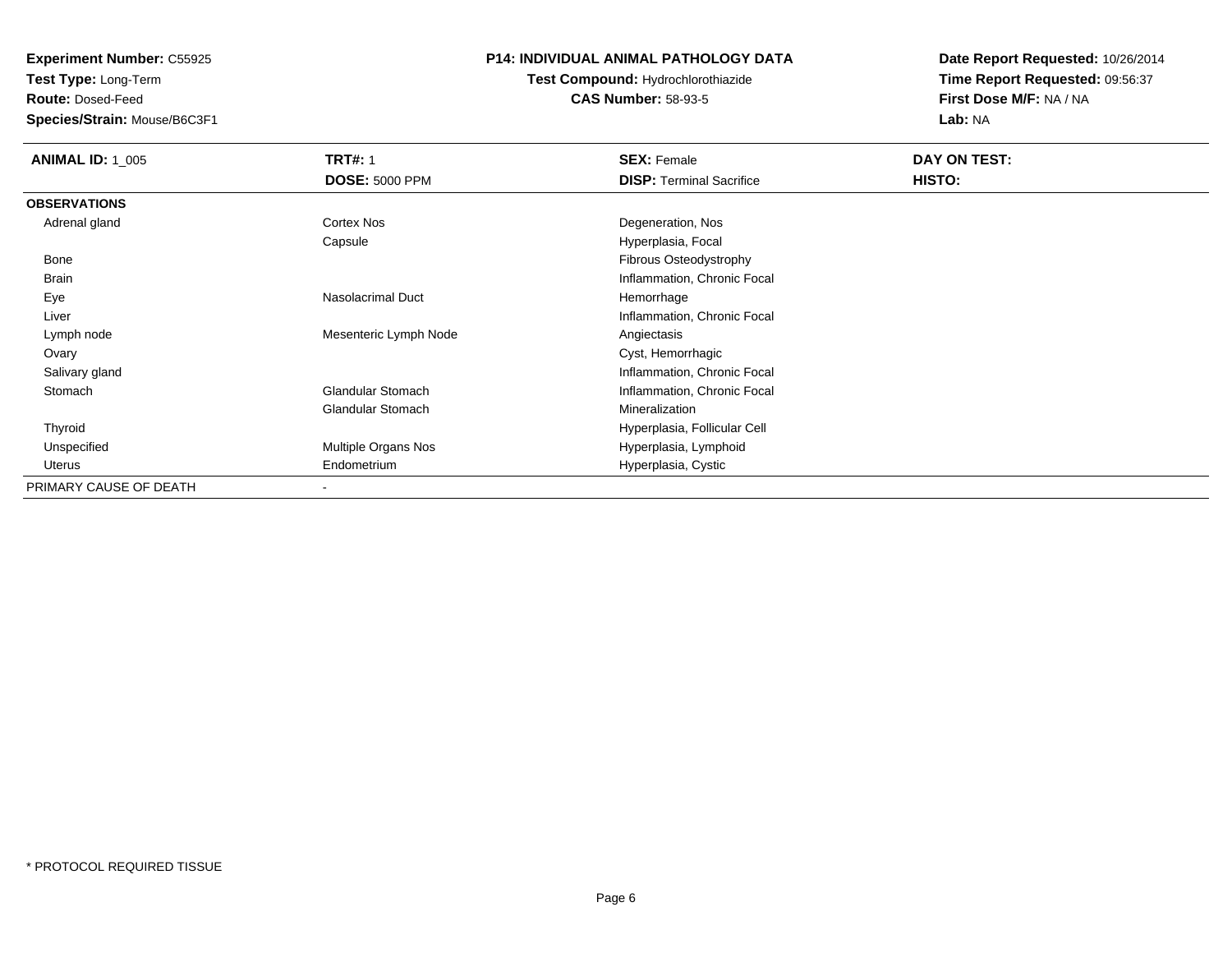**Test Type:** Long-Term

**Route:** Dosed-Feed

**Species/Strain:** Mouse/B6C3F1

## **P14: INDIVIDUAL ANIMAL PATHOLOGY DATA**

# **Test Compound:** Hydrochlorothiazide**CAS Number:** 58-93-5

| <b>ANIMAL ID: 1_005</b> | <b>TRT#: 1</b>           | <b>SEX: Female</b>              | DAY ON TEST: |  |
|-------------------------|--------------------------|---------------------------------|--------------|--|
|                         | <b>DOSE: 5000 PPM</b>    | <b>DISP:</b> Terminal Sacrifice | HISTO:       |  |
| <b>OBSERVATIONS</b>     |                          |                                 |              |  |
| Adrenal gland           | Cortex Nos               | Degeneration, Nos               |              |  |
|                         | Capsule                  | Hyperplasia, Focal              |              |  |
| Bone                    |                          | Fibrous Osteodystrophy          |              |  |
| <b>Brain</b>            |                          | Inflammation, Chronic Focal     |              |  |
| Eye                     | <b>Nasolacrimal Duct</b> | Hemorrhage                      |              |  |
| Liver                   |                          | Inflammation, Chronic Focal     |              |  |
| Lymph node              | Mesenteric Lymph Node    | Angiectasis                     |              |  |
| Ovary                   |                          | Cyst, Hemorrhagic               |              |  |
| Salivary gland          |                          | Inflammation, Chronic Focal     |              |  |
| Stomach                 | <b>Glandular Stomach</b> | Inflammation, Chronic Focal     |              |  |
|                         | Glandular Stomach        | Mineralization                  |              |  |
| Thyroid                 |                          | Hyperplasia, Follicular Cell    |              |  |
| Unspecified             | Multiple Organs Nos      | Hyperplasia, Lymphoid           |              |  |
| Uterus                  | Endometrium              | Hyperplasia, Cystic             |              |  |
| PRIMARY CAUSE OF DEATH  | ۰                        |                                 |              |  |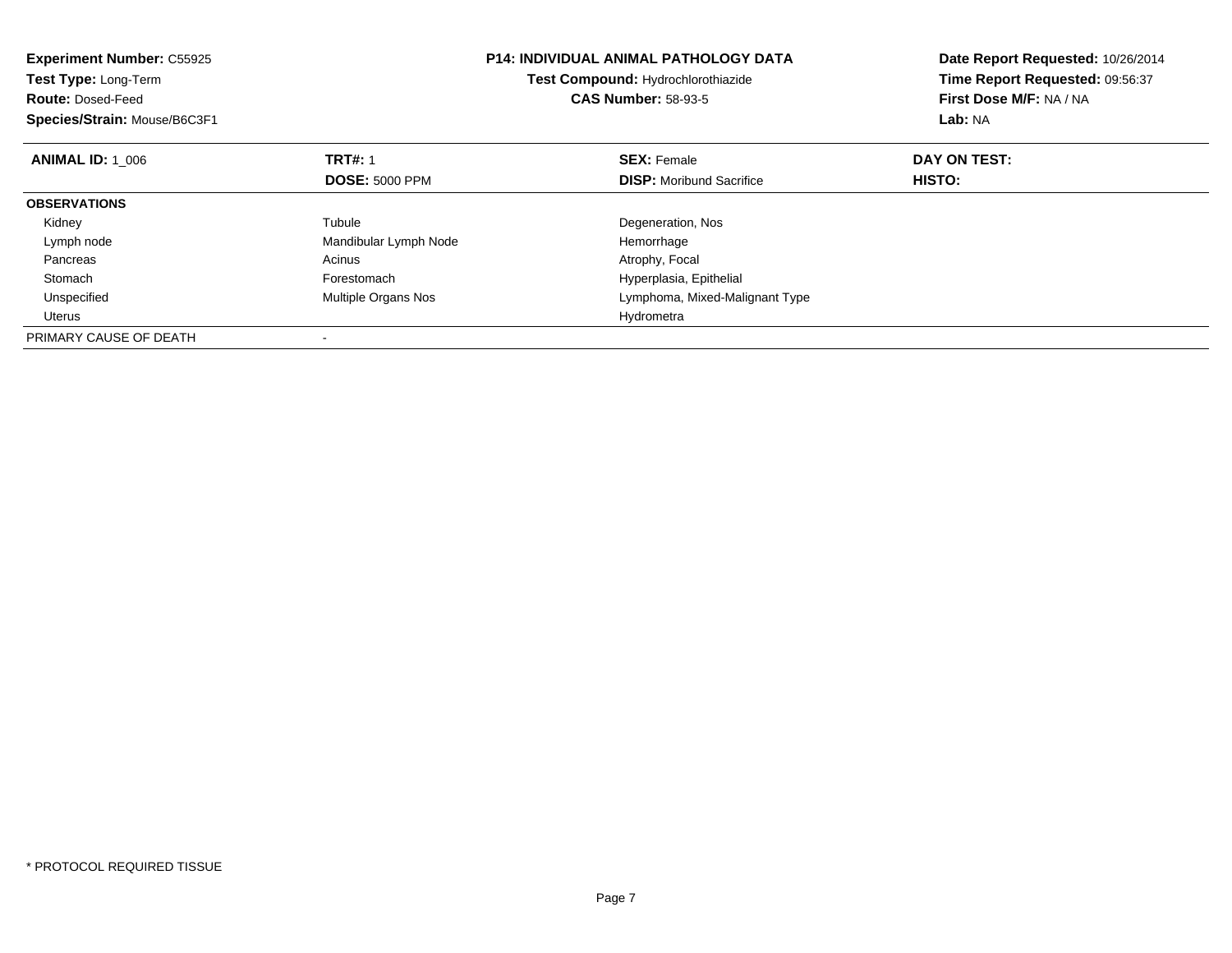| <b>Experiment Number: C55925</b><br>Test Type: Long-Term<br><b>Route: Dosed-Feed</b><br>Species/Strain: Mouse/B6C3F1 |                       | <b>P14: INDIVIDUAL ANIMAL PATHOLOGY DATA</b><br>Test Compound: Hydrochlorothiazide<br><b>CAS Number: 58-93-5</b> | Date Report Requested: 10/26/2014<br>Time Report Requested: 09:56:37<br>First Dose M/F: NA / NA<br>Lab: NA |
|----------------------------------------------------------------------------------------------------------------------|-----------------------|------------------------------------------------------------------------------------------------------------------|------------------------------------------------------------------------------------------------------------|
| <b>ANIMAL ID: 1_006</b>                                                                                              | <b>TRT#: 1</b>        | <b>SEX: Female</b>                                                                                               | DAY ON TEST:                                                                                               |
|                                                                                                                      | <b>DOSE: 5000 PPM</b> | <b>DISP:</b> Moribund Sacrifice                                                                                  | HISTO:                                                                                                     |
| <b>OBSERVATIONS</b>                                                                                                  |                       |                                                                                                                  |                                                                                                            |
| Kidney                                                                                                               | Tubule                | Degeneration, Nos                                                                                                |                                                                                                            |
| Lymph node                                                                                                           | Mandibular Lymph Node | Hemorrhage                                                                                                       |                                                                                                            |
| Pancreas                                                                                                             | Acinus                | Atrophy, Focal                                                                                                   |                                                                                                            |
| Stomach                                                                                                              | Forestomach           | Hyperplasia, Epithelial                                                                                          |                                                                                                            |
| Unspecified                                                                                                          | Multiple Organs Nos   | Lymphoma, Mixed-Malignant Type                                                                                   |                                                                                                            |
| Uterus                                                                                                               |                       | Hydrometra                                                                                                       |                                                                                                            |
| PRIMARY CAUSE OF DEATH                                                                                               |                       |                                                                                                                  |                                                                                                            |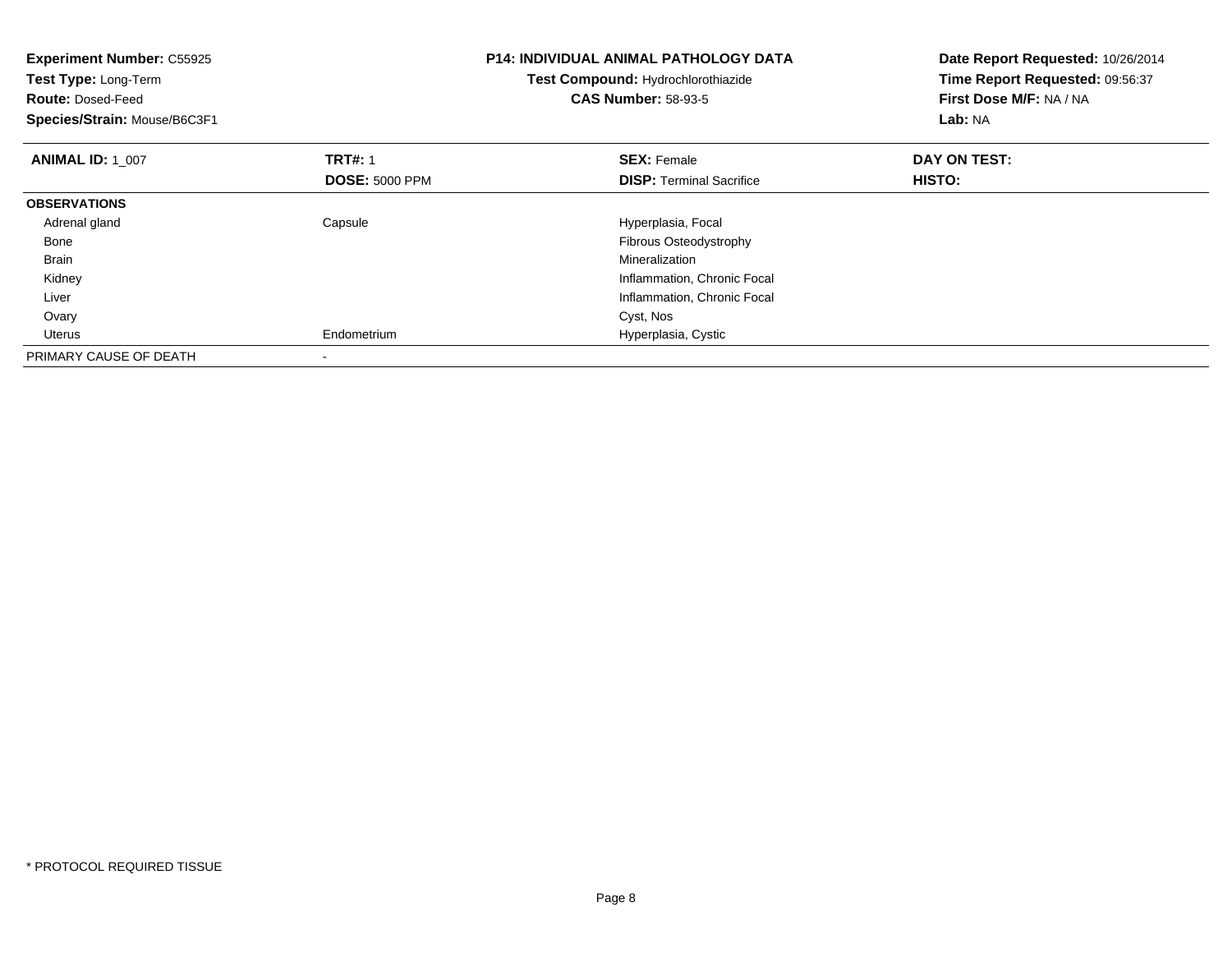| <b>Experiment Number: C55925</b><br>Test Type: Long-Term<br><b>Route: Dosed-Feed</b><br>Species/Strain: Mouse/B6C3F1 |                                         | <b>P14: INDIVIDUAL ANIMAL PATHOLOGY DATA</b><br>Test Compound: Hydrochlorothiazide<br><b>CAS Number: 58-93-5</b> | Date Report Requested: 10/26/2014<br>Time Report Requested: 09:56:37<br>First Dose M/F: NA / NA<br>Lab: NA |
|----------------------------------------------------------------------------------------------------------------------|-----------------------------------------|------------------------------------------------------------------------------------------------------------------|------------------------------------------------------------------------------------------------------------|
| <b>ANIMAL ID: 1 007</b>                                                                                              | <b>TRT#: 1</b><br><b>DOSE: 5000 PPM</b> | <b>SEX: Female</b><br><b>DISP:</b> Terminal Sacrifice                                                            | DAY ON TEST:<br>HISTO:                                                                                     |
| <b>OBSERVATIONS</b>                                                                                                  |                                         |                                                                                                                  |                                                                                                            |
| Adrenal gland                                                                                                        | Capsule                                 | Hyperplasia, Focal                                                                                               |                                                                                                            |
| Bone                                                                                                                 |                                         | Fibrous Osteodystrophy                                                                                           |                                                                                                            |
| Brain                                                                                                                |                                         | Mineralization                                                                                                   |                                                                                                            |
| Kidney                                                                                                               |                                         | Inflammation, Chronic Focal                                                                                      |                                                                                                            |
| Liver                                                                                                                |                                         | Inflammation, Chronic Focal                                                                                      |                                                                                                            |
| Ovary                                                                                                                |                                         | Cyst, Nos                                                                                                        |                                                                                                            |
| Uterus                                                                                                               | Endometrium                             | Hyperplasia, Cystic                                                                                              |                                                                                                            |
| PRIMARY CAUSE OF DEATH                                                                                               |                                         |                                                                                                                  |                                                                                                            |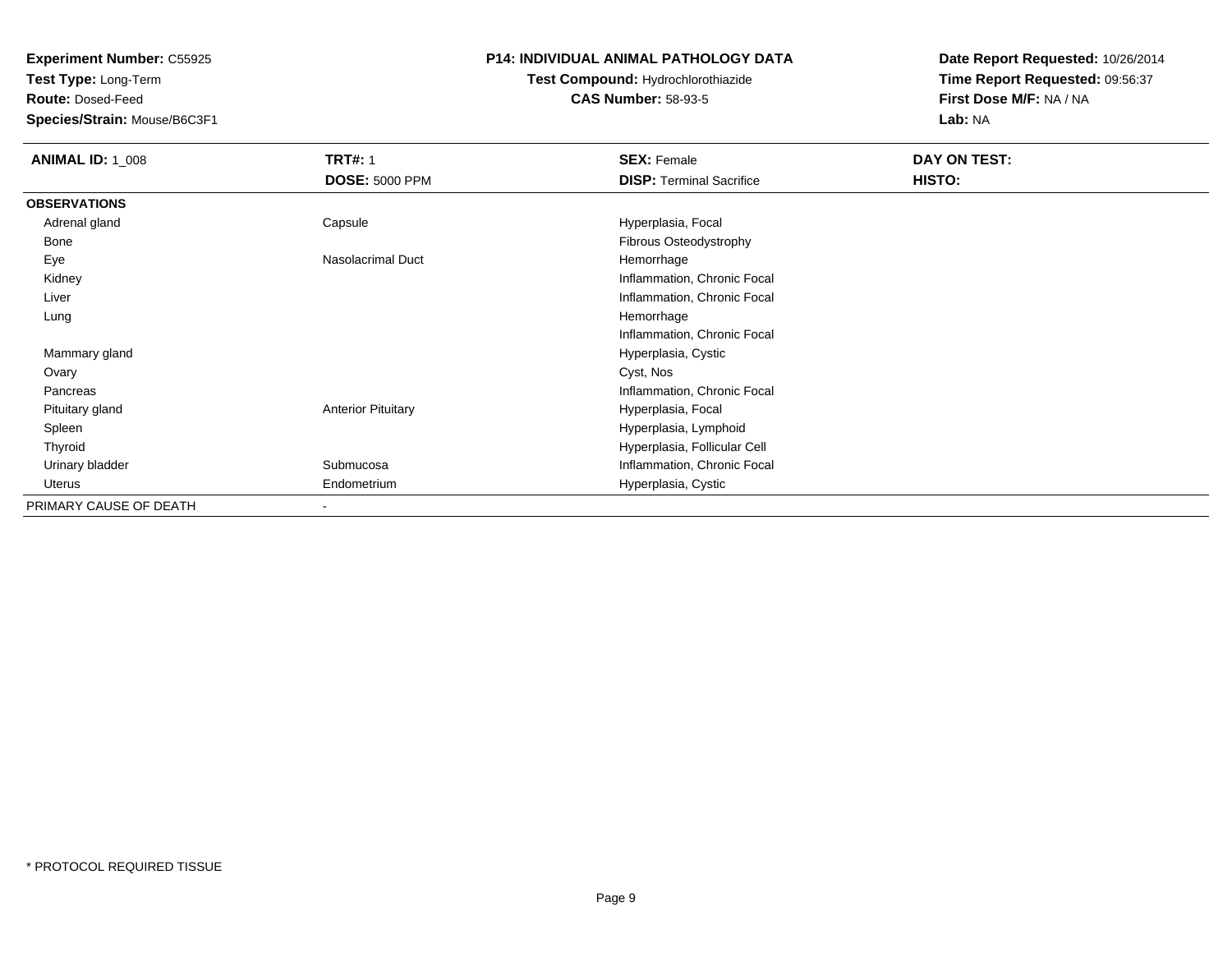**Test Type:** Long-Term

**Route:** Dosed-Feed

**Species/Strain:** Mouse/B6C3F1

## **P14: INDIVIDUAL ANIMAL PATHOLOGY DATA**

# **Test Compound:** Hydrochlorothiazide**CAS Number:** 58-93-5

| <b>ANIMAL ID: 1_008</b> | <b>TRT#: 1</b>            | <b>SEX: Female</b>              | DAY ON TEST: |  |
|-------------------------|---------------------------|---------------------------------|--------------|--|
|                         | <b>DOSE: 5000 PPM</b>     | <b>DISP: Terminal Sacrifice</b> | HISTO:       |  |
| <b>OBSERVATIONS</b>     |                           |                                 |              |  |
| Adrenal gland           | Capsule                   | Hyperplasia, Focal              |              |  |
| Bone                    |                           | Fibrous Osteodystrophy          |              |  |
| Eye                     | Nasolacrimal Duct         | Hemorrhage                      |              |  |
| Kidney                  |                           | Inflammation, Chronic Focal     |              |  |
| Liver                   |                           | Inflammation, Chronic Focal     |              |  |
| Lung                    |                           | Hemorrhage                      |              |  |
|                         |                           | Inflammation, Chronic Focal     |              |  |
| Mammary gland           |                           | Hyperplasia, Cystic             |              |  |
| Ovary                   |                           | Cyst, Nos                       |              |  |
| Pancreas                |                           | Inflammation, Chronic Focal     |              |  |
| Pituitary gland         | <b>Anterior Pituitary</b> | Hyperplasia, Focal              |              |  |
| Spleen                  |                           | Hyperplasia, Lymphoid           |              |  |
| Thyroid                 |                           | Hyperplasia, Follicular Cell    |              |  |
| Urinary bladder         | Submucosa                 | Inflammation, Chronic Focal     |              |  |
| Uterus                  | Endometrium               | Hyperplasia, Cystic             |              |  |
| PRIMARY CAUSE OF DEATH  |                           |                                 |              |  |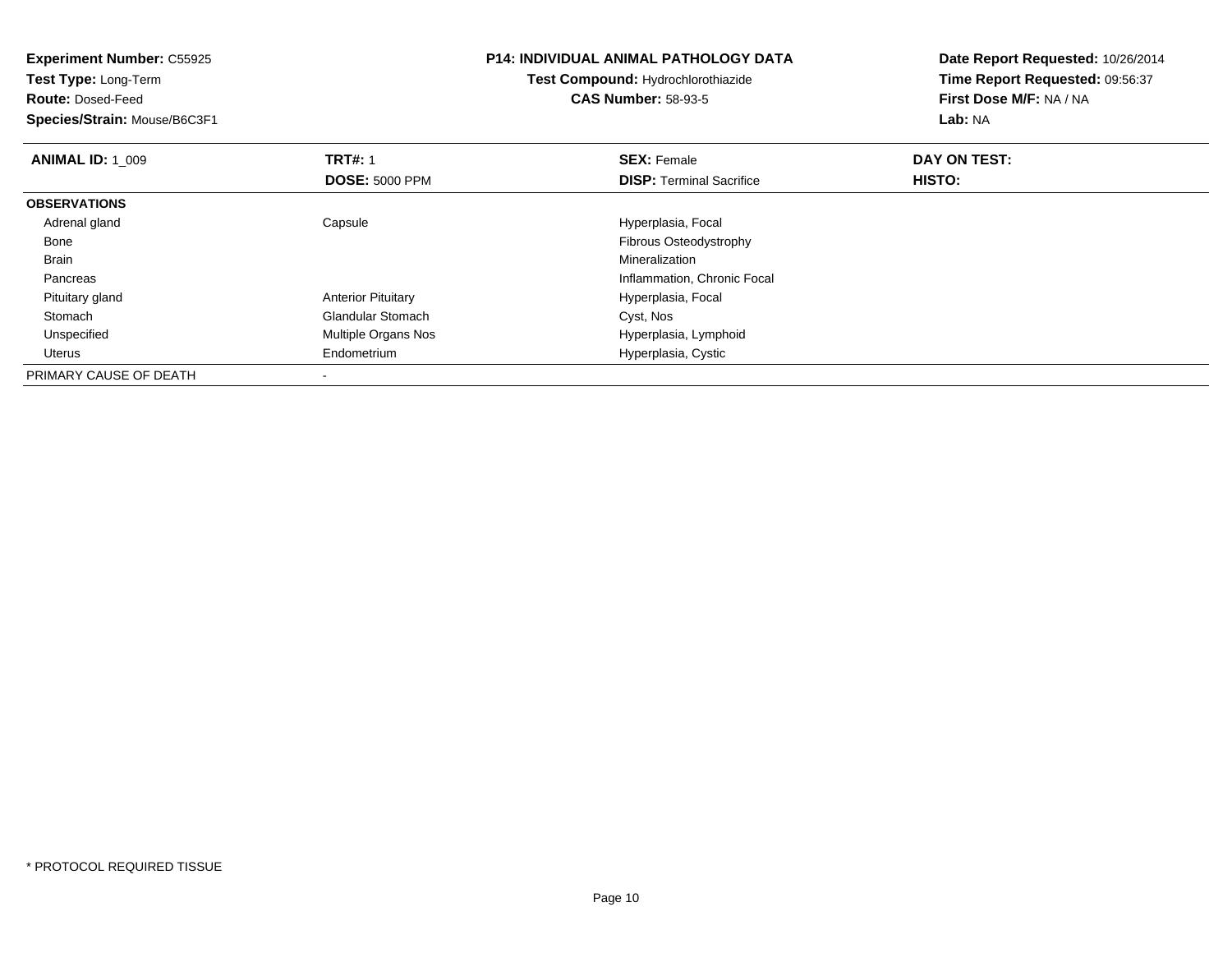| <b>Experiment Number: C55925</b><br>Test Type: Long-Term<br><b>Route: Dosed-Feed</b><br>Species/Strain: Mouse/B6C3F1 |                                         | <b>P14: INDIVIDUAL ANIMAL PATHOLOGY DATA</b><br><b>Test Compound: Hydrochlorothiazide</b><br><b>CAS Number: 58-93-5</b> | Date Report Requested: 10/26/2014<br>Time Report Requested: 09:56:37<br>First Dose M/F: NA / NA<br>Lab: NA |
|----------------------------------------------------------------------------------------------------------------------|-----------------------------------------|-------------------------------------------------------------------------------------------------------------------------|------------------------------------------------------------------------------------------------------------|
| <b>ANIMAL ID: 1 009</b>                                                                                              | <b>TRT#: 1</b><br><b>DOSE: 5000 PPM</b> | <b>SEX: Female</b><br><b>DISP:</b> Terminal Sacrifice                                                                   | DAY ON TEST:<br>HISTO:                                                                                     |
| <b>OBSERVATIONS</b>                                                                                                  |                                         |                                                                                                                         |                                                                                                            |
| Adrenal gland                                                                                                        | Capsule                                 | Hyperplasia, Focal                                                                                                      |                                                                                                            |
| Bone                                                                                                                 |                                         | Fibrous Osteodystrophy                                                                                                  |                                                                                                            |
| <b>Brain</b>                                                                                                         |                                         | Mineralization                                                                                                          |                                                                                                            |
| Pancreas                                                                                                             |                                         | Inflammation, Chronic Focal                                                                                             |                                                                                                            |
| Pituitary gland                                                                                                      | <b>Anterior Pituitary</b>               | Hyperplasia, Focal                                                                                                      |                                                                                                            |
| Stomach                                                                                                              | <b>Glandular Stomach</b>                | Cyst, Nos                                                                                                               |                                                                                                            |
| Unspecified                                                                                                          | Multiple Organs Nos                     | Hyperplasia, Lymphoid                                                                                                   |                                                                                                            |
| Uterus                                                                                                               | Endometrium                             | Hyperplasia, Cystic                                                                                                     |                                                                                                            |
| PRIMARY CAUSE OF DEATH                                                                                               |                                         |                                                                                                                         |                                                                                                            |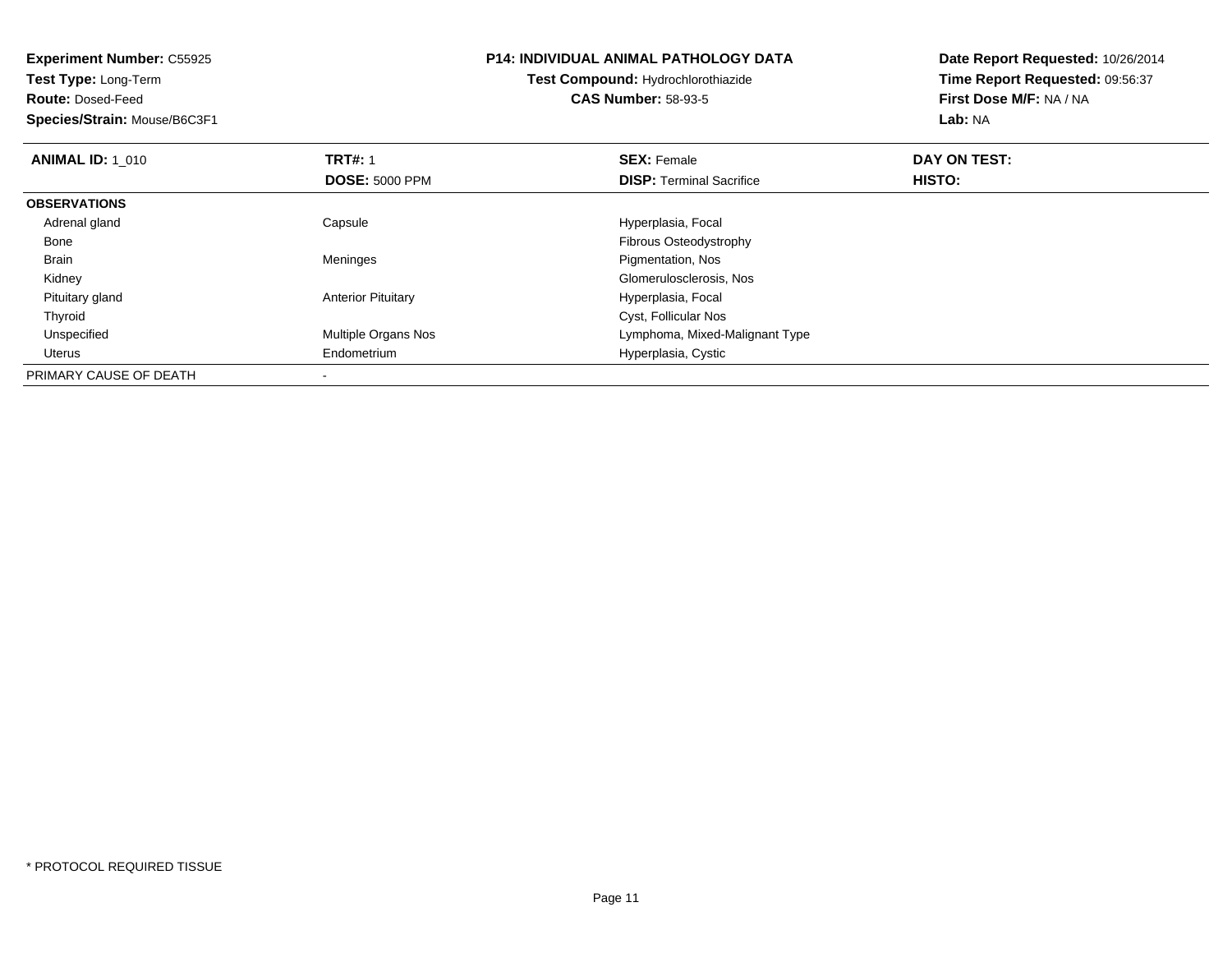| <b>Experiment Number: C55925</b><br>Test Type: Long-Term<br><b>Route: Dosed-Feed</b><br>Species/Strain: Mouse/B6C3F1 |                                         | <b>P14: INDIVIDUAL ANIMAL PATHOLOGY DATA</b><br><b>Test Compound: Hydrochlorothiazide</b><br><b>CAS Number: 58-93-5</b> | Date Report Requested: 10/26/2014<br>Time Report Requested: 09:56:37<br>First Dose M/F: NA / NA<br>Lab: NA |
|----------------------------------------------------------------------------------------------------------------------|-----------------------------------------|-------------------------------------------------------------------------------------------------------------------------|------------------------------------------------------------------------------------------------------------|
| <b>ANIMAL ID: 1 010</b>                                                                                              | <b>TRT#: 1</b><br><b>DOSE: 5000 PPM</b> | <b>SEX: Female</b><br><b>DISP:</b> Terminal Sacrifice                                                                   | DAY ON TEST:<br>HISTO:                                                                                     |
| <b>OBSERVATIONS</b>                                                                                                  |                                         |                                                                                                                         |                                                                                                            |
| Adrenal gland                                                                                                        | Capsule                                 | Hyperplasia, Focal                                                                                                      |                                                                                                            |
| Bone                                                                                                                 |                                         | Fibrous Osteodystrophy                                                                                                  |                                                                                                            |
| <b>Brain</b>                                                                                                         | Meninges                                | Pigmentation, Nos                                                                                                       |                                                                                                            |
| Kidney                                                                                                               |                                         | Glomerulosclerosis, Nos                                                                                                 |                                                                                                            |
| Pituitary gland                                                                                                      | <b>Anterior Pituitary</b>               | Hyperplasia, Focal                                                                                                      |                                                                                                            |
| Thyroid                                                                                                              |                                         | Cyst, Follicular Nos                                                                                                    |                                                                                                            |
| Unspecified                                                                                                          | Multiple Organs Nos                     | Lymphoma, Mixed-Malignant Type                                                                                          |                                                                                                            |
| Uterus                                                                                                               | Endometrium                             | Hyperplasia, Cystic                                                                                                     |                                                                                                            |
| PRIMARY CAUSE OF DEATH                                                                                               |                                         |                                                                                                                         |                                                                                                            |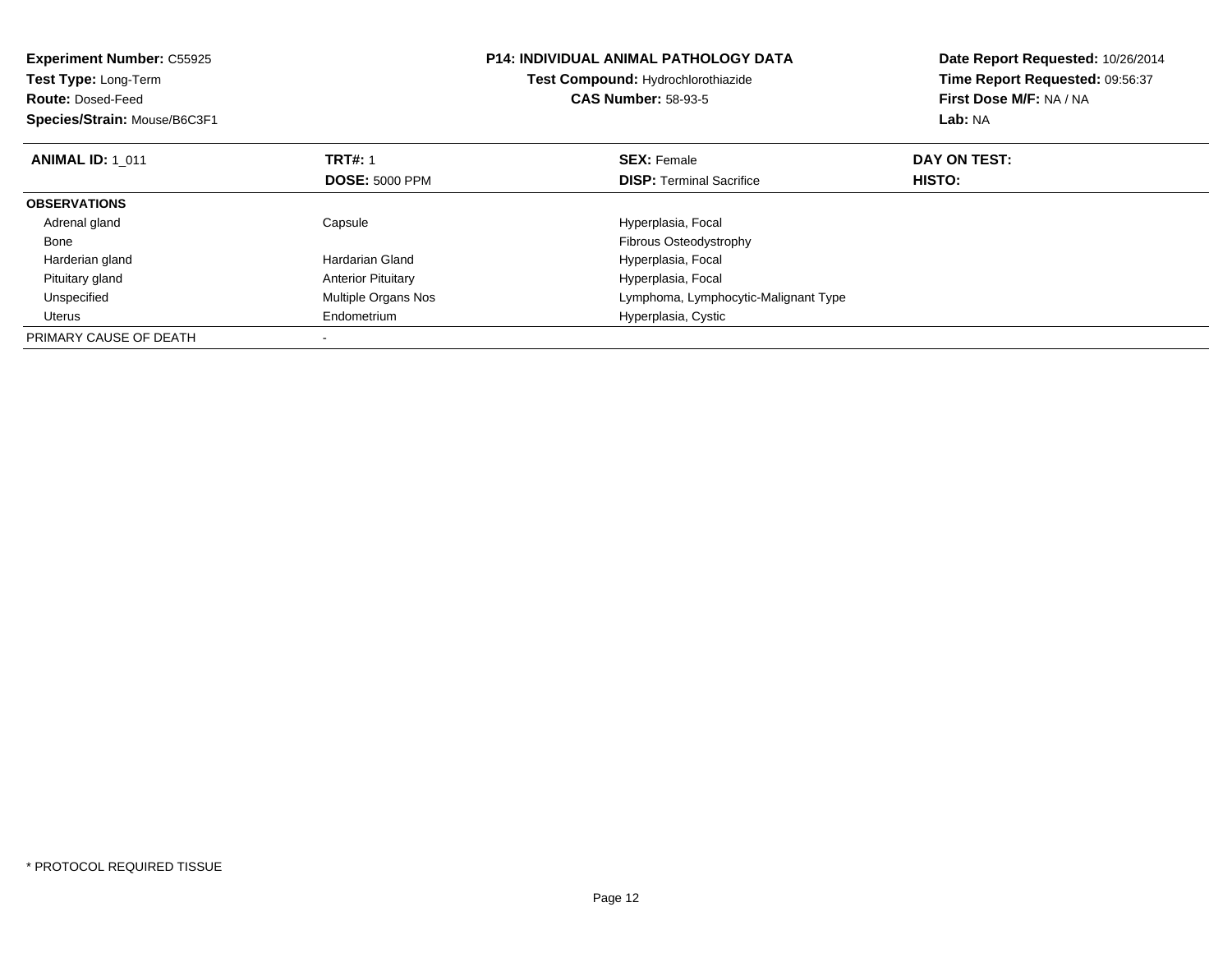| <b>Experiment Number: C55925</b><br>Test Type: Long-Term<br><b>Route: Dosed-Feed</b><br>Species/Strain: Mouse/B6C3F1 |                           | <b>P14: INDIVIDUAL ANIMAL PATHOLOGY DATA</b><br>Test Compound: Hydrochlorothiazide<br><b>CAS Number: 58-93-5</b> | Date Report Requested: 10/26/2014<br>Time Report Requested: 09:56:37<br>First Dose M/F: NA / NA<br>Lab: NA |
|----------------------------------------------------------------------------------------------------------------------|---------------------------|------------------------------------------------------------------------------------------------------------------|------------------------------------------------------------------------------------------------------------|
| <b>ANIMAL ID: 1 011</b>                                                                                              | <b>TRT#: 1</b>            | <b>SEX: Female</b>                                                                                               | DAY ON TEST:                                                                                               |
|                                                                                                                      | <b>DOSE: 5000 PPM</b>     | <b>DISP:</b> Terminal Sacrifice                                                                                  | HISTO:                                                                                                     |
| <b>OBSERVATIONS</b>                                                                                                  |                           |                                                                                                                  |                                                                                                            |
| Adrenal gland                                                                                                        | Capsule                   | Hyperplasia, Focal                                                                                               |                                                                                                            |
| Bone                                                                                                                 |                           | <b>Fibrous Osteodystrophy</b>                                                                                    |                                                                                                            |
| Harderian gland                                                                                                      | Hardarian Gland           | Hyperplasia, Focal                                                                                               |                                                                                                            |
| Pituitary gland                                                                                                      | <b>Anterior Pituitary</b> | Hyperplasia, Focal                                                                                               |                                                                                                            |
| Unspecified                                                                                                          | Multiple Organs Nos       | Lymphoma, Lymphocytic-Malignant Type                                                                             |                                                                                                            |
| <b>Uterus</b>                                                                                                        | Endometrium               | Hyperplasia, Cystic                                                                                              |                                                                                                            |
| PRIMARY CAUSE OF DEATH                                                                                               |                           |                                                                                                                  |                                                                                                            |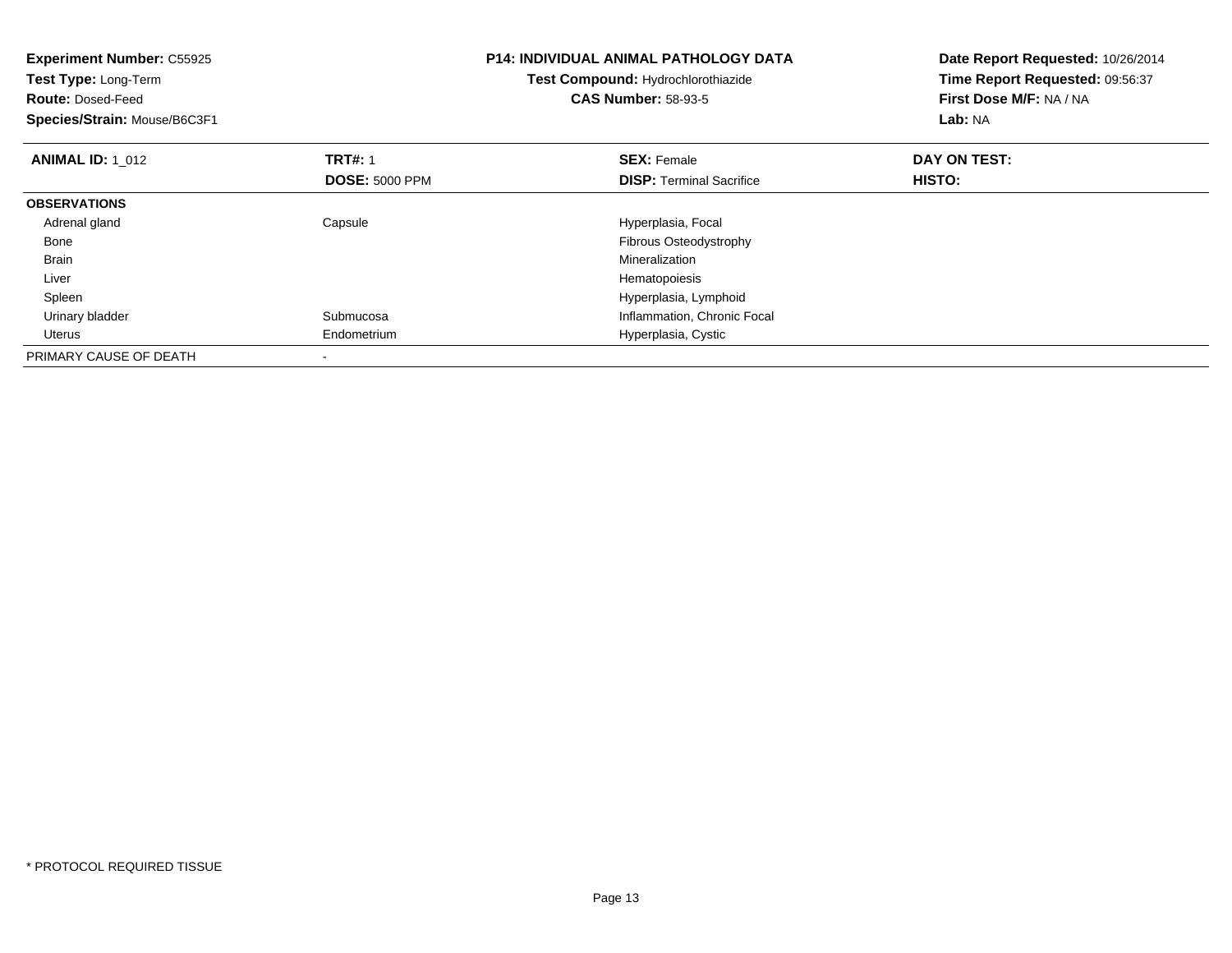| <b>Experiment Number: C55925</b><br><b>Test Type: Long-Term</b><br><b>Route: Dosed-Feed</b><br>Species/Strain: Mouse/B6C3F1 |                                         | <b>P14: INDIVIDUAL ANIMAL PATHOLOGY DATA</b><br>Test Compound: Hydrochlorothiazide<br><b>CAS Number: 58-93-5</b> | Date Report Requested: 10/26/2014<br>Time Report Requested: 09:56:37<br>First Dose M/F: NA / NA<br>Lab: NA |
|-----------------------------------------------------------------------------------------------------------------------------|-----------------------------------------|------------------------------------------------------------------------------------------------------------------|------------------------------------------------------------------------------------------------------------|
| <b>ANIMAL ID: 1 012</b>                                                                                                     | <b>TRT#: 1</b><br><b>DOSE: 5000 PPM</b> | <b>SEX: Female</b><br><b>DISP:</b> Terminal Sacrifice                                                            | DAY ON TEST:<br>HISTO:                                                                                     |
| <b>OBSERVATIONS</b>                                                                                                         |                                         |                                                                                                                  |                                                                                                            |
| Adrenal gland                                                                                                               | Capsule                                 | Hyperplasia, Focal                                                                                               |                                                                                                            |
| Bone                                                                                                                        |                                         | Fibrous Osteodystrophy                                                                                           |                                                                                                            |
| <b>Brain</b>                                                                                                                |                                         | Mineralization                                                                                                   |                                                                                                            |
| Liver                                                                                                                       |                                         | Hematopoiesis                                                                                                    |                                                                                                            |
| Spleen                                                                                                                      |                                         | Hyperplasia, Lymphoid                                                                                            |                                                                                                            |
| Urinary bladder                                                                                                             | Submucosa                               | Inflammation, Chronic Focal                                                                                      |                                                                                                            |
| Uterus                                                                                                                      | Endometrium                             | Hyperplasia, Cystic                                                                                              |                                                                                                            |
| PRIMARY CAUSE OF DEATH                                                                                                      |                                         |                                                                                                                  |                                                                                                            |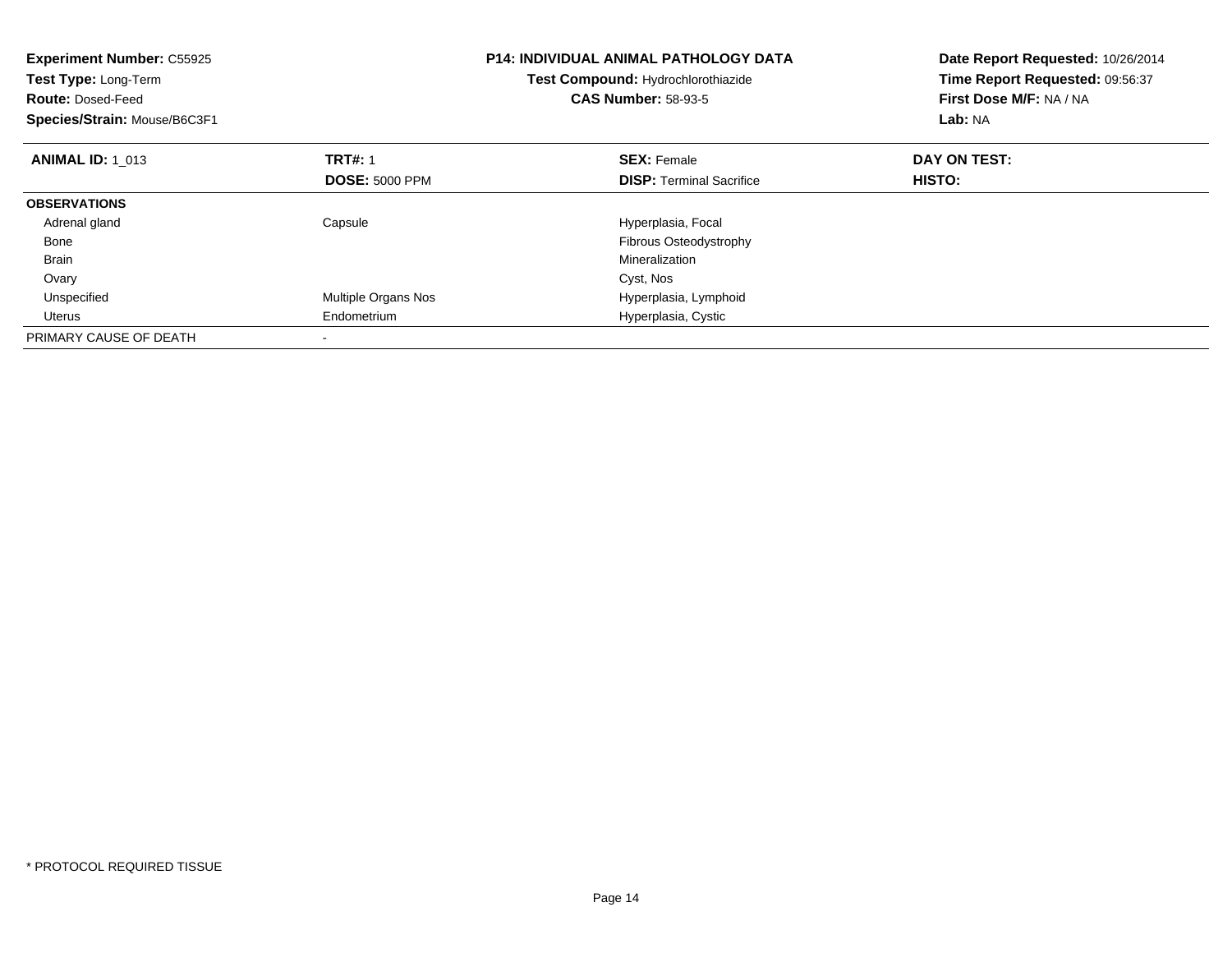| <b>Experiment Number: C55925</b><br><b>Test Type: Long-Term</b><br><b>Route: Dosed-Feed</b><br>Species/Strain: Mouse/B6C3F1 |                       | P14: INDIVIDUAL ANIMAL PATHOLOGY DATA<br>Test Compound: Hydrochlorothiazide<br><b>CAS Number: 58-93-5</b> | Date Report Requested: 10/26/2014<br>Time Report Requested: 09:56:37<br>First Dose M/F: NA / NA<br>Lab: NA |
|-----------------------------------------------------------------------------------------------------------------------------|-----------------------|-----------------------------------------------------------------------------------------------------------|------------------------------------------------------------------------------------------------------------|
| <b>ANIMAL ID: 1 013</b>                                                                                                     | <b>TRT#: 1</b>        | <b>SEX: Female</b>                                                                                        | DAY ON TEST:                                                                                               |
|                                                                                                                             | <b>DOSE: 5000 PPM</b> | <b>DISP:</b> Terminal Sacrifice                                                                           | <b>HISTO:</b>                                                                                              |
| <b>OBSERVATIONS</b>                                                                                                         |                       |                                                                                                           |                                                                                                            |
| Adrenal gland                                                                                                               | Capsule               | Hyperplasia, Focal                                                                                        |                                                                                                            |
| Bone                                                                                                                        |                       | Fibrous Osteodystrophy                                                                                    |                                                                                                            |
| <b>Brain</b>                                                                                                                |                       | Mineralization                                                                                            |                                                                                                            |
| Ovary                                                                                                                       |                       | Cyst, Nos                                                                                                 |                                                                                                            |
| Unspecified                                                                                                                 | Multiple Organs Nos   | Hyperplasia, Lymphoid                                                                                     |                                                                                                            |
| Uterus                                                                                                                      | Endometrium           | Hyperplasia, Cystic                                                                                       |                                                                                                            |
| PRIMARY CAUSE OF DEATH                                                                                                      |                       |                                                                                                           |                                                                                                            |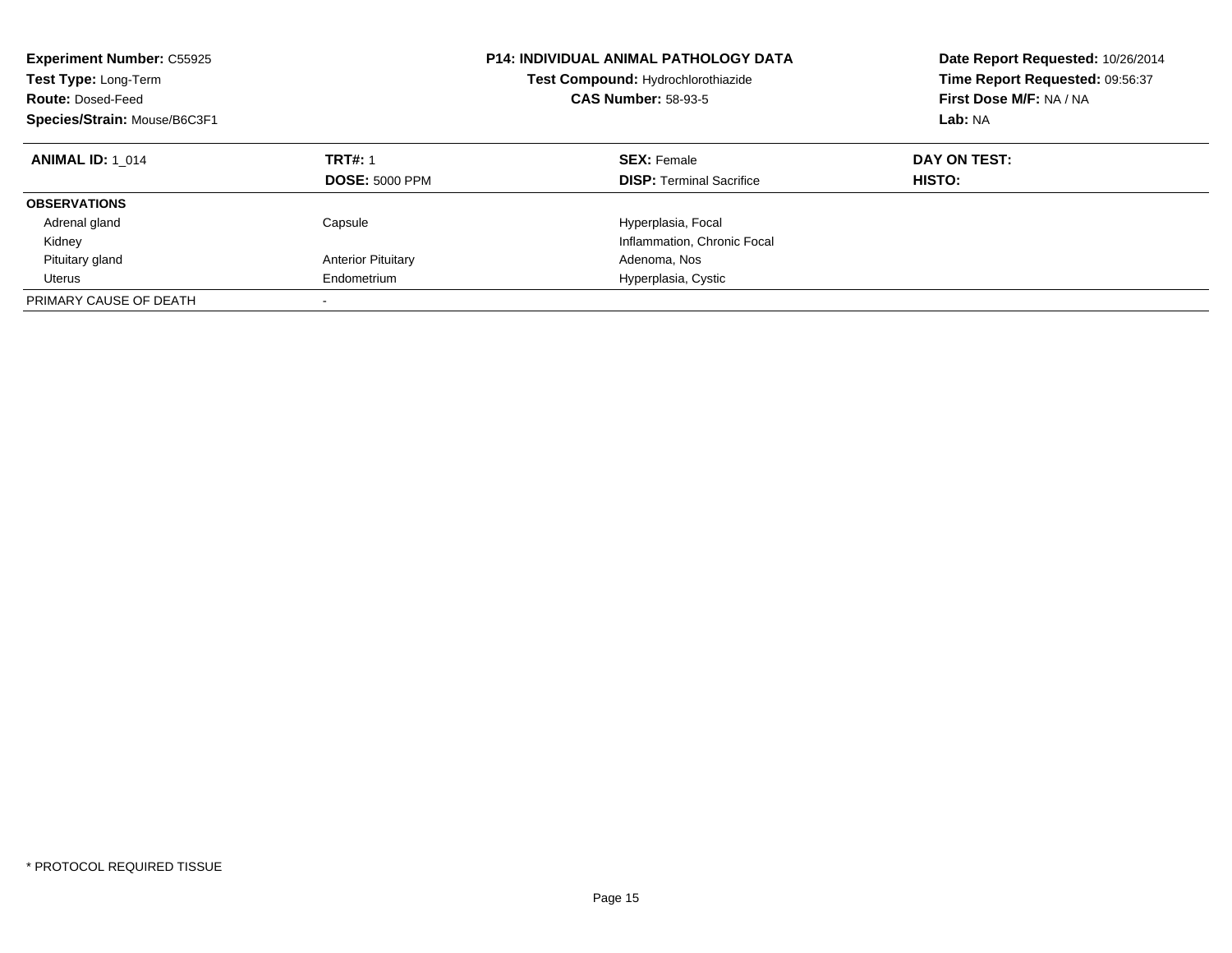| <b>Experiment Number: C55925</b><br>Test Type: Long-Term<br><b>Route: Dosed-Feed</b><br>Species/Strain: Mouse/B6C3F1 |                                         | <b>P14: INDIVIDUAL ANIMAL PATHOLOGY DATA</b><br>Test Compound: Hydrochlorothiazide<br><b>CAS Number: 58-93-5</b> | Date Report Requested: 10/26/2014<br>Time Report Requested: 09:56:37<br>First Dose M/F: NA / NA<br>Lab: NA |
|----------------------------------------------------------------------------------------------------------------------|-----------------------------------------|------------------------------------------------------------------------------------------------------------------|------------------------------------------------------------------------------------------------------------|
| <b>ANIMAL ID: 1 014</b>                                                                                              | <b>TRT#: 1</b><br><b>DOSE: 5000 PPM</b> | <b>SEX: Female</b><br><b>DISP:</b> Terminal Sacrifice                                                            | DAY ON TEST:<br>HISTO:                                                                                     |
| <b>OBSERVATIONS</b>                                                                                                  |                                         |                                                                                                                  |                                                                                                            |
| Adrenal gland                                                                                                        | Capsule                                 | Hyperplasia, Focal                                                                                               |                                                                                                            |
| Kidney                                                                                                               |                                         | Inflammation, Chronic Focal                                                                                      |                                                                                                            |
| Pituitary gland                                                                                                      | <b>Anterior Pituitary</b>               | Adenoma, Nos                                                                                                     |                                                                                                            |
| Uterus                                                                                                               | Endometrium                             | Hyperplasia, Cystic                                                                                              |                                                                                                            |
| PRIMARY CAUSE OF DEATH                                                                                               | -                                       |                                                                                                                  |                                                                                                            |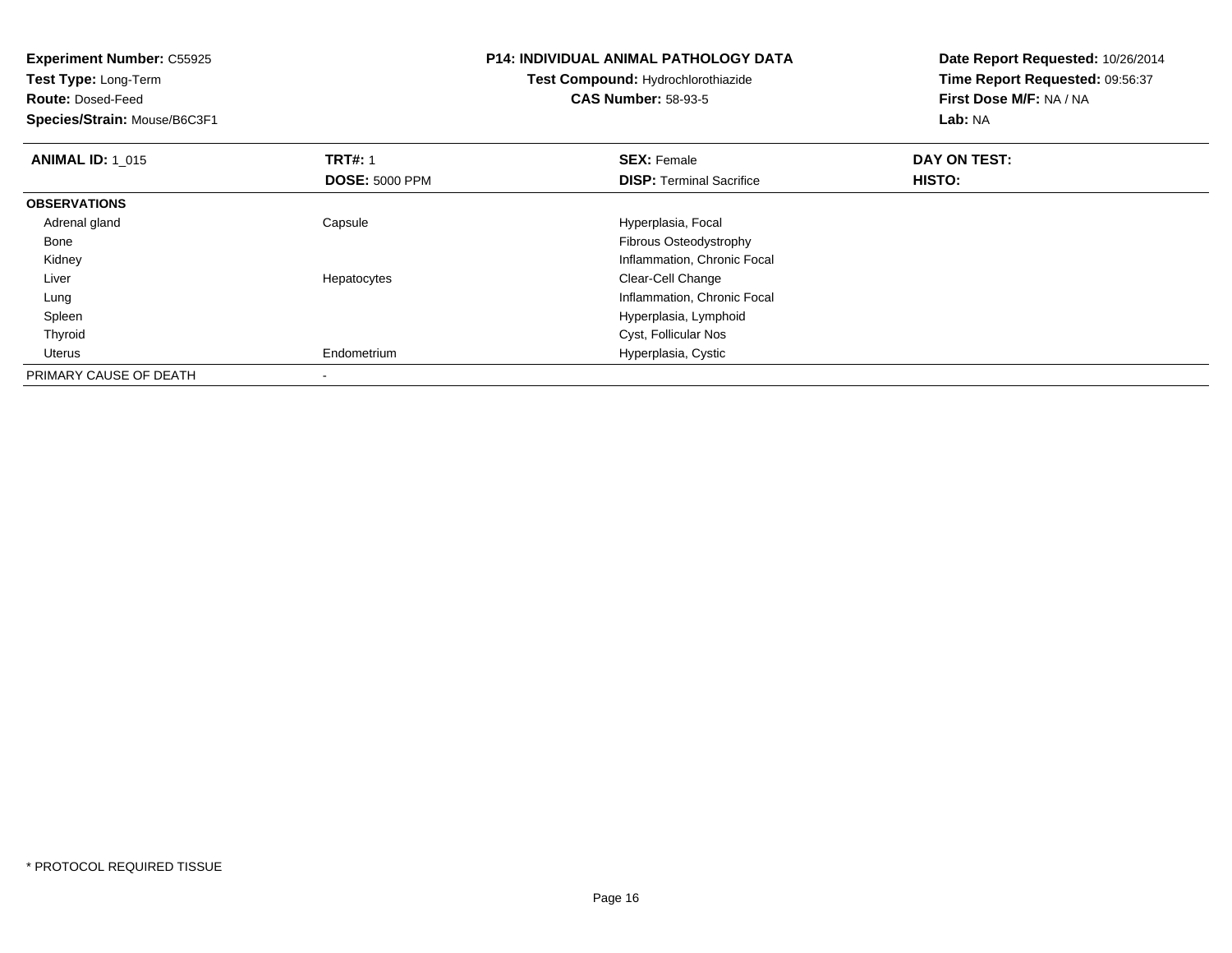| <b>Experiment Number: C55925</b><br>Test Type: Long-Term<br><b>Route: Dosed-Feed</b><br>Species/Strain: Mouse/B6C3F1 |                       | P14: INDIVIDUAL ANIMAL PATHOLOGY DATA<br>Test Compound: Hydrochlorothiazide<br><b>CAS Number: 58-93-5</b> | Date Report Requested: 10/26/2014<br>Time Report Requested: 09:56:37<br>First Dose M/F: NA / NA<br>Lab: NA |  |
|----------------------------------------------------------------------------------------------------------------------|-----------------------|-----------------------------------------------------------------------------------------------------------|------------------------------------------------------------------------------------------------------------|--|
| <b>ANIMAL ID: 1 015</b>                                                                                              | <b>TRT#: 1</b>        | <b>SEX: Female</b>                                                                                        | DAY ON TEST:                                                                                               |  |
|                                                                                                                      | <b>DOSE: 5000 PPM</b> | <b>DISP:</b> Terminal Sacrifice                                                                           | <b>HISTO:</b>                                                                                              |  |
| <b>OBSERVATIONS</b>                                                                                                  |                       |                                                                                                           |                                                                                                            |  |
| Adrenal gland                                                                                                        | Capsule               | Hyperplasia, Focal                                                                                        |                                                                                                            |  |
| Bone                                                                                                                 |                       | Fibrous Osteodystrophy                                                                                    |                                                                                                            |  |
| Kidney                                                                                                               |                       | Inflammation, Chronic Focal                                                                               |                                                                                                            |  |
| Liver                                                                                                                | Hepatocytes           | Clear-Cell Change                                                                                         |                                                                                                            |  |
| Lung                                                                                                                 |                       | Inflammation, Chronic Focal                                                                               |                                                                                                            |  |
| Spleen                                                                                                               |                       | Hyperplasia, Lymphoid                                                                                     |                                                                                                            |  |
| Thyroid                                                                                                              |                       | Cyst, Follicular Nos                                                                                      |                                                                                                            |  |
| Uterus                                                                                                               | Endometrium           | Hyperplasia, Cystic                                                                                       |                                                                                                            |  |
| PRIMARY CAUSE OF DEATH                                                                                               |                       |                                                                                                           |                                                                                                            |  |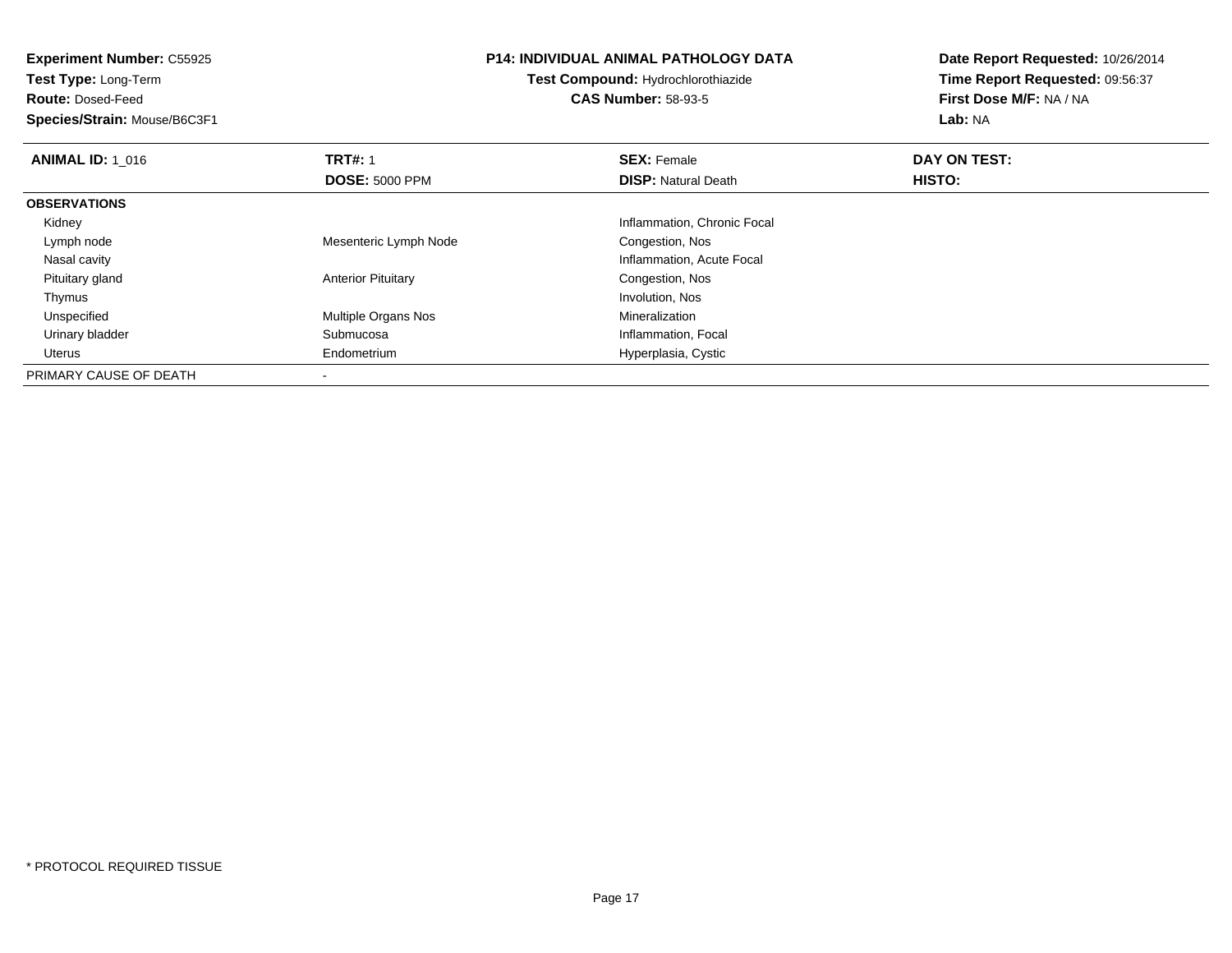**Experiment Number:** C55925**Test Type:** Long-Term**Route:** Dosed-Feed **Species/Strain:** Mouse/B6C3F1**P14: INDIVIDUAL ANIMAL PATHOLOGY DATATest Compound:** Hydrochlorothiazide**CAS Number:** 58-93-5**Date Report Requested:** 10/26/2014**Time Report Requested:** 09:56:37**First Dose M/F:** NA / NA**Lab:** NA**ANIMAL ID: 1\_016 6 DAY ON TEST:** 1 **SEX:** Female **SEX: Female DAY ON TEST: DOSE:** 5000 PPM**DISP:** Natural Death **HISTO: OBSERVATIONS** Kidney Inflammation, Chronic Focal Lymph nodeMesenteric Lymph Node Congestion, Nos Nasal cavityInflammation, Acute Focal<br>Congestion, Nos Pituitary glandAnterior Pituitary **Congestion, Nosting Congestion, Nosting Congestion**, Nosting Congestion, Nosting Congestion, Nos Thymuss and the control of the control of the control of the control of the control of the control of the control of the control of the control of the control of the control of the control of the control of the control of the co UnspecifiedMultiple Organs Nos **Mineralization**  Urinary bladder Submucosa Inflammation, Focal Uterus Endometrium Hyperplasia, Cystic PRIMARY CAUSE OF DEATH-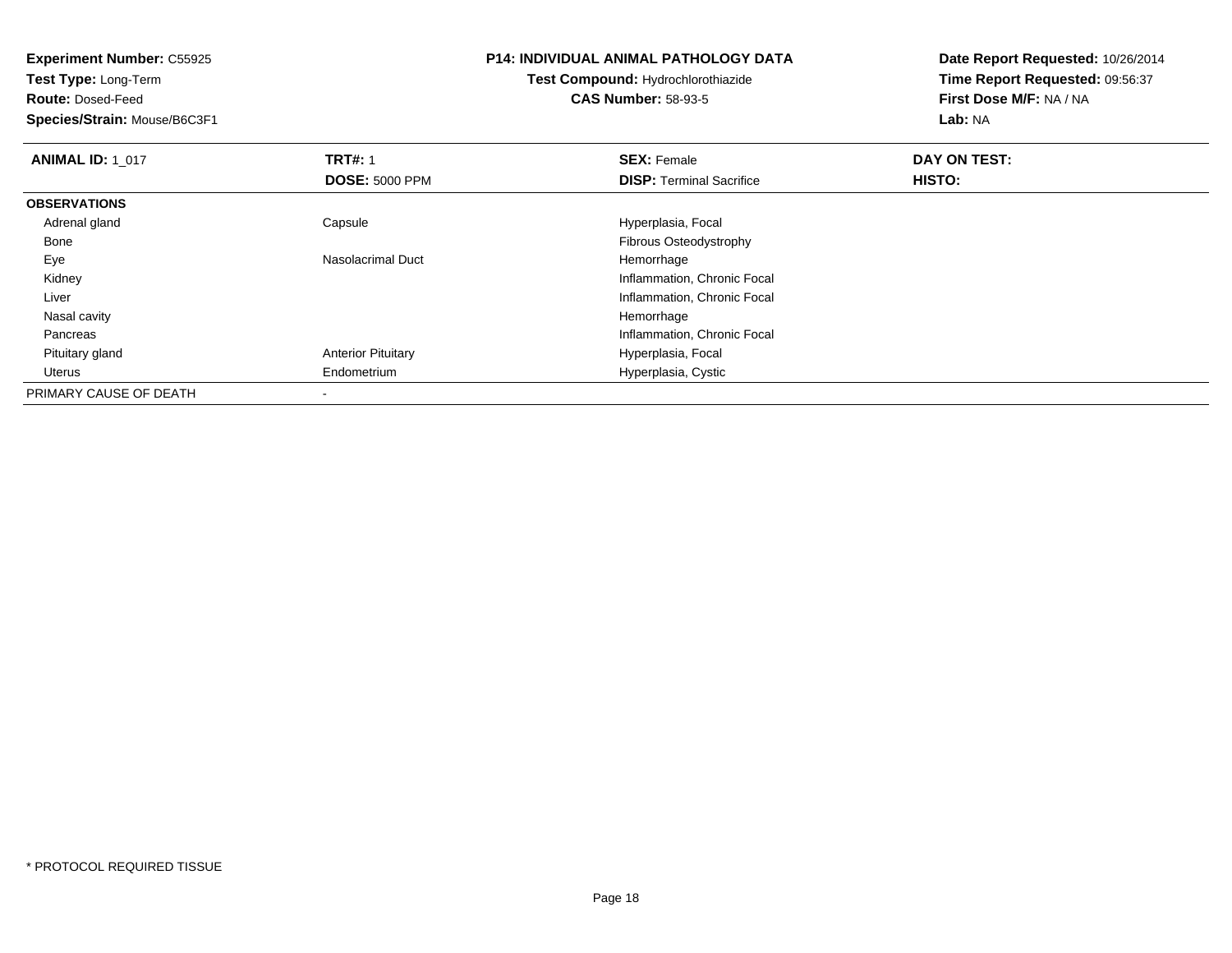| <b>Experiment Number: C55925</b><br>Test Type: Long-Term |                           | <b>P14: INDIVIDUAL ANIMAL PATHOLOGY DATA</b> | Date Report Requested: 10/26/2014 |
|----------------------------------------------------------|---------------------------|----------------------------------------------|-----------------------------------|
|                                                          |                           | <b>Test Compound: Hydrochlorothiazide</b>    | Time Report Requested: 09:56:37   |
| <b>Route: Dosed-Feed</b>                                 |                           | <b>CAS Number: 58-93-5</b>                   | First Dose M/F: NA / NA           |
| Species/Strain: Mouse/B6C3F1                             |                           |                                              | Lab: NA                           |
| <b>ANIMAL ID: 1_017</b>                                  | <b>TRT#: 1</b>            | <b>SEX: Female</b>                           | DAY ON TEST:                      |
|                                                          | <b>DOSE: 5000 PPM</b>     | <b>DISP:</b> Terminal Sacrifice              | HISTO:                            |
| <b>OBSERVATIONS</b>                                      |                           |                                              |                                   |
| Adrenal gland                                            | Capsule                   | Hyperplasia, Focal                           |                                   |
| Bone                                                     |                           | Fibrous Osteodystrophy                       |                                   |
| Eye                                                      | Nasolacrimal Duct         | Hemorrhage                                   |                                   |
| Kidney                                                   |                           | Inflammation, Chronic Focal                  |                                   |
| Liver                                                    |                           | Inflammation, Chronic Focal                  |                                   |
| Nasal cavity                                             |                           | Hemorrhage                                   |                                   |
| Pancreas                                                 |                           | Inflammation, Chronic Focal                  |                                   |
| Pituitary gland                                          | <b>Anterior Pituitary</b> | Hyperplasia, Focal                           |                                   |
| Uterus                                                   | Endometrium               | Hyperplasia, Cystic                          |                                   |
| PRIMARY CAUSE OF DEATH                                   |                           |                                              |                                   |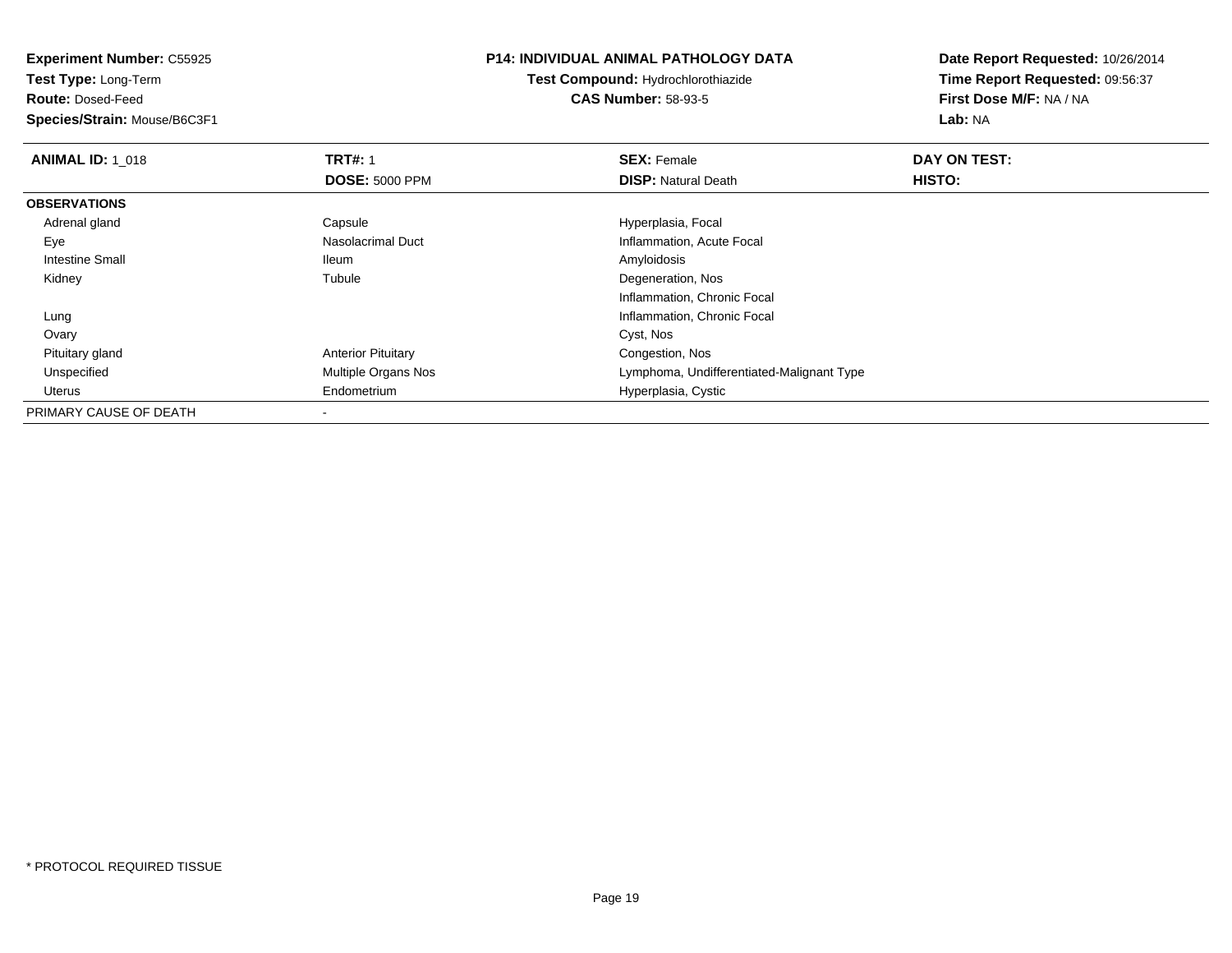**Experiment Number:** C55925**Test Type:** Long-Term**Route:** Dosed-Feed **Species/Strain:** Mouse/B6C3F1**P14: INDIVIDUAL ANIMAL PATHOLOGY DATATest Compound:** Hydrochlorothiazide**CAS Number:** 58-93-5**Date Report Requested:** 10/26/2014**Time Report Requested:** 09:56:37**First Dose M/F:** NA / NA**Lab:** NA**ANIMAL ID: 1\_018 REX:** Female **DAY ON TEST: CONSIST: SEX:** Female **DAY ON TEST: DOSE:** 5000 PPM**DISP:** Natural Death **HISTO: OBSERVATIONS** Adrenal gland Capsule Hyperplasia, Focal EyeInflammation, Acute Focal Intestine Small Ileum Amyloidosis Kidneyy the contract of the contract of the contract of the contract of the contract of the contract of the contract of the contract of the contract of the contract of the contract of the contract of the contract of the contract Degeneration, Nos Inflammation, Chronic Focal Lung Inflammation, Chronic Focal Ovaryy and the control of the control of the control of the control of the control of the control of the control of the control of the control of the control of the control of the control of the control of the control of the co Pituitary glandAnterior Pituitary **Congestion, Nos**<br>
Multiple Organs Nos<br>
Lymphoma, Undi UnspecifiedLymphoma, Undifferentiated-Malignant Type Uterus Endometrium Hyperplasia, Cystic PRIMARY CAUSE OF DEATH

-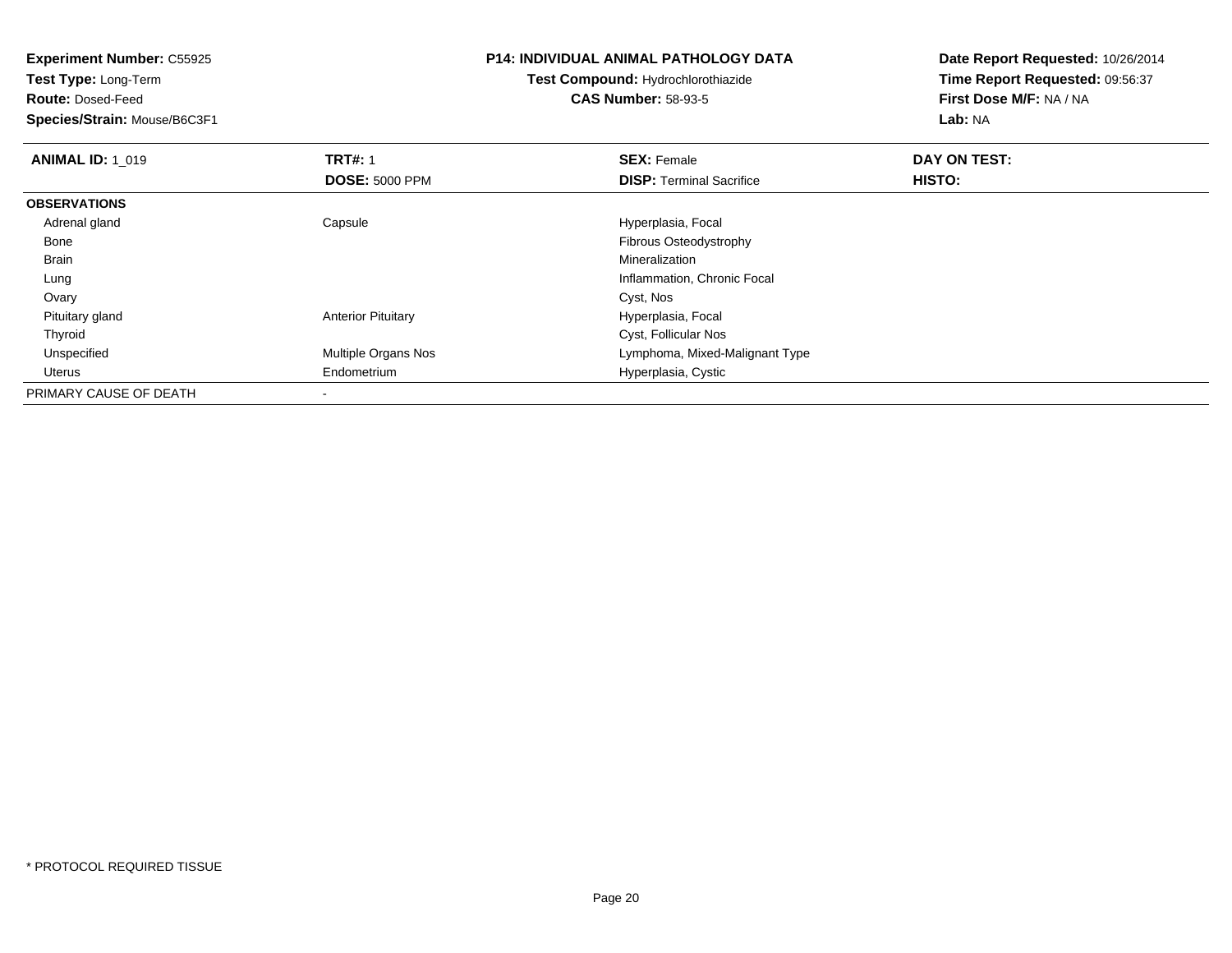**Experiment Number:** C55925**Test Type:** Long-Term**Route:** Dosed-Feed **Species/Strain:** Mouse/B6C3F1**P14: INDIVIDUAL ANIMAL PATHOLOGY DATATest Compound:** Hydrochlorothiazide**CAS Number:** 58-93-5**Date Report Requested:** 10/26/2014**Time Report Requested:** 09:56:37**First Dose M/F:** NA / NA**Lab:** NA**ANIMAL ID: 1\_019 TRT#:** 1 **SEX:** Female **DAY ON TEST: DOSE:** 5000 PPM**DISP:** Terminal Sacrifice **HISTO: OBSERVATIONS** Adrenal glandCapsule **Capsule Hyperplasia**, Focal Bone Fibrous Osteodystrophy Brainn and the control of the control of the control of the control of the control of the control of the control of the control of the control of the control of the control of the control of the control of the control of the co Lung Inflammation, Chronic Focal Ovaryy and the control of the control of the control of the control of the control of the control of the control of the control of the control of the control of the control of the control of the control of the control of the co Pituitary glandAnterior Pituitary **Hyperplasia**, Focal ThyroidCyst, Follicular Nos<br>Multiple Organs Nos **Example 19** Lymphoma, Mixed-I UnspecifiedLymphoma, Mixed-Malignant Type Uterus Endometrium Hyperplasia, Cystic PRIMARY CAUSE OF DEATH-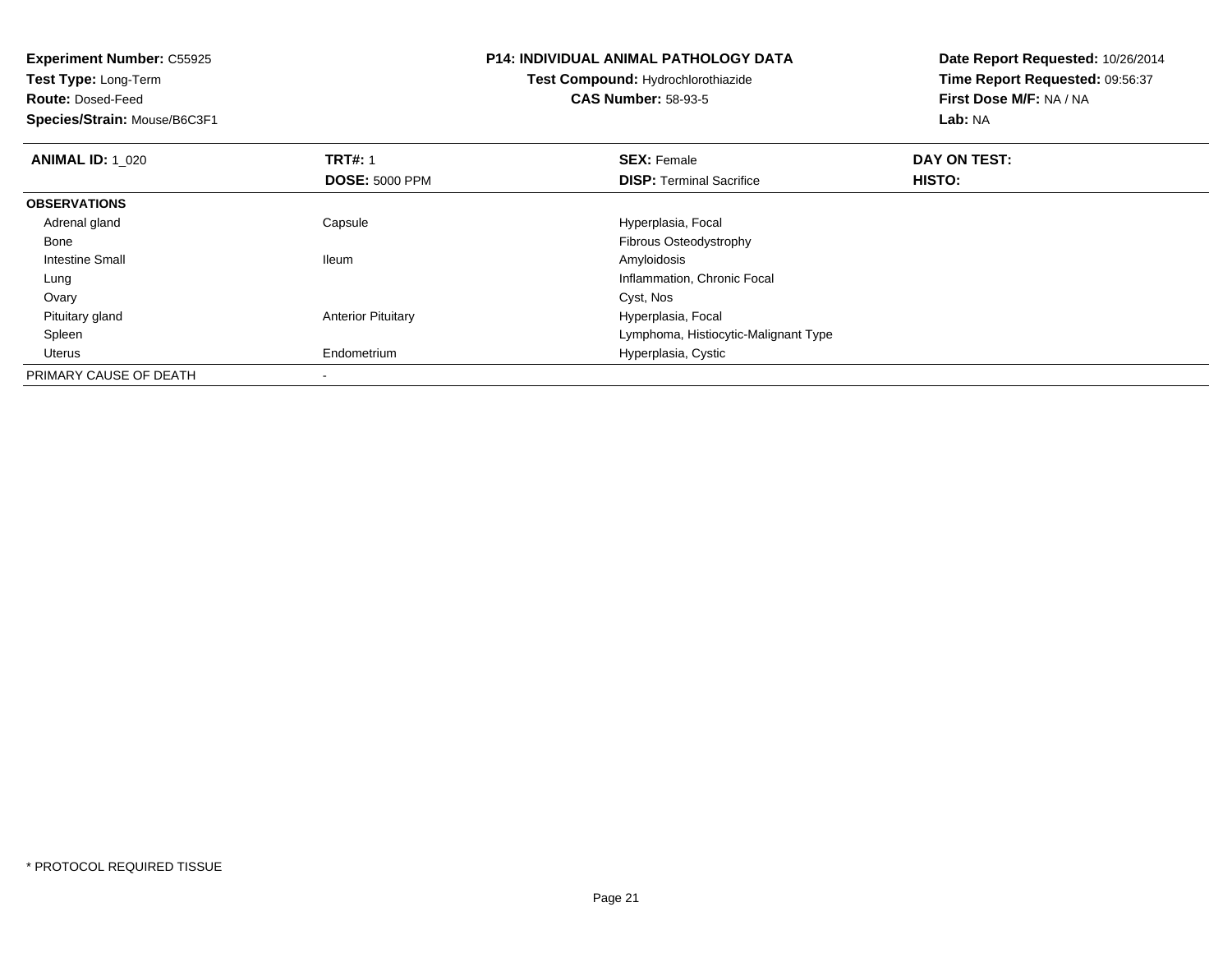| <b>Experiment Number: C55925</b><br>Test Type: Long-Term |                           | P14: INDIVIDUAL ANIMAL PATHOLOGY DATA | Date Report Requested: 10/26/2014 |
|----------------------------------------------------------|---------------------------|---------------------------------------|-----------------------------------|
|                                                          |                           | Test Compound: Hydrochlorothiazide    | Time Report Requested: 09:56:37   |
| <b>Route: Dosed-Feed</b>                                 |                           | <b>CAS Number: 58-93-5</b>            | First Dose M/F: NA / NA           |
| Species/Strain: Mouse/B6C3F1                             |                           |                                       | Lab: NA                           |
| <b>ANIMAL ID: 1 020</b>                                  | <b>TRT#: 1</b>            | <b>SEX: Female</b>                    | DAY ON TEST:                      |
|                                                          | <b>DOSE: 5000 PPM</b>     | <b>DISP:</b> Terminal Sacrifice       | HISTO:                            |
| <b>OBSERVATIONS</b>                                      |                           |                                       |                                   |
| Adrenal gland                                            | Capsule                   | Hyperplasia, Focal                    |                                   |
| Bone                                                     |                           | Fibrous Osteodystrophy                |                                   |
| Intestine Small                                          | <b>Ileum</b>              | Amyloidosis                           |                                   |
| Lung                                                     |                           | Inflammation, Chronic Focal           |                                   |
| Ovary                                                    |                           | Cyst, Nos                             |                                   |
| Pituitary gland                                          | <b>Anterior Pituitary</b> | Hyperplasia, Focal                    |                                   |
| Spleen                                                   |                           | Lymphoma, Histiocytic-Malignant Type  |                                   |
| Uterus                                                   | Endometrium               | Hyperplasia, Cystic                   |                                   |
| PRIMARY CAUSE OF DEATH                                   |                           |                                       |                                   |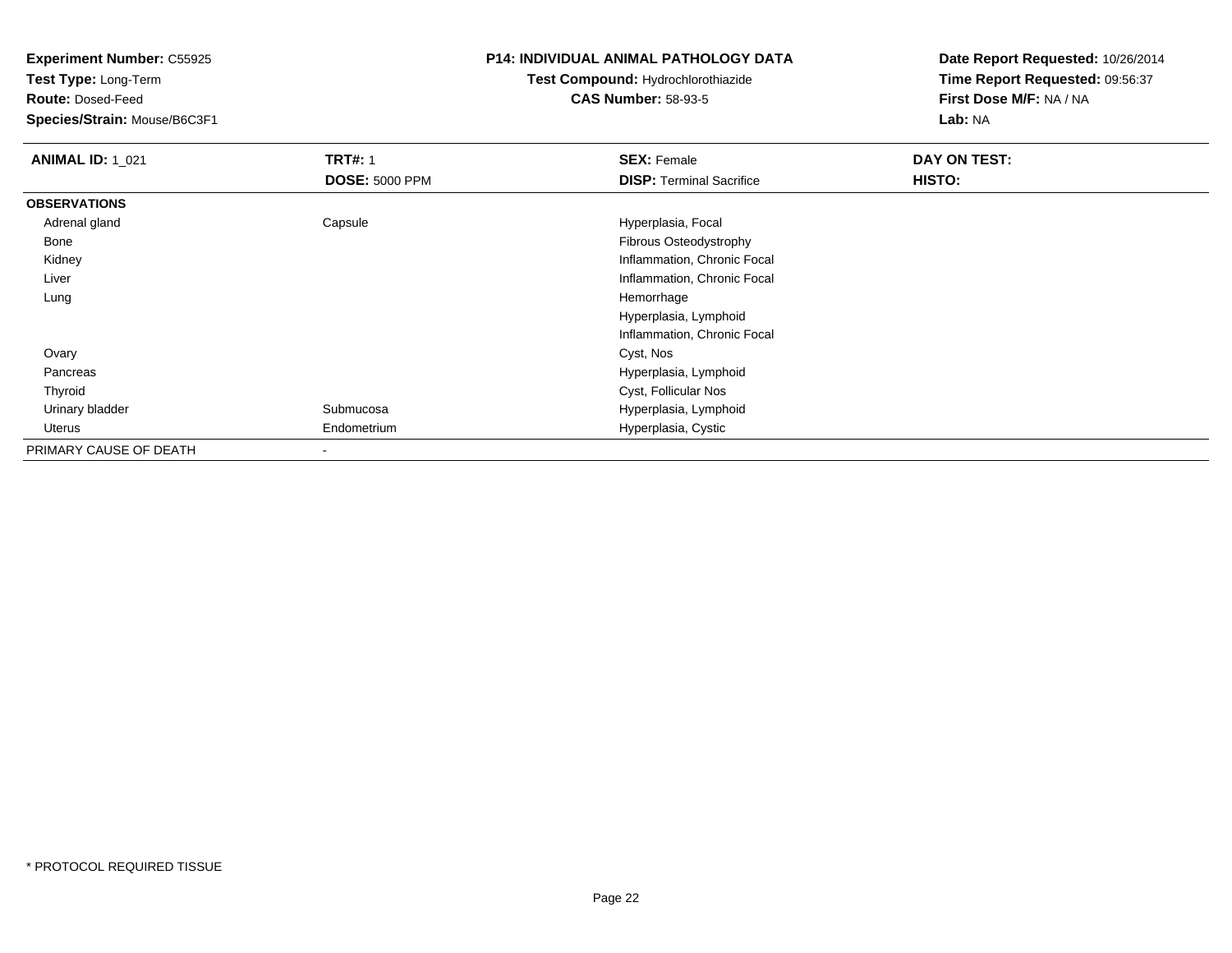**Test Type:** Long-Term

**Route:** Dosed-Feed

**Species/Strain:** Mouse/B6C3F1

### **P14: INDIVIDUAL ANIMAL PATHOLOGY DATA**

# **Test Compound:** Hydrochlorothiazide**CAS Number:** 58-93-5

| <b>ANIMAL ID: 1_021</b> | <b>TRT#: 1</b>        | <b>SEX: Female</b>              | DAY ON TEST: |  |
|-------------------------|-----------------------|---------------------------------|--------------|--|
|                         | <b>DOSE: 5000 PPM</b> | <b>DISP: Terminal Sacrifice</b> | HISTO:       |  |
| <b>OBSERVATIONS</b>     |                       |                                 |              |  |
| Adrenal gland           | Capsule               | Hyperplasia, Focal              |              |  |
| Bone                    |                       | Fibrous Osteodystrophy          |              |  |
| Kidney                  |                       | Inflammation, Chronic Focal     |              |  |
| Liver                   |                       | Inflammation, Chronic Focal     |              |  |
| Lung                    |                       | Hemorrhage                      |              |  |
|                         |                       | Hyperplasia, Lymphoid           |              |  |
|                         |                       | Inflammation, Chronic Focal     |              |  |
| Ovary                   |                       | Cyst, Nos                       |              |  |
| Pancreas                |                       | Hyperplasia, Lymphoid           |              |  |
| Thyroid                 |                       | Cyst, Follicular Nos            |              |  |
| Urinary bladder         | Submucosa             | Hyperplasia, Lymphoid           |              |  |
| Uterus                  | Endometrium           | Hyperplasia, Cystic             |              |  |
| PRIMARY CAUSE OF DEATH  |                       |                                 |              |  |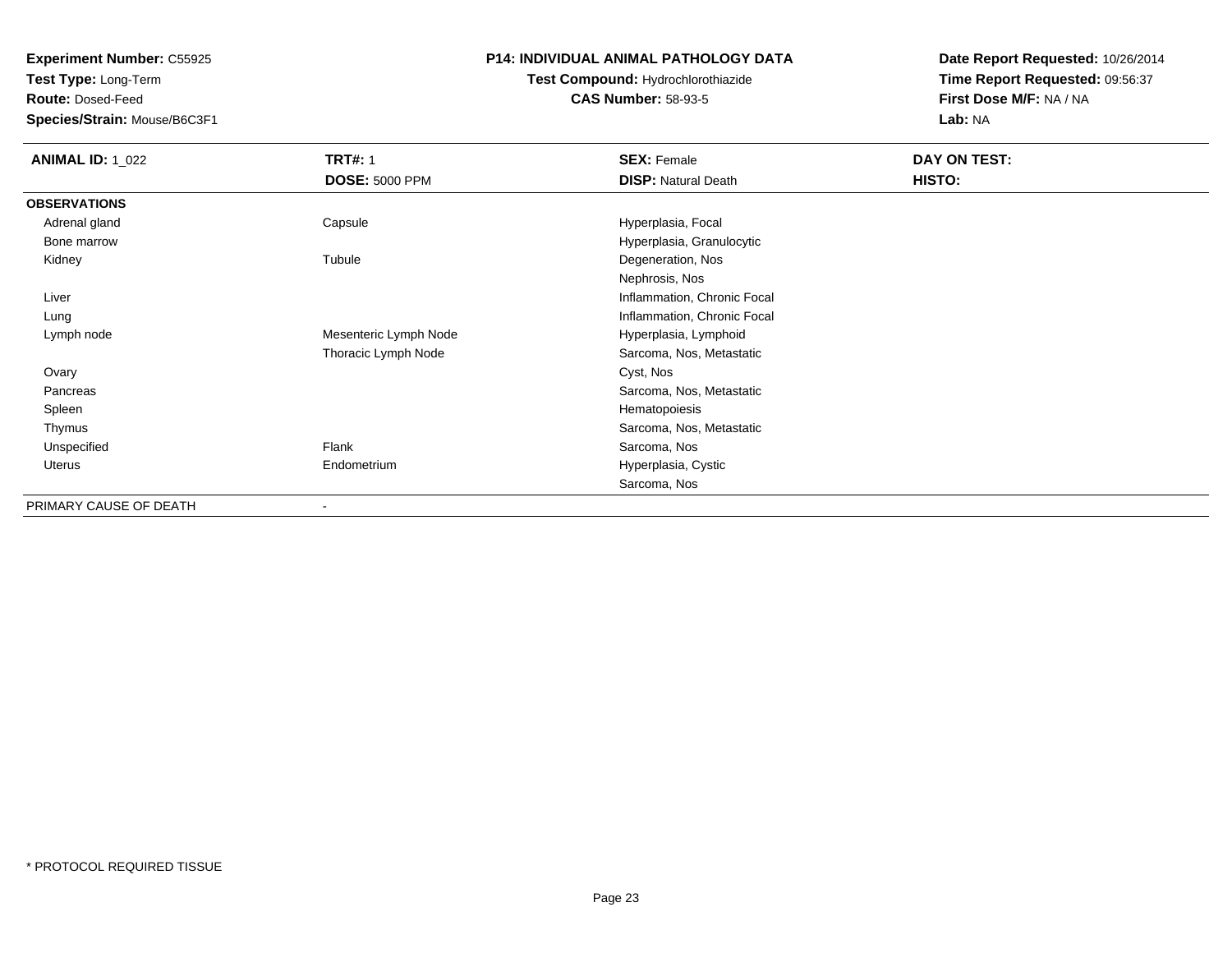**Test Type:** Long-Term

**Route:** Dosed-Feed

**Species/Strain:** Mouse/B6C3F1

## **P14: INDIVIDUAL ANIMAL PATHOLOGY DATA**

# **Test Compound:** Hydrochlorothiazide**CAS Number:** 58-93-5

| <b>ANIMAL ID: 1_022</b> | <b>TRT#: 1</b>        | <b>SEX: Female</b>          | DAY ON TEST: |
|-------------------------|-----------------------|-----------------------------|--------------|
|                         | <b>DOSE: 5000 PPM</b> | <b>DISP: Natural Death</b>  | HISTO:       |
| <b>OBSERVATIONS</b>     |                       |                             |              |
| Adrenal gland           | Capsule               | Hyperplasia, Focal          |              |
| Bone marrow             |                       | Hyperplasia, Granulocytic   |              |
| Kidney                  | Tubule                | Degeneration, Nos           |              |
|                         |                       | Nephrosis, Nos              |              |
| Liver                   |                       | Inflammation, Chronic Focal |              |
| Lung                    |                       | Inflammation, Chronic Focal |              |
| Lymph node              | Mesenteric Lymph Node | Hyperplasia, Lymphoid       |              |
|                         | Thoracic Lymph Node   | Sarcoma, Nos, Metastatic    |              |
| Ovary                   |                       | Cyst, Nos                   |              |
| Pancreas                |                       | Sarcoma, Nos, Metastatic    |              |
| Spleen                  |                       | Hematopoiesis               |              |
| Thymus                  |                       | Sarcoma, Nos, Metastatic    |              |
| Unspecified             | Flank                 | Sarcoma, Nos                |              |
| Uterus                  | Endometrium           | Hyperplasia, Cystic         |              |
|                         |                       | Sarcoma, Nos                |              |
| PRIMARY CAUSE OF DEATH  |                       |                             |              |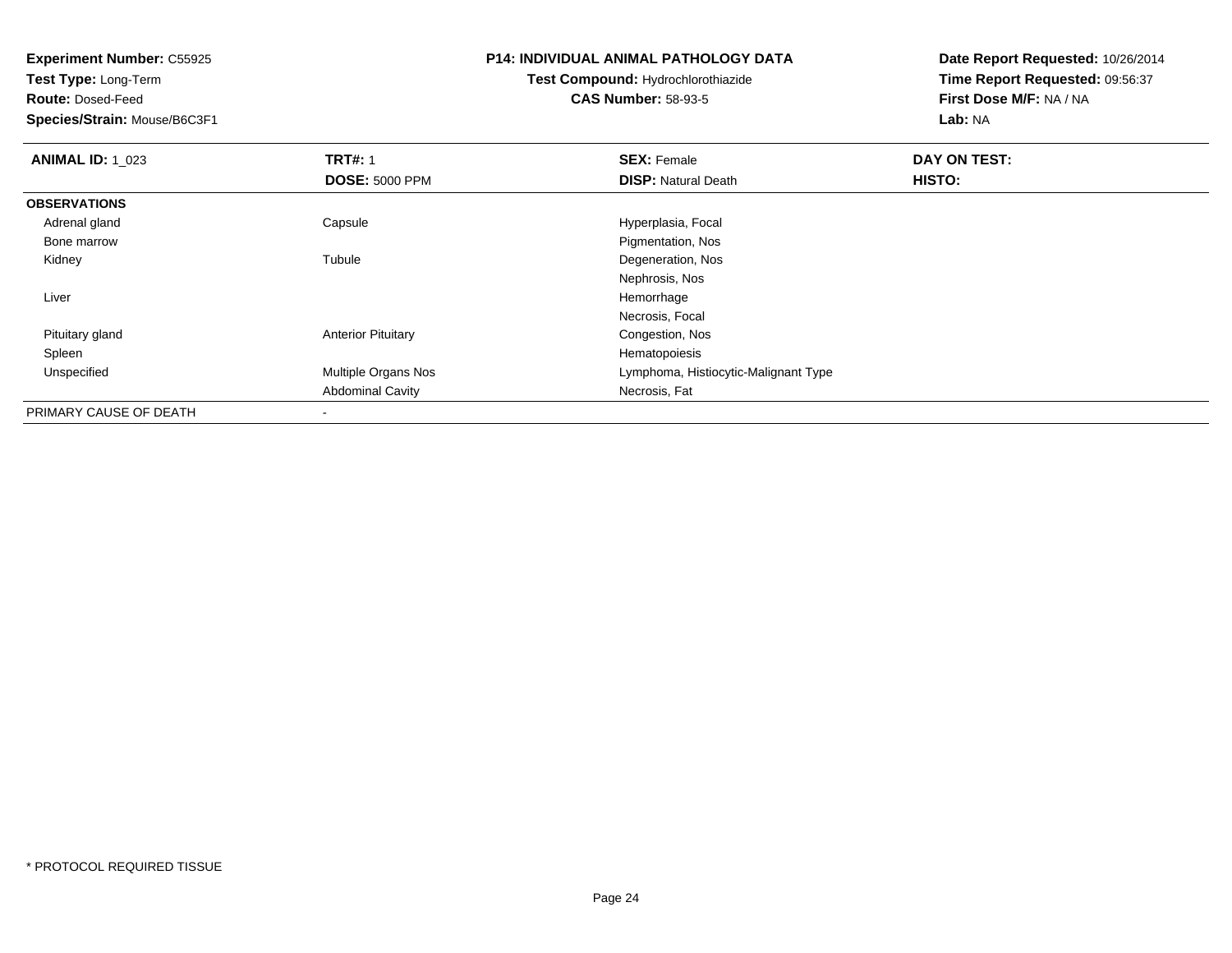**Experiment Number:** C55925**Test Type:** Long-Term**Route:** Dosed-Feed **Species/Strain:** Mouse/B6C3F1**P14: INDIVIDUAL ANIMAL PATHOLOGY DATATest Compound:** Hydrochlorothiazide**CAS Number:** 58-93-5**Date Report Requested:** 10/26/2014**Time Report Requested:** 09:56:37**First Dose M/F:** NA / NA**Lab:** NA**ANIMAL ID: 1 023 TRT#:** 1 **SEX:** Female **DAY ON TEST: DOSE:** 5000 PPM**DISP:** Natural Death **HISTO: OBSERVATIONS** Adrenal glandCapsule **Capsule Hyperplasia**, Focal Bone marrow Pigmentation, Nos Kidneyy the contract of the contract of the contract of the contract of the contract of the contract of the contract of the contract of the contract of the contract of the contract of the contract of the contract of the contract Degeneration, Nos Nephrosis, Nos Liver Hemorrhage Necrosis, Focal Pituitary glandAnterior Pituitary **Congestion, Nos**<br>
Hematopoiesis Spleenn and the state of the state of the state of the state of the state of the state of the state of the state of the state of the state of the state of the state of the state of the state of the state of the state of the stat UnspecifiedMultiple Organs Nos **Multiple Organs Nos** Lymphoma, Histiocytic-Malignant Type Abdominal Cavity Necrosis, Fat PRIMARY CAUSE OF DEATH-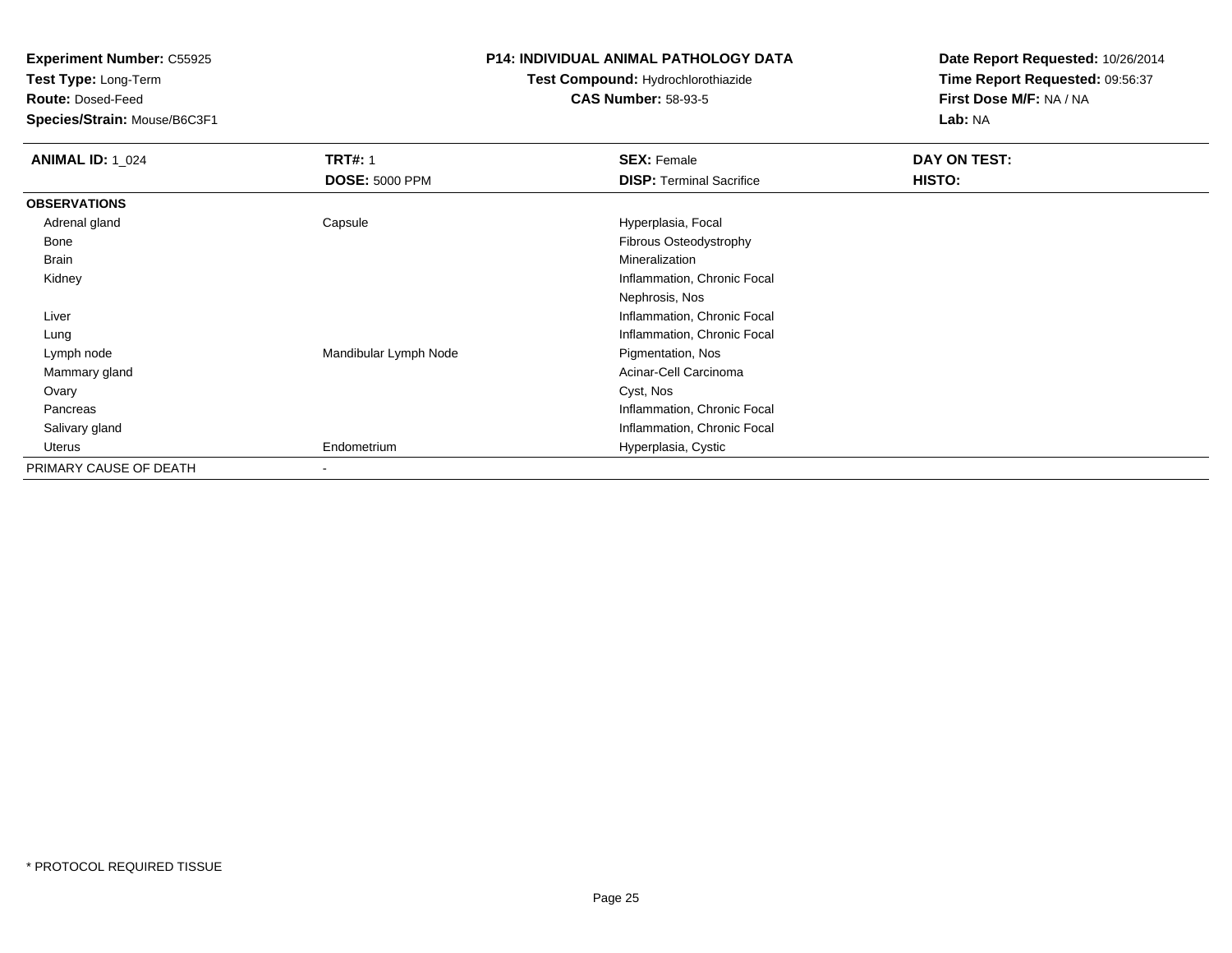**Test Type:** Long-Term

**Route:** Dosed-Feed

**Species/Strain:** Mouse/B6C3F1

#### **P14: INDIVIDUAL ANIMAL PATHOLOGY DATA**

# **Test Compound:** Hydrochlorothiazide**CAS Number:** 58-93-5

| <b>ANIMAL ID: 1_024</b> | <b>TRT#: 1</b>        | <b>SEX: Female</b>              | DAY ON TEST: |  |
|-------------------------|-----------------------|---------------------------------|--------------|--|
|                         | <b>DOSE: 5000 PPM</b> | <b>DISP: Terminal Sacrifice</b> | HISTO:       |  |
| <b>OBSERVATIONS</b>     |                       |                                 |              |  |
| Adrenal gland           | Capsule               | Hyperplasia, Focal              |              |  |
| Bone                    |                       | Fibrous Osteodystrophy          |              |  |
| <b>Brain</b>            |                       | Mineralization                  |              |  |
| Kidney                  |                       | Inflammation, Chronic Focal     |              |  |
|                         |                       | Nephrosis, Nos                  |              |  |
| Liver                   |                       | Inflammation, Chronic Focal     |              |  |
| Lung                    |                       | Inflammation, Chronic Focal     |              |  |
| Lymph node              | Mandibular Lymph Node | Pigmentation, Nos               |              |  |
| Mammary gland           |                       | Acinar-Cell Carcinoma           |              |  |
| Ovary                   |                       | Cyst, Nos                       |              |  |
| Pancreas                |                       | Inflammation, Chronic Focal     |              |  |
| Salivary gland          |                       | Inflammation, Chronic Focal     |              |  |
| Uterus                  | Endometrium           | Hyperplasia, Cystic             |              |  |
| PRIMARY CAUSE OF DEATH  |                       |                                 |              |  |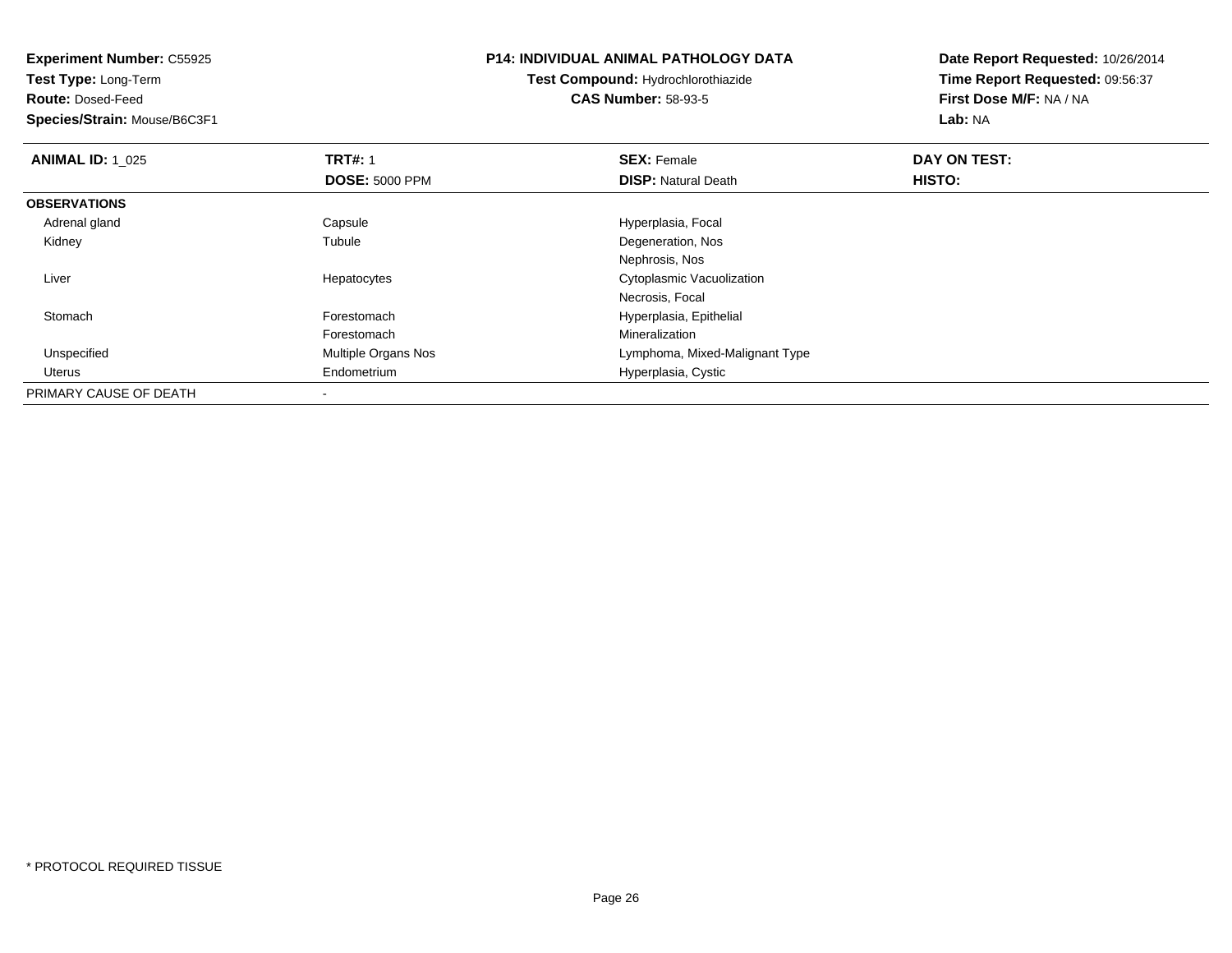**Experiment Number:** C55925**Test Type:** Long-Term**Route:** Dosed-Feed **Species/Strain:** Mouse/B6C3F1**P14: INDIVIDUAL ANIMAL PATHOLOGY DATATest Compound:** Hydrochlorothiazide**CAS Number:** 58-93-5**Date Report Requested:** 10/26/2014**Time Report Requested:** 09:56:37**First Dose M/F:** NA / NA**Lab:** NA**ANIMAL ID: 1\_025 TRT#:** 1 **SEX:** Female **DAY ON TEST: DOSE:** 5000 PPM**DISP:** Natural Death **HISTO: OBSERVATIONS** Adrenal glandCapsule **Capsule Hyperplasia**, Focal Kidney Tubule Degeneration, Nos Nephrosis, Noss **Subset Constructs** Cytoplasmic Vacuolization Liver HepatocytesNecrosis, Focal StomachForestomach **Hyperplasia**, Epithelial ForestomachForestomach Mineralization<br>
Mineralization<br>
Multiple Organs Nos<br>
Mineralization<br>
Lymphoma, Mi UnspecifiedLymphoma, Mixed-Malignant Type Uterus Endometrium Hyperplasia, Cystic PRIMARY CAUSE OF DEATH

-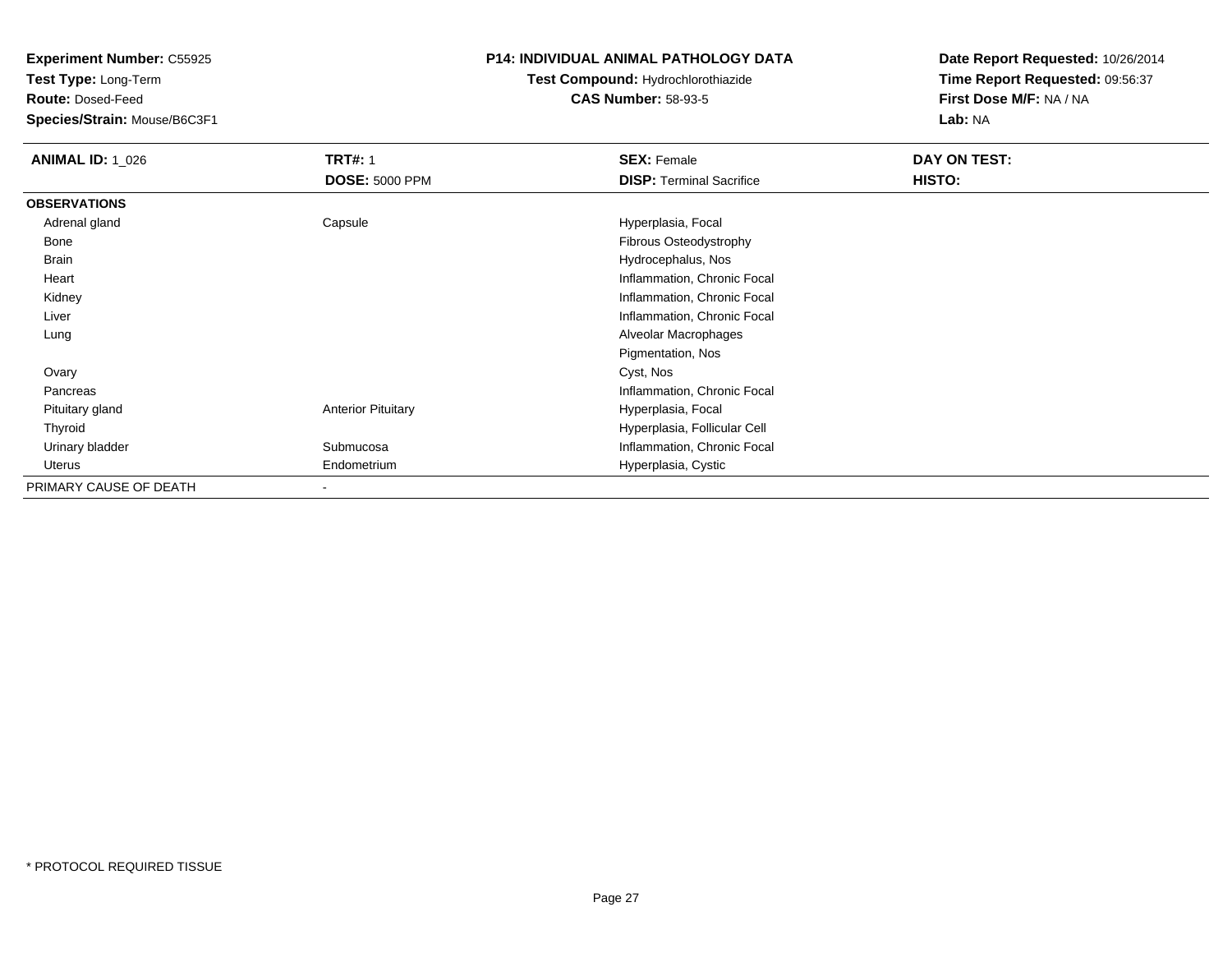**Test Type:** Long-Term

**Route:** Dosed-Feed

**Species/Strain:** Mouse/B6C3F1

## **P14: INDIVIDUAL ANIMAL PATHOLOGY DATA**

# **Test Compound:** Hydrochlorothiazide**CAS Number:** 58-93-5

| <b>ANIMAL ID: 1_026</b> | <b>TRT#: 1</b>            | <b>SEX: Female</b>              | DAY ON TEST: |  |
|-------------------------|---------------------------|---------------------------------|--------------|--|
|                         | <b>DOSE: 5000 PPM</b>     | <b>DISP: Terminal Sacrifice</b> | HISTO:       |  |
| <b>OBSERVATIONS</b>     |                           |                                 |              |  |
| Adrenal gland           | Capsule                   | Hyperplasia, Focal              |              |  |
| Bone                    |                           | Fibrous Osteodystrophy          |              |  |
| Brain                   |                           | Hydrocephalus, Nos              |              |  |
| Heart                   |                           | Inflammation, Chronic Focal     |              |  |
| Kidney                  |                           | Inflammation, Chronic Focal     |              |  |
| Liver                   |                           | Inflammation, Chronic Focal     |              |  |
| Lung                    |                           | Alveolar Macrophages            |              |  |
|                         |                           | Pigmentation, Nos               |              |  |
| Ovary                   |                           | Cyst, Nos                       |              |  |
| Pancreas                |                           | Inflammation, Chronic Focal     |              |  |
| Pituitary gland         | <b>Anterior Pituitary</b> | Hyperplasia, Focal              |              |  |
| Thyroid                 |                           | Hyperplasia, Follicular Cell    |              |  |
| Urinary bladder         | Submucosa                 | Inflammation, Chronic Focal     |              |  |
| Uterus                  | Endometrium               | Hyperplasia, Cystic             |              |  |
| PRIMARY CAUSE OF DEATH  |                           |                                 |              |  |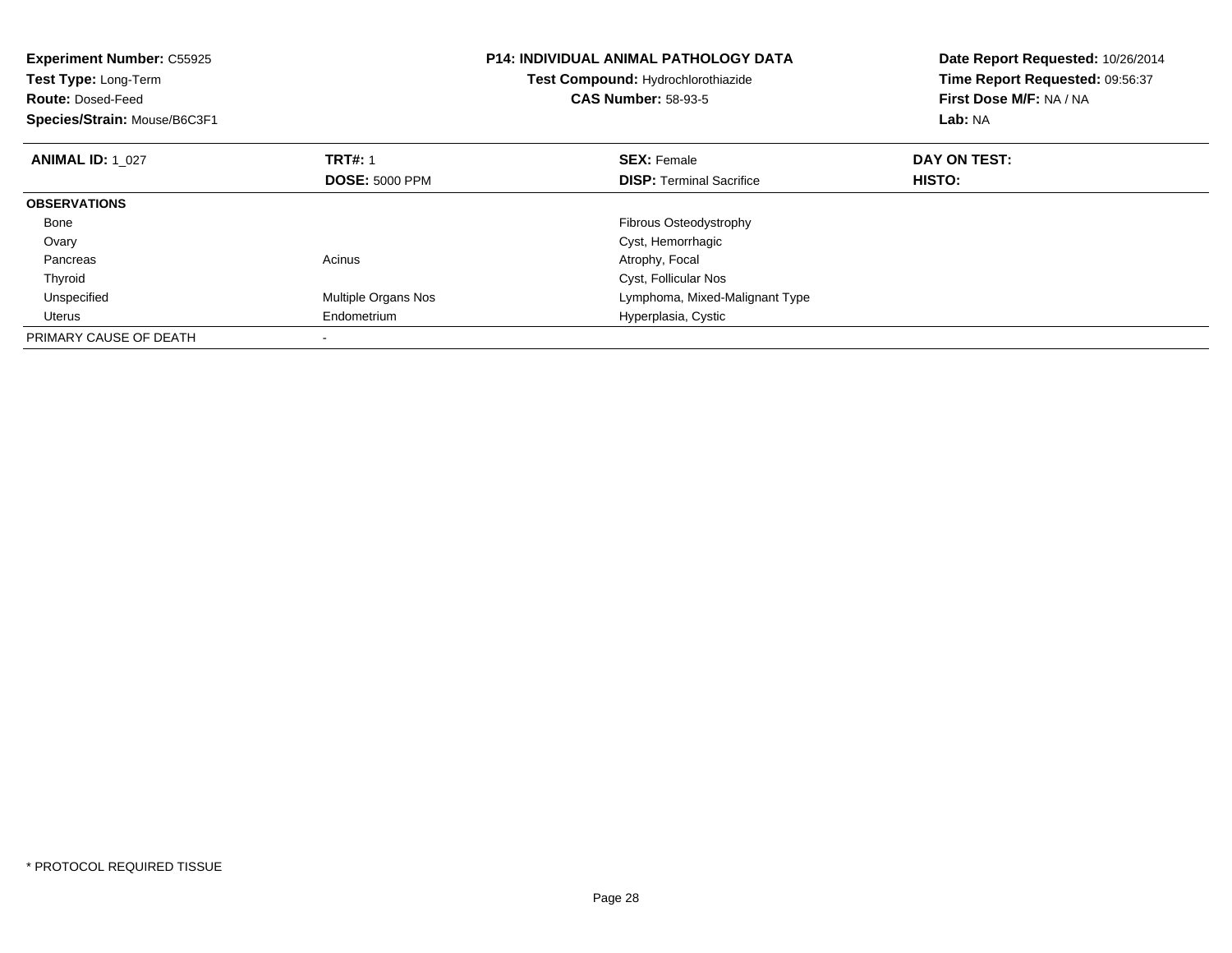| <b>Experiment Number: C55925</b><br>Test Type: Long-Term<br><b>Route: Dosed-Feed</b><br>Species/Strain: Mouse/B6C3F1 |                       | <b>P14: INDIVIDUAL ANIMAL PATHOLOGY DATA</b><br>Test Compound: Hydrochlorothiazide<br><b>CAS Number: 58-93-5</b> | Date Report Requested: 10/26/2014<br>Time Report Requested: 09:56:37<br>First Dose M/F: NA / NA<br>Lab: NA |
|----------------------------------------------------------------------------------------------------------------------|-----------------------|------------------------------------------------------------------------------------------------------------------|------------------------------------------------------------------------------------------------------------|
| <b>ANIMAL ID: 1 027</b>                                                                                              | <b>TRT#: 1</b>        | <b>SEX: Female</b>                                                                                               | DAY ON TEST:                                                                                               |
|                                                                                                                      | <b>DOSE: 5000 PPM</b> | <b>DISP:</b> Terminal Sacrifice                                                                                  | <b>HISTO:</b>                                                                                              |
| <b>OBSERVATIONS</b>                                                                                                  |                       |                                                                                                                  |                                                                                                            |
| Bone                                                                                                                 |                       | Fibrous Osteodystrophy                                                                                           |                                                                                                            |
| Ovary                                                                                                                |                       | Cyst, Hemorrhagic                                                                                                |                                                                                                            |
| Pancreas                                                                                                             | Acinus                | Atrophy, Focal                                                                                                   |                                                                                                            |
| Thyroid                                                                                                              |                       | Cyst, Follicular Nos                                                                                             |                                                                                                            |
| Unspecified                                                                                                          | Multiple Organs Nos   | Lymphoma, Mixed-Malignant Type                                                                                   |                                                                                                            |
| Uterus                                                                                                               | Endometrium           | Hyperplasia, Cystic                                                                                              |                                                                                                            |
| PRIMARY CAUSE OF DEATH                                                                                               |                       |                                                                                                                  |                                                                                                            |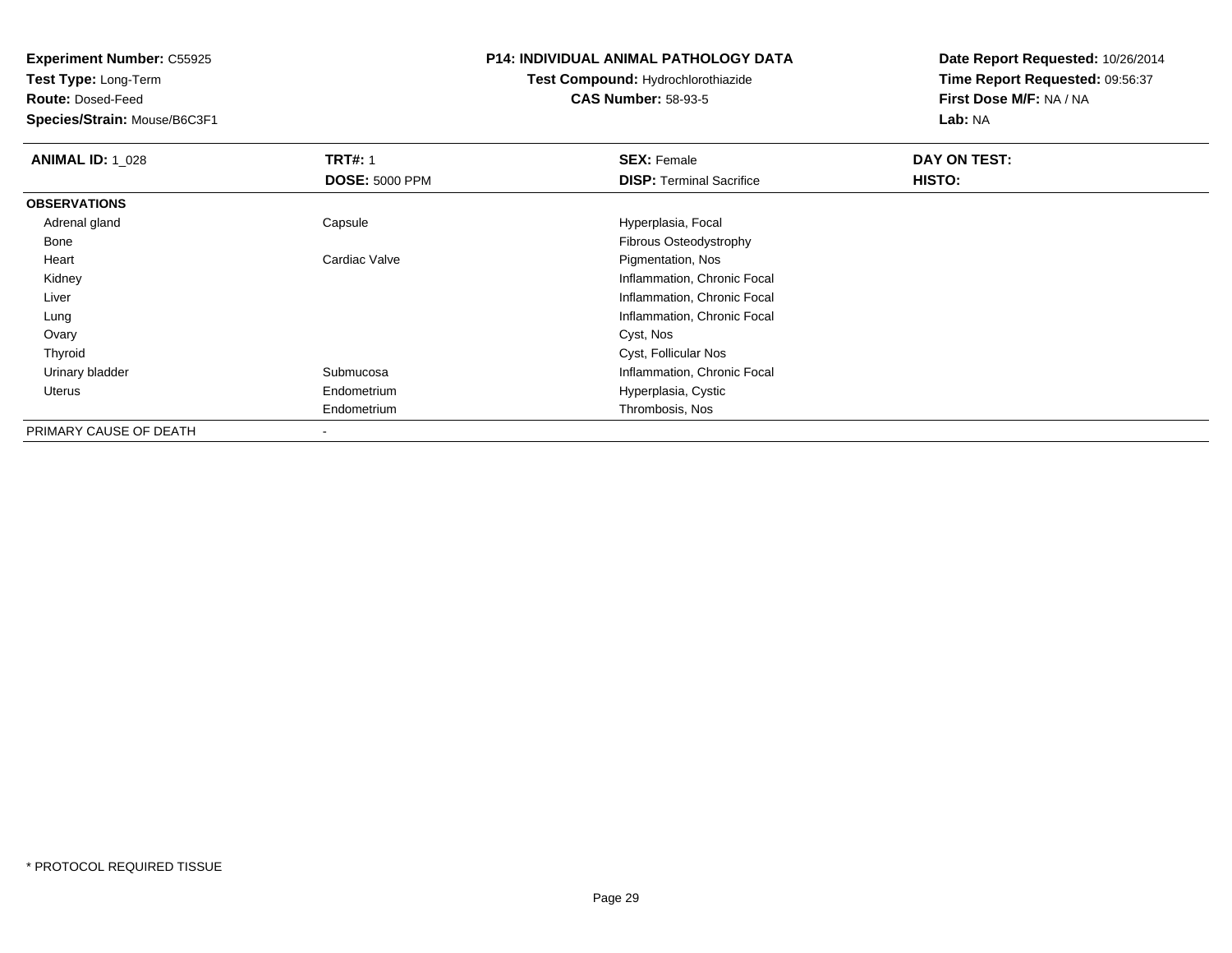**Test Type:** Long-Term

**Route:** Dosed-Feed

**Species/Strain:** Mouse/B6C3F1

#### **P14: INDIVIDUAL ANIMAL PATHOLOGY DATA**

# **Test Compound:** Hydrochlorothiazide**CAS Number:** 58-93-5

| <b>ANIMAL ID: 1 028</b> | <b>TRT#: 1</b>        | <b>SEX: Female</b>              | DAY ON TEST: |  |
|-------------------------|-----------------------|---------------------------------|--------------|--|
|                         | <b>DOSE: 5000 PPM</b> | <b>DISP:</b> Terminal Sacrifice | HISTO:       |  |
| <b>OBSERVATIONS</b>     |                       |                                 |              |  |
| Adrenal gland           | Capsule               | Hyperplasia, Focal              |              |  |
| Bone                    |                       | <b>Fibrous Osteodystrophy</b>   |              |  |
| Heart                   | Cardiac Valve         | Pigmentation, Nos               |              |  |
| Kidney                  |                       | Inflammation, Chronic Focal     |              |  |
| Liver                   |                       | Inflammation, Chronic Focal     |              |  |
| Lung                    |                       | Inflammation, Chronic Focal     |              |  |
| Ovary                   |                       | Cyst, Nos                       |              |  |
| Thyroid                 |                       | Cyst, Follicular Nos            |              |  |
| Urinary bladder         | Submucosa             | Inflammation, Chronic Focal     |              |  |
| Uterus                  | Endometrium           | Hyperplasia, Cystic             |              |  |
|                         | Endometrium           | Thrombosis, Nos                 |              |  |
| PRIMARY CAUSE OF DEATH  | $\,$                  |                                 |              |  |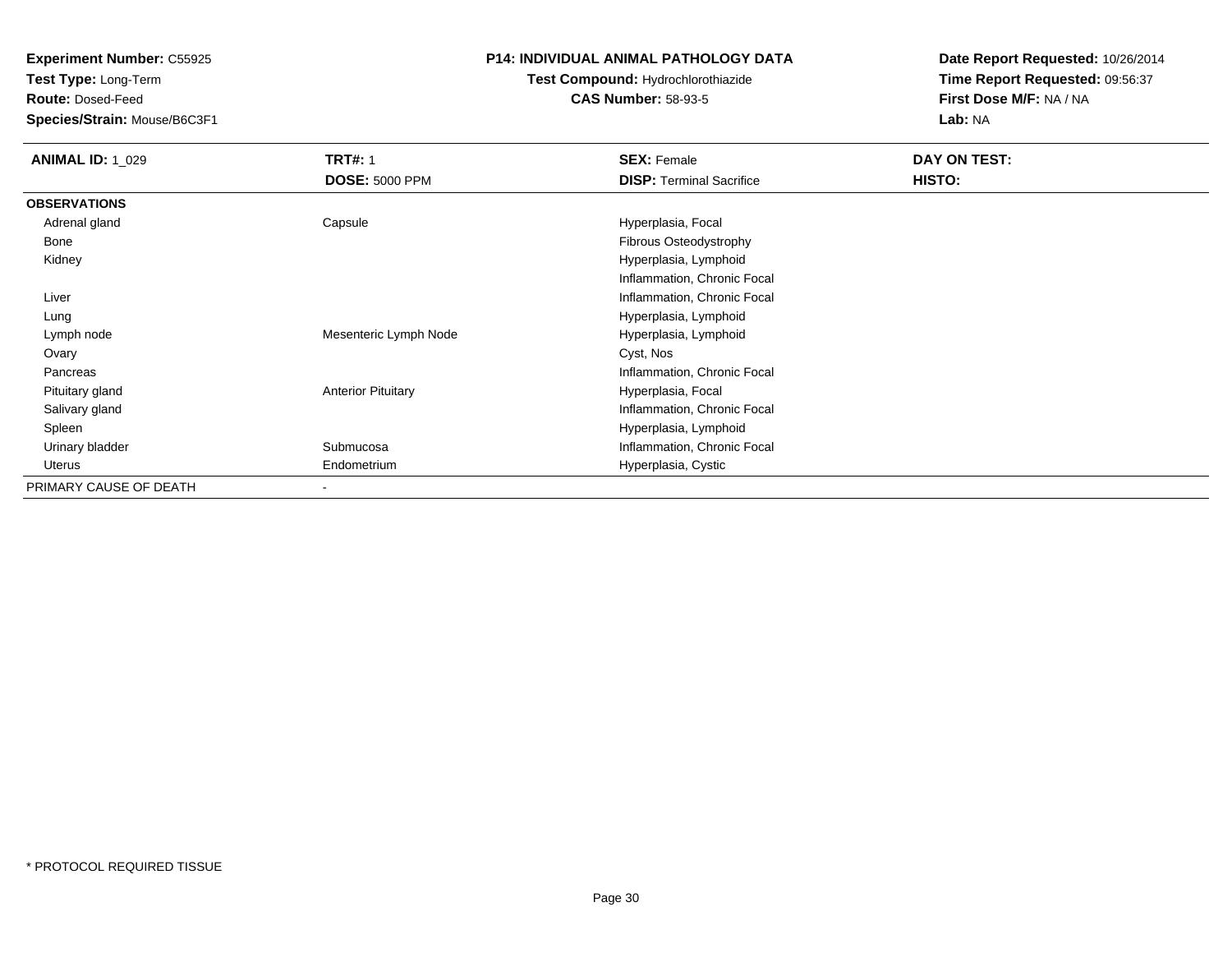**Test Type:** Long-Term

**Route:** Dosed-Feed

**Species/Strain:** Mouse/B6C3F1

## **P14: INDIVIDUAL ANIMAL PATHOLOGY DATA**

# **Test Compound:** Hydrochlorothiazide**CAS Number:** 58-93-5

| <b>ANIMAL ID: 1_029</b> | <b>TRT#: 1</b>            | <b>SEX: Female</b>              | DAY ON TEST: |  |
|-------------------------|---------------------------|---------------------------------|--------------|--|
|                         | <b>DOSE: 5000 PPM</b>     | <b>DISP:</b> Terminal Sacrifice | HISTO:       |  |
| <b>OBSERVATIONS</b>     |                           |                                 |              |  |
| Adrenal gland           | Capsule                   | Hyperplasia, Focal              |              |  |
| Bone                    |                           | Fibrous Osteodystrophy          |              |  |
| Kidney                  |                           | Hyperplasia, Lymphoid           |              |  |
|                         |                           | Inflammation, Chronic Focal     |              |  |
| Liver                   |                           | Inflammation, Chronic Focal     |              |  |
| Lung                    |                           | Hyperplasia, Lymphoid           |              |  |
| Lymph node              | Mesenteric Lymph Node     | Hyperplasia, Lymphoid           |              |  |
| Ovary                   |                           | Cyst, Nos                       |              |  |
| Pancreas                |                           | Inflammation, Chronic Focal     |              |  |
| Pituitary gland         | <b>Anterior Pituitary</b> | Hyperplasia, Focal              |              |  |
| Salivary gland          |                           | Inflammation, Chronic Focal     |              |  |
| Spleen                  |                           | Hyperplasia, Lymphoid           |              |  |
| Urinary bladder         | Submucosa                 | Inflammation, Chronic Focal     |              |  |
| Uterus                  | Endometrium               | Hyperplasia, Cystic             |              |  |
| PRIMARY CAUSE OF DEATH  | $\overline{\phantom{a}}$  |                                 |              |  |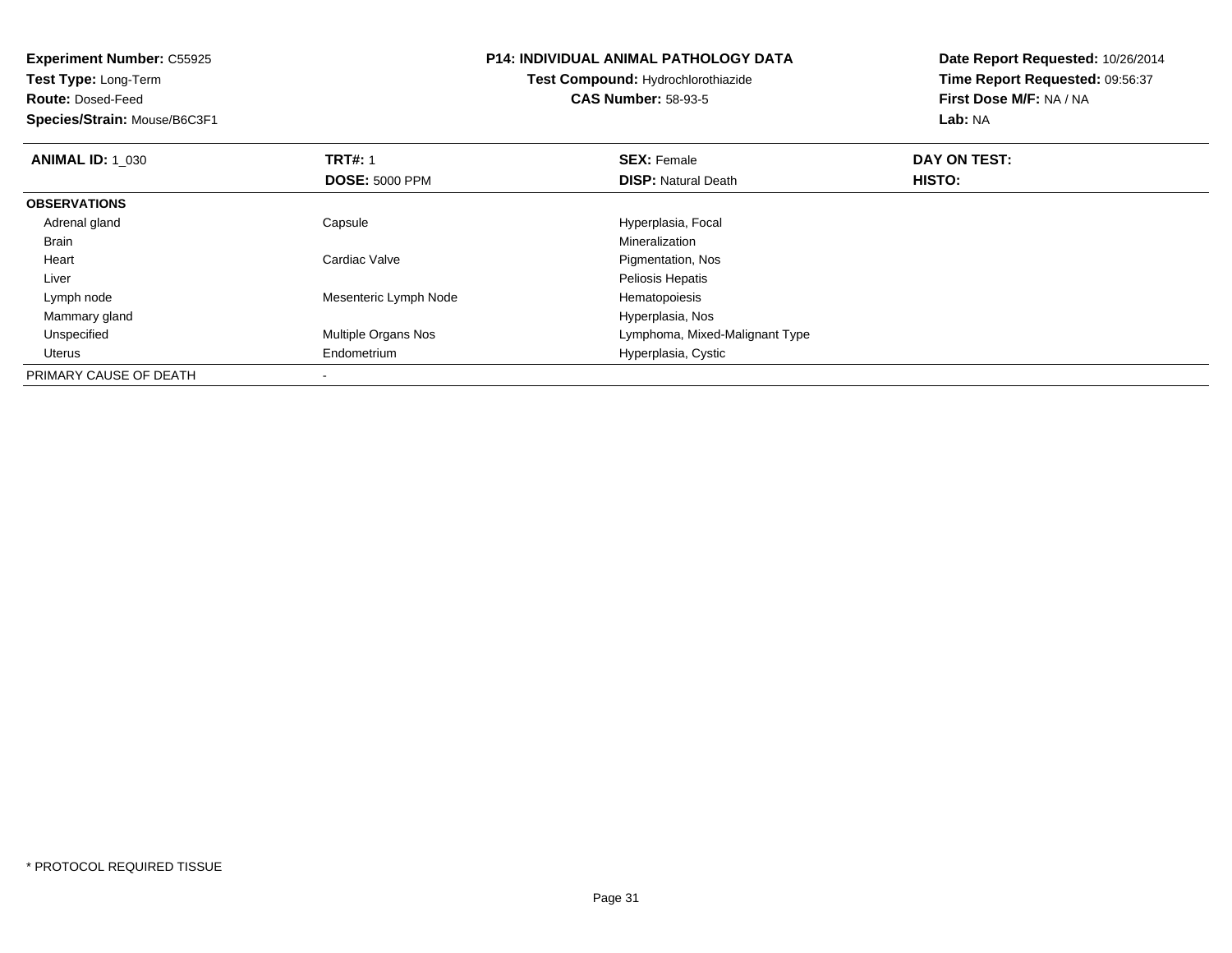| <b>Experiment Number: C55925</b><br>Test Type: Long-Term<br><b>Route: Dosed-Feed</b> |                       | <b>P14: INDIVIDUAL ANIMAL PATHOLOGY DATA</b><br>Test Compound: Hydrochlorothiazide<br><b>CAS Number: 58-93-5</b> | Date Report Requested: 10/26/2014<br>Time Report Requested: 09:56:37<br>First Dose M/F: NA / NA |  |
|--------------------------------------------------------------------------------------|-----------------------|------------------------------------------------------------------------------------------------------------------|-------------------------------------------------------------------------------------------------|--|
| Species/Strain: Mouse/B6C3F1                                                         |                       |                                                                                                                  | Lab: NA                                                                                         |  |
| <b>ANIMAL ID: 1 030</b>                                                              | <b>TRT#: 1</b>        | <b>SEX: Female</b>                                                                                               | DAY ON TEST:                                                                                    |  |
|                                                                                      | <b>DOSE: 5000 PPM</b> | <b>DISP:</b> Natural Death                                                                                       | <b>HISTO:</b>                                                                                   |  |
| <b>OBSERVATIONS</b>                                                                  |                       |                                                                                                                  |                                                                                                 |  |
| Adrenal gland                                                                        | Capsule               | Hyperplasia, Focal                                                                                               |                                                                                                 |  |
| Brain                                                                                |                       | Mineralization                                                                                                   |                                                                                                 |  |
| Heart                                                                                | Cardiac Valve         | Pigmentation, Nos                                                                                                |                                                                                                 |  |
| Liver                                                                                |                       | Peliosis Hepatis                                                                                                 |                                                                                                 |  |
| Lymph node                                                                           | Mesenteric Lymph Node | Hematopoiesis                                                                                                    |                                                                                                 |  |
| Mammary gland                                                                        |                       | Hyperplasia, Nos                                                                                                 |                                                                                                 |  |
| Unspecified                                                                          | Multiple Organs Nos   | Lymphoma, Mixed-Malignant Type                                                                                   |                                                                                                 |  |
| Uterus                                                                               | Endometrium           | Hyperplasia, Cystic                                                                                              |                                                                                                 |  |
| PRIMARY CAUSE OF DEATH                                                               |                       |                                                                                                                  |                                                                                                 |  |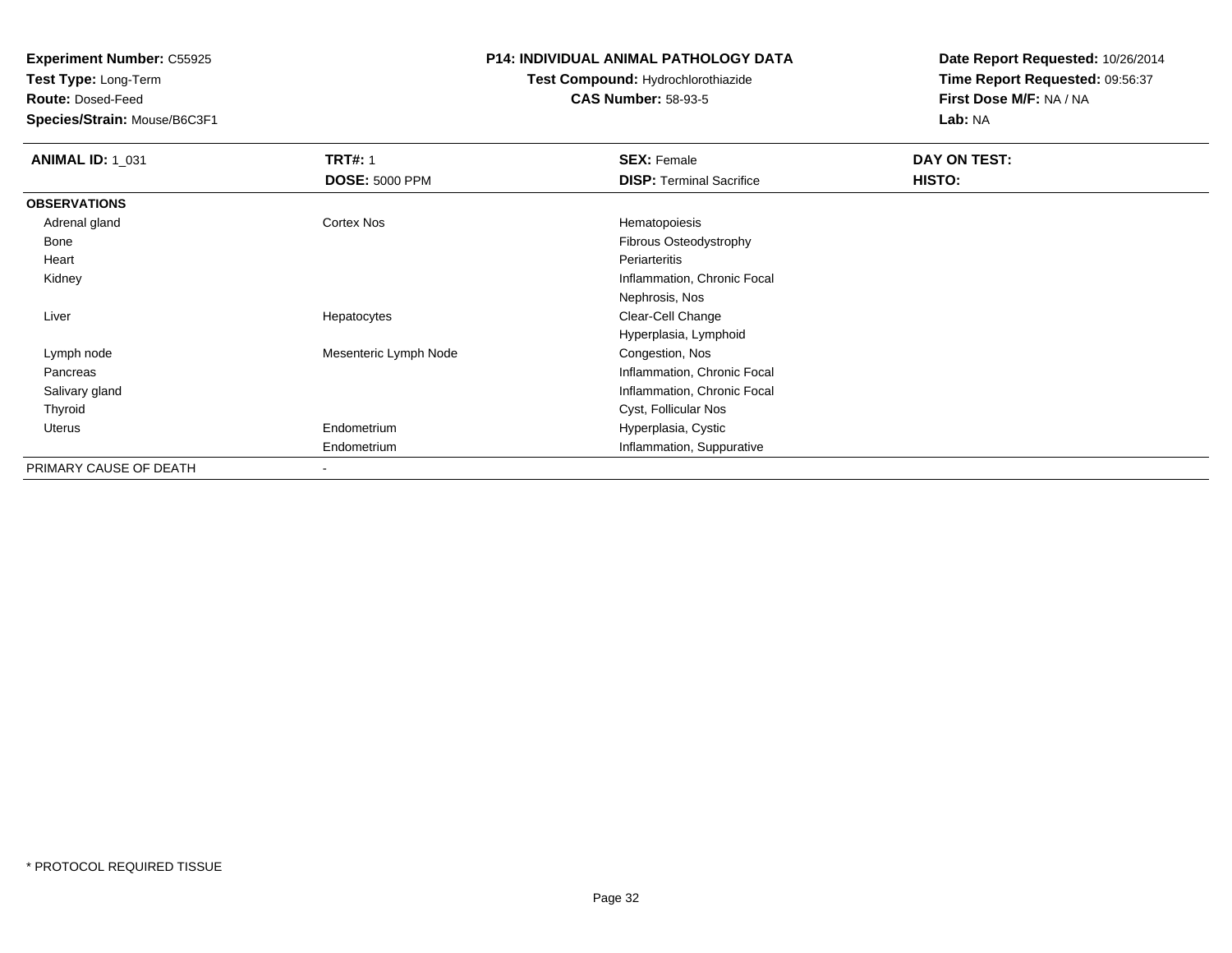**Test Type:** Long-Term

**Route:** Dosed-Feed

**Species/Strain:** Mouse/B6C3F1

### **P14: INDIVIDUAL ANIMAL PATHOLOGY DATA**

# **Test Compound:** Hydrochlorothiazide**CAS Number:** 58-93-5

| <b>ANIMAL ID: 1_031</b> | <b>TRT#: 1</b>           | <b>SEX: Female</b>              | DAY ON TEST: |  |
|-------------------------|--------------------------|---------------------------------|--------------|--|
|                         | <b>DOSE: 5000 PPM</b>    | <b>DISP: Terminal Sacrifice</b> | HISTO:       |  |
| <b>OBSERVATIONS</b>     |                          |                                 |              |  |
| Adrenal gland           | Cortex Nos               | Hematopoiesis                   |              |  |
| Bone                    |                          | Fibrous Osteodystrophy          |              |  |
| Heart                   |                          | Periarteritis                   |              |  |
| Kidney                  |                          | Inflammation, Chronic Focal     |              |  |
|                         |                          | Nephrosis, Nos                  |              |  |
| Liver                   | Hepatocytes              | Clear-Cell Change               |              |  |
|                         |                          | Hyperplasia, Lymphoid           |              |  |
| Lymph node              | Mesenteric Lymph Node    | Congestion, Nos                 |              |  |
| Pancreas                |                          | Inflammation, Chronic Focal     |              |  |
| Salivary gland          |                          | Inflammation, Chronic Focal     |              |  |
| Thyroid                 |                          | Cyst, Follicular Nos            |              |  |
| Uterus                  | Endometrium              | Hyperplasia, Cystic             |              |  |
|                         | Endometrium              | Inflammation, Suppurative       |              |  |
| PRIMARY CAUSE OF DEATH  | $\overline{\phantom{a}}$ |                                 |              |  |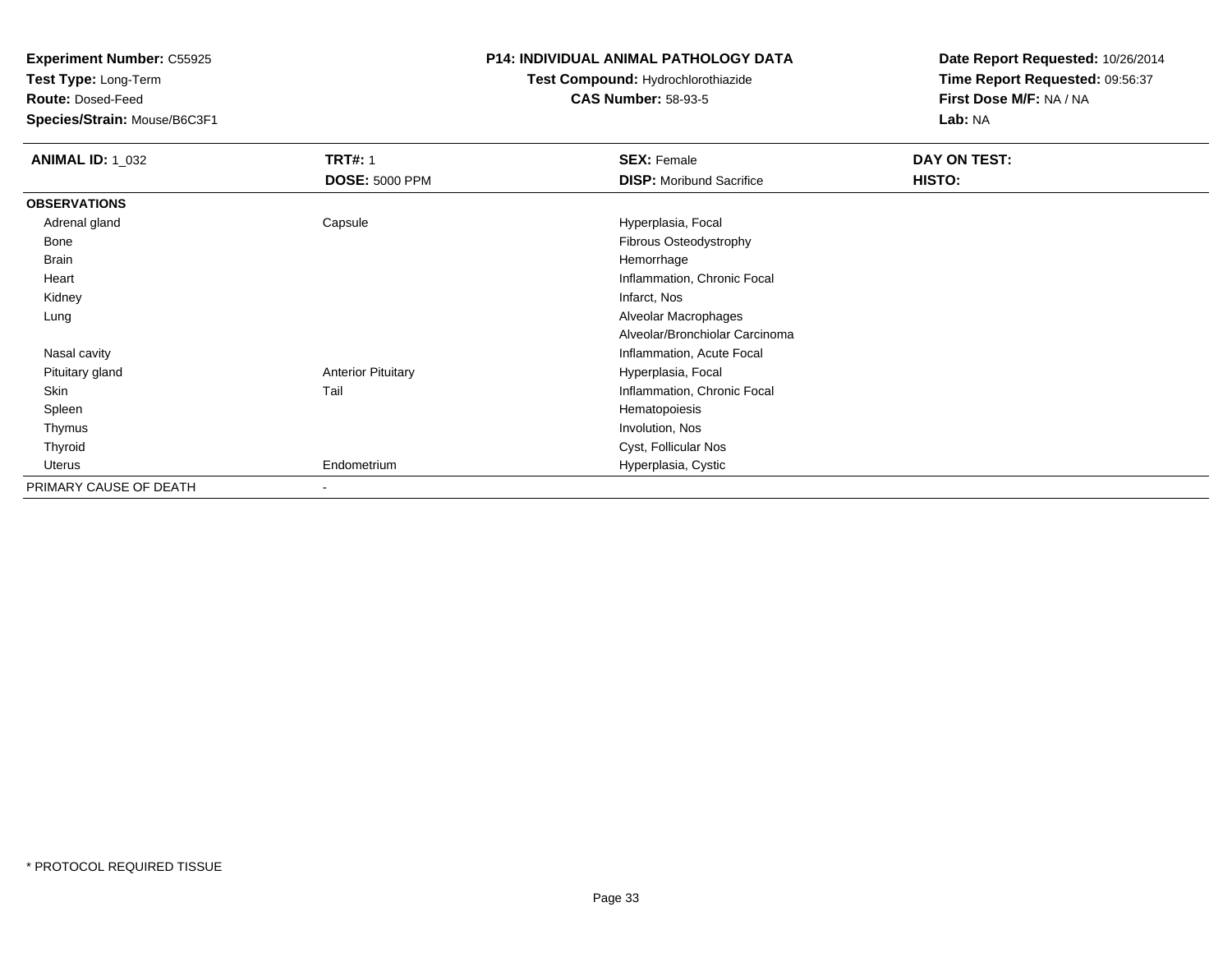**Test Type:** Long-Term

**Route:** Dosed-Feed

**Species/Strain:** Mouse/B6C3F1

## **P14: INDIVIDUAL ANIMAL PATHOLOGY DATA**

# **Test Compound:** Hydrochlorothiazide**CAS Number:** 58-93-5

| <b>ANIMAL ID: 1_032</b> | <b>TRT#: 1</b>            | <b>SEX: Female</b>              | DAY ON TEST: |  |
|-------------------------|---------------------------|---------------------------------|--------------|--|
|                         | <b>DOSE: 5000 PPM</b>     | <b>DISP:</b> Moribund Sacrifice | HISTO:       |  |
| <b>OBSERVATIONS</b>     |                           |                                 |              |  |
| Adrenal gland           | Capsule                   | Hyperplasia, Focal              |              |  |
| Bone                    |                           | <b>Fibrous Osteodystrophy</b>   |              |  |
| Brain                   |                           | Hemorrhage                      |              |  |
| Heart                   |                           | Inflammation, Chronic Focal     |              |  |
| Kidney                  |                           | Infarct, Nos                    |              |  |
| Lung                    |                           | Alveolar Macrophages            |              |  |
|                         |                           | Alveolar/Bronchiolar Carcinoma  |              |  |
| Nasal cavity            |                           | Inflammation, Acute Focal       |              |  |
| Pituitary gland         | <b>Anterior Pituitary</b> | Hyperplasia, Focal              |              |  |
| Skin                    | Tail                      | Inflammation, Chronic Focal     |              |  |
| Spleen                  |                           | Hematopoiesis                   |              |  |
| Thymus                  |                           | Involution, Nos                 |              |  |
| Thyroid                 |                           | Cyst, Follicular Nos            |              |  |
| Uterus                  | Endometrium               | Hyperplasia, Cystic             |              |  |
| PRIMARY CAUSE OF DEATH  | $\blacksquare$            |                                 |              |  |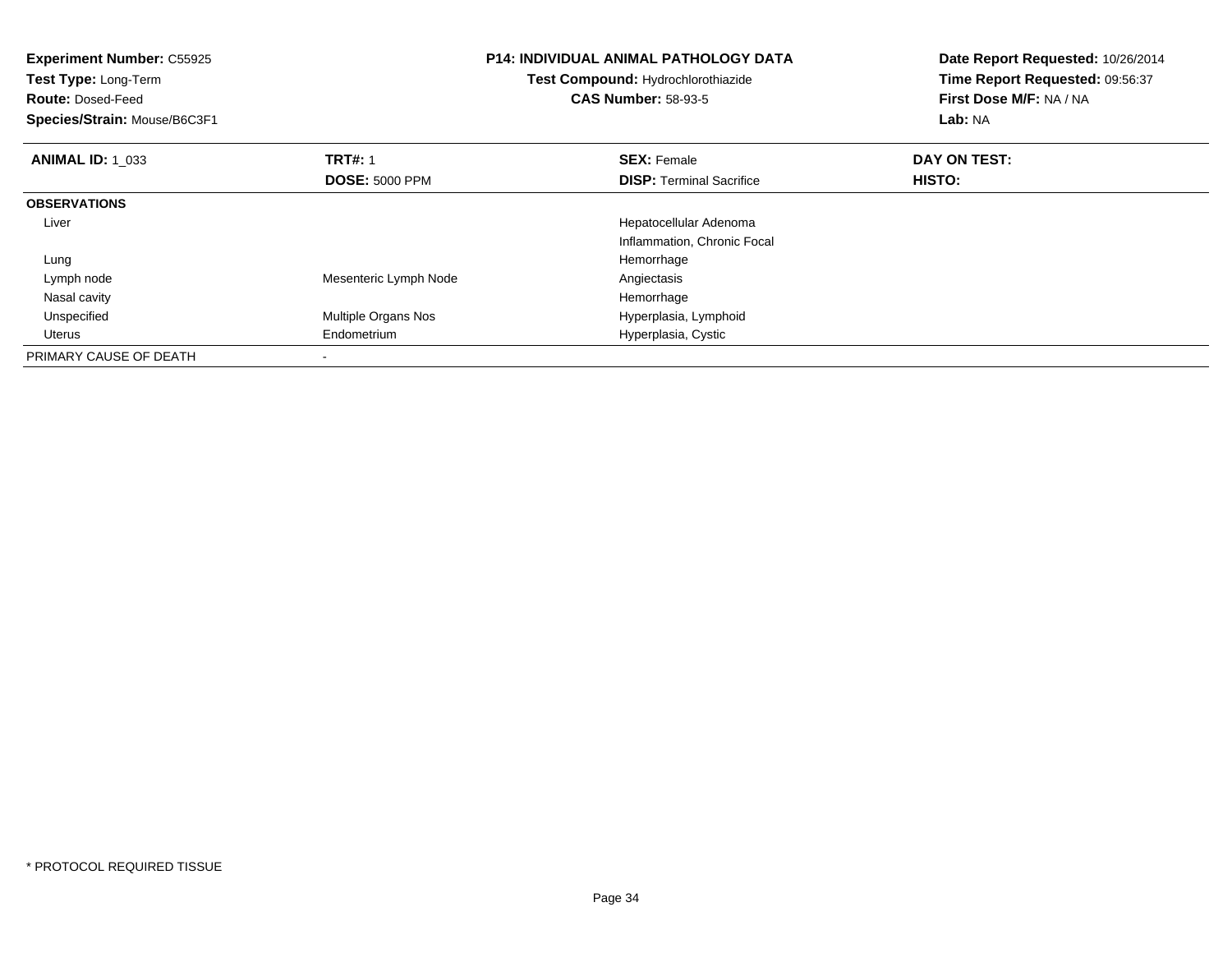| <b>Experiment Number: C55925</b><br>Test Type: Long-Term<br><b>Route: Dosed-Feed</b><br>Species/Strain: Mouse/B6C3F1 |                       | <b>P14: INDIVIDUAL ANIMAL PATHOLOGY DATA</b><br>Test Compound: Hydrochlorothiazide<br><b>CAS Number: 58-93-5</b> | Date Report Requested: 10/26/2014<br>Time Report Requested: 09:56:37<br>First Dose M/F: NA / NA<br>Lab: NA |  |
|----------------------------------------------------------------------------------------------------------------------|-----------------------|------------------------------------------------------------------------------------------------------------------|------------------------------------------------------------------------------------------------------------|--|
| <b>ANIMAL ID: 1_033</b>                                                                                              | <b>TRT#: 1</b>        | <b>SEX: Female</b>                                                                                               | DAY ON TEST:                                                                                               |  |
|                                                                                                                      | <b>DOSE: 5000 PPM</b> | <b>DISP:</b> Terminal Sacrifice                                                                                  | HISTO:                                                                                                     |  |
| <b>OBSERVATIONS</b>                                                                                                  |                       |                                                                                                                  |                                                                                                            |  |
| Liver                                                                                                                |                       | Hepatocellular Adenoma                                                                                           |                                                                                                            |  |
|                                                                                                                      |                       | Inflammation, Chronic Focal                                                                                      |                                                                                                            |  |
| Lung                                                                                                                 |                       | Hemorrhage                                                                                                       |                                                                                                            |  |
| Lymph node                                                                                                           | Mesenteric Lymph Node | Angiectasis                                                                                                      |                                                                                                            |  |
| Nasal cavity                                                                                                         |                       | Hemorrhage                                                                                                       |                                                                                                            |  |
| Unspecified                                                                                                          | Multiple Organs Nos   | Hyperplasia, Lymphoid                                                                                            |                                                                                                            |  |
| Uterus                                                                                                               | Endometrium           | Hyperplasia, Cystic                                                                                              |                                                                                                            |  |
| PRIMARY CAUSE OF DEATH                                                                                               |                       |                                                                                                                  |                                                                                                            |  |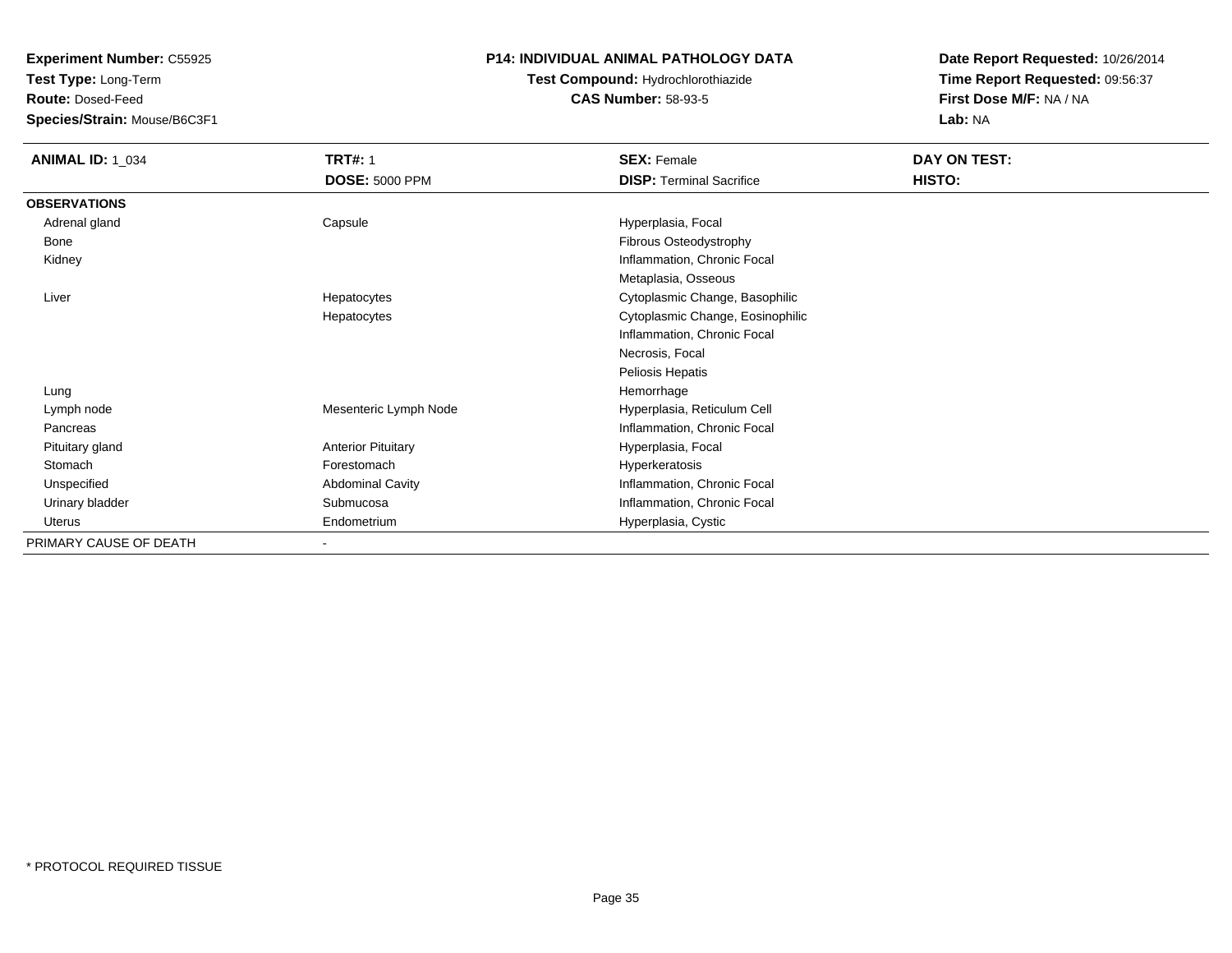**Test Type:** Long-Term

**Route:** Dosed-Feed

**Species/Strain:** Mouse/B6C3F1

## **P14: INDIVIDUAL ANIMAL PATHOLOGY DATA**

# **Test Compound:** Hydrochlorothiazide**CAS Number:** 58-93-5

| <b>ANIMAL ID: 1_034</b> | <b>TRT#: 1</b>            | <b>SEX: Female</b>               | DAY ON TEST: |  |
|-------------------------|---------------------------|----------------------------------|--------------|--|
|                         | <b>DOSE: 5000 PPM</b>     | <b>DISP: Terminal Sacrifice</b>  | HISTO:       |  |
| <b>OBSERVATIONS</b>     |                           |                                  |              |  |
| Adrenal gland           | Capsule                   | Hyperplasia, Focal               |              |  |
| Bone                    |                           | Fibrous Osteodystrophy           |              |  |
| Kidney                  |                           | Inflammation, Chronic Focal      |              |  |
|                         |                           | Metaplasia, Osseous              |              |  |
| Liver                   | Hepatocytes               | Cytoplasmic Change, Basophilic   |              |  |
|                         | Hepatocytes               | Cytoplasmic Change, Eosinophilic |              |  |
|                         |                           | Inflammation, Chronic Focal      |              |  |
|                         |                           | Necrosis, Focal                  |              |  |
|                         |                           | Peliosis Hepatis                 |              |  |
| Lung                    |                           | Hemorrhage                       |              |  |
| Lymph node              | Mesenteric Lymph Node     | Hyperplasia, Reticulum Cell      |              |  |
| Pancreas                |                           | Inflammation, Chronic Focal      |              |  |
| Pituitary gland         | <b>Anterior Pituitary</b> | Hyperplasia, Focal               |              |  |
| Stomach                 | Forestomach               | Hyperkeratosis                   |              |  |
| Unspecified             | <b>Abdominal Cavity</b>   | Inflammation, Chronic Focal      |              |  |
| Urinary bladder         | Submucosa                 | Inflammation, Chronic Focal      |              |  |
| Uterus                  | Endometrium               | Hyperplasia, Cystic              |              |  |
| PRIMARY CAUSE OF DEATH  | $\,$                      |                                  |              |  |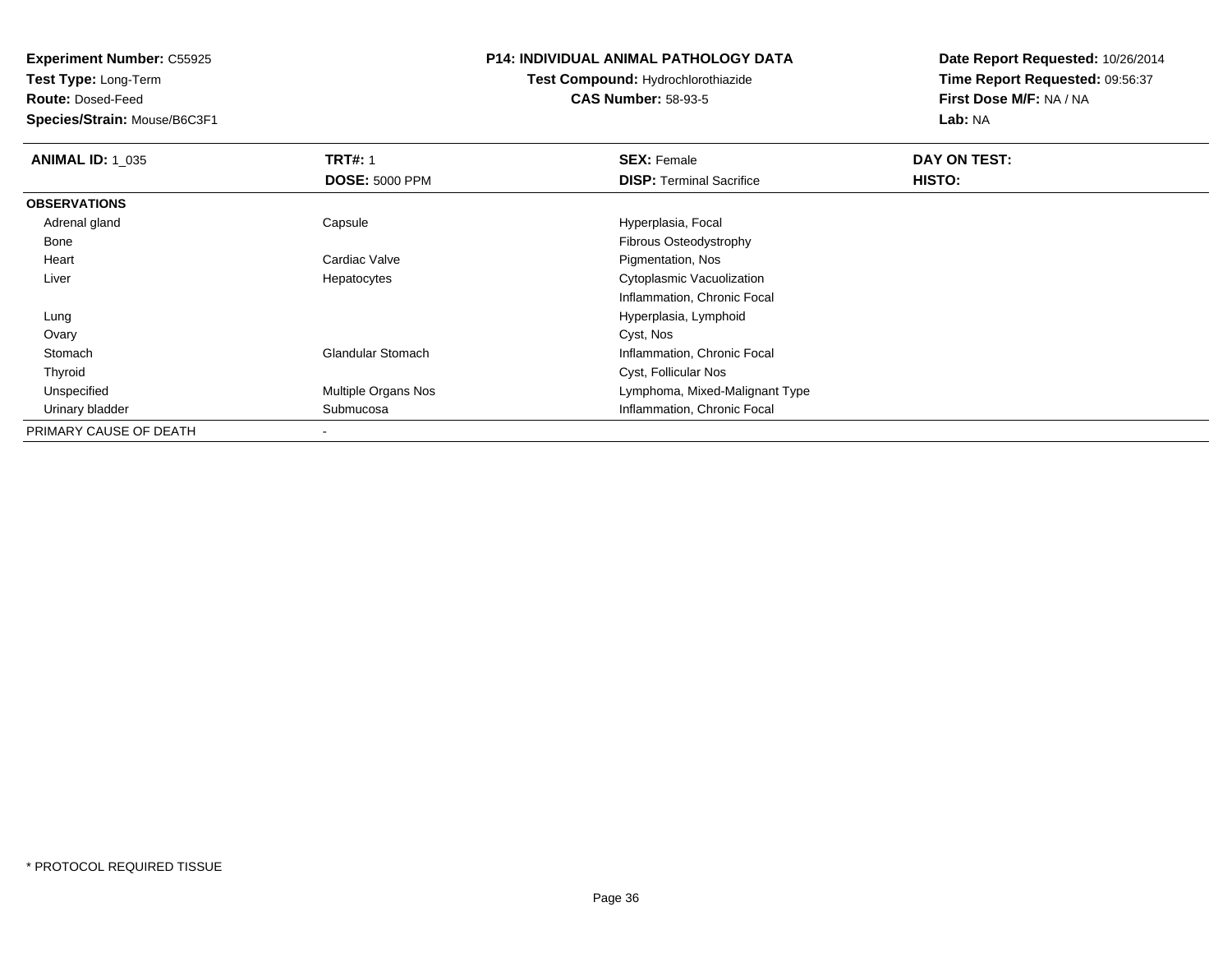**Test Type:** Long-Term

**Route:** Dosed-Feed

**Species/Strain:** Mouse/B6C3F1

### **P14: INDIVIDUAL ANIMAL PATHOLOGY DATA**

# **Test Compound:** Hydrochlorothiazide**CAS Number:** 58-93-5

| <b>ANIMAL ID: 1 035</b> | <b>TRT#: 1</b>             | <b>SEX: Female</b>              | DAY ON TEST: |  |
|-------------------------|----------------------------|---------------------------------|--------------|--|
|                         | <b>DOSE: 5000 PPM</b>      | <b>DISP:</b> Terminal Sacrifice | HISTO:       |  |
| <b>OBSERVATIONS</b>     |                            |                                 |              |  |
| Adrenal gland           | Capsule                    | Hyperplasia, Focal              |              |  |
| Bone                    |                            | Fibrous Osteodystrophy          |              |  |
| Heart                   | Cardiac Valve              | Pigmentation, Nos               |              |  |
| Liver                   | Hepatocytes                | Cytoplasmic Vacuolization       |              |  |
|                         |                            | Inflammation, Chronic Focal     |              |  |
| Lung                    |                            | Hyperplasia, Lymphoid           |              |  |
| Ovary                   |                            | Cyst, Nos                       |              |  |
| Stomach                 | <b>Glandular Stomach</b>   | Inflammation, Chronic Focal     |              |  |
| Thyroid                 |                            | Cyst, Follicular Nos            |              |  |
| Unspecified             | <b>Multiple Organs Nos</b> | Lymphoma, Mixed-Malignant Type  |              |  |
| Urinary bladder         | Submucosa                  | Inflammation, Chronic Focal     |              |  |
| PRIMARY CAUSE OF DEATH  |                            |                                 |              |  |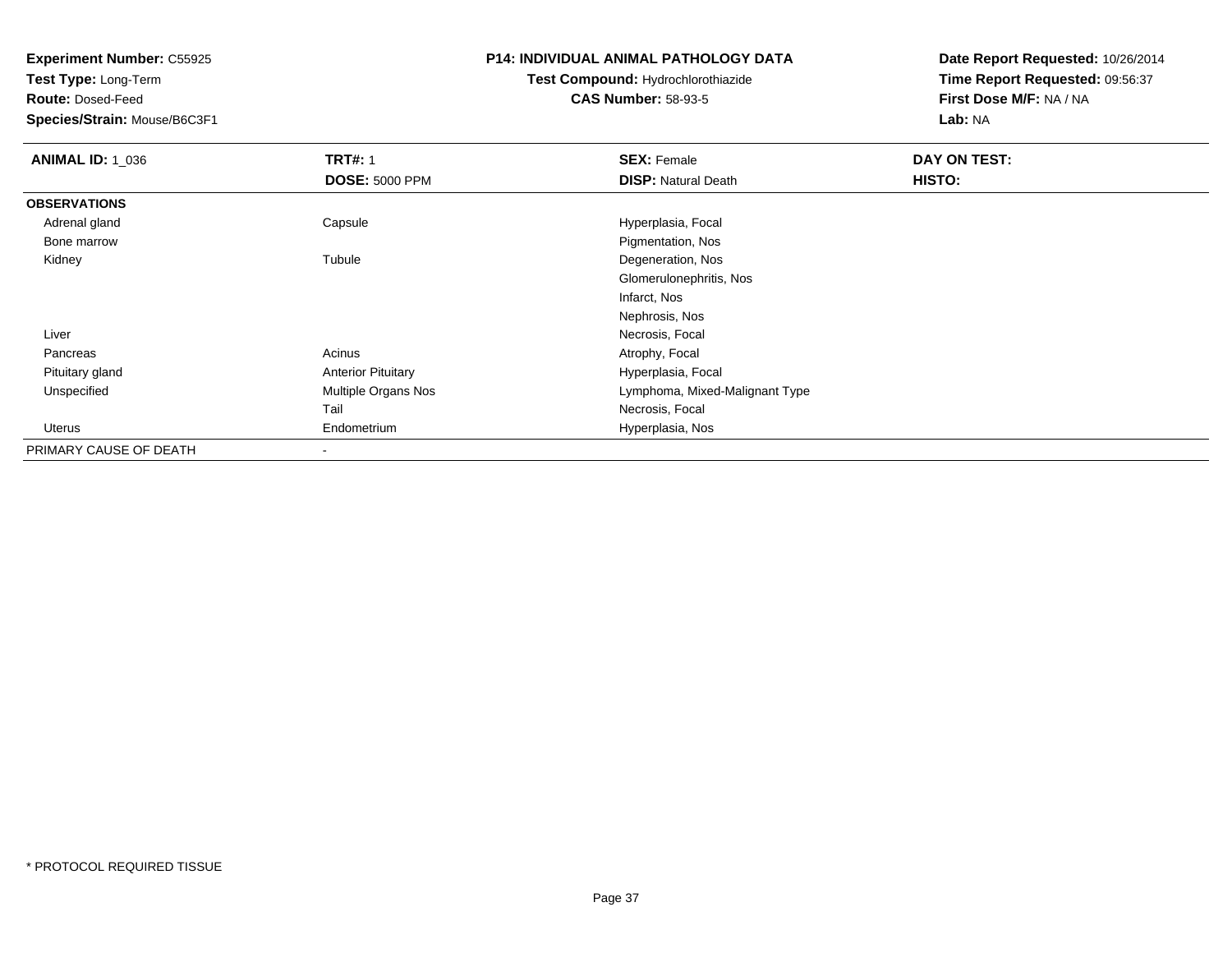**Test Type:** Long-Term

**Route:** Dosed-Feed

**Species/Strain:** Mouse/B6C3F1

### **P14: INDIVIDUAL ANIMAL PATHOLOGY DATA**

# **Test Compound:** Hydrochlorothiazide**CAS Number:** 58-93-5

| <b>ANIMAL ID: 1_036</b> | <b>TRT#: 1</b>            | <b>SEX: Female</b>             | DAY ON TEST: |  |
|-------------------------|---------------------------|--------------------------------|--------------|--|
|                         | <b>DOSE: 5000 PPM</b>     | <b>DISP: Natural Death</b>     | HISTO:       |  |
| <b>OBSERVATIONS</b>     |                           |                                |              |  |
| Adrenal gland           | Capsule                   | Hyperplasia, Focal             |              |  |
| Bone marrow             |                           | Pigmentation, Nos              |              |  |
| Kidney                  | Tubule                    | Degeneration, Nos              |              |  |
|                         |                           | Glomerulonephritis, Nos        |              |  |
|                         |                           | Infarct, Nos                   |              |  |
|                         |                           | Nephrosis, Nos                 |              |  |
| Liver                   |                           | Necrosis, Focal                |              |  |
| Pancreas                | Acinus                    | Atrophy, Focal                 |              |  |
| Pituitary gland         | <b>Anterior Pituitary</b> | Hyperplasia, Focal             |              |  |
| Unspecified             | Multiple Organs Nos       | Lymphoma, Mixed-Malignant Type |              |  |
|                         | Tail                      | Necrosis, Focal                |              |  |
| Uterus                  | Endometrium               | Hyperplasia, Nos               |              |  |
| PRIMARY CAUSE OF DEATH  |                           |                                |              |  |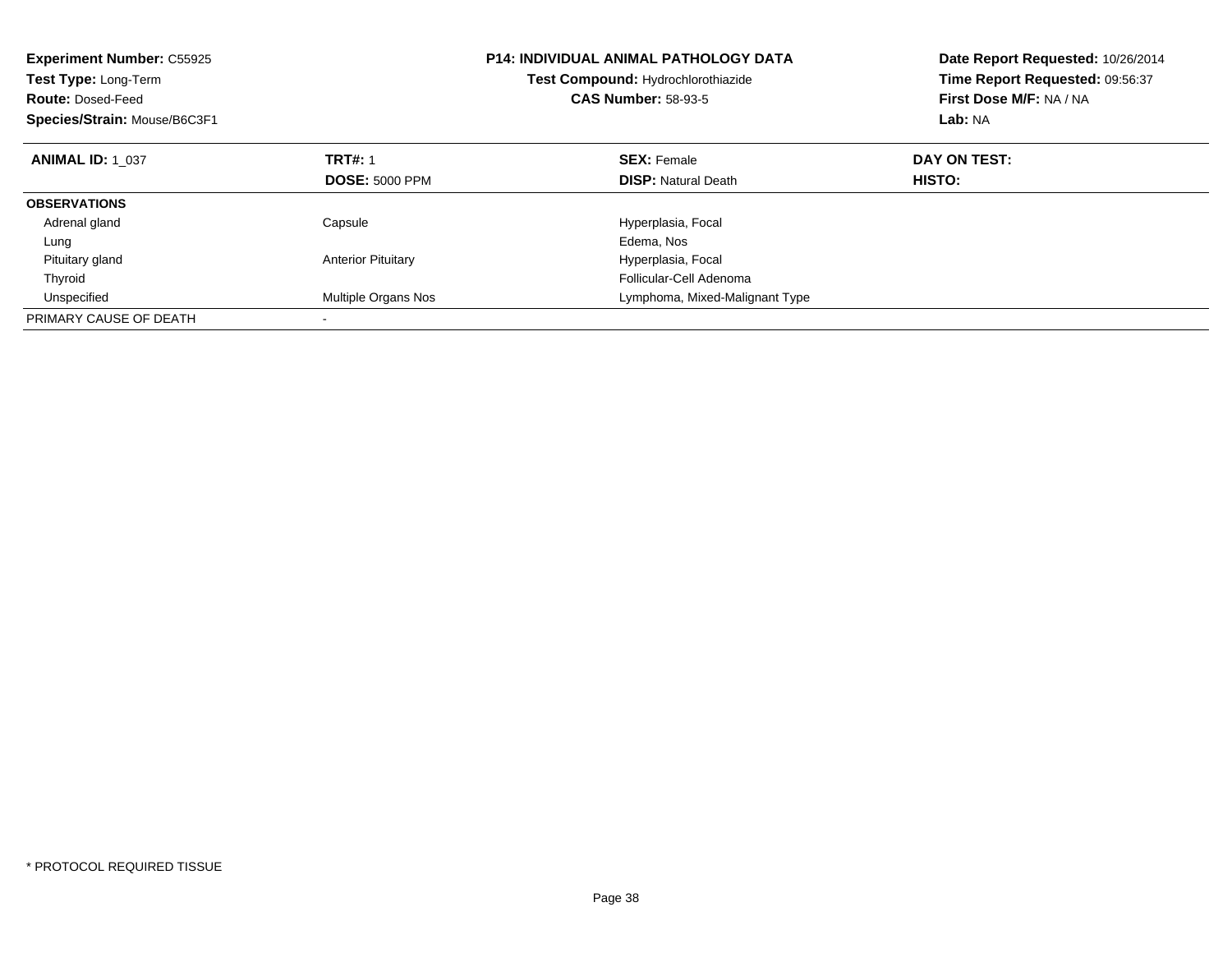| <b>Experiment Number: C55925</b><br><b>Test Type: Long-Term</b><br><b>Route: Dosed-Feed</b><br>Species/Strain: Mouse/B6C3F1 |                           | <b>P14: INDIVIDUAL ANIMAL PATHOLOGY DATA</b><br>Test Compound: Hydrochlorothiazide<br><b>CAS Number: 58-93-5</b> | Date Report Requested: 10/26/2014<br>Time Report Requested: 09:56:37<br>First Dose M/F: NA / NA<br>Lab: NA |  |
|-----------------------------------------------------------------------------------------------------------------------------|---------------------------|------------------------------------------------------------------------------------------------------------------|------------------------------------------------------------------------------------------------------------|--|
| <b>ANIMAL ID: 1 037</b>                                                                                                     | <b>TRT#: 1</b>            | <b>SEX: Female</b>                                                                                               | DAY ON TEST:                                                                                               |  |
|                                                                                                                             | <b>DOSE: 5000 PPM</b>     | <b>DISP:</b> Natural Death                                                                                       | HISTO:                                                                                                     |  |
| <b>OBSERVATIONS</b>                                                                                                         |                           |                                                                                                                  |                                                                                                            |  |
| Adrenal gland                                                                                                               | Capsule                   | Hyperplasia, Focal                                                                                               |                                                                                                            |  |
| Lung                                                                                                                        |                           | Edema, Nos                                                                                                       |                                                                                                            |  |
| Pituitary gland                                                                                                             | <b>Anterior Pituitary</b> | Hyperplasia, Focal                                                                                               |                                                                                                            |  |
| Thyroid                                                                                                                     |                           | Follicular-Cell Adenoma                                                                                          |                                                                                                            |  |
| Unspecified                                                                                                                 | Multiple Organs Nos       | Lymphoma, Mixed-Malignant Type                                                                                   |                                                                                                            |  |
| PRIMARY CAUSE OF DEATH                                                                                                      |                           |                                                                                                                  |                                                                                                            |  |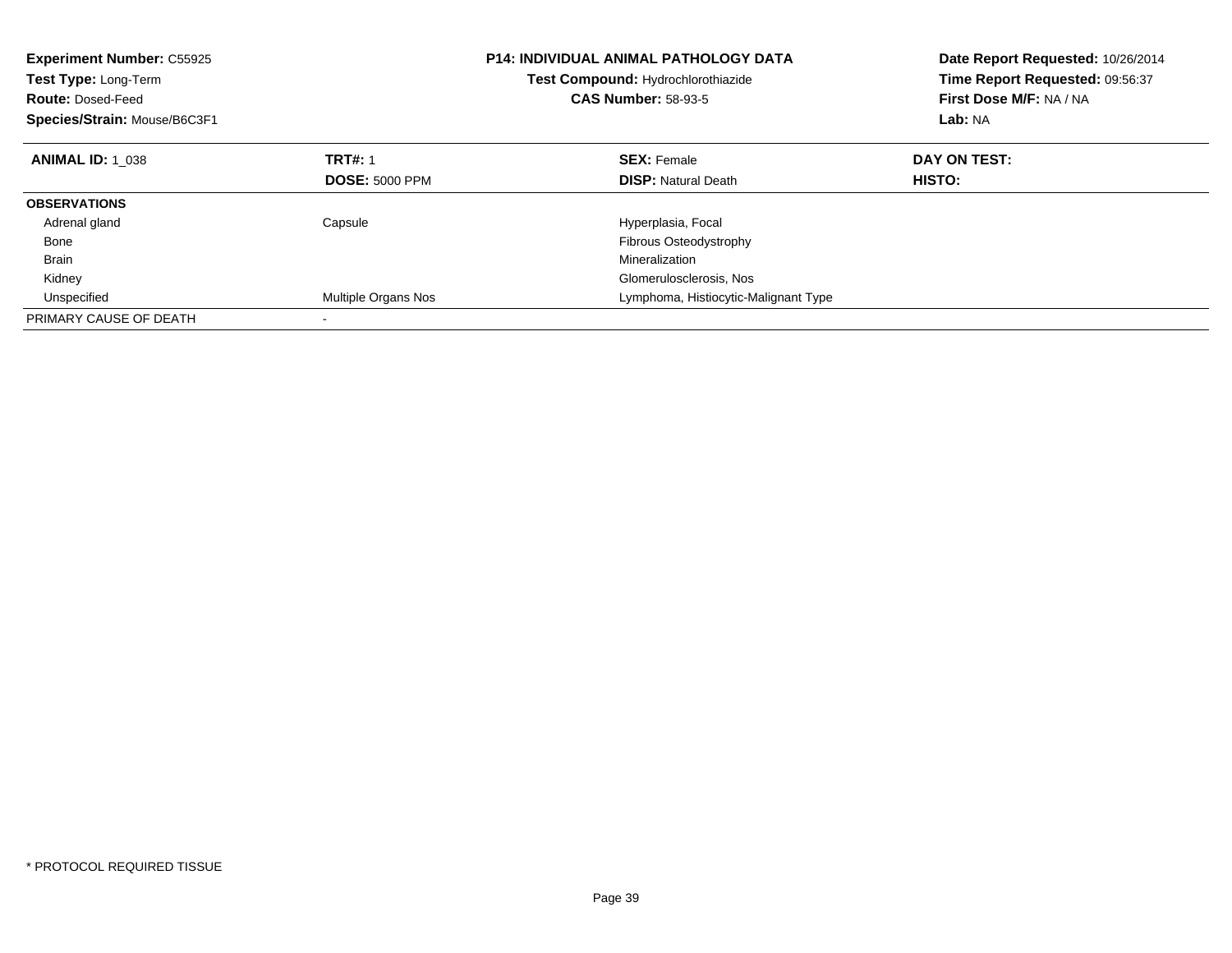| <b>Experiment Number: C55925</b><br><b>Test Type: Long-Term</b><br><b>Route: Dosed-Feed</b><br>Species/Strain: Mouse/B6C3F1 |                       | <b>P14: INDIVIDUAL ANIMAL PATHOLOGY DATA</b><br>Test Compound: Hydrochlorothiazide<br><b>CAS Number: 58-93-5</b> | Date Report Requested: 10/26/2014<br>Time Report Requested: 09:56:37<br>First Dose M/F: NA / NA<br>Lab: NA |  |
|-----------------------------------------------------------------------------------------------------------------------------|-----------------------|------------------------------------------------------------------------------------------------------------------|------------------------------------------------------------------------------------------------------------|--|
| <b>ANIMAL ID: 1 038</b>                                                                                                     | <b>TRT#: 1</b>        | <b>SEX: Female</b>                                                                                               | DAY ON TEST:                                                                                               |  |
|                                                                                                                             | <b>DOSE: 5000 PPM</b> | <b>DISP: Natural Death</b>                                                                                       | HISTO:                                                                                                     |  |
| <b>OBSERVATIONS</b>                                                                                                         |                       |                                                                                                                  |                                                                                                            |  |
| Adrenal gland                                                                                                               | Capsule               | Hyperplasia, Focal                                                                                               |                                                                                                            |  |
| Bone                                                                                                                        |                       | Fibrous Osteodystrophy                                                                                           |                                                                                                            |  |
| <b>Brain</b>                                                                                                                |                       | Mineralization                                                                                                   |                                                                                                            |  |
| Kidney                                                                                                                      |                       | Glomerulosclerosis, Nos                                                                                          |                                                                                                            |  |
| Unspecified                                                                                                                 | Multiple Organs Nos   | Lymphoma, Histiocytic-Malignant Type                                                                             |                                                                                                            |  |
| PRIMARY CAUSE OF DEATH                                                                                                      |                       |                                                                                                                  |                                                                                                            |  |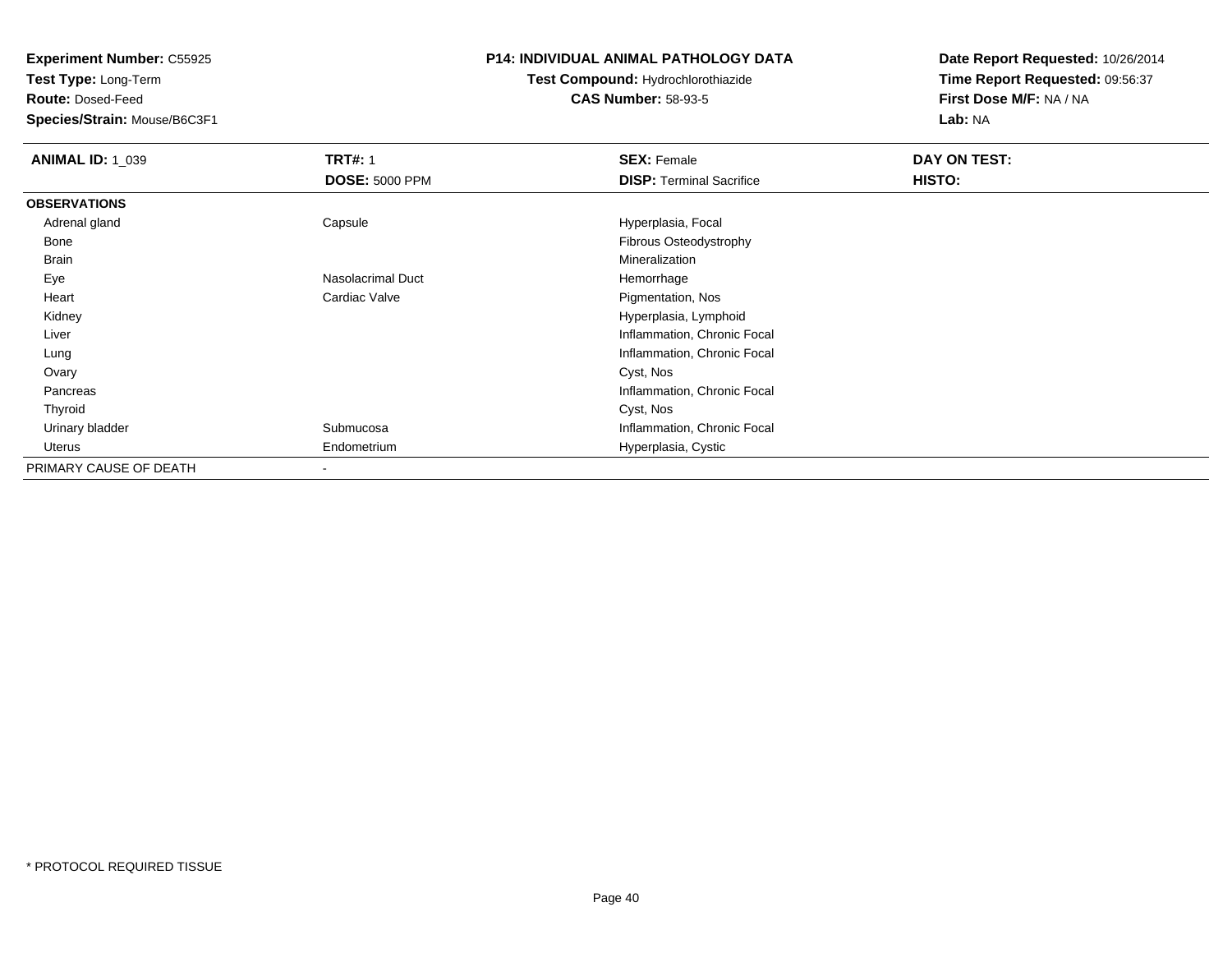**Test Type:** Long-Term

**Route:** Dosed-Feed

**Species/Strain:** Mouse/B6C3F1

### **P14: INDIVIDUAL ANIMAL PATHOLOGY DATA**

# **Test Compound:** Hydrochlorothiazide**CAS Number:** 58-93-5

| <b>ANIMAL ID: 1_039</b> | <b>TRT#: 1</b>        | <b>SEX: Female</b>              | DAY ON TEST: |  |
|-------------------------|-----------------------|---------------------------------|--------------|--|
|                         | <b>DOSE: 5000 PPM</b> | <b>DISP: Terminal Sacrifice</b> | HISTO:       |  |
| <b>OBSERVATIONS</b>     |                       |                                 |              |  |
| Adrenal gland           | Capsule               | Hyperplasia, Focal              |              |  |
| Bone                    |                       | Fibrous Osteodystrophy          |              |  |
| Brain                   |                       | Mineralization                  |              |  |
| Eye                     | Nasolacrimal Duct     | Hemorrhage                      |              |  |
| Heart                   | Cardiac Valve         | Pigmentation, Nos               |              |  |
| Kidney                  |                       | Hyperplasia, Lymphoid           |              |  |
| Liver                   |                       | Inflammation, Chronic Focal     |              |  |
| Lung                    |                       | Inflammation, Chronic Focal     |              |  |
| Ovary                   |                       | Cyst, Nos                       |              |  |
| Pancreas                |                       | Inflammation, Chronic Focal     |              |  |
| Thyroid                 |                       | Cyst, Nos                       |              |  |
| Urinary bladder         | Submucosa             | Inflammation, Chronic Focal     |              |  |
| Uterus                  | Endometrium           | Hyperplasia, Cystic             |              |  |
| PRIMARY CAUSE OF DEATH  |                       |                                 |              |  |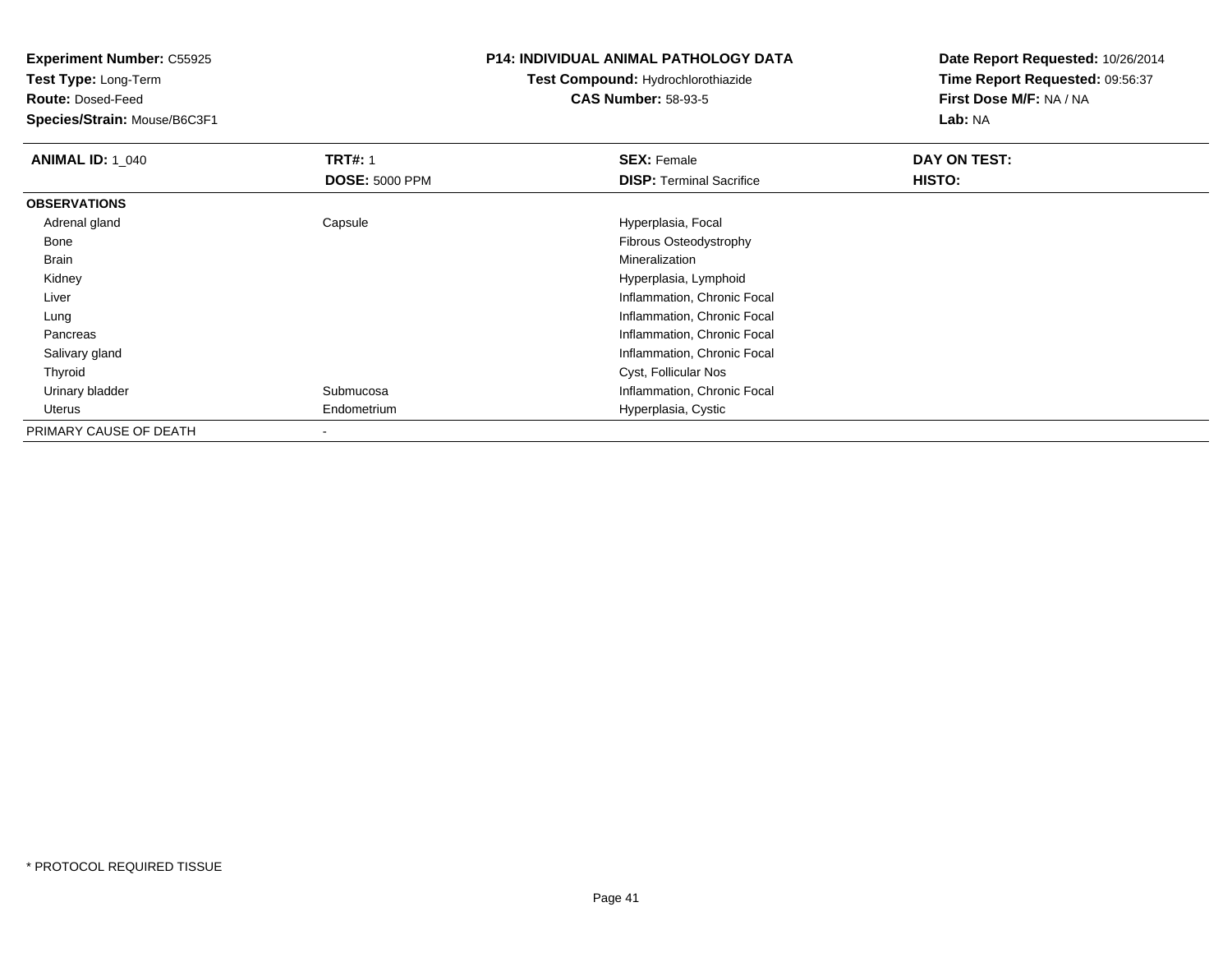**Test Type:** Long-Term

**Route:** Dosed-Feed

**Species/Strain:** Mouse/B6C3F1

#### **P14: INDIVIDUAL ANIMAL PATHOLOGY DATA**

# **Test Compound:** Hydrochlorothiazide**CAS Number:** 58-93-5

| <b>ANIMAL ID: 1_040</b> | <b>TRT#: 1</b>        | <b>SEX: Female</b>              | DAY ON TEST: |
|-------------------------|-----------------------|---------------------------------|--------------|
|                         | <b>DOSE: 5000 PPM</b> | <b>DISP: Terminal Sacrifice</b> | HISTO:       |
| <b>OBSERVATIONS</b>     |                       |                                 |              |
| Adrenal gland           | Capsule               | Hyperplasia, Focal              |              |
| Bone                    |                       | Fibrous Osteodystrophy          |              |
| Brain                   |                       | Mineralization                  |              |
| Kidney                  |                       | Hyperplasia, Lymphoid           |              |
| Liver                   |                       | Inflammation, Chronic Focal     |              |
| Lung                    |                       | Inflammation, Chronic Focal     |              |
| Pancreas                |                       | Inflammation, Chronic Focal     |              |
| Salivary gland          |                       | Inflammation, Chronic Focal     |              |
| Thyroid                 |                       | Cyst, Follicular Nos            |              |
| Urinary bladder         | Submucosa             | Inflammation, Chronic Focal     |              |
| Uterus                  | Endometrium           | Hyperplasia, Cystic             |              |
| PRIMARY CAUSE OF DEATH  |                       |                                 |              |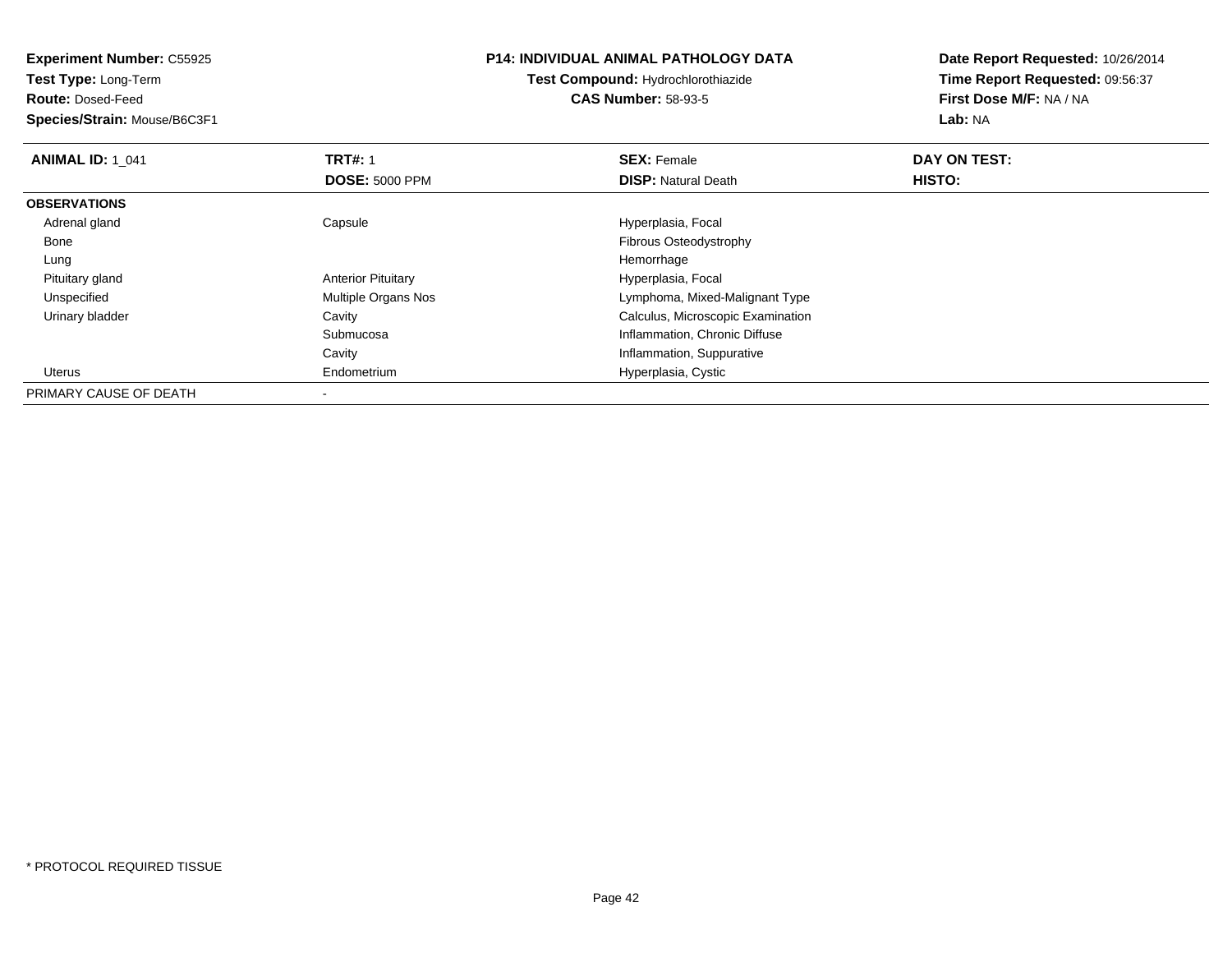**Experiment Number:** C55925**Test Type:** Long-Term**Route:** Dosed-Feed **Species/Strain:** Mouse/B6C3F1**P14: INDIVIDUAL ANIMAL PATHOLOGY DATATest Compound:** Hydrochlorothiazide**CAS Number:** 58-93-5**Date Report Requested:** 10/26/2014**Time Report Requested:** 09:56:37**First Dose M/F:** NA / NA**Lab:** NA**ANIMAL ID: 1\_041 TRT#:** 1 **SEX:** Female **DAY ON TEST: DOSE:** 5000 PPM**DISP:** Natural Death **HISTO: OBSERVATIONS** Adrenal glandCapsule **Capsule Hyperplasia**, Focal BoneFibrous Osteodystrophy<br>Hemorrhage Lungg and the state of the state of the state of the state of the state of the state of the state of the state of the state of the state of the state of the state of the state of the state of the state of the state of the stat Pituitary glandAnterior Pituitary **Anterior Pituitary** Elementary Multiple Organs Nos<br>
Multiple Organs Nos<br>
Hymphoma, Mixed- UnspecifiedLymphoma, Mixed-Malignant Type Urinary bladder Cavity Calculus, Microscopic ExaminationSubmucosa Inflammation, Chronic Diffuse Cavity Inflammation, Suppurative Uterus EndometriumHyperplasia, Cystic

PRIMARY CAUSE OF DEATH-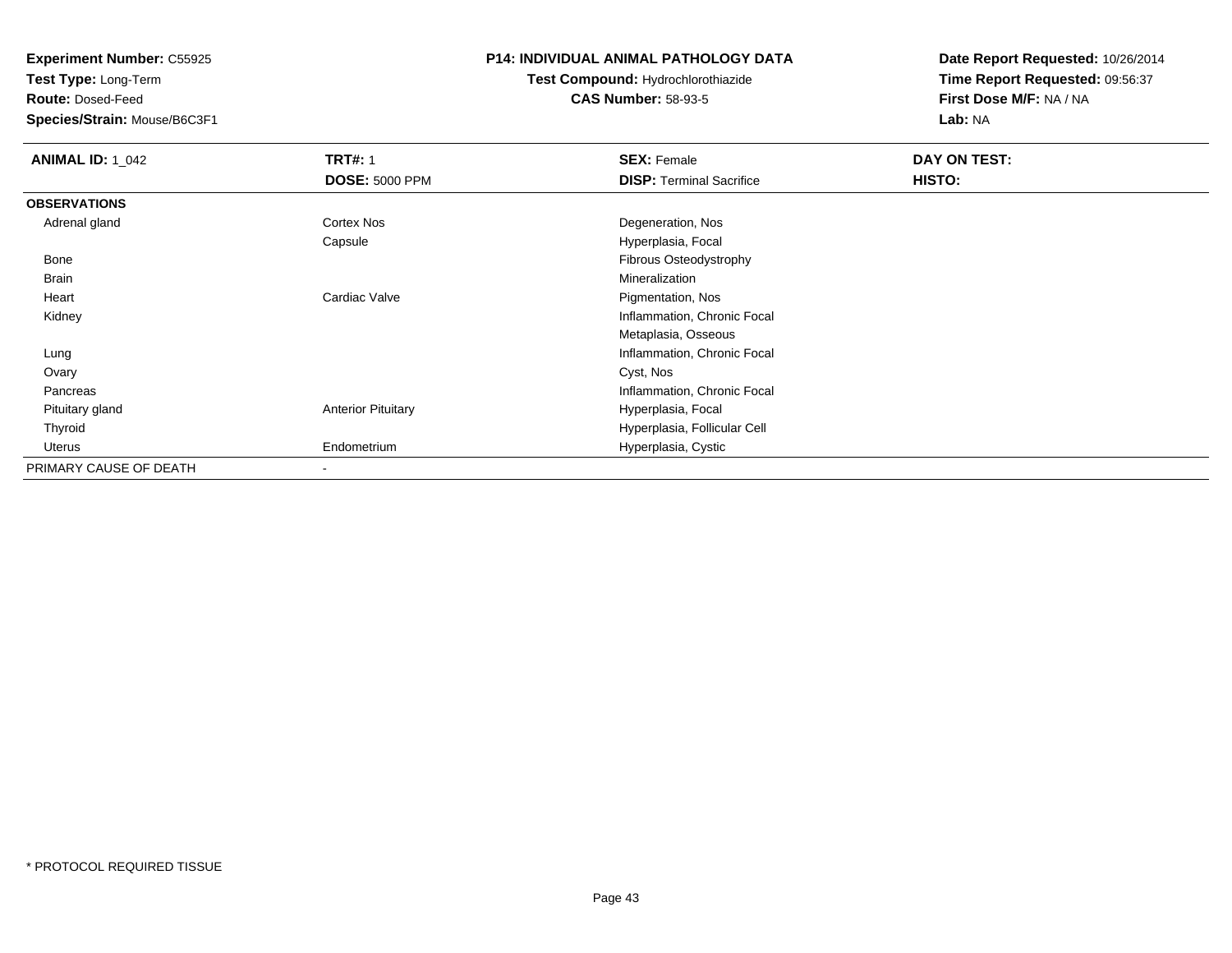**Test Type:** Long-Term

**Route:** Dosed-Feed

**Species/Strain:** Mouse/B6C3F1

#### **P14: INDIVIDUAL ANIMAL PATHOLOGY DATA**

# **Test Compound:** Hydrochlorothiazide**CAS Number:** 58-93-5

| <b>ANIMAL ID: 1_042</b> | <b>TRT#: 1</b>            | <b>SEX: Female</b>              | DAY ON TEST: |  |
|-------------------------|---------------------------|---------------------------------|--------------|--|
|                         | <b>DOSE: 5000 PPM</b>     | <b>DISP: Terminal Sacrifice</b> | HISTO:       |  |
| <b>OBSERVATIONS</b>     |                           |                                 |              |  |
| Adrenal gland           | <b>Cortex Nos</b>         | Degeneration, Nos               |              |  |
|                         | Capsule                   | Hyperplasia, Focal              |              |  |
| Bone                    |                           | Fibrous Osteodystrophy          |              |  |
| <b>Brain</b>            |                           | Mineralization                  |              |  |
| Heart                   | Cardiac Valve             | Pigmentation, Nos               |              |  |
| Kidney                  |                           | Inflammation, Chronic Focal     |              |  |
|                         |                           | Metaplasia, Osseous             |              |  |
| Lung                    |                           | Inflammation, Chronic Focal     |              |  |
| Ovary                   |                           | Cyst, Nos                       |              |  |
| Pancreas                |                           | Inflammation, Chronic Focal     |              |  |
| Pituitary gland         | <b>Anterior Pituitary</b> | Hyperplasia, Focal              |              |  |
| Thyroid                 |                           | Hyperplasia, Follicular Cell    |              |  |
| Uterus                  | Endometrium               | Hyperplasia, Cystic             |              |  |
| PRIMARY CAUSE OF DEATH  |                           |                                 |              |  |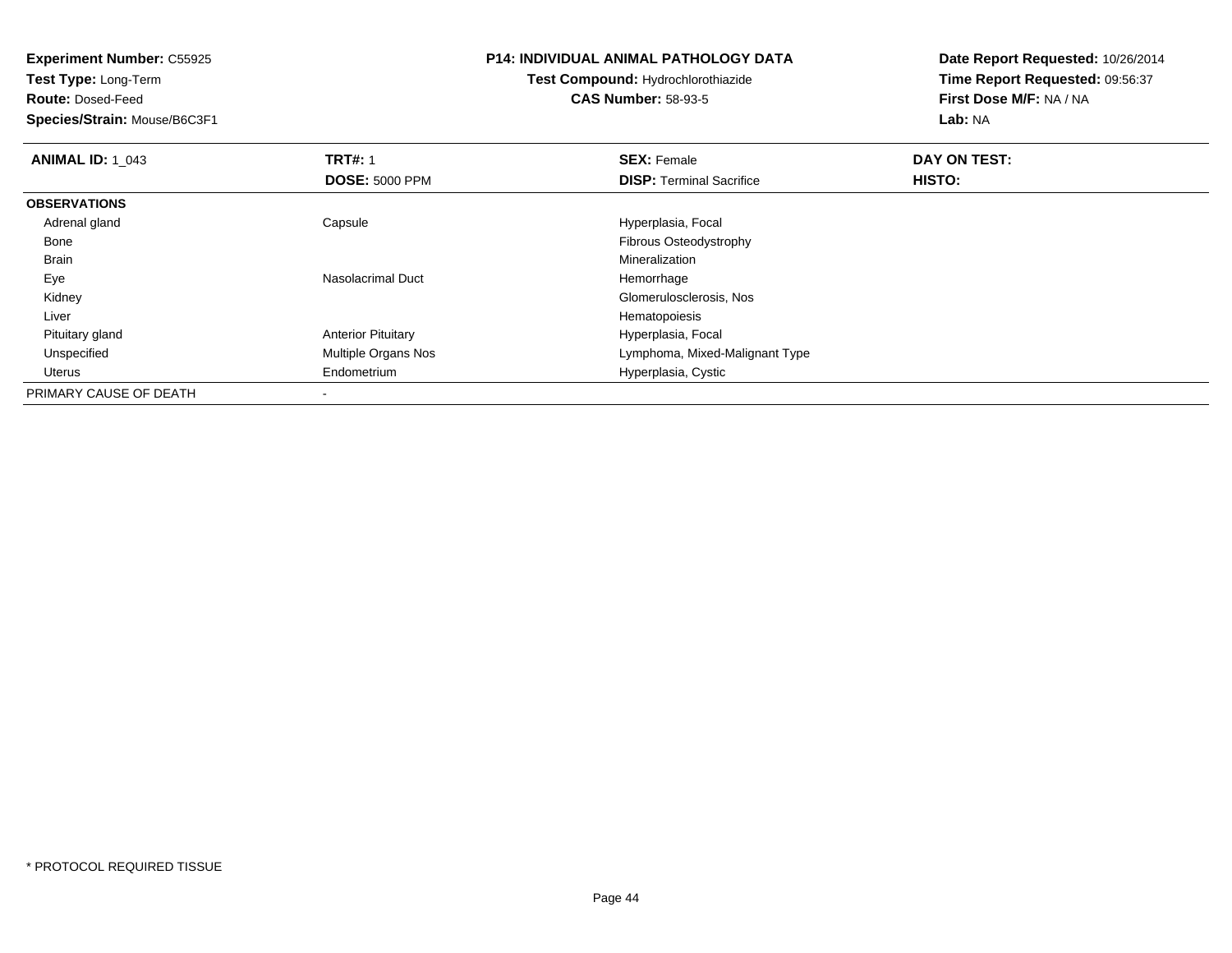**Experiment Number:** C55925**Test Type:** Long-Term**Route:** Dosed-Feed **Species/Strain:** Mouse/B6C3F1**P14: INDIVIDUAL ANIMAL PATHOLOGY DATATest Compound:** Hydrochlorothiazide**CAS Number:** 58-93-5**Date Report Requested:** 10/26/2014**Time Report Requested:** 09:56:37**First Dose M/F:** NA / NA**Lab:** NA**ANIMAL ID: 1\_043 TRT#:** 1 **SEX:** Female **DAY ON TEST: DOSE:** 5000 PPM**DISP:** Terminal Sacrifice **HISTO: OBSERVATIONS** Adrenal glandCapsule **Capsule Hyperplasia**, Focal Bone Fibrous Osteodystrophy Brainn and the control of the control of the control of the control of the control of the control of the control of the control of the control of the control of the control of the control of the control of the control of the co EyeNasolacrimal Duct **Hemorrhage**  Kidney Glomerulosclerosis, Nos Liver Hematopoiesisd **Anterior Pituitary Hyperplasia, Focal**  Pituitary gland UnspecifiedMultiple Organs Nos **Multiple Organs Nos** Lymphoma, Mixed-Malignant Type Uterus Endometrium Hyperplasia, Cystic PRIMARY CAUSE OF DEATH-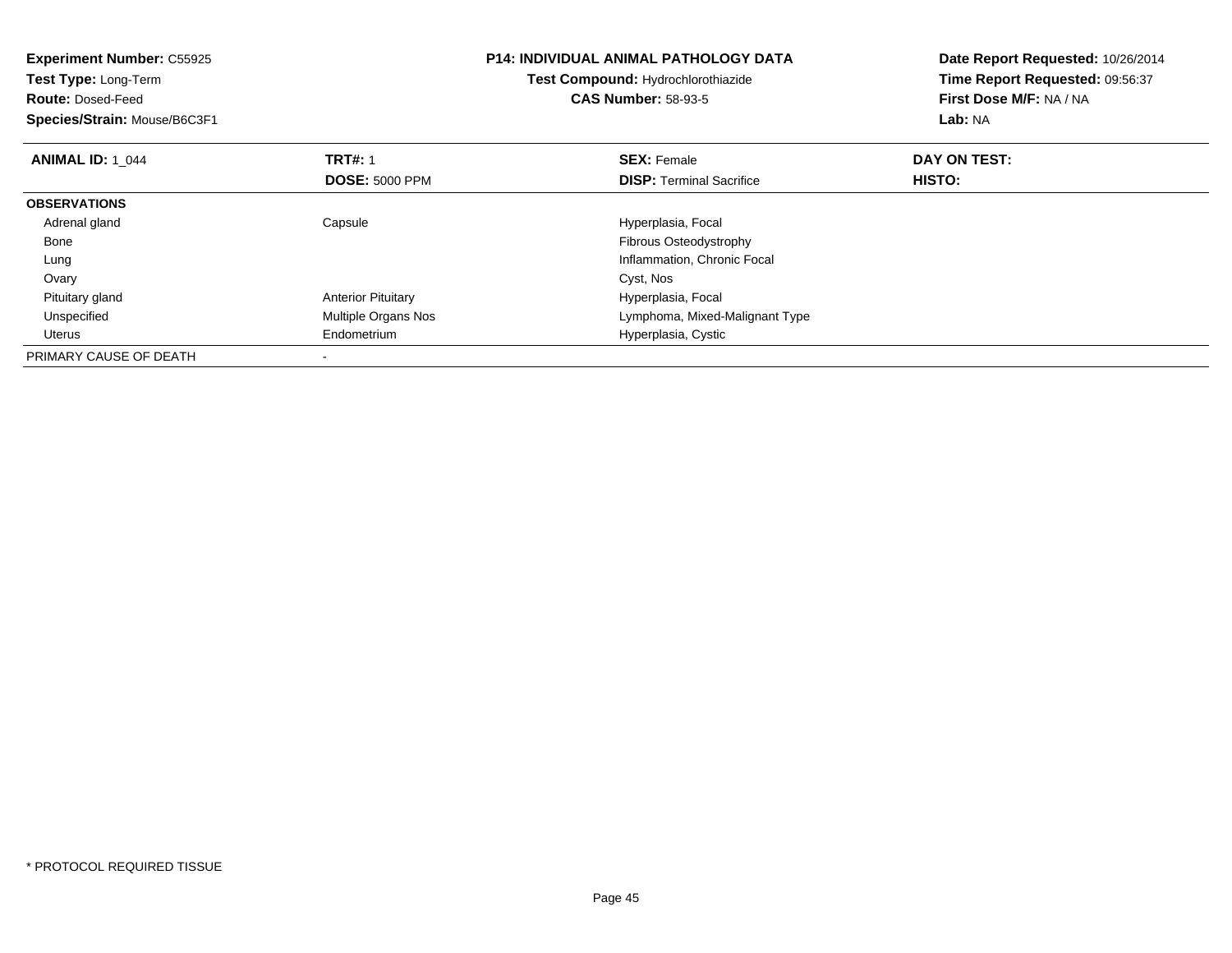| <b>Experiment Number: C55925</b><br>Test Type: Long-Term<br><b>Route: Dosed-Feed</b><br>Species/Strain: Mouse/B6C3F1 |                           | <b>P14: INDIVIDUAL ANIMAL PATHOLOGY DATA</b><br>Test Compound: Hydrochlorothiazide<br><b>CAS Number: 58-93-5</b> | Date Report Requested: 10/26/2014<br>Time Report Requested: 09:56:37<br>First Dose M/F: NA / NA<br>Lab: NA |
|----------------------------------------------------------------------------------------------------------------------|---------------------------|------------------------------------------------------------------------------------------------------------------|------------------------------------------------------------------------------------------------------------|
| <b>ANIMAL ID: 1 044</b>                                                                                              | <b>TRT#: 1</b>            | <b>SEX: Female</b>                                                                                               | DAY ON TEST:                                                                                               |
|                                                                                                                      | <b>DOSE: 5000 PPM</b>     | <b>DISP:</b> Terminal Sacrifice                                                                                  | <b>HISTO:</b>                                                                                              |
| <b>OBSERVATIONS</b>                                                                                                  |                           |                                                                                                                  |                                                                                                            |
| Adrenal gland                                                                                                        | Capsule                   | Hyperplasia, Focal                                                                                               |                                                                                                            |
| Bone                                                                                                                 |                           | Fibrous Osteodystrophy                                                                                           |                                                                                                            |
| Lung                                                                                                                 |                           | Inflammation, Chronic Focal                                                                                      |                                                                                                            |
| Ovary                                                                                                                |                           | Cyst, Nos                                                                                                        |                                                                                                            |
| Pituitary gland                                                                                                      | <b>Anterior Pituitary</b> | Hyperplasia, Focal                                                                                               |                                                                                                            |
| Unspecified                                                                                                          | Multiple Organs Nos       | Lymphoma, Mixed-Malignant Type                                                                                   |                                                                                                            |
| Uterus                                                                                                               | Endometrium               | Hyperplasia, Cystic                                                                                              |                                                                                                            |
| PRIMARY CAUSE OF DEATH                                                                                               |                           |                                                                                                                  |                                                                                                            |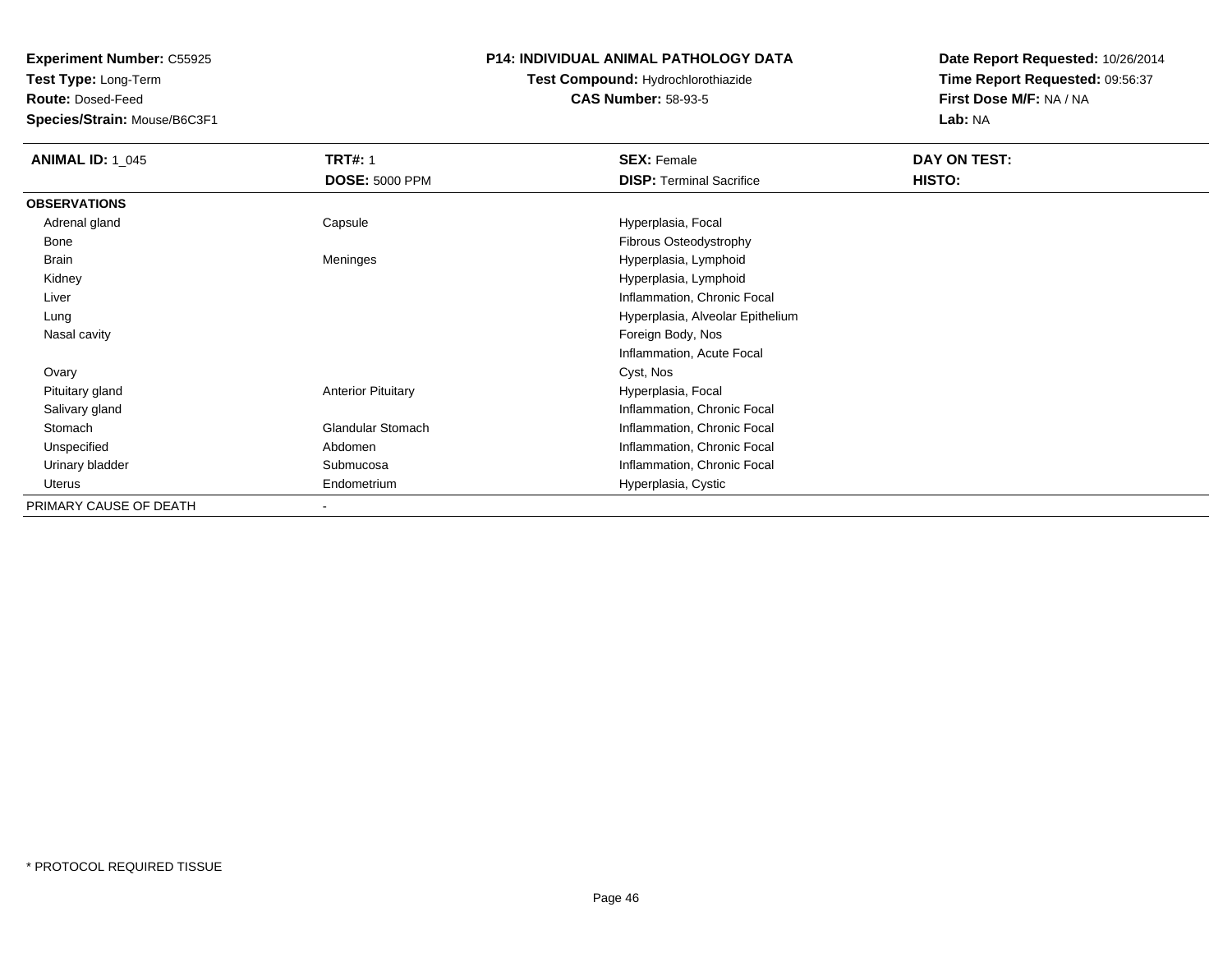**Test Type:** Long-Term

**Route:** Dosed-Feed

**Species/Strain:** Mouse/B6C3F1

### **P14: INDIVIDUAL ANIMAL PATHOLOGY DATA**

# **Test Compound:** Hydrochlorothiazide**CAS Number:** 58-93-5

| <b>ANIMAL ID: 1 045</b> | <b>TRT#: 1</b>            | <b>SEX: Female</b>               | DAY ON TEST: |
|-------------------------|---------------------------|----------------------------------|--------------|
|                         | <b>DOSE: 5000 PPM</b>     | <b>DISP: Terminal Sacrifice</b>  | HISTO:       |
| <b>OBSERVATIONS</b>     |                           |                                  |              |
| Adrenal gland           | Capsule                   | Hyperplasia, Focal               |              |
| Bone                    |                           | Fibrous Osteodystrophy           |              |
| Brain                   | Meninges                  | Hyperplasia, Lymphoid            |              |
| Kidney                  |                           | Hyperplasia, Lymphoid            |              |
| Liver                   |                           | Inflammation, Chronic Focal      |              |
| Lung                    |                           | Hyperplasia, Alveolar Epithelium |              |
| Nasal cavity            |                           | Foreign Body, Nos                |              |
|                         |                           | Inflammation, Acute Focal        |              |
| Ovary                   |                           | Cyst, Nos                        |              |
| Pituitary gland         | <b>Anterior Pituitary</b> | Hyperplasia, Focal               |              |
| Salivary gland          |                           | Inflammation, Chronic Focal      |              |
| Stomach                 | <b>Glandular Stomach</b>  | Inflammation, Chronic Focal      |              |
| Unspecified             | Abdomen                   | Inflammation, Chronic Focal      |              |
| Urinary bladder         | Submucosa                 | Inflammation, Chronic Focal      |              |
| Uterus                  | Endometrium               | Hyperplasia, Cystic              |              |
| PRIMARY CAUSE OF DEATH  |                           |                                  |              |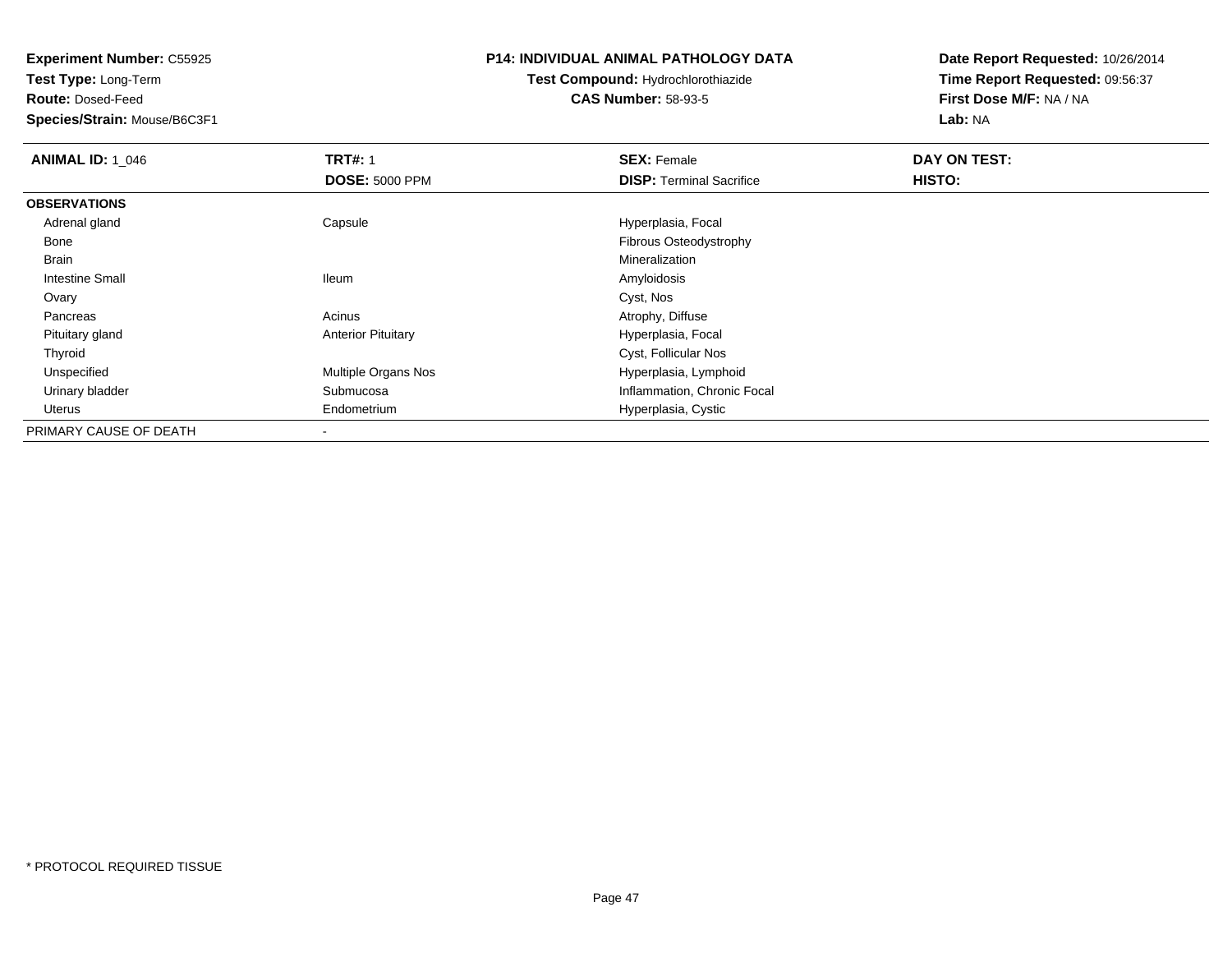**Test Type:** Long-Term

**Route:** Dosed-Feed

**Species/Strain:** Mouse/B6C3F1

### **P14: INDIVIDUAL ANIMAL PATHOLOGY DATA**

# **Test Compound:** Hydrochlorothiazide**CAS Number:** 58-93-5

| <b>ANIMAL ID: 1 046</b> | <b>TRT#: 1</b>            | <b>SEX: Female</b>              | DAY ON TEST: |  |
|-------------------------|---------------------------|---------------------------------|--------------|--|
|                         | <b>DOSE: 5000 PPM</b>     | <b>DISP:</b> Terminal Sacrifice | HISTO:       |  |
| <b>OBSERVATIONS</b>     |                           |                                 |              |  |
| Adrenal gland           | Capsule                   | Hyperplasia, Focal              |              |  |
| Bone                    |                           | Fibrous Osteodystrophy          |              |  |
| <b>Brain</b>            |                           | Mineralization                  |              |  |
| <b>Intestine Small</b>  | <b>Ileum</b>              | Amyloidosis                     |              |  |
| Ovary                   |                           | Cyst, Nos                       |              |  |
| Pancreas                | Acinus                    | Atrophy, Diffuse                |              |  |
| Pituitary gland         | <b>Anterior Pituitary</b> | Hyperplasia, Focal              |              |  |
| Thyroid                 |                           | Cyst, Follicular Nos            |              |  |
| Unspecified             | Multiple Organs Nos       | Hyperplasia, Lymphoid           |              |  |
| Urinary bladder         | Submucosa                 | Inflammation, Chronic Focal     |              |  |
| Uterus                  | Endometrium               | Hyperplasia, Cystic             |              |  |
| PRIMARY CAUSE OF DEATH  |                           |                                 |              |  |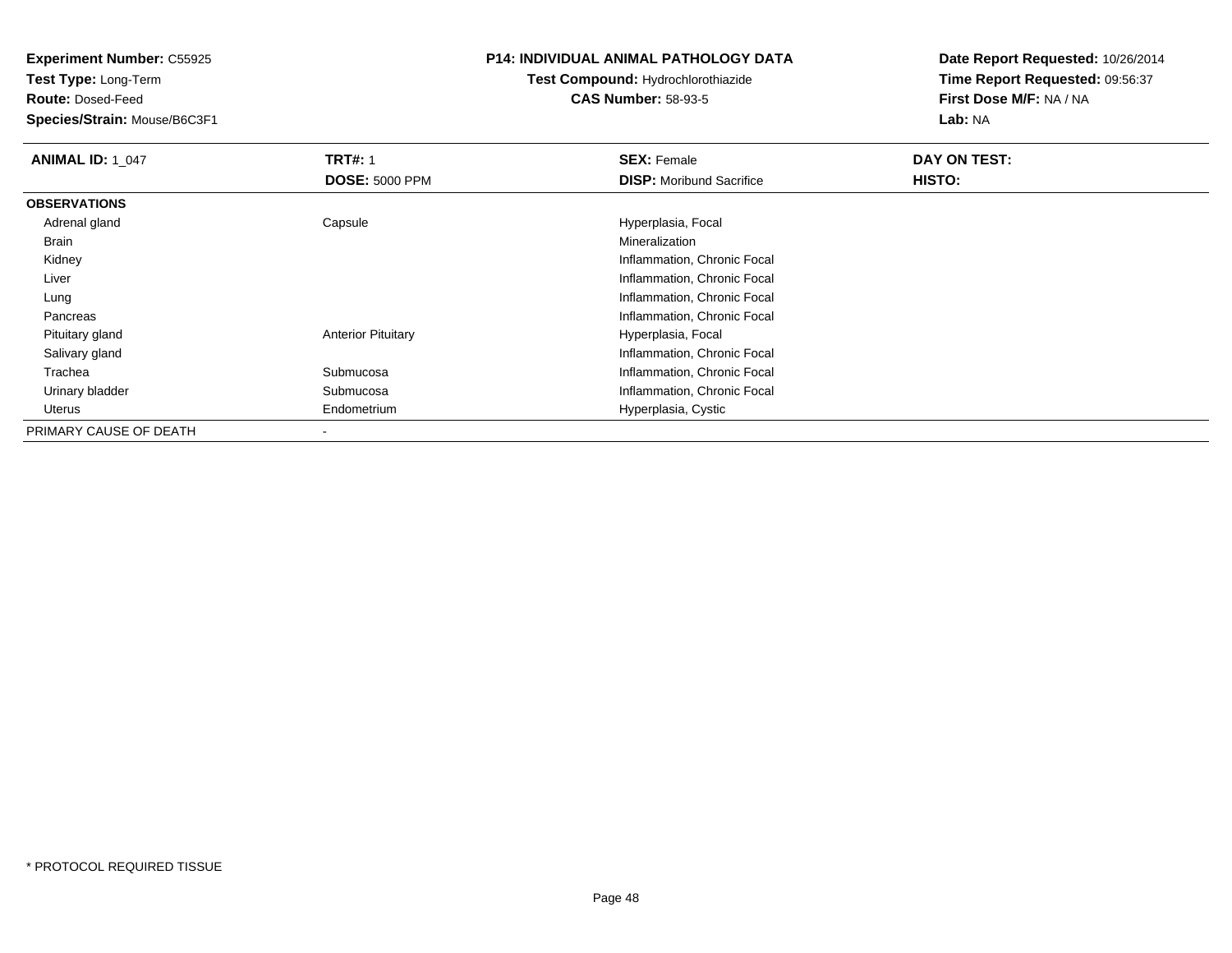**Test Type:** Long-Term

**Route:** Dosed-Feed

**Species/Strain:** Mouse/B6C3F1

### **P14: INDIVIDUAL ANIMAL PATHOLOGY DATA**

# **Test Compound:** Hydrochlorothiazide**CAS Number:** 58-93-5

| <b>ANIMAL ID: 1 047</b> | <b>TRT#: 1</b><br><b>DOSE: 5000 PPM</b> | <b>SEX: Female</b><br><b>DISP:</b> Moribund Sacrifice | DAY ON TEST:<br>HISTO: |
|-------------------------|-----------------------------------------|-------------------------------------------------------|------------------------|
|                         |                                         |                                                       |                        |
| <b>OBSERVATIONS</b>     |                                         |                                                       |                        |
| Adrenal gland           | Capsule                                 | Hyperplasia, Focal                                    |                        |
| Brain                   |                                         | Mineralization                                        |                        |
| Kidney                  |                                         | Inflammation, Chronic Focal                           |                        |
| Liver                   |                                         | Inflammation, Chronic Focal                           |                        |
| Lung                    |                                         | Inflammation, Chronic Focal                           |                        |
| Pancreas                |                                         | Inflammation, Chronic Focal                           |                        |
| Pituitary gland         | <b>Anterior Pituitary</b>               | Hyperplasia, Focal                                    |                        |
| Salivary gland          |                                         | Inflammation, Chronic Focal                           |                        |
| Trachea                 | Submucosa                               | Inflammation, Chronic Focal                           |                        |
| Urinary bladder         | Submucosa                               | Inflammation, Chronic Focal                           |                        |
| Uterus                  | Endometrium                             | Hyperplasia, Cystic                                   |                        |
| PRIMARY CAUSE OF DEATH  |                                         |                                                       |                        |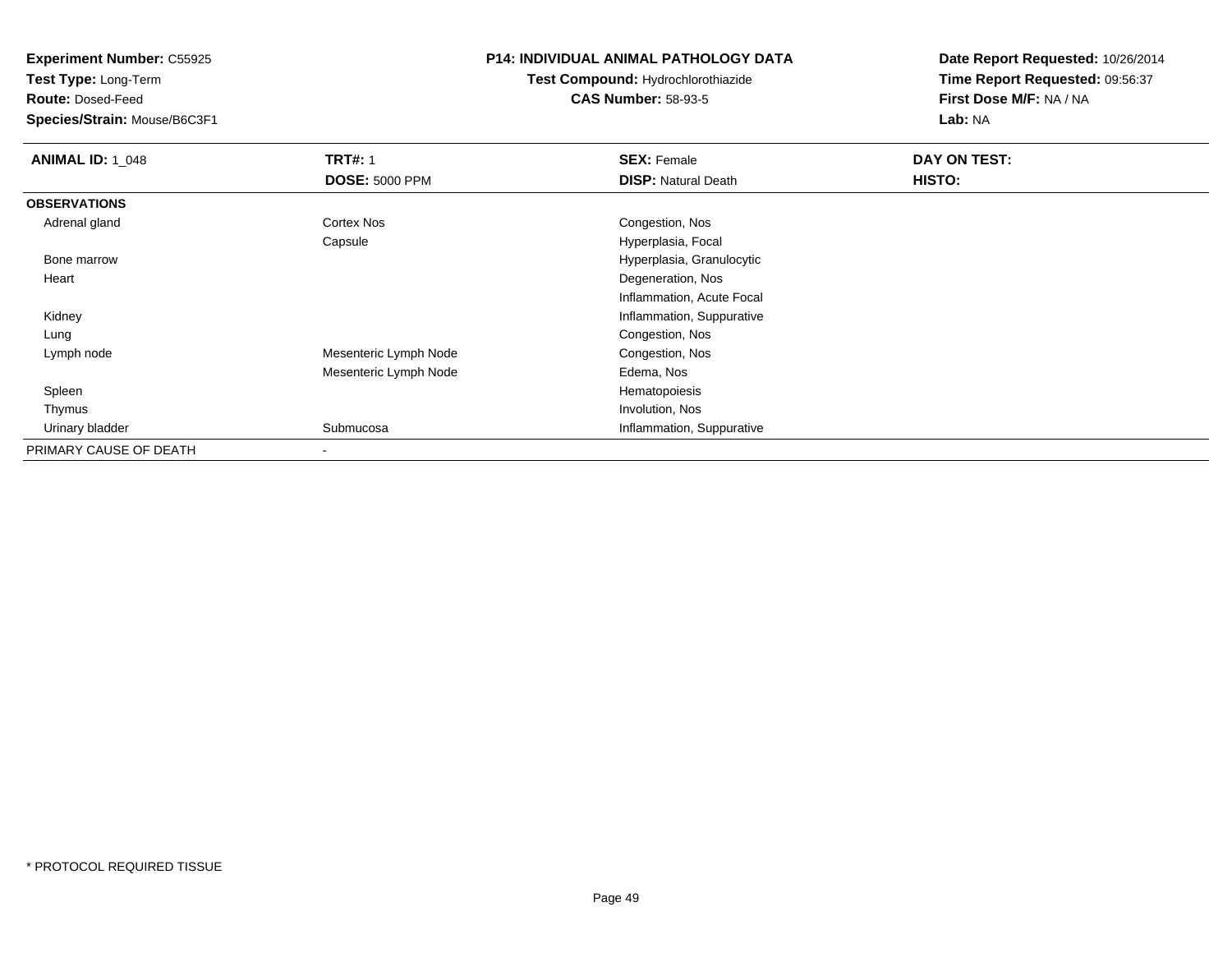**Test Type:** Long-Term

**Route:** Dosed-Feed

**Species/Strain:** Mouse/B6C3F1

### **P14: INDIVIDUAL ANIMAL PATHOLOGY DATA**

# **Test Compound:** Hydrochlorothiazide**CAS Number:** 58-93-5

| <b>ANIMAL ID: 1 048</b> | <b>TRT#: 1</b>        | <b>SEX: Female</b>         | DAY ON TEST: |  |
|-------------------------|-----------------------|----------------------------|--------------|--|
|                         | <b>DOSE: 5000 PPM</b> | <b>DISP: Natural Death</b> | HISTO:       |  |
| <b>OBSERVATIONS</b>     |                       |                            |              |  |
| Adrenal gland           | Cortex Nos            | Congestion, Nos            |              |  |
|                         | Capsule               | Hyperplasia, Focal         |              |  |
| Bone marrow             |                       | Hyperplasia, Granulocytic  |              |  |
| Heart                   |                       | Degeneration, Nos          |              |  |
|                         |                       | Inflammation, Acute Focal  |              |  |
| Kidney                  |                       | Inflammation, Suppurative  |              |  |
| Lung                    |                       | Congestion, Nos            |              |  |
| Lymph node              | Mesenteric Lymph Node | Congestion, Nos            |              |  |
|                         | Mesenteric Lymph Node | Edema, Nos                 |              |  |
| Spleen                  |                       | Hematopoiesis              |              |  |
| Thymus                  |                       | Involution, Nos            |              |  |
| Urinary bladder         | Submucosa             | Inflammation, Suppurative  |              |  |
| PRIMARY CAUSE OF DEATH  |                       |                            |              |  |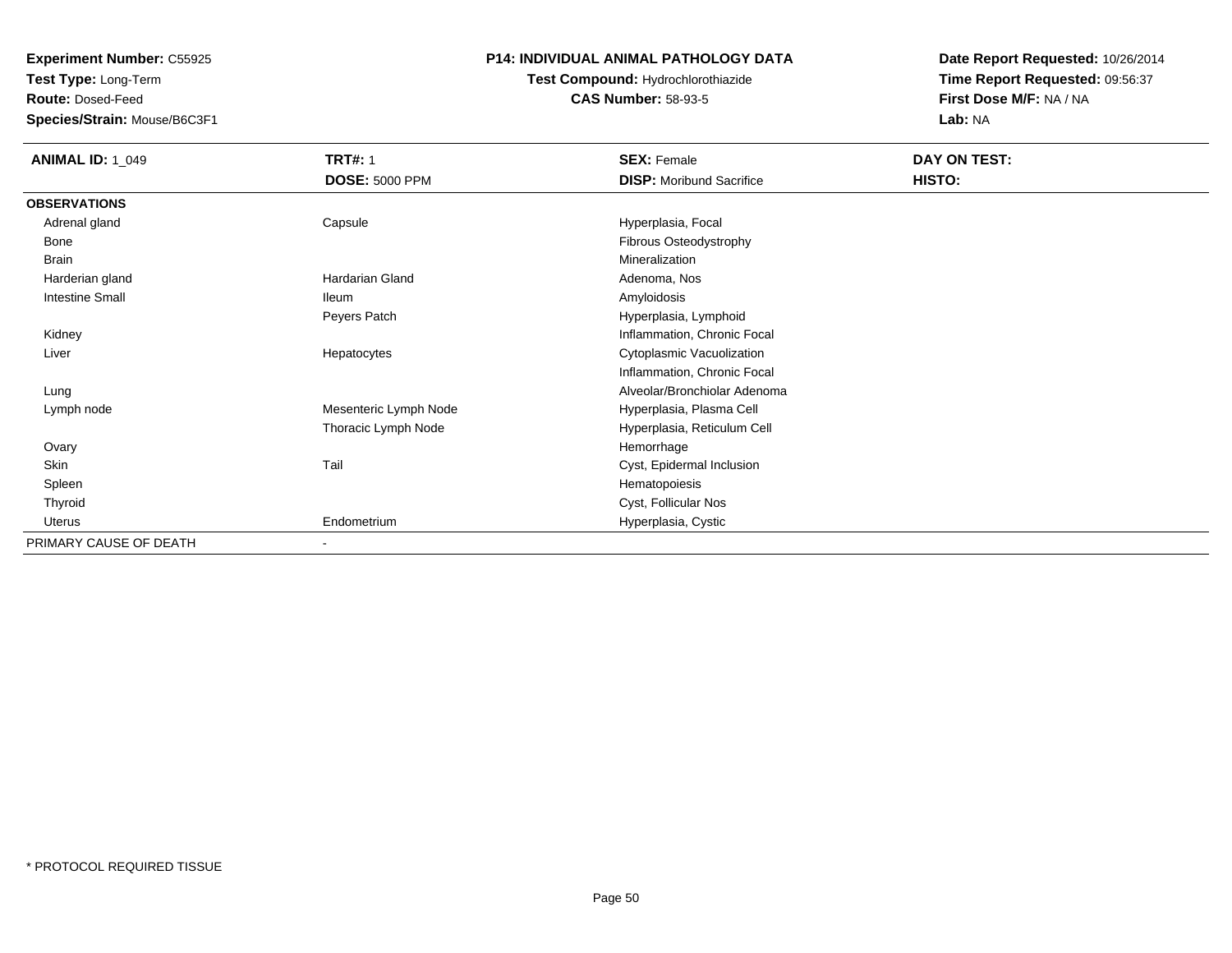**Test Type:** Long-Term

**Route:** Dosed-Feed

**Species/Strain:** Mouse/B6C3F1

### **P14: INDIVIDUAL ANIMAL PATHOLOGY DATA**

# **Test Compound:** Hydrochlorothiazide**CAS Number:** 58-93-5

| <b>ANIMAL ID: 1_049</b> | <b>TRT#: 1</b>         | <b>SEX: Female</b>              | DAY ON TEST: |  |
|-------------------------|------------------------|---------------------------------|--------------|--|
|                         | <b>DOSE: 5000 PPM</b>  | <b>DISP:</b> Moribund Sacrifice | HISTO:       |  |
| <b>OBSERVATIONS</b>     |                        |                                 |              |  |
| Adrenal gland           | Capsule                | Hyperplasia, Focal              |              |  |
| Bone                    |                        | Fibrous Osteodystrophy          |              |  |
| <b>Brain</b>            |                        | Mineralization                  |              |  |
| Harderian gland         | <b>Hardarian Gland</b> | Adenoma, Nos                    |              |  |
| <b>Intestine Small</b>  | <b>Ileum</b>           | Amyloidosis                     |              |  |
|                         | Peyers Patch           | Hyperplasia, Lymphoid           |              |  |
| Kidney                  |                        | Inflammation, Chronic Focal     |              |  |
| Liver                   | Hepatocytes            | Cytoplasmic Vacuolization       |              |  |
|                         |                        | Inflammation, Chronic Focal     |              |  |
| Lung                    |                        | Alveolar/Bronchiolar Adenoma    |              |  |
| Lymph node              | Mesenteric Lymph Node  | Hyperplasia, Plasma Cell        |              |  |
|                         | Thoracic Lymph Node    | Hyperplasia, Reticulum Cell     |              |  |
| Ovary                   |                        | Hemorrhage                      |              |  |
| Skin                    | Tail                   | Cyst, Epidermal Inclusion       |              |  |
| Spleen                  |                        | Hematopoiesis                   |              |  |
| Thyroid                 |                        | Cyst, Follicular Nos            |              |  |
| Uterus                  | Endometrium            | Hyperplasia, Cystic             |              |  |
| PRIMARY CAUSE OF DEATH  |                        |                                 |              |  |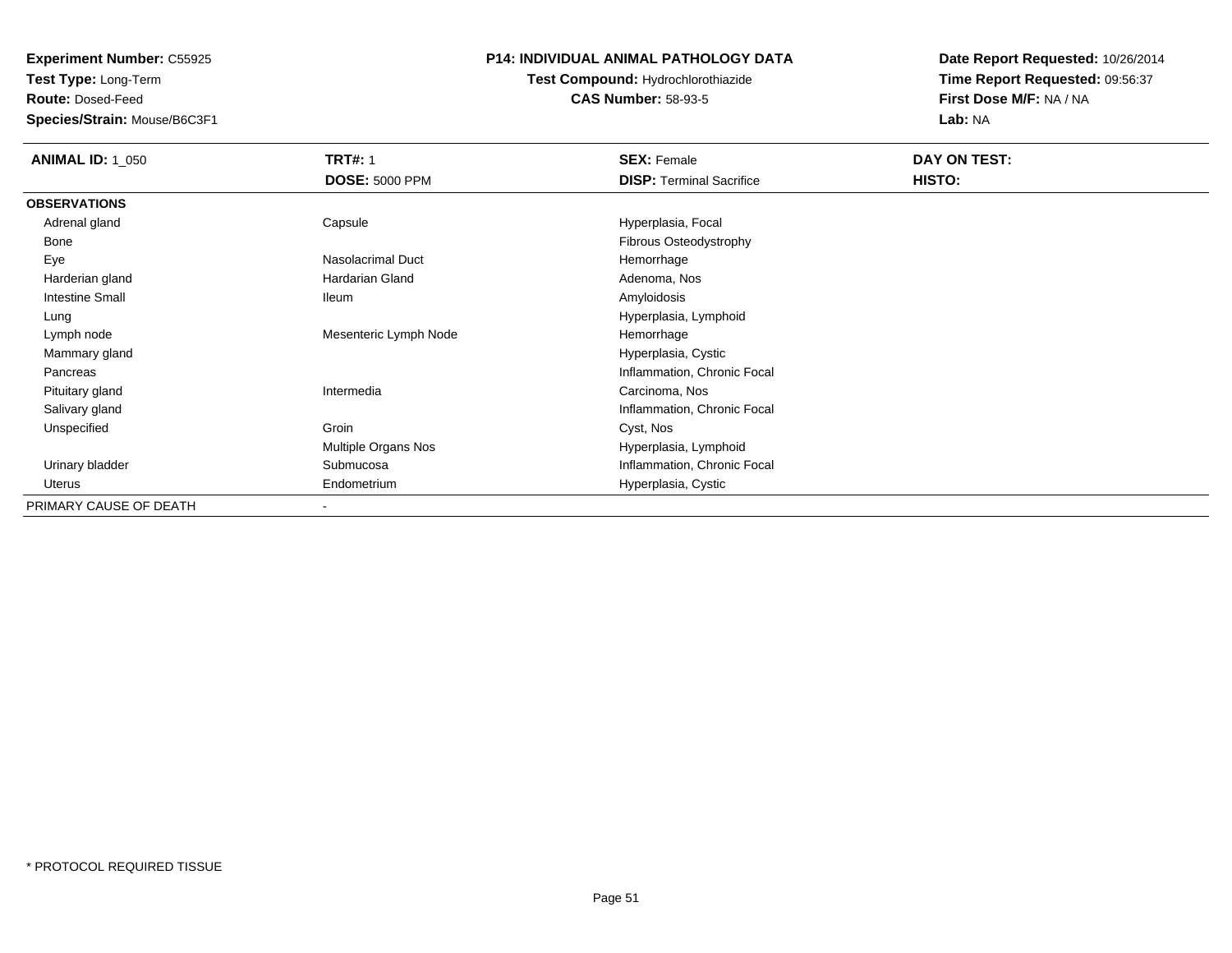**Test Type:** Long-Term

**Route:** Dosed-Feed

**Species/Strain:** Mouse/B6C3F1

### **P14: INDIVIDUAL ANIMAL PATHOLOGY DATA**

# **Test Compound:** Hydrochlorothiazide**CAS Number:** 58-93-5

| <b>ANIMAL ID: 1_050</b> | <b>TRT#: 1</b>           | <b>SEX: Female</b>              | DAY ON TEST: |  |
|-------------------------|--------------------------|---------------------------------|--------------|--|
|                         | <b>DOSE: 5000 PPM</b>    | <b>DISP: Terminal Sacrifice</b> | HISTO:       |  |
| <b>OBSERVATIONS</b>     |                          |                                 |              |  |
| Adrenal gland           | Capsule                  | Hyperplasia, Focal              |              |  |
| Bone                    |                          | Fibrous Osteodystrophy          |              |  |
| Eye                     | Nasolacrimal Duct        | Hemorrhage                      |              |  |
| Harderian gland         | Hardarian Gland          | Adenoma, Nos                    |              |  |
| <b>Intestine Small</b>  | lleum                    | Amyloidosis                     |              |  |
| Lung                    |                          | Hyperplasia, Lymphoid           |              |  |
| Lymph node              | Mesenteric Lymph Node    | Hemorrhage                      |              |  |
| Mammary gland           |                          | Hyperplasia, Cystic             |              |  |
| Pancreas                |                          | Inflammation, Chronic Focal     |              |  |
| Pituitary gland         | Intermedia               | Carcinoma, Nos                  |              |  |
| Salivary gland          |                          | Inflammation, Chronic Focal     |              |  |
| Unspecified             | Groin                    | Cyst, Nos                       |              |  |
|                         | Multiple Organs Nos      | Hyperplasia, Lymphoid           |              |  |
| Urinary bladder         | Submucosa                | Inflammation, Chronic Focal     |              |  |
| Uterus                  | Endometrium              | Hyperplasia, Cystic             |              |  |
| PRIMARY CAUSE OF DEATH  | $\overline{\phantom{a}}$ |                                 |              |  |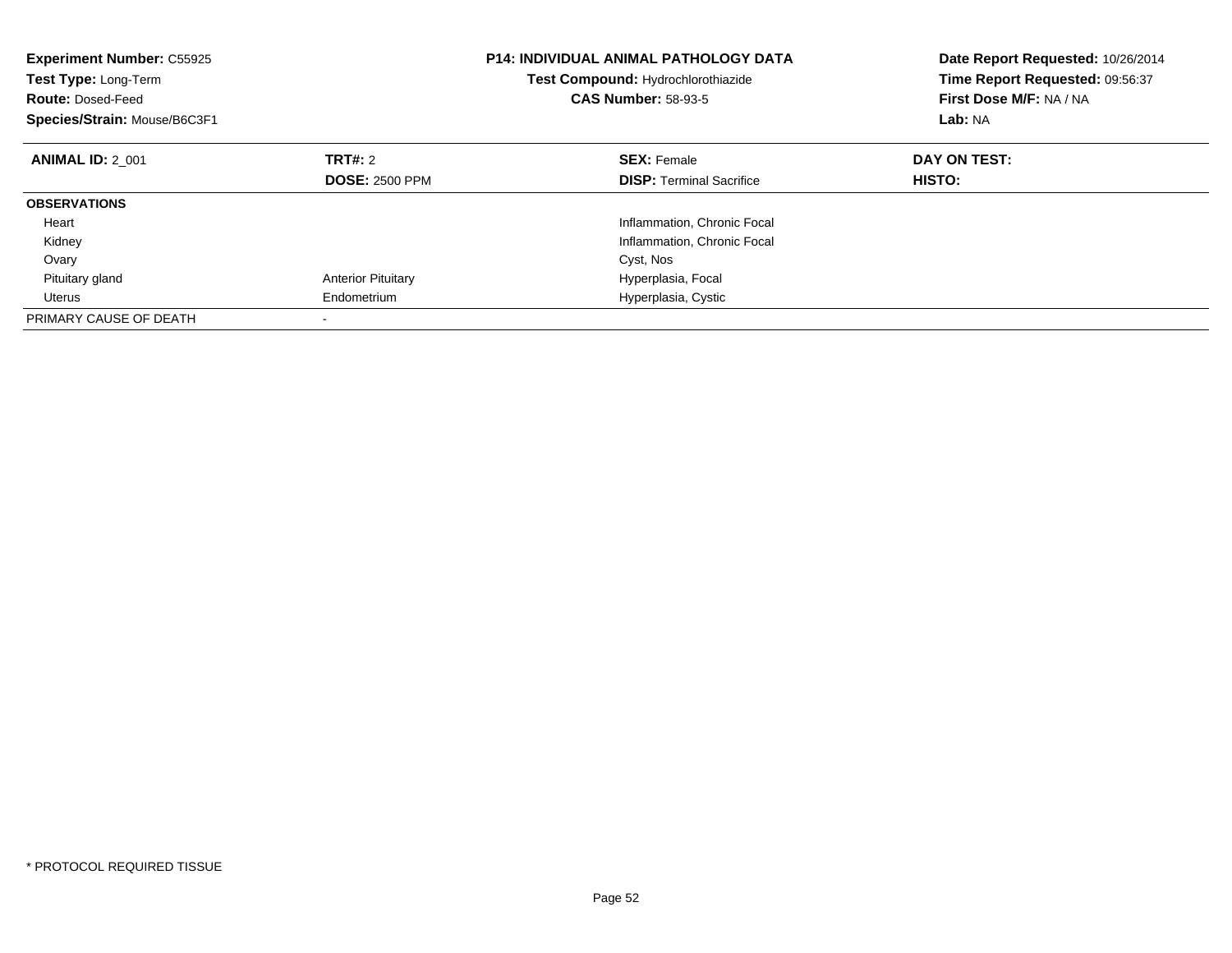| <b>Experiment Number: C55925</b><br>Test Type: Long-Term<br><b>Route: Dosed-Feed</b><br>Species/Strain: Mouse/B6C3F1 |                           | <b>P14: INDIVIDUAL ANIMAL PATHOLOGY DATA</b><br>Test Compound: Hydrochlorothiazide<br><b>CAS Number: 58-93-5</b> | Date Report Requested: 10/26/2014<br>Time Report Requested: 09:56:37<br>First Dose M/F: NA / NA<br>Lab: NA |
|----------------------------------------------------------------------------------------------------------------------|---------------------------|------------------------------------------------------------------------------------------------------------------|------------------------------------------------------------------------------------------------------------|
| <b>ANIMAL ID: 2 001</b>                                                                                              | TRT#: 2                   | <b>SEX: Female</b>                                                                                               | DAY ON TEST:                                                                                               |
|                                                                                                                      | <b>DOSE: 2500 PPM</b>     | <b>DISP:</b> Terminal Sacrifice                                                                                  | HISTO:                                                                                                     |
| <b>OBSERVATIONS</b>                                                                                                  |                           |                                                                                                                  |                                                                                                            |
| Heart                                                                                                                |                           | Inflammation, Chronic Focal                                                                                      |                                                                                                            |
| Kidney                                                                                                               |                           | Inflammation, Chronic Focal                                                                                      |                                                                                                            |
| Ovary                                                                                                                |                           | Cyst, Nos                                                                                                        |                                                                                                            |
| Pituitary gland                                                                                                      | <b>Anterior Pituitary</b> | Hyperplasia, Focal                                                                                               |                                                                                                            |
| Uterus                                                                                                               | Endometrium               | Hyperplasia, Cystic                                                                                              |                                                                                                            |
| PRIMARY CAUSE OF DEATH                                                                                               |                           |                                                                                                                  |                                                                                                            |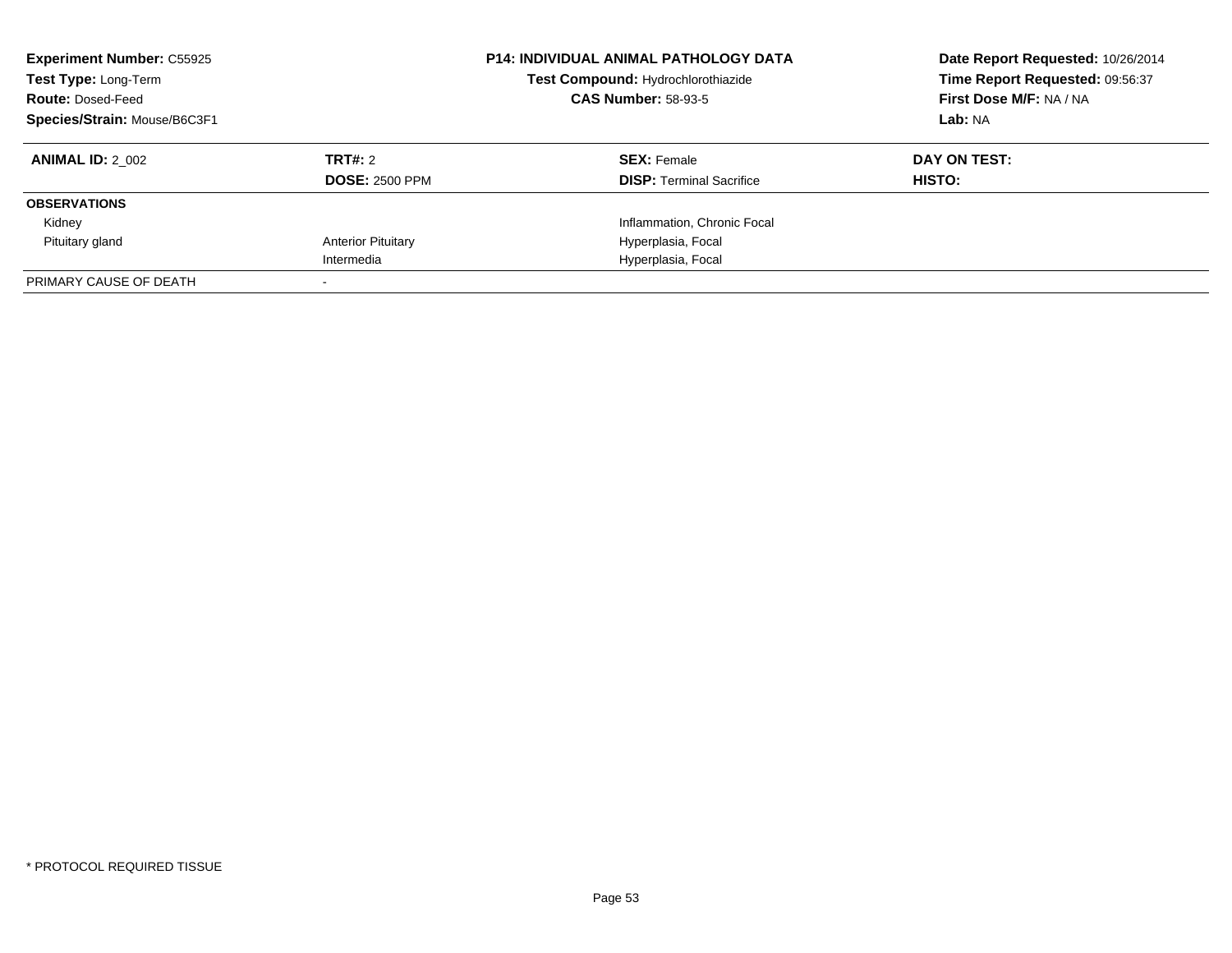| <b>Experiment Number: C55925</b><br>Test Type: Long-Term<br><b>Route: Dosed-Feed</b><br>Species/Strain: Mouse/B6C3F1 |                           | <b>P14: INDIVIDUAL ANIMAL PATHOLOGY DATA</b><br>Test Compound: Hydrochlorothiazide<br><b>CAS Number: 58-93-5</b> | Date Report Requested: 10/26/2014<br>Time Report Requested: 09:56:37<br>First Dose M/F: NA / NA<br>Lab: NA |
|----------------------------------------------------------------------------------------------------------------------|---------------------------|------------------------------------------------------------------------------------------------------------------|------------------------------------------------------------------------------------------------------------|
| <b>ANIMAL ID: 2 002</b>                                                                                              | TRT#: 2                   | <b>SEX: Female</b>                                                                                               | DAY ON TEST:                                                                                               |
|                                                                                                                      | <b>DOSE: 2500 PPM</b>     | <b>DISP:</b> Terminal Sacrifice                                                                                  | HISTO:                                                                                                     |
| <b>OBSERVATIONS</b>                                                                                                  |                           |                                                                                                                  |                                                                                                            |
| Kidney                                                                                                               |                           | Inflammation, Chronic Focal                                                                                      |                                                                                                            |
| Pituitary gland                                                                                                      | <b>Anterior Pituitary</b> | Hyperplasia, Focal                                                                                               |                                                                                                            |
|                                                                                                                      | Intermedia                | Hyperplasia, Focal                                                                                               |                                                                                                            |
| PRIMARY CAUSE OF DEATH                                                                                               |                           |                                                                                                                  |                                                                                                            |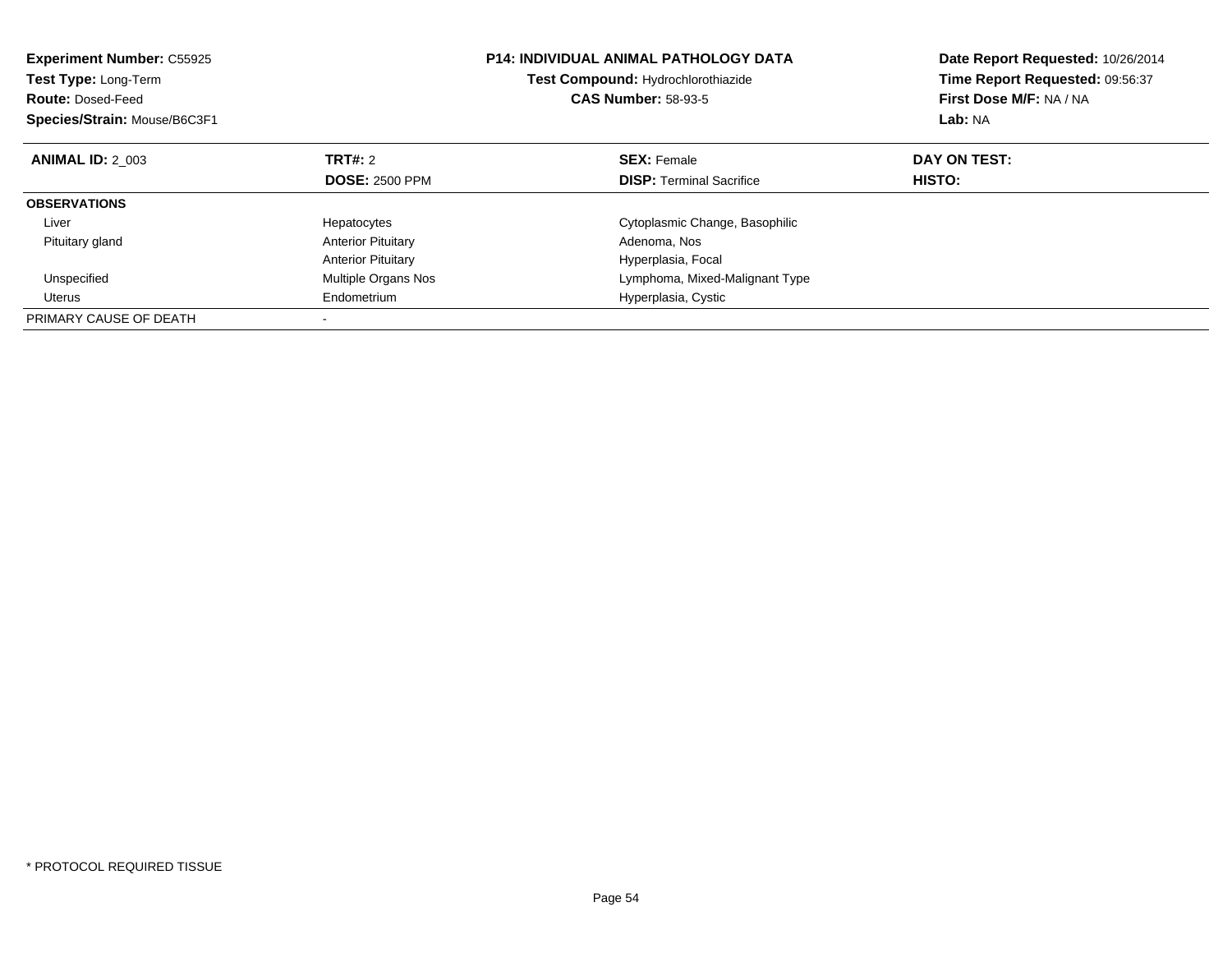| <b>Experiment Number: C55925</b><br><b>Test Type: Long-Term</b><br><b>Route: Dosed-Feed</b><br>Species/Strain: Mouse/B6C3F1 |                           | <b>P14: INDIVIDUAL ANIMAL PATHOLOGY DATA</b><br>Test Compound: Hydrochlorothiazide<br><b>CAS Number: 58-93-5</b> | Date Report Requested: 10/26/2014<br>Time Report Requested: 09:56:37<br>First Dose M/F: NA / NA<br>Lab: NA |
|-----------------------------------------------------------------------------------------------------------------------------|---------------------------|------------------------------------------------------------------------------------------------------------------|------------------------------------------------------------------------------------------------------------|
| <b>ANIMAL ID: 2 003</b>                                                                                                     | TRT#: 2                   | <b>SEX: Female</b>                                                                                               | DAY ON TEST:                                                                                               |
|                                                                                                                             | <b>DOSE: 2500 PPM</b>     | <b>DISP:</b> Terminal Sacrifice                                                                                  | HISTO:                                                                                                     |
| <b>OBSERVATIONS</b>                                                                                                         |                           |                                                                                                                  |                                                                                                            |
| Liver                                                                                                                       | Hepatocytes               | Cytoplasmic Change, Basophilic                                                                                   |                                                                                                            |
| Pituitary gland                                                                                                             | <b>Anterior Pituitary</b> | Adenoma, Nos                                                                                                     |                                                                                                            |
|                                                                                                                             | <b>Anterior Pituitary</b> | Hyperplasia, Focal                                                                                               |                                                                                                            |
| Unspecified                                                                                                                 | Multiple Organs Nos       | Lymphoma, Mixed-Malignant Type                                                                                   |                                                                                                            |
| Uterus                                                                                                                      | Endometrium               | Hyperplasia, Cystic                                                                                              |                                                                                                            |
| PRIMARY CAUSE OF DEATH                                                                                                      |                           |                                                                                                                  |                                                                                                            |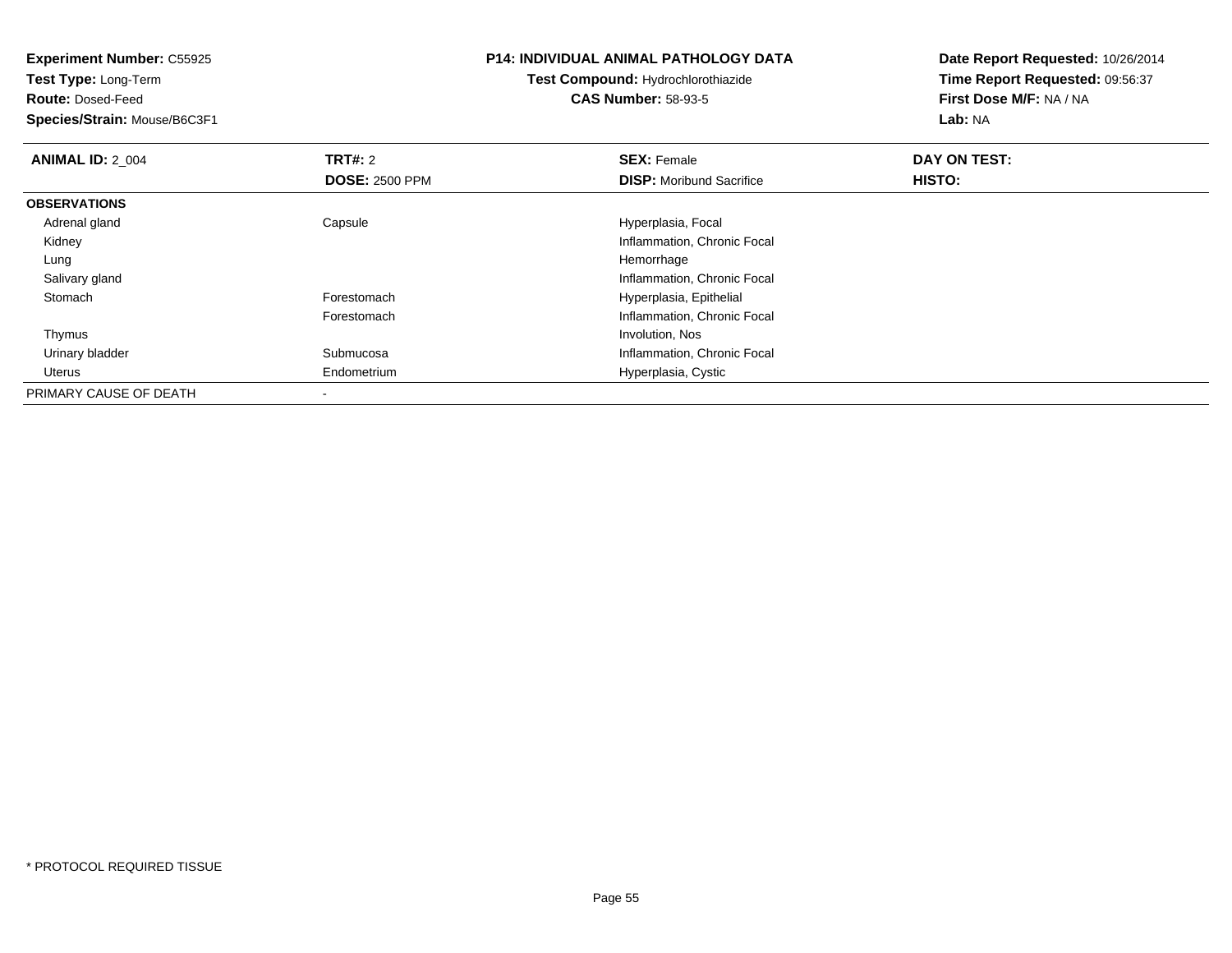| <b>Experiment Number: C55925</b><br><b>Test Type: Long-Term</b> |                       | <b>P14: INDIVIDUAL ANIMAL PATHOLOGY DATA</b> | Date Report Requested: 10/26/2014 |  |
|-----------------------------------------------------------------|-----------------------|----------------------------------------------|-----------------------------------|--|
|                                                                 |                       | Test Compound: Hydrochlorothiazide           | Time Report Requested: 09:56:37   |  |
| <b>Route: Dosed-Feed</b>                                        |                       | <b>CAS Number: 58-93-5</b>                   | First Dose M/F: NA / NA           |  |
| Species/Strain: Mouse/B6C3F1                                    |                       |                                              | Lab: NA                           |  |
| <b>ANIMAL ID: 2_004</b>                                         | <b>TRT#:</b> 2        | <b>SEX: Female</b>                           | DAY ON TEST:                      |  |
|                                                                 | <b>DOSE: 2500 PPM</b> | <b>DISP:</b> Moribund Sacrifice              | HISTO:                            |  |
| <b>OBSERVATIONS</b>                                             |                       |                                              |                                   |  |
| Adrenal gland                                                   | Capsule               | Hyperplasia, Focal                           |                                   |  |
| Kidney                                                          |                       | Inflammation, Chronic Focal                  |                                   |  |
| Lung                                                            |                       | Hemorrhage                                   |                                   |  |
| Salivary gland                                                  |                       | Inflammation, Chronic Focal                  |                                   |  |
| Stomach                                                         | Forestomach           | Hyperplasia, Epithelial                      |                                   |  |
|                                                                 | Forestomach           | Inflammation, Chronic Focal                  |                                   |  |
| Thymus                                                          |                       | Involution, Nos                              |                                   |  |
| Urinary bladder                                                 | Submucosa             | Inflammation, Chronic Focal                  |                                   |  |
| Uterus                                                          | Endometrium           | Hyperplasia, Cystic                          |                                   |  |
| PRIMARY CAUSE OF DEATH                                          |                       |                                              |                                   |  |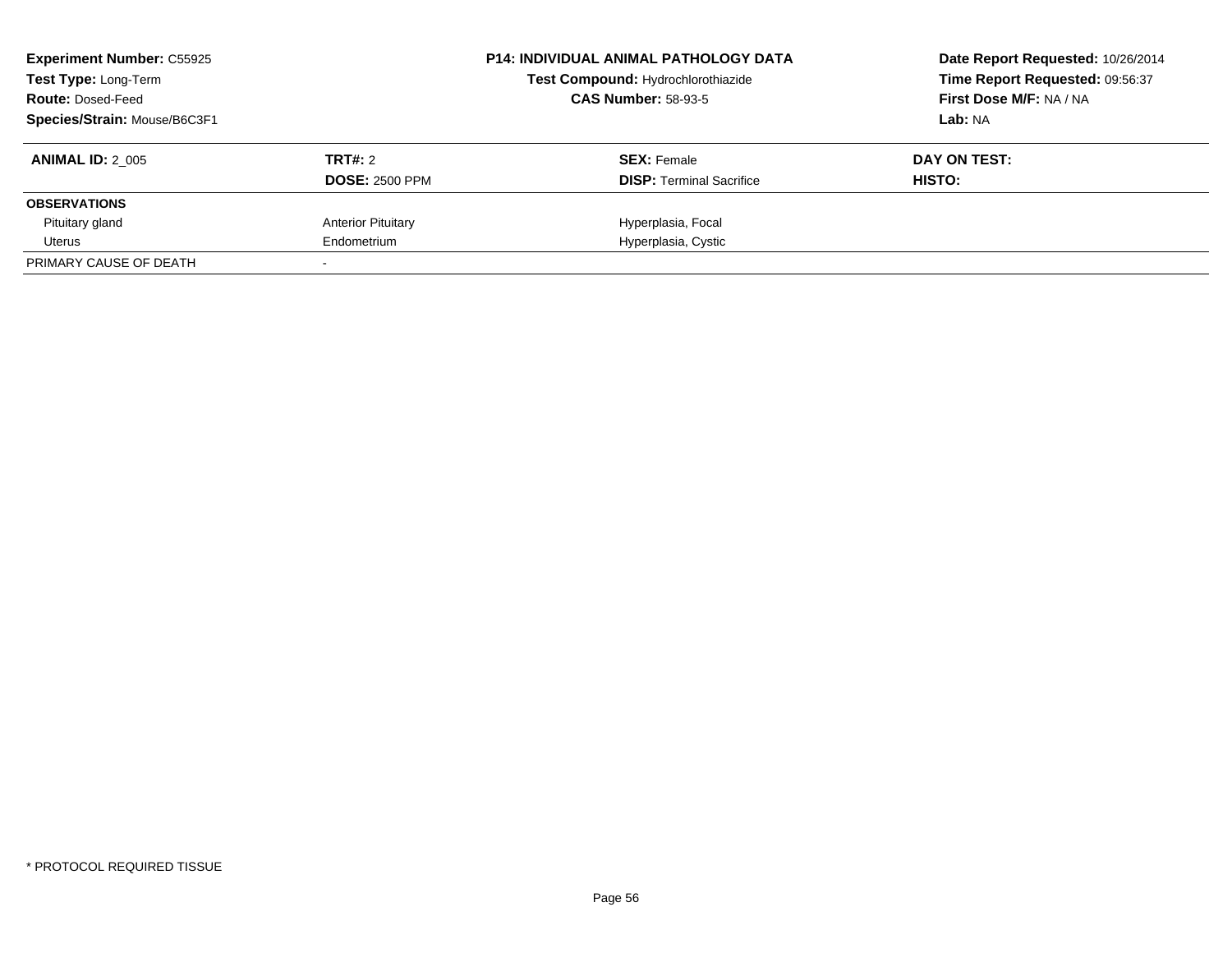| <b>Experiment Number: C55925</b><br>Test Type: Long-Term<br><b>Route: Dosed-Feed</b><br>Species/Strain: Mouse/B6C3F1 |                                  | <b>P14: INDIVIDUAL ANIMAL PATHOLOGY DATA</b><br>Test Compound: Hydrochlorothiazide<br><b>CAS Number: 58-93-5</b> | Date Report Requested: 10/26/2014<br>Time Report Requested: 09:56:37<br>First Dose M/F: NA / NA<br>Lab: NA |
|----------------------------------------------------------------------------------------------------------------------|----------------------------------|------------------------------------------------------------------------------------------------------------------|------------------------------------------------------------------------------------------------------------|
| <b>ANIMAL ID: 2 005</b>                                                                                              | TRT#: 2<br><b>DOSE: 2500 PPM</b> | <b>SEX:</b> Female<br><b>DISP:</b> Terminal Sacrifice                                                            | DAY ON TEST:<br>HISTO:                                                                                     |
| <b>OBSERVATIONS</b>                                                                                                  |                                  |                                                                                                                  |                                                                                                            |
| Pituitary gland                                                                                                      | <b>Anterior Pituitary</b>        | Hyperplasia, Focal                                                                                               |                                                                                                            |
| Uterus                                                                                                               | Endometrium                      | Hyperplasia, Cystic                                                                                              |                                                                                                            |
| PRIMARY CAUSE OF DEATH                                                                                               |                                  |                                                                                                                  |                                                                                                            |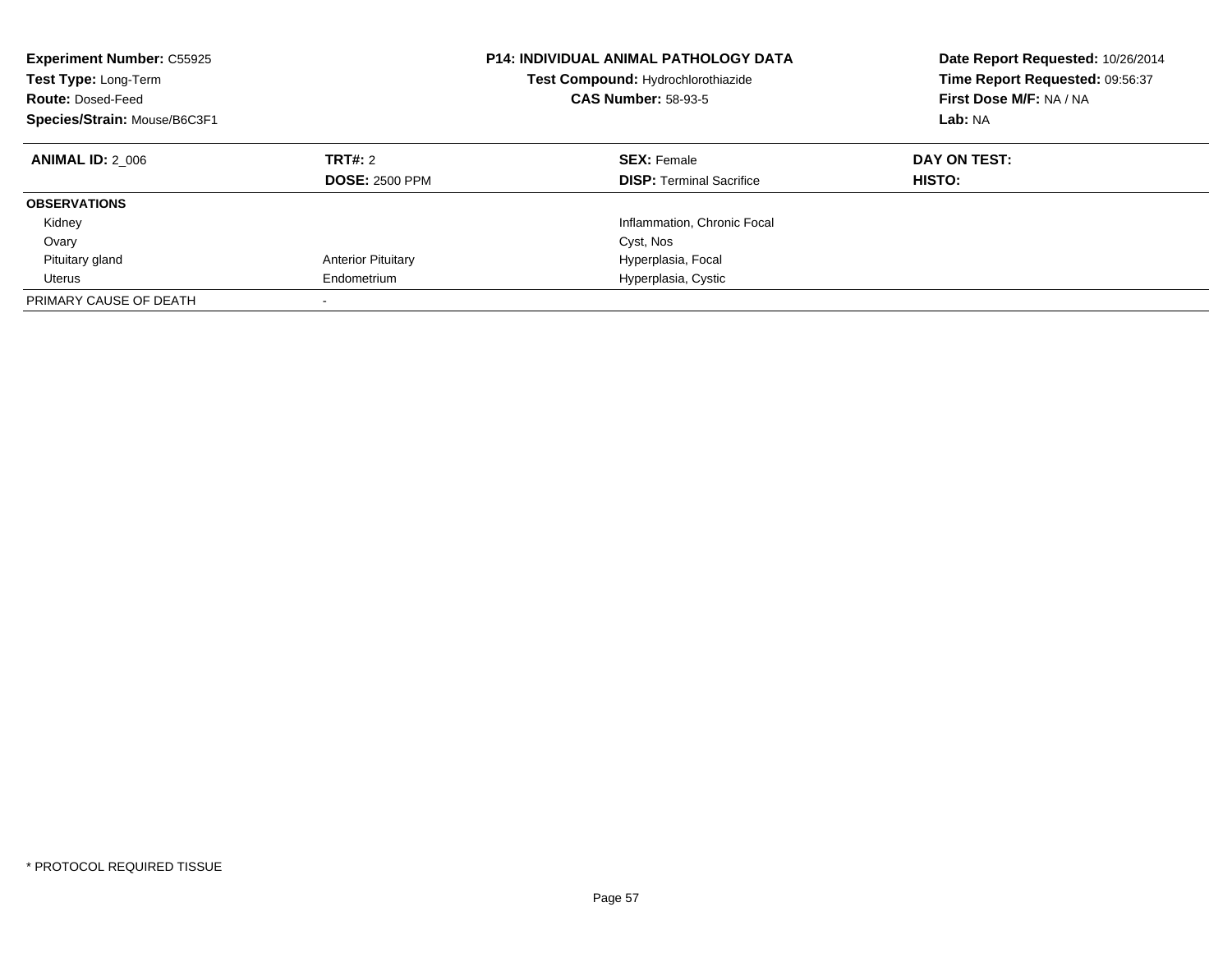| <b>Experiment Number: C55925</b><br>Test Type: Long-Term<br><b>Route: Dosed-Feed</b><br>Species/Strain: Mouse/B6C3F1 |                                  | <b>P14: INDIVIDUAL ANIMAL PATHOLOGY DATA</b><br>Test Compound: Hydrochlorothiazide<br><b>CAS Number: 58-93-5</b> | Date Report Requested: 10/26/2014<br>Time Report Requested: 09:56:37<br>First Dose M/F: NA / NA<br>Lab: NA |
|----------------------------------------------------------------------------------------------------------------------|----------------------------------|------------------------------------------------------------------------------------------------------------------|------------------------------------------------------------------------------------------------------------|
| <b>ANIMAL ID: 2 006</b>                                                                                              | TRT#: 2<br><b>DOSE: 2500 PPM</b> | <b>SEX: Female</b><br><b>DISP:</b> Terminal Sacrifice                                                            | DAY ON TEST:<br>HISTO:                                                                                     |
| <b>OBSERVATIONS</b>                                                                                                  |                                  |                                                                                                                  |                                                                                                            |
| Kidney                                                                                                               |                                  | Inflammation, Chronic Focal                                                                                      |                                                                                                            |
| Ovary                                                                                                                |                                  | Cyst, Nos                                                                                                        |                                                                                                            |
| Pituitary gland                                                                                                      | <b>Anterior Pituitary</b>        | Hyperplasia, Focal                                                                                               |                                                                                                            |
| Uterus                                                                                                               | Endometrium                      | Hyperplasia, Cystic                                                                                              |                                                                                                            |
| PRIMARY CAUSE OF DEATH                                                                                               |                                  |                                                                                                                  |                                                                                                            |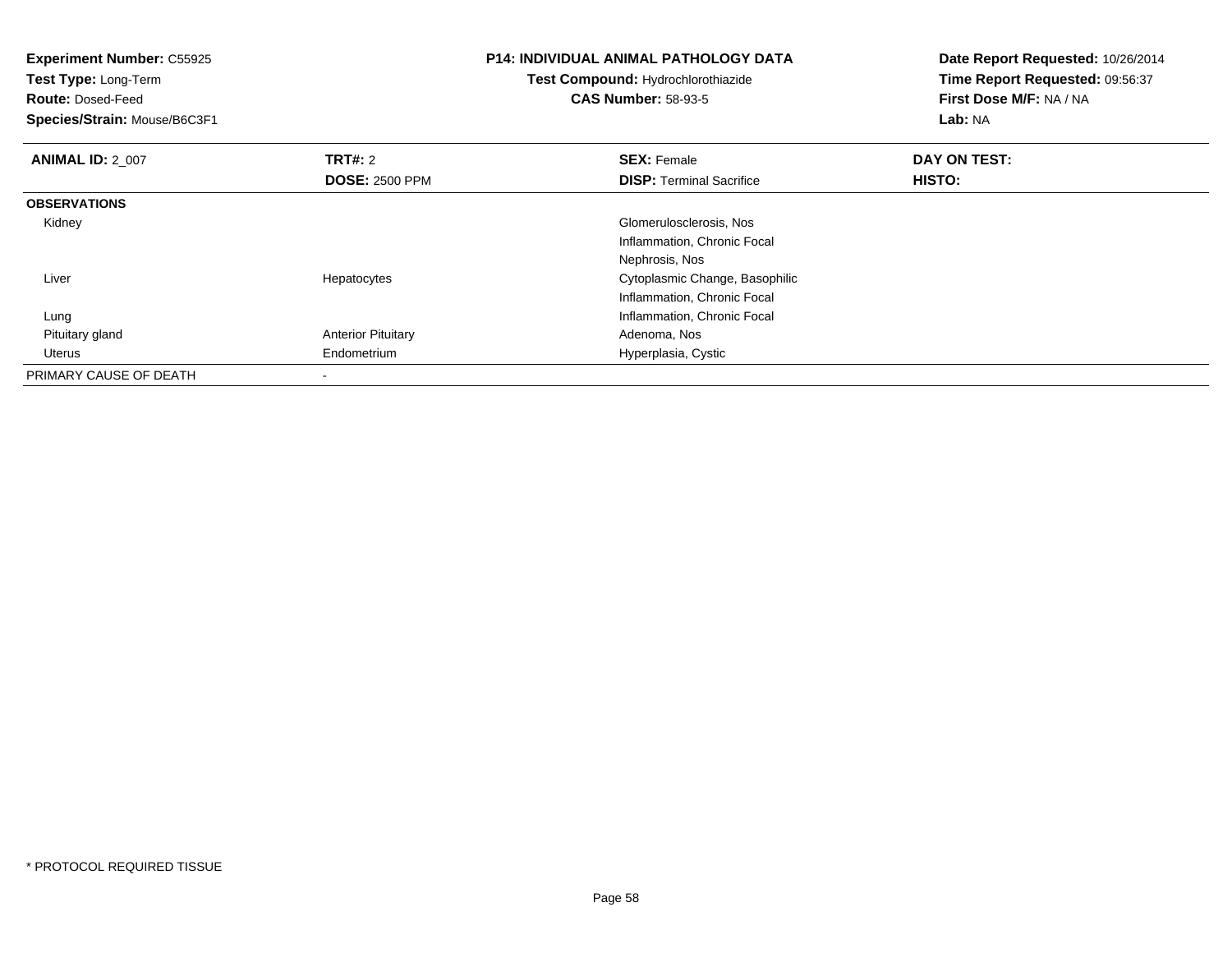| <b>Experiment Number: C55925</b><br>Test Type: Long-Term<br><b>Route: Dosed-Feed</b><br>Species/Strain: Mouse/B6C3F1 |                                         | <b>P14: INDIVIDUAL ANIMAL PATHOLOGY DATA</b><br>Test Compound: Hydrochlorothiazide<br><b>CAS Number: 58-93-5</b> | Date Report Requested: 10/26/2014<br>Time Report Requested: 09:56:37<br>First Dose M/F: NA / NA<br>Lab: NA |
|----------------------------------------------------------------------------------------------------------------------|-----------------------------------------|------------------------------------------------------------------------------------------------------------------|------------------------------------------------------------------------------------------------------------|
| <b>ANIMAL ID: 2 007</b>                                                                                              | <b>TRT#:</b> 2<br><b>DOSE: 2500 PPM</b> | <b>SEX: Female</b><br><b>DISP:</b> Terminal Sacrifice                                                            | DAY ON TEST:<br>HISTO:                                                                                     |
| <b>OBSERVATIONS</b>                                                                                                  |                                         |                                                                                                                  |                                                                                                            |
| Kidney                                                                                                               |                                         | Glomerulosclerosis, Nos<br>Inflammation, Chronic Focal<br>Nephrosis, Nos                                         |                                                                                                            |
| Liver                                                                                                                | Hepatocytes                             | Cytoplasmic Change, Basophilic<br>Inflammation, Chronic Focal                                                    |                                                                                                            |
| Lung                                                                                                                 |                                         | Inflammation, Chronic Focal                                                                                      |                                                                                                            |
| Pituitary gland                                                                                                      | <b>Anterior Pituitary</b>               | Adenoma, Nos                                                                                                     |                                                                                                            |
| Uterus                                                                                                               | Endometrium                             | Hyperplasia, Cystic                                                                                              |                                                                                                            |
| PRIMARY CAUSE OF DEATH                                                                                               |                                         |                                                                                                                  |                                                                                                            |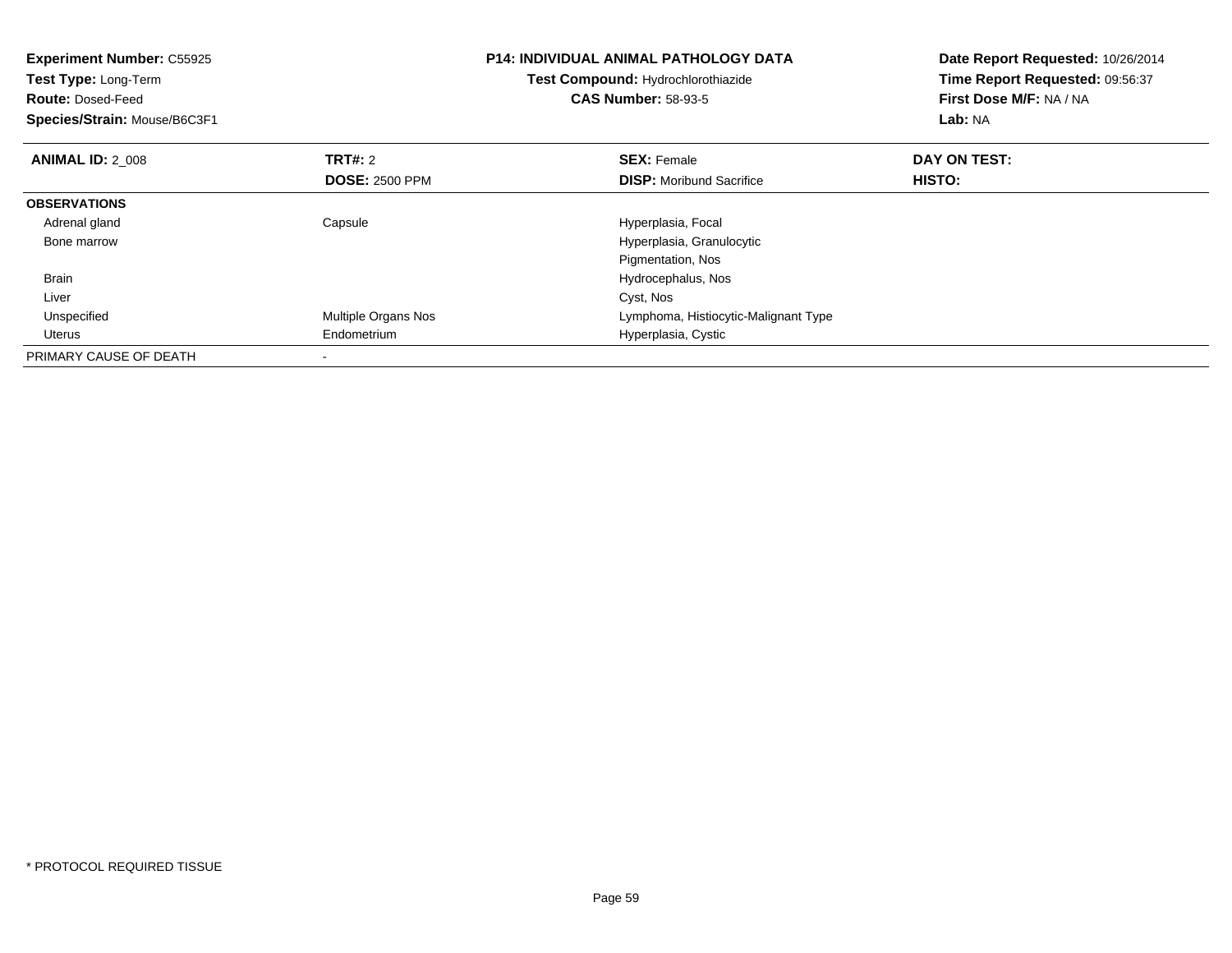| <b>Experiment Number: C55925</b><br><b>Test Type: Long-Term</b><br><b>Route: Dosed-Feed</b><br>Species/Strain: Mouse/B6C3F1 |                                  | <b>P14: INDIVIDUAL ANIMAL PATHOLOGY DATA</b><br>Test Compound: Hydrochlorothiazide<br><b>CAS Number: 58-93-5</b> | Date Report Requested: 10/26/2014<br>Time Report Requested: 09:56:37<br>First Dose M/F: NA / NA<br>Lab: NA |
|-----------------------------------------------------------------------------------------------------------------------------|----------------------------------|------------------------------------------------------------------------------------------------------------------|------------------------------------------------------------------------------------------------------------|
| <b>ANIMAL ID: 2 008</b>                                                                                                     | TRT#: 2<br><b>DOSE: 2500 PPM</b> | <b>SEX: Female</b><br><b>DISP:</b> Moribund Sacrifice                                                            | DAY ON TEST:<br>HISTO:                                                                                     |
| <b>OBSERVATIONS</b>                                                                                                         |                                  |                                                                                                                  |                                                                                                            |
| Adrenal gland                                                                                                               | Capsule                          | Hyperplasia, Focal                                                                                               |                                                                                                            |
| Bone marrow                                                                                                                 |                                  | Hyperplasia, Granulocytic                                                                                        |                                                                                                            |
|                                                                                                                             |                                  | Pigmentation, Nos                                                                                                |                                                                                                            |
| Brain                                                                                                                       |                                  | Hydrocephalus, Nos                                                                                               |                                                                                                            |
| Liver                                                                                                                       |                                  | Cyst, Nos                                                                                                        |                                                                                                            |
| Unspecified                                                                                                                 | Multiple Organs Nos              | Lymphoma, Histiocytic-Malignant Type                                                                             |                                                                                                            |
| Uterus                                                                                                                      | Endometrium                      | Hyperplasia, Cystic                                                                                              |                                                                                                            |
| PRIMARY CAUSE OF DEATH                                                                                                      |                                  |                                                                                                                  |                                                                                                            |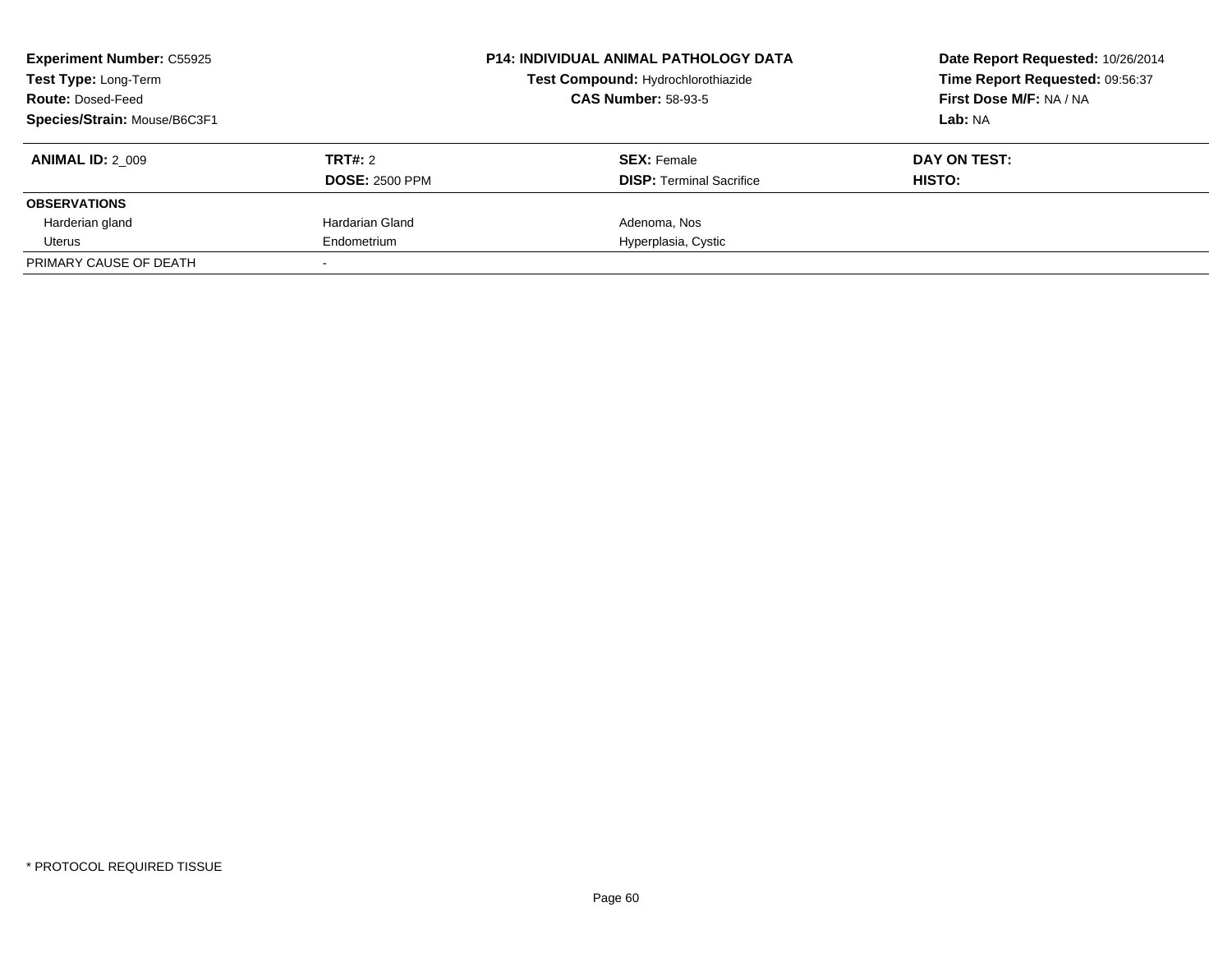| <b>Experiment Number: C55925</b><br>Test Type: Long-Term<br><b>Route: Dosed-Feed</b><br>Species/Strain: Mouse/B6C3F1 |                                  | <b>P14: INDIVIDUAL ANIMAL PATHOLOGY DATA</b><br>Test Compound: Hydrochlorothiazide<br><b>CAS Number: 58-93-5</b> | Date Report Requested: 10/26/2014<br>Time Report Requested: 09:56:37<br>First Dose M/F: NA / NA<br>Lab: NA |
|----------------------------------------------------------------------------------------------------------------------|----------------------------------|------------------------------------------------------------------------------------------------------------------|------------------------------------------------------------------------------------------------------------|
| <b>ANIMAL ID: 2 009</b>                                                                                              | TRT#: 2<br><b>DOSE: 2500 PPM</b> | <b>SEX:</b> Female<br><b>DISP:</b> Terminal Sacrifice                                                            | DAY ON TEST:<br>HISTO:                                                                                     |
| <b>OBSERVATIONS</b>                                                                                                  |                                  |                                                                                                                  |                                                                                                            |
| Harderian gland                                                                                                      | Hardarian Gland                  | Adenoma, Nos                                                                                                     |                                                                                                            |
| Uterus                                                                                                               | Endometrium                      | Hyperplasia, Cystic                                                                                              |                                                                                                            |
| PRIMARY CAUSE OF DEATH                                                                                               |                                  |                                                                                                                  |                                                                                                            |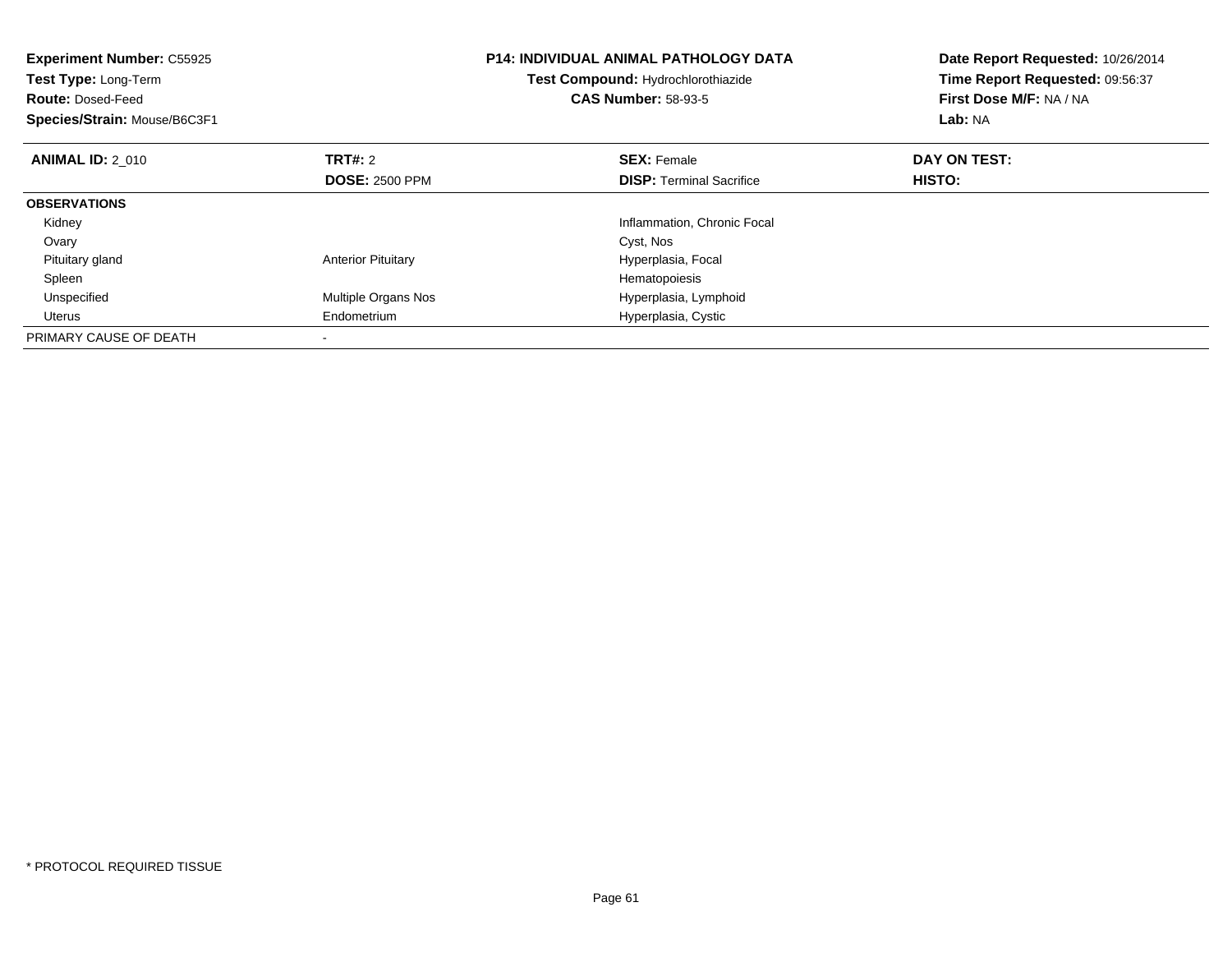| <b>Experiment Number: C55925</b><br>Test Type: Long-Term<br><b>Route: Dosed-Feed</b><br>Species/Strain: Mouse/B6C3F1 |                           | <b>P14: INDIVIDUAL ANIMAL PATHOLOGY DATA</b><br>Test Compound: Hydrochlorothiazide<br><b>CAS Number: 58-93-5</b> | Date Report Requested: 10/26/2014<br>Time Report Requested: 09:56:37<br>First Dose M/F: NA / NA<br>Lab: NA |
|----------------------------------------------------------------------------------------------------------------------|---------------------------|------------------------------------------------------------------------------------------------------------------|------------------------------------------------------------------------------------------------------------|
| <b>ANIMAL ID: 2 010</b>                                                                                              | <b>TRT#: 2</b>            | <b>SEX: Female</b>                                                                                               | DAY ON TEST:                                                                                               |
|                                                                                                                      | <b>DOSE: 2500 PPM</b>     | <b>DISP:</b> Terminal Sacrifice                                                                                  | <b>HISTO:</b>                                                                                              |
| <b>OBSERVATIONS</b>                                                                                                  |                           |                                                                                                                  |                                                                                                            |
| Kidney                                                                                                               |                           | Inflammation, Chronic Focal                                                                                      |                                                                                                            |
| Ovary                                                                                                                |                           | Cyst, Nos                                                                                                        |                                                                                                            |
| Pituitary gland                                                                                                      | <b>Anterior Pituitary</b> | Hyperplasia, Focal                                                                                               |                                                                                                            |
| Spleen                                                                                                               |                           | Hematopoiesis                                                                                                    |                                                                                                            |
| Unspecified                                                                                                          | Multiple Organs Nos       | Hyperplasia, Lymphoid                                                                                            |                                                                                                            |
| Uterus                                                                                                               | Endometrium               | Hyperplasia, Cystic                                                                                              |                                                                                                            |
| PRIMARY CAUSE OF DEATH                                                                                               |                           |                                                                                                                  |                                                                                                            |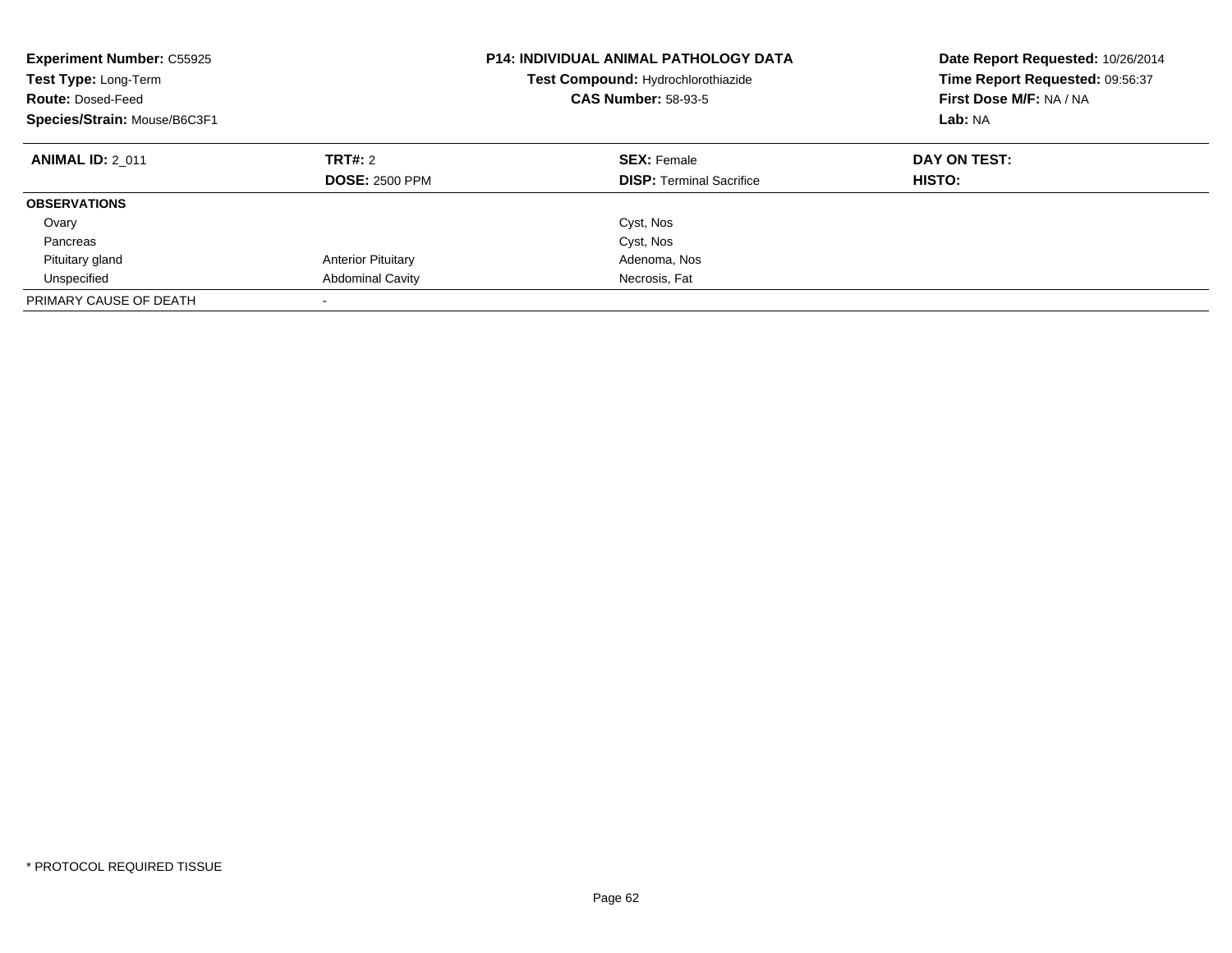| <b>Experiment Number: C55925</b><br>Test Type: Long-Term<br><b>Route: Dosed-Feed</b><br>Species/Strain: Mouse/B6C3F1 |                                         | P14: INDIVIDUAL ANIMAL PATHOLOGY DATA<br>Test Compound: Hydrochlorothiazide<br><b>CAS Number: 58-93-5</b> | Date Report Requested: 10/26/2014<br>Time Report Requested: 09:56:37<br>First Dose M/F: NA / NA<br>Lab: NA |
|----------------------------------------------------------------------------------------------------------------------|-----------------------------------------|-----------------------------------------------------------------------------------------------------------|------------------------------------------------------------------------------------------------------------|
| <b>ANIMAL ID: 2 011</b>                                                                                              | <b>TRT#: 2</b><br><b>DOSE: 2500 PPM</b> | <b>SEX: Female</b><br><b>DISP:</b> Terminal Sacrifice                                                     | DAY ON TEST:<br>HISTO:                                                                                     |
| <b>OBSERVATIONS</b>                                                                                                  |                                         |                                                                                                           |                                                                                                            |
| Ovary                                                                                                                |                                         | Cyst, Nos                                                                                                 |                                                                                                            |
| Pancreas                                                                                                             |                                         | Cyst, Nos                                                                                                 |                                                                                                            |
| Pituitary gland                                                                                                      | <b>Anterior Pituitary</b>               | Adenoma, Nos                                                                                              |                                                                                                            |
| Unspecified                                                                                                          | <b>Abdominal Cavity</b>                 | Necrosis, Fat                                                                                             |                                                                                                            |
| PRIMARY CAUSE OF DEATH                                                                                               |                                         |                                                                                                           |                                                                                                            |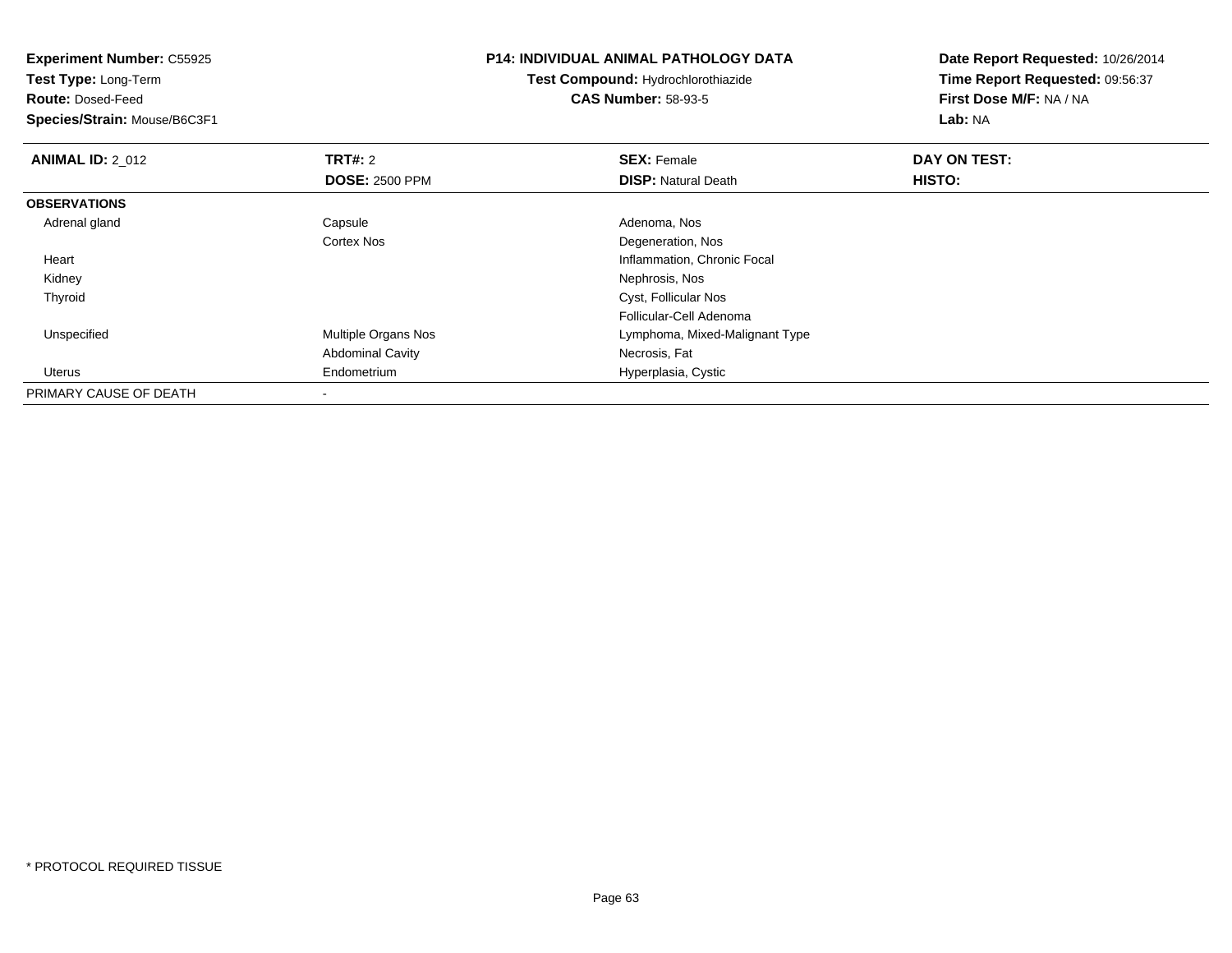| <b>Experiment Number: C55925</b> |                         | P14: INDIVIDUAL ANIMAL PATHOLOGY DATA | Date Report Requested: 10/26/2014<br>Time Report Requested: 09:56:37 |
|----------------------------------|-------------------------|---------------------------------------|----------------------------------------------------------------------|
| Test Type: Long-Term             |                         | Test Compound: Hydrochlorothiazide    |                                                                      |
| <b>Route: Dosed-Feed</b>         |                         | <b>CAS Number: 58-93-5</b>            | First Dose M/F: NA / NA                                              |
| Species/Strain: Mouse/B6C3F1     |                         |                                       | Lab: NA                                                              |
| <b>ANIMAL ID: 2 012</b>          | <b>TRT#: 2</b>          | <b>SEX: Female</b>                    | DAY ON TEST:                                                         |
|                                  | <b>DOSE: 2500 PPM</b>   | <b>DISP:</b> Natural Death            | HISTO:                                                               |
| <b>OBSERVATIONS</b>              |                         |                                       |                                                                      |
| Adrenal gland                    | Capsule                 | Adenoma, Nos                          |                                                                      |
|                                  | <b>Cortex Nos</b>       | Degeneration, Nos                     |                                                                      |
| Heart                            |                         | Inflammation, Chronic Focal           |                                                                      |
| Kidney                           |                         | Nephrosis, Nos                        |                                                                      |
| Thyroid                          |                         | Cyst, Follicular Nos                  |                                                                      |
|                                  |                         | Follicular-Cell Adenoma               |                                                                      |
| Unspecified                      | Multiple Organs Nos     | Lymphoma, Mixed-Malignant Type        |                                                                      |
|                                  | <b>Abdominal Cavity</b> | Necrosis, Fat                         |                                                                      |
| Uterus                           | Endometrium             | Hyperplasia, Cystic                   |                                                                      |
| PRIMARY CAUSE OF DEATH           |                         |                                       |                                                                      |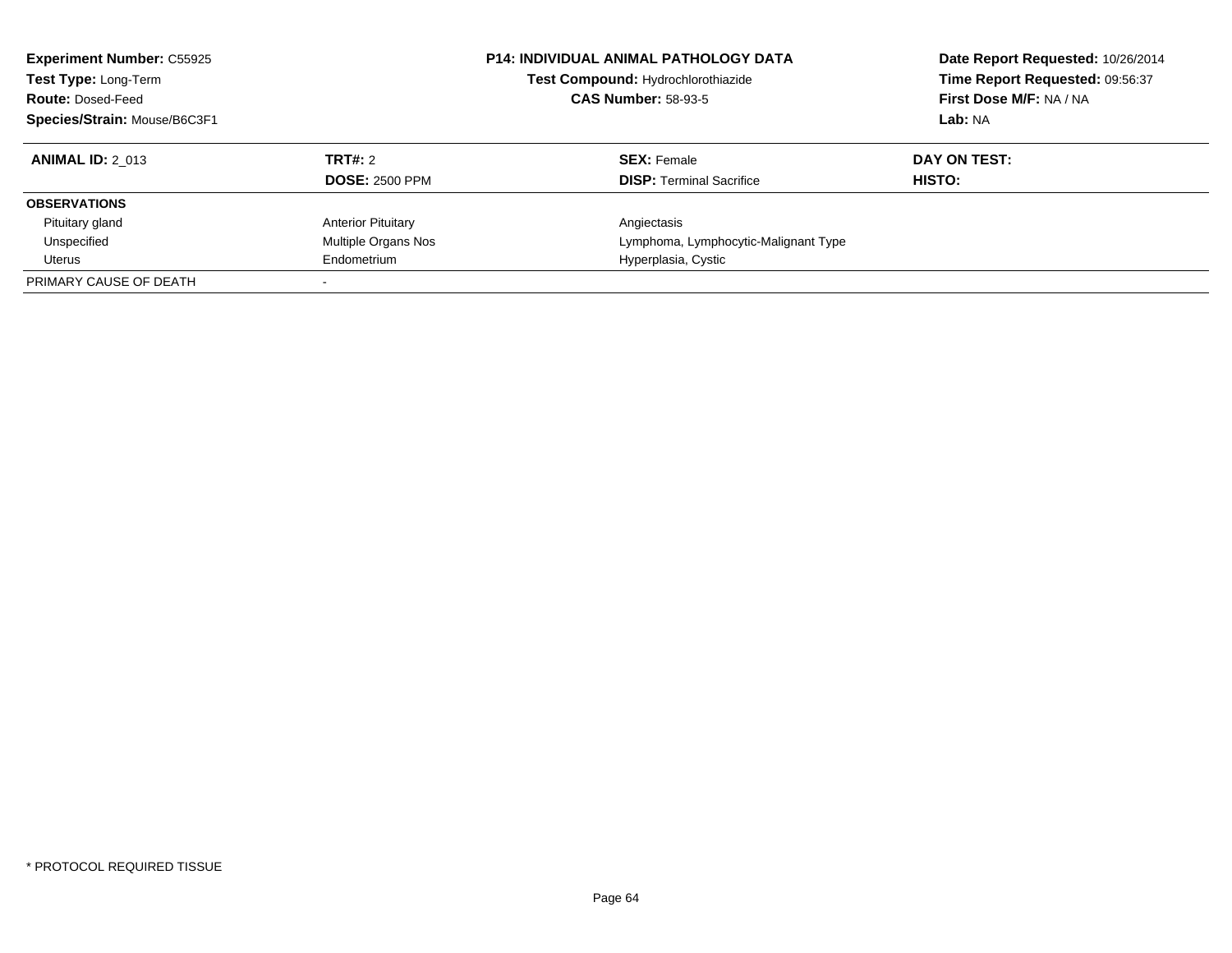| <b>Experiment Number: C55925</b><br>Test Type: Long-Term<br><b>Route: Dosed-Feed</b><br>Species/Strain: Mouse/B6C3F1 |                           | <b>P14: INDIVIDUAL ANIMAL PATHOLOGY DATA</b><br>Test Compound: Hydrochlorothiazide<br><b>CAS Number: 58-93-5</b> | Date Report Requested: 10/26/2014<br>Time Report Requested: 09:56:37<br>First Dose M/F: NA / NA<br>Lab: NA |
|----------------------------------------------------------------------------------------------------------------------|---------------------------|------------------------------------------------------------------------------------------------------------------|------------------------------------------------------------------------------------------------------------|
| <b>ANIMAL ID: 2 013</b>                                                                                              | <b>TRT#: 2</b>            | <b>SEX: Female</b>                                                                                               | DAY ON TEST:                                                                                               |
|                                                                                                                      | <b>DOSE: 2500 PPM</b>     | <b>DISP:</b> Terminal Sacrifice                                                                                  | HISTO:                                                                                                     |
| <b>OBSERVATIONS</b>                                                                                                  |                           |                                                                                                                  |                                                                                                            |
| Pituitary gland                                                                                                      | <b>Anterior Pituitary</b> | Angiectasis                                                                                                      |                                                                                                            |
| Unspecified                                                                                                          | Multiple Organs Nos       | Lymphoma, Lymphocytic-Malignant Type                                                                             |                                                                                                            |
| Uterus                                                                                                               | Endometrium               | Hyperplasia, Cystic                                                                                              |                                                                                                            |
| PRIMARY CAUSE OF DEATH                                                                                               |                           |                                                                                                                  |                                                                                                            |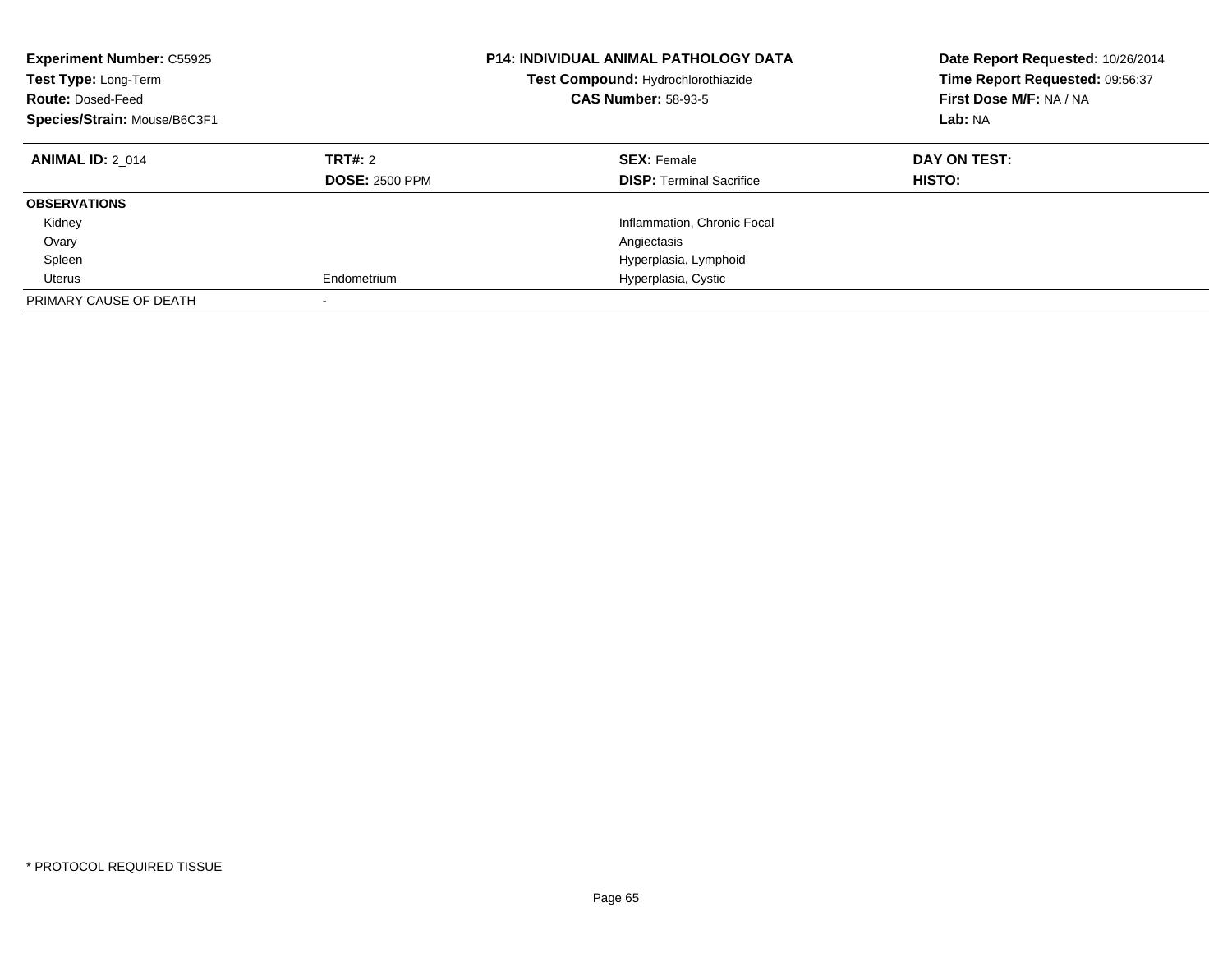| <b>Experiment Number: C55925</b><br>Test Type: Long-Term<br><b>Route: Dosed-Feed</b><br>Species/Strain: Mouse/B6C3F1 |                                  | <b>P14: INDIVIDUAL ANIMAL PATHOLOGY DATA</b><br>Test Compound: Hydrochlorothiazide<br><b>CAS Number: 58-93-5</b> | Date Report Requested: 10/26/2014<br>Time Report Requested: 09:56:37<br>First Dose M/F: NA / NA<br>Lab: NA |
|----------------------------------------------------------------------------------------------------------------------|----------------------------------|------------------------------------------------------------------------------------------------------------------|------------------------------------------------------------------------------------------------------------|
| <b>ANIMAL ID: 2 014</b>                                                                                              | TRT#: 2<br><b>DOSE: 2500 PPM</b> | <b>SEX: Female</b><br><b>DISP:</b> Terminal Sacrifice                                                            | DAY ON TEST:<br>HISTO:                                                                                     |
| <b>OBSERVATIONS</b>                                                                                                  |                                  |                                                                                                                  |                                                                                                            |
| Kidney                                                                                                               |                                  | Inflammation, Chronic Focal                                                                                      |                                                                                                            |
| Ovary                                                                                                                |                                  | Angiectasis                                                                                                      |                                                                                                            |
| Spleen                                                                                                               |                                  | Hyperplasia, Lymphoid                                                                                            |                                                                                                            |
| Uterus                                                                                                               | Endometrium                      | Hyperplasia, Cystic                                                                                              |                                                                                                            |
| PRIMARY CAUSE OF DEATH                                                                                               |                                  |                                                                                                                  |                                                                                                            |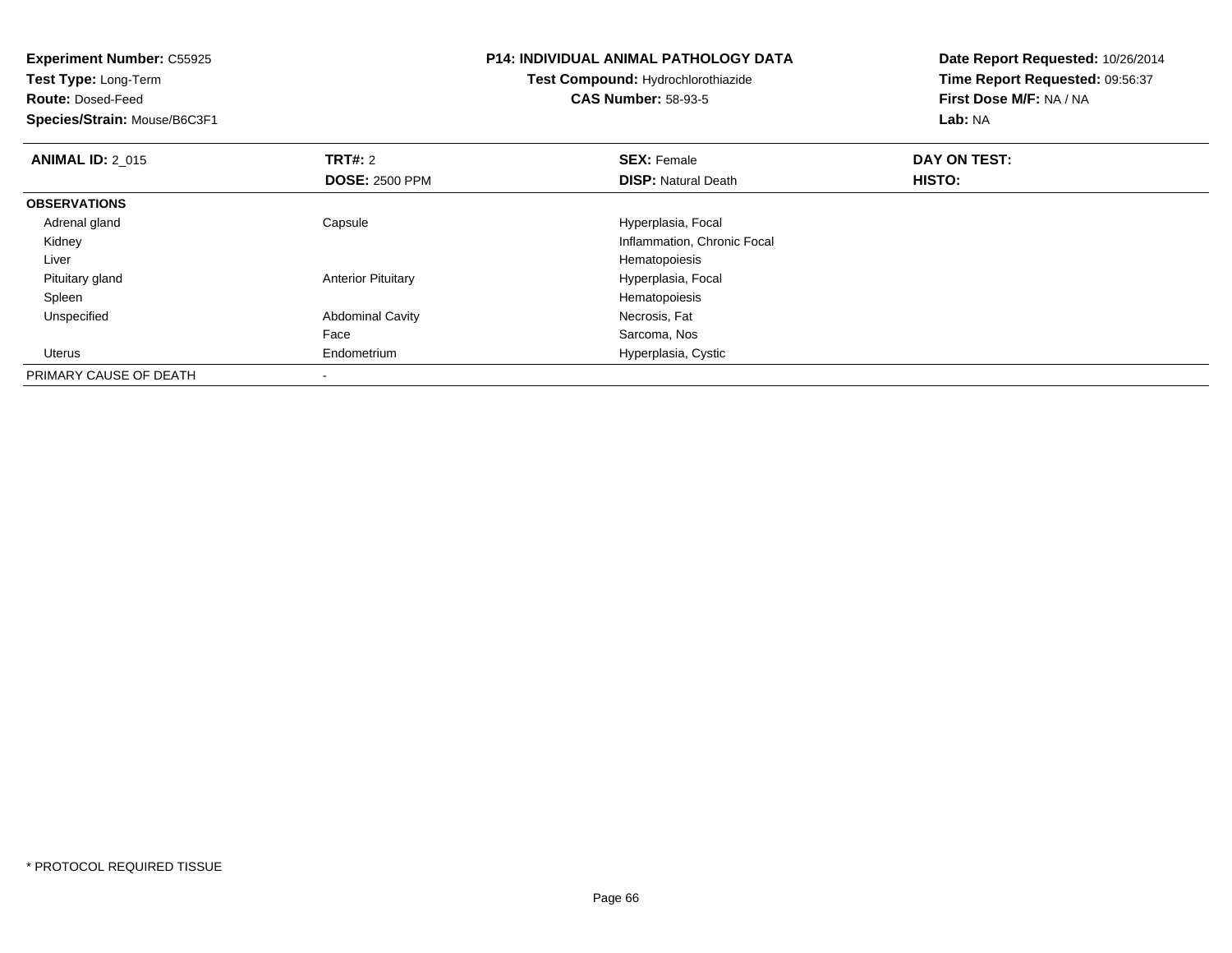| <b>Experiment Number: C55925</b><br>Test Type: Long-Term<br><b>Route: Dosed-Feed</b><br>Species/Strain: Mouse/B6C3F1 |                           | <b>P14: INDIVIDUAL ANIMAL PATHOLOGY DATA</b><br>Test Compound: Hydrochlorothiazide<br><b>CAS Number: 58-93-5</b> | Date Report Requested: 10/26/2014<br>Time Report Requested: 09:56:37<br>First Dose M/F: NA / NA<br>Lab: NA |
|----------------------------------------------------------------------------------------------------------------------|---------------------------|------------------------------------------------------------------------------------------------------------------|------------------------------------------------------------------------------------------------------------|
|                                                                                                                      |                           |                                                                                                                  |                                                                                                            |
| <b>ANIMAL ID: 2 015</b>                                                                                              | <b>TRT#: 2</b>            | <b>SEX: Female</b>                                                                                               | DAY ON TEST:                                                                                               |
|                                                                                                                      | <b>DOSE: 2500 PPM</b>     | <b>DISP: Natural Death</b>                                                                                       | HISTO:                                                                                                     |
| <b>OBSERVATIONS</b>                                                                                                  |                           |                                                                                                                  |                                                                                                            |
| Adrenal gland                                                                                                        | Capsule                   | Hyperplasia, Focal                                                                                               |                                                                                                            |
| Kidney                                                                                                               |                           | Inflammation, Chronic Focal                                                                                      |                                                                                                            |
| Liver                                                                                                                |                           | Hematopoiesis                                                                                                    |                                                                                                            |
| Pituitary gland                                                                                                      | <b>Anterior Pituitary</b> | Hyperplasia, Focal                                                                                               |                                                                                                            |
| Spleen                                                                                                               |                           | Hematopoiesis                                                                                                    |                                                                                                            |
| Unspecified                                                                                                          | <b>Abdominal Cavity</b>   | Necrosis, Fat                                                                                                    |                                                                                                            |
|                                                                                                                      | Face                      | Sarcoma, Nos                                                                                                     |                                                                                                            |
| Uterus                                                                                                               | Endometrium               | Hyperplasia, Cystic                                                                                              |                                                                                                            |
| PRIMARY CAUSE OF DEATH                                                                                               |                           |                                                                                                                  |                                                                                                            |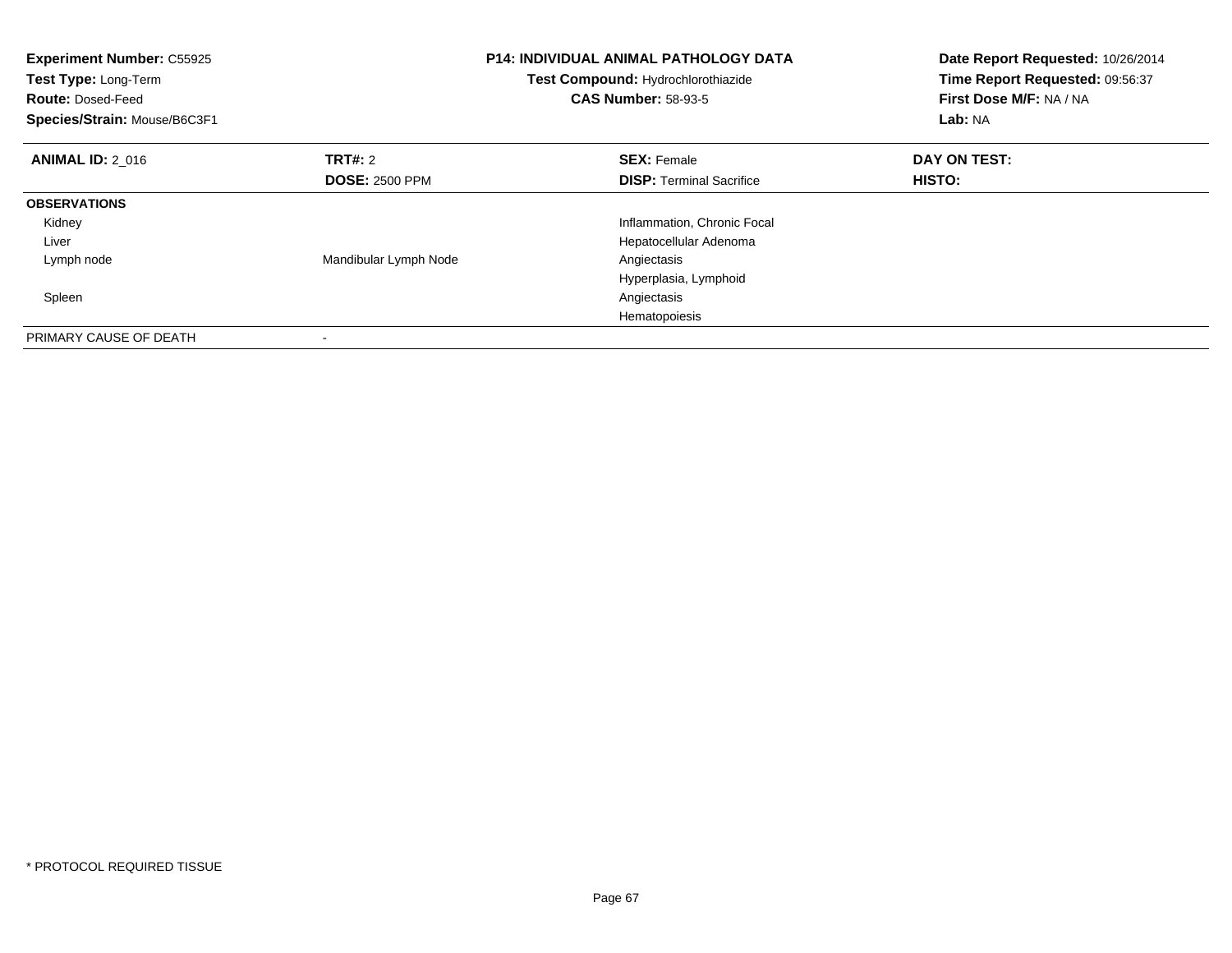| <b>Experiment Number: C55925</b><br>Test Type: Long-Term<br><b>Route: Dosed-Feed</b><br>Species/Strain: Mouse/B6C3F1 |                       | <b>P14: INDIVIDUAL ANIMAL PATHOLOGY DATA</b><br>Test Compound: Hydrochlorothiazide<br><b>CAS Number: 58-93-5</b> | Date Report Requested: 10/26/2014<br>Time Report Requested: 09:56:37<br>First Dose M/F: NA / NA<br>Lab: NA |
|----------------------------------------------------------------------------------------------------------------------|-----------------------|------------------------------------------------------------------------------------------------------------------|------------------------------------------------------------------------------------------------------------|
| <b>ANIMAL ID: 2 016</b>                                                                                              | <b>TRT#: 2</b>        | <b>SEX: Female</b>                                                                                               | DAY ON TEST:                                                                                               |
|                                                                                                                      | <b>DOSE: 2500 PPM</b> | <b>DISP:</b> Terminal Sacrifice                                                                                  | HISTO:                                                                                                     |
| <b>OBSERVATIONS</b>                                                                                                  |                       |                                                                                                                  |                                                                                                            |
| Kidney                                                                                                               |                       | Inflammation, Chronic Focal                                                                                      |                                                                                                            |
| Liver                                                                                                                |                       | Hepatocellular Adenoma                                                                                           |                                                                                                            |
| Lymph node                                                                                                           | Mandibular Lymph Node | Angiectasis                                                                                                      |                                                                                                            |
|                                                                                                                      |                       | Hyperplasia, Lymphoid                                                                                            |                                                                                                            |
| Spleen                                                                                                               |                       | Angiectasis                                                                                                      |                                                                                                            |
|                                                                                                                      |                       | Hematopoiesis                                                                                                    |                                                                                                            |
| PRIMARY CAUSE OF DEATH                                                                                               |                       |                                                                                                                  |                                                                                                            |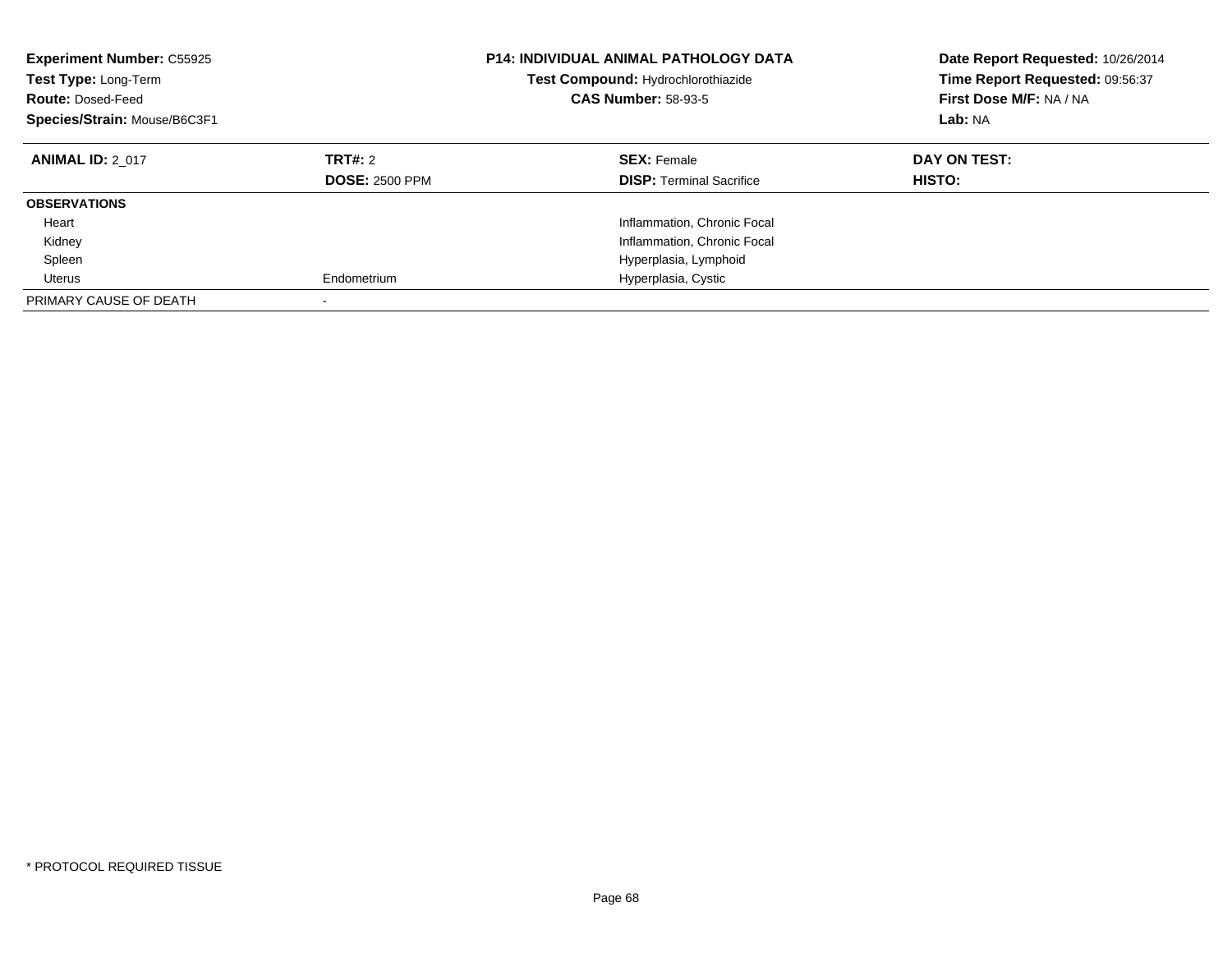| <b>Experiment Number: C55925</b><br>Test Type: Long-Term<br><b>Route: Dosed-Feed</b><br>Species/Strain: Mouse/B6C3F1 |                                  | <b>P14: INDIVIDUAL ANIMAL PATHOLOGY DATA</b><br>Test Compound: Hydrochlorothiazide<br><b>CAS Number: 58-93-5</b> | Date Report Requested: 10/26/2014<br>Time Report Requested: 09:56:37<br>First Dose M/F: NA / NA<br>Lab: NA |
|----------------------------------------------------------------------------------------------------------------------|----------------------------------|------------------------------------------------------------------------------------------------------------------|------------------------------------------------------------------------------------------------------------|
| <b>ANIMAL ID: 2 017</b>                                                                                              | TRT#: 2<br><b>DOSE: 2500 PPM</b> | <b>SEX: Female</b><br><b>DISP:</b> Terminal Sacrifice                                                            | DAY ON TEST:<br>HISTO:                                                                                     |
| <b>OBSERVATIONS</b>                                                                                                  |                                  |                                                                                                                  |                                                                                                            |
| Heart                                                                                                                |                                  | Inflammation, Chronic Focal                                                                                      |                                                                                                            |
| Kidney                                                                                                               |                                  | Inflammation, Chronic Focal                                                                                      |                                                                                                            |
| Spleen                                                                                                               |                                  | Hyperplasia, Lymphoid                                                                                            |                                                                                                            |
| Uterus                                                                                                               | Endometrium                      | Hyperplasia, Cystic                                                                                              |                                                                                                            |
| PRIMARY CAUSE OF DEATH                                                                                               |                                  |                                                                                                                  |                                                                                                            |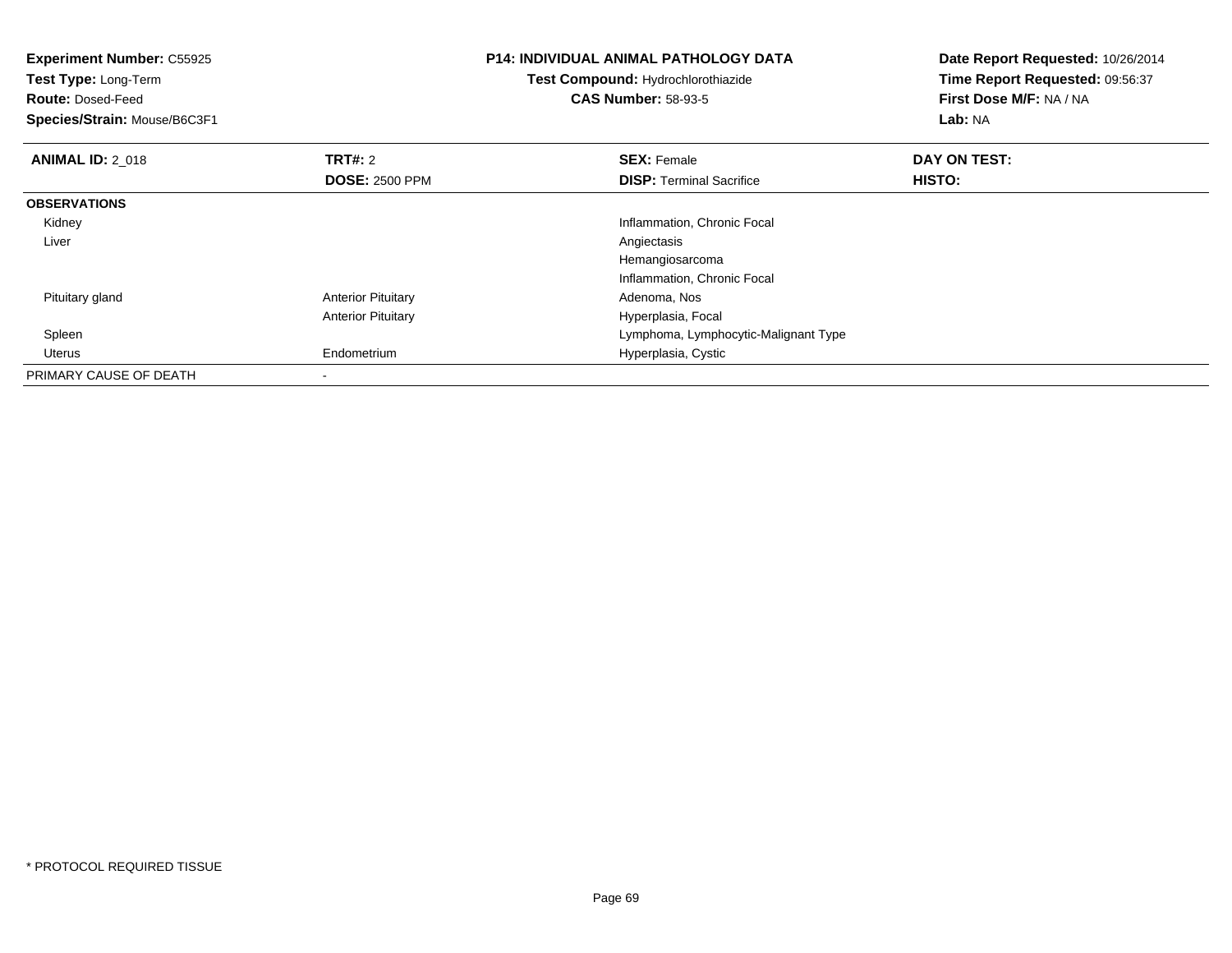| <b>Experiment Number: C55925</b><br>Test Type: Long-Term<br><b>Route: Dosed-Feed</b><br>Species/Strain: Mouse/B6C3F1 |                           | <b>P14: INDIVIDUAL ANIMAL PATHOLOGY DATA</b><br>Test Compound: Hydrochlorothiazide<br><b>CAS Number: 58-93-5</b> | Date Report Requested: 10/26/2014<br>Time Report Requested: 09:56:37<br>First Dose M/F: NA / NA<br>Lab: NA |
|----------------------------------------------------------------------------------------------------------------------|---------------------------|------------------------------------------------------------------------------------------------------------------|------------------------------------------------------------------------------------------------------------|
| <b>ANIMAL ID: 2 018</b>                                                                                              | TRT#: 2                   | <b>SEX: Female</b>                                                                                               | DAY ON TEST:                                                                                               |
|                                                                                                                      | <b>DOSE: 2500 PPM</b>     | <b>DISP: Terminal Sacrifice</b>                                                                                  | HISTO:                                                                                                     |
| <b>OBSERVATIONS</b>                                                                                                  |                           |                                                                                                                  |                                                                                                            |
| Kidney                                                                                                               |                           | Inflammation, Chronic Focal                                                                                      |                                                                                                            |
| Liver                                                                                                                |                           | Angiectasis                                                                                                      |                                                                                                            |
|                                                                                                                      |                           | Hemangiosarcoma                                                                                                  |                                                                                                            |
|                                                                                                                      |                           | Inflammation, Chronic Focal                                                                                      |                                                                                                            |
| Pituitary gland                                                                                                      | <b>Anterior Pituitary</b> | Adenoma, Nos                                                                                                     |                                                                                                            |
|                                                                                                                      | <b>Anterior Pituitary</b> | Hyperplasia, Focal                                                                                               |                                                                                                            |
| Spleen                                                                                                               |                           | Lymphoma, Lymphocytic-Malignant Type                                                                             |                                                                                                            |
| Uterus                                                                                                               | Endometrium               | Hyperplasia, Cystic                                                                                              |                                                                                                            |
| PRIMARY CAUSE OF DEATH                                                                                               |                           |                                                                                                                  |                                                                                                            |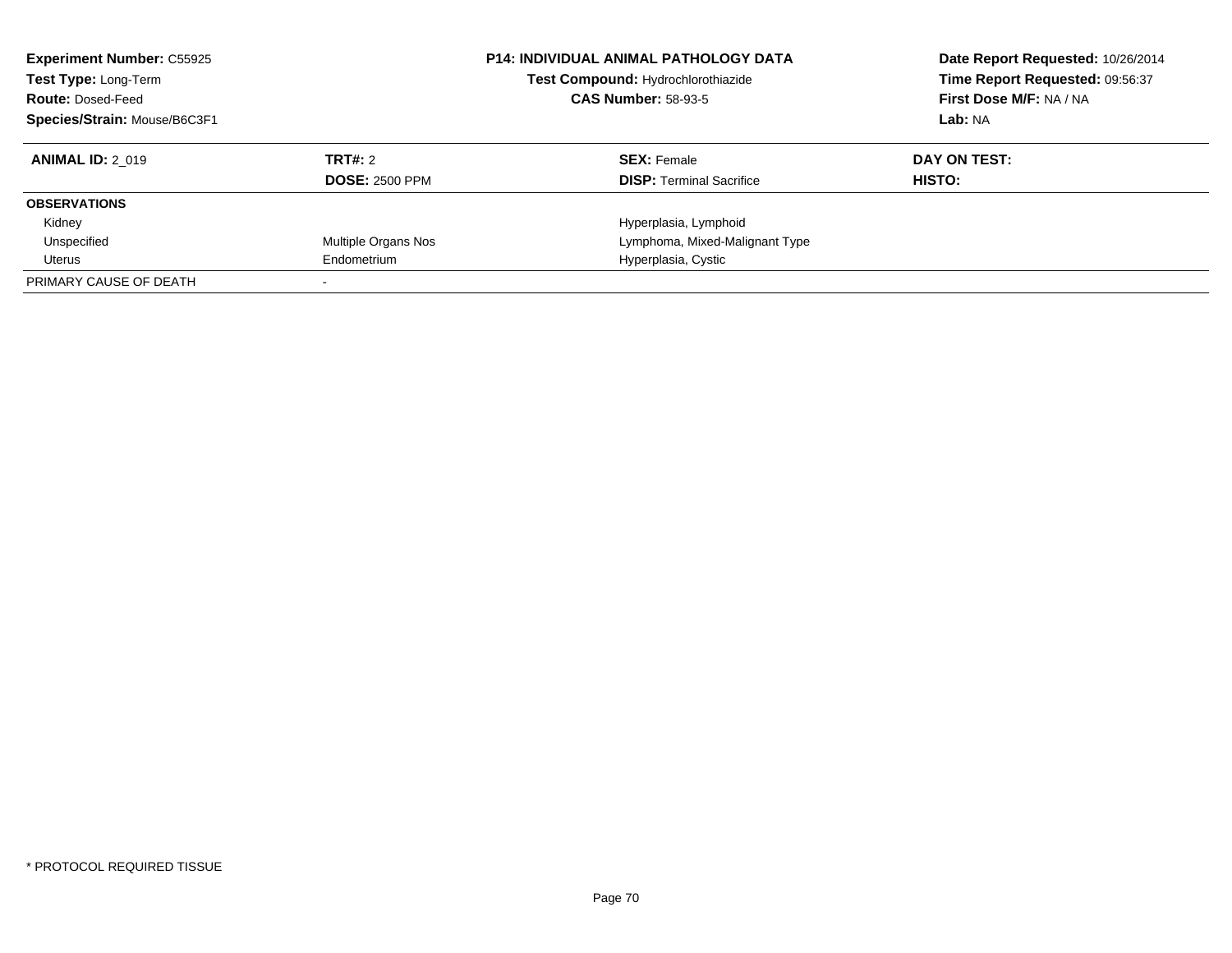| <b>Experiment Number: C55925</b><br>Test Type: Long-Term<br><b>Route: Dosed-Feed</b><br>Species/Strain: Mouse/B6C3F1 |                       | <b>P14: INDIVIDUAL ANIMAL PATHOLOGY DATA</b><br>Test Compound: Hydrochlorothiazide<br><b>CAS Number: 58-93-5</b> | Date Report Requested: 10/26/2014<br>Time Report Requested: 09:56:37<br>First Dose M/F: NA / NA<br>Lab: NA |
|----------------------------------------------------------------------------------------------------------------------|-----------------------|------------------------------------------------------------------------------------------------------------------|------------------------------------------------------------------------------------------------------------|
| <b>ANIMAL ID: 2 019</b>                                                                                              | <b>TRT#: 2</b>        | <b>SEX: Female</b>                                                                                               | DAY ON TEST:                                                                                               |
|                                                                                                                      | <b>DOSE: 2500 PPM</b> | <b>DISP:</b> Terminal Sacrifice                                                                                  | HISTO:                                                                                                     |
| <b>OBSERVATIONS</b>                                                                                                  |                       |                                                                                                                  |                                                                                                            |
| Kidney                                                                                                               |                       | Hyperplasia, Lymphoid                                                                                            |                                                                                                            |
| Unspecified                                                                                                          | Multiple Organs Nos   | Lymphoma, Mixed-Malignant Type                                                                                   |                                                                                                            |
| Uterus                                                                                                               | Endometrium           | Hyperplasia, Cystic                                                                                              |                                                                                                            |
| PRIMARY CAUSE OF DEATH                                                                                               |                       |                                                                                                                  |                                                                                                            |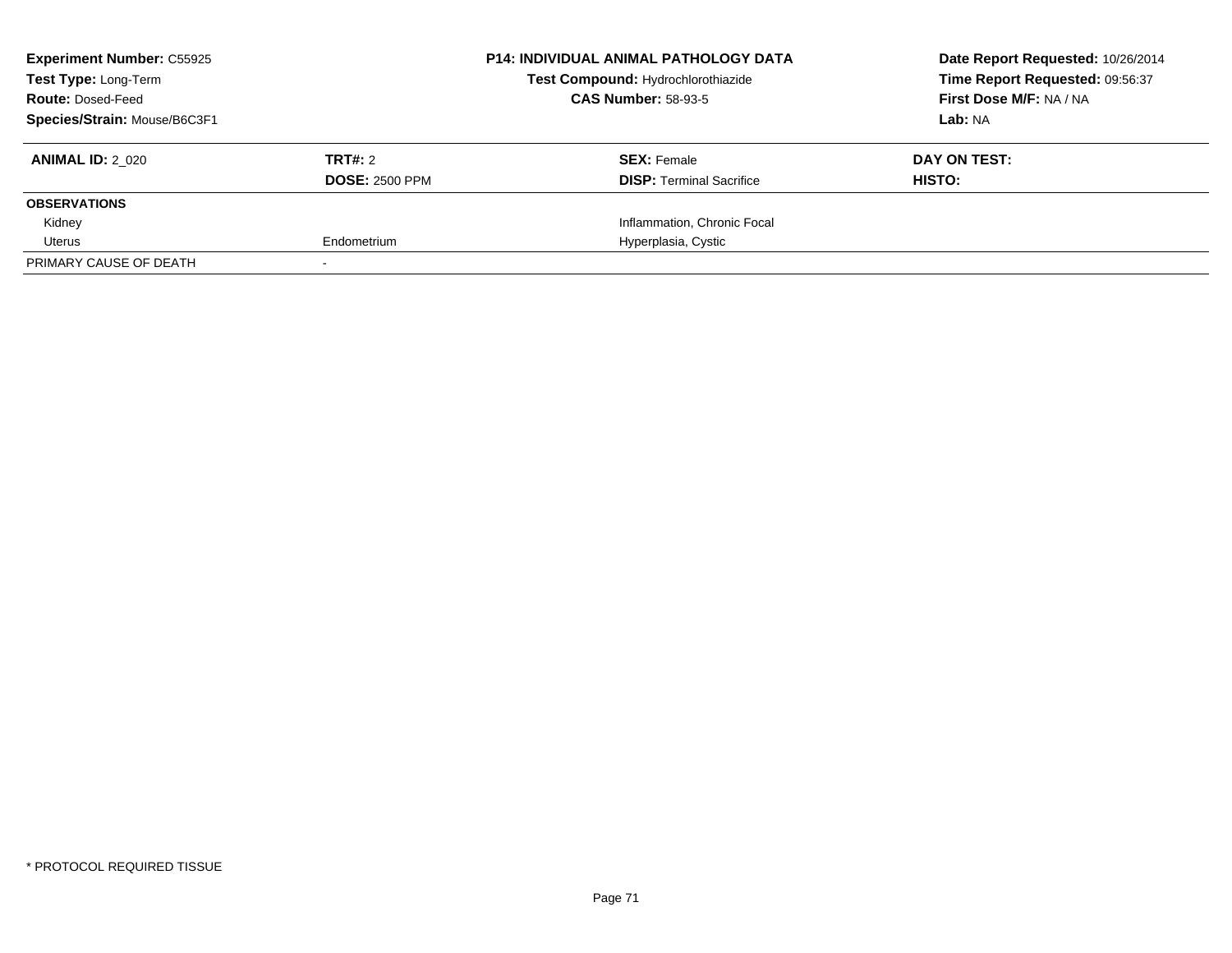| <b>Experiment Number: C55925</b><br><b>Test Type: Long-Term</b><br><b>Route: Dosed-Feed</b> |                       | <b>P14: INDIVIDUAL ANIMAL PATHOLOGY DATA</b><br>Test Compound: Hydrochlorothiazide<br><b>CAS Number: 58-93-5</b> | Date Report Requested: 10/26/2014<br>Time Report Requested: 09:56:37<br>First Dose M/F: NA / NA |
|---------------------------------------------------------------------------------------------|-----------------------|------------------------------------------------------------------------------------------------------------------|-------------------------------------------------------------------------------------------------|
|                                                                                             |                       |                                                                                                                  |                                                                                                 |
| Species/Strain: Mouse/B6C3F1                                                                |                       |                                                                                                                  | Lab: NA                                                                                         |
| <b>ANIMAL ID: 2 020</b>                                                                     | TRT#: 2               | <b>SEX: Female</b>                                                                                               | DAY ON TEST:                                                                                    |
|                                                                                             | <b>DOSE: 2500 PPM</b> | <b>DISP:</b> Terminal Sacrifice                                                                                  | HISTO:                                                                                          |
| <b>OBSERVATIONS</b>                                                                         |                       |                                                                                                                  |                                                                                                 |
| Kidney                                                                                      |                       | Inflammation, Chronic Focal                                                                                      |                                                                                                 |
| Uterus                                                                                      | Endometrium           | Hyperplasia, Cystic                                                                                              |                                                                                                 |
| PRIMARY CAUSE OF DEATH                                                                      |                       |                                                                                                                  |                                                                                                 |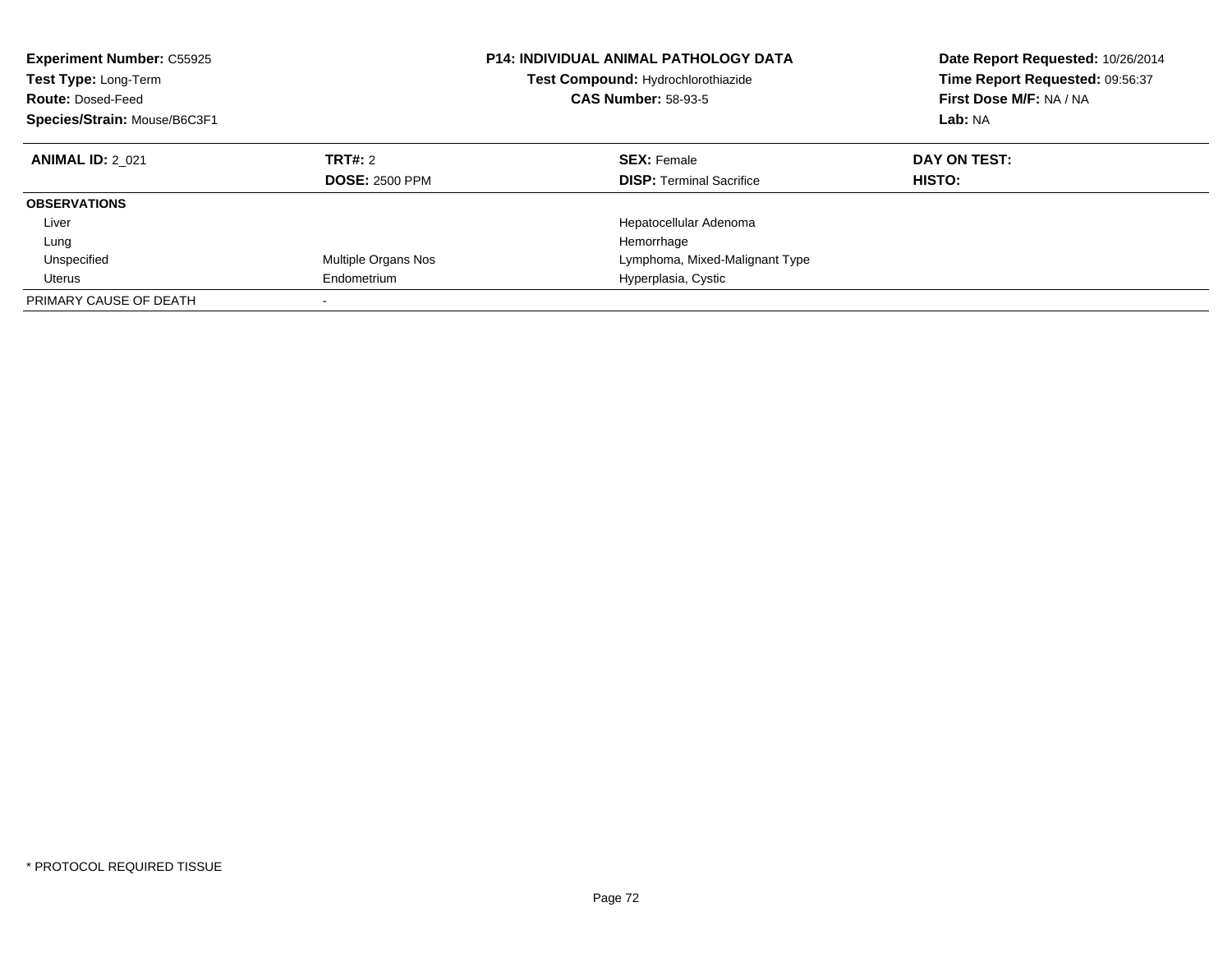| <b>Experiment Number: C55925</b><br>Test Type: Long-Term<br><b>Route: Dosed-Feed</b><br>Species/Strain: Mouse/B6C3F1 |                       | <b>P14: INDIVIDUAL ANIMAL PATHOLOGY DATA</b><br>Test Compound: Hydrochlorothiazide<br><b>CAS Number: 58-93-5</b> | Date Report Requested: 10/26/2014<br>Time Report Requested: 09:56:37<br>First Dose M/F: NA / NA<br>Lab: NA |
|----------------------------------------------------------------------------------------------------------------------|-----------------------|------------------------------------------------------------------------------------------------------------------|------------------------------------------------------------------------------------------------------------|
| <b>ANIMAL ID: 2 021</b>                                                                                              | <b>TRT#: 2</b>        | <b>SEX: Female</b>                                                                                               | DAY ON TEST:                                                                                               |
|                                                                                                                      | <b>DOSE: 2500 PPM</b> | <b>DISP:</b> Terminal Sacrifice                                                                                  | HISTO:                                                                                                     |
| <b>OBSERVATIONS</b>                                                                                                  |                       |                                                                                                                  |                                                                                                            |
| Liver                                                                                                                |                       | Hepatocellular Adenoma                                                                                           |                                                                                                            |
| Lung                                                                                                                 |                       | Hemorrhage                                                                                                       |                                                                                                            |
| Unspecified                                                                                                          | Multiple Organs Nos   | Lymphoma, Mixed-Malignant Type                                                                                   |                                                                                                            |
| Uterus                                                                                                               | Endometrium           | Hyperplasia, Cystic                                                                                              |                                                                                                            |
| PRIMARY CAUSE OF DEATH                                                                                               |                       |                                                                                                                  |                                                                                                            |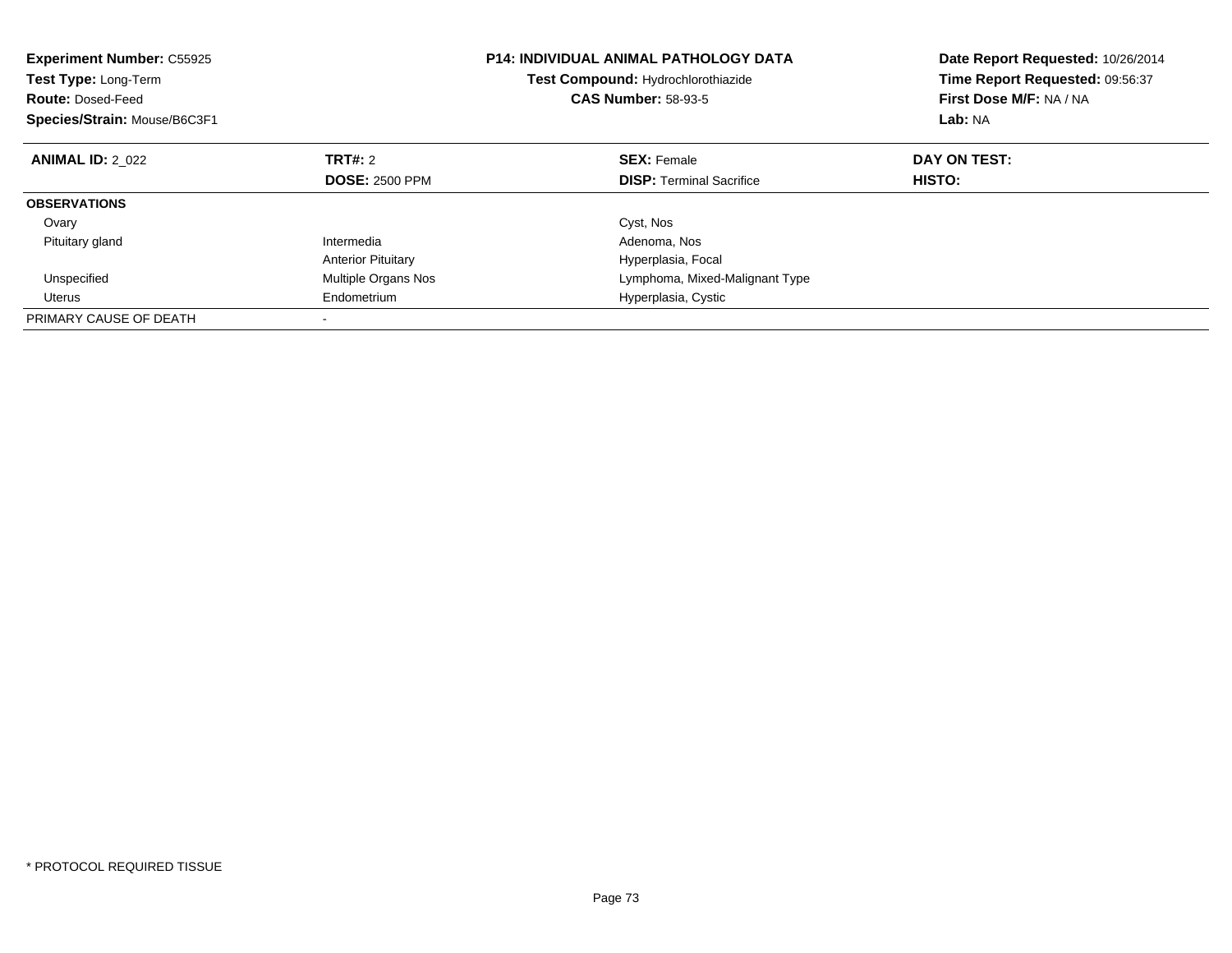| <b>Experiment Number: C55925</b><br><b>Test Type: Long-Term</b><br><b>Route: Dosed-Feed</b><br>Species/Strain: Mouse/B6C3F1 |                           | <b>P14: INDIVIDUAL ANIMAL PATHOLOGY DATA</b><br>Test Compound: Hydrochlorothiazide<br><b>CAS Number: 58-93-5</b> | Date Report Requested: 10/26/2014<br>Time Report Requested: 09:56:37<br>First Dose M/F: NA / NA<br>Lab: NA |
|-----------------------------------------------------------------------------------------------------------------------------|---------------------------|------------------------------------------------------------------------------------------------------------------|------------------------------------------------------------------------------------------------------------|
| <b>ANIMAL ID: 2 022</b>                                                                                                     | TRT#: 2                   | <b>SEX: Female</b>                                                                                               | DAY ON TEST:                                                                                               |
|                                                                                                                             | <b>DOSE: 2500 PPM</b>     | <b>DISP:</b> Terminal Sacrifice                                                                                  | HISTO:                                                                                                     |
| <b>OBSERVATIONS</b>                                                                                                         |                           |                                                                                                                  |                                                                                                            |
| Ovary                                                                                                                       |                           | Cyst, Nos                                                                                                        |                                                                                                            |
| Pituitary gland                                                                                                             | Intermedia                | Adenoma, Nos                                                                                                     |                                                                                                            |
|                                                                                                                             | <b>Anterior Pituitary</b> | Hyperplasia, Focal                                                                                               |                                                                                                            |
| Unspecified                                                                                                                 | Multiple Organs Nos       | Lymphoma, Mixed-Malignant Type                                                                                   |                                                                                                            |
| Uterus                                                                                                                      | Endometrium               | Hyperplasia, Cystic                                                                                              |                                                                                                            |
| PRIMARY CAUSE OF DEATH                                                                                                      |                           |                                                                                                                  |                                                                                                            |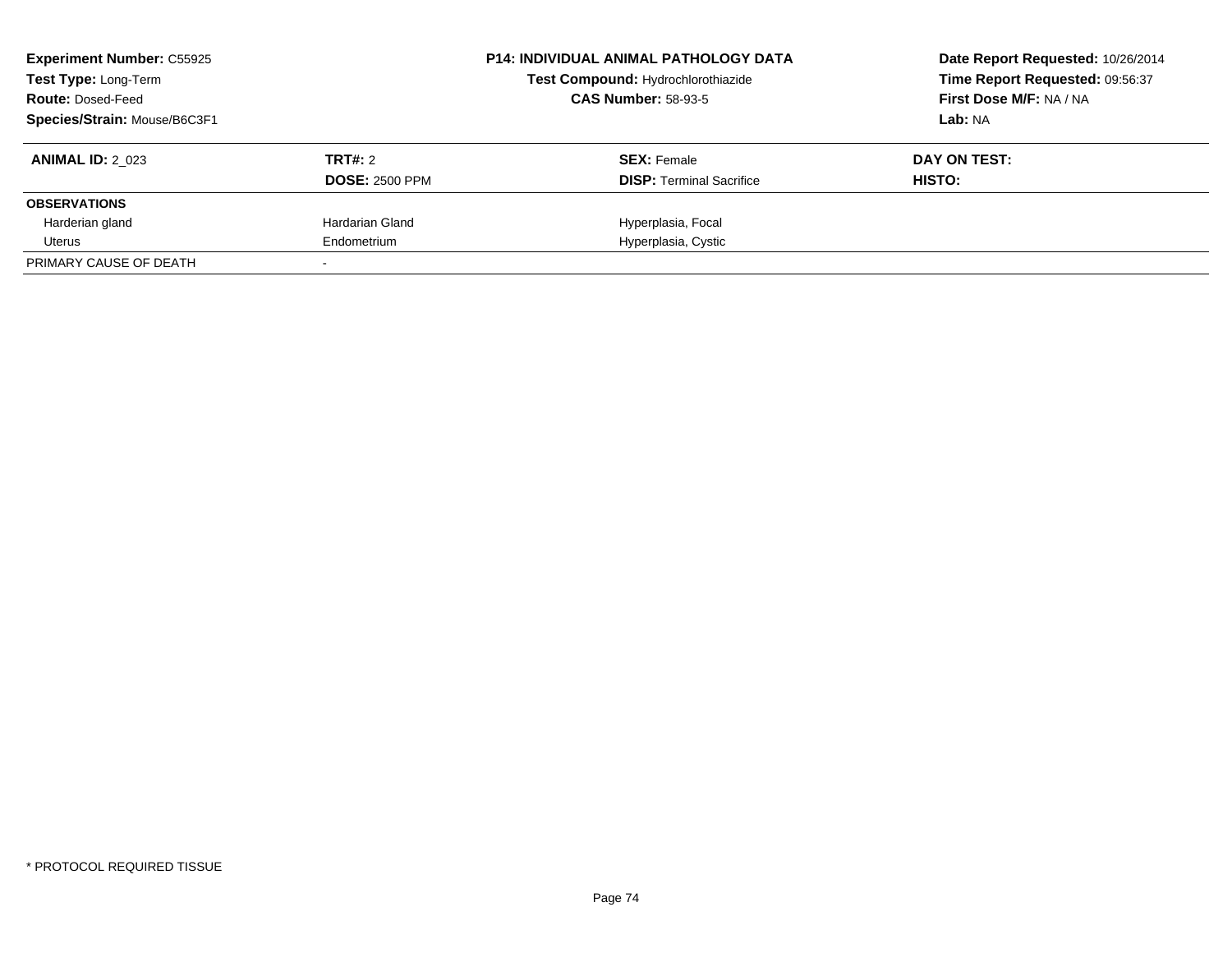| <b>Experiment Number: C55925</b><br><b>Test Type: Long-Term</b><br><b>Route: Dosed-Feed</b><br>Species/Strain: Mouse/B6C3F1 |                                  | <b>P14: INDIVIDUAL ANIMAL PATHOLOGY DATA</b><br>Test Compound: Hydrochlorothiazide<br><b>CAS Number: 58-93-5</b> | Date Report Requested: 10/26/2014<br>Time Report Requested: 09:56:37<br>First Dose M/F: NA / NA<br>Lab: NA |
|-----------------------------------------------------------------------------------------------------------------------------|----------------------------------|------------------------------------------------------------------------------------------------------------------|------------------------------------------------------------------------------------------------------------|
| <b>ANIMAL ID: 2 023</b>                                                                                                     | TRT#: 2<br><b>DOSE: 2500 PPM</b> | <b>SEX:</b> Female<br><b>DISP:</b> Terminal Sacrifice                                                            | DAY ON TEST:<br>HISTO:                                                                                     |
| <b>OBSERVATIONS</b>                                                                                                         |                                  |                                                                                                                  |                                                                                                            |
| Harderian gland                                                                                                             | Hardarian Gland                  | Hyperplasia, Focal                                                                                               |                                                                                                            |
| Uterus                                                                                                                      | Endometrium                      | Hyperplasia, Cystic                                                                                              |                                                                                                            |
| PRIMARY CAUSE OF DEATH                                                                                                      |                                  |                                                                                                                  |                                                                                                            |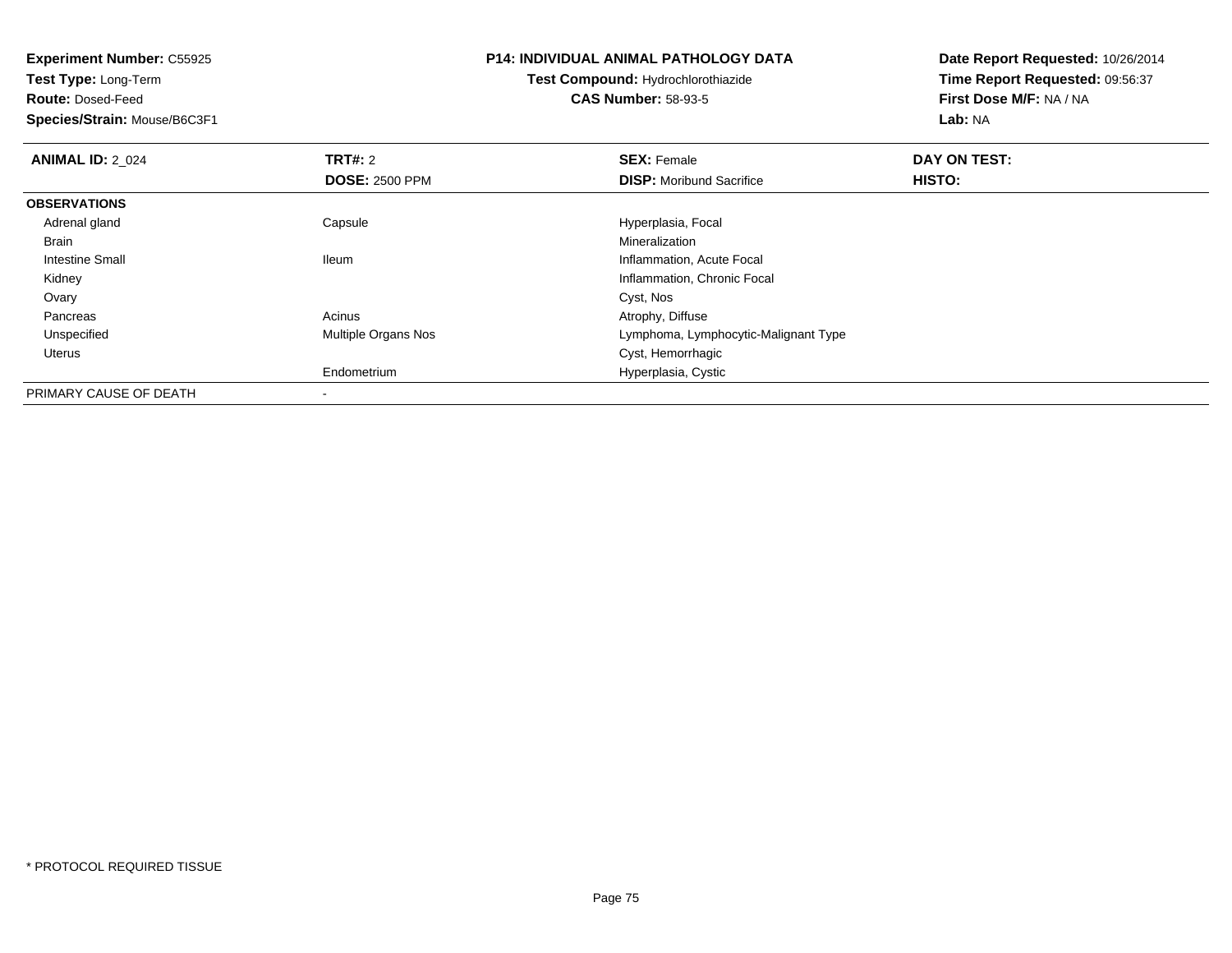**Experiment Number:** C55925**Test Type:** Long-Term**Route:** Dosed-Feed **Species/Strain:** Mouse/B6C3F1**P14: INDIVIDUAL ANIMAL PATHOLOGY DATATest Compound:** Hydrochlorothiazide**CAS Number:** 58-93-5**Date Report Requested:** 10/26/2014**Time Report Requested:** 09:56:37**First Dose M/F:** NA / NA**Lab:** NA**ANIMAL ID: 2 024 TRT#:** 2 **SEX:** Female **DAY ON TEST: DOSE:** 2500 PPM**DISP:** Moribund Sacrifice **HISTO: OBSERVATIONS** Adrenal gland Capsule Hyperplasia, Focal Brainn and the control of the control of the control of the control of the control of the control of the control of the control of the control of the control of the control of the control of the control of the control of the co Intestine Small Ileum Inflammation, Acute Focal Kidney Inflammation, Chronic Focal Ovaryy and the control of the control of the control of the control of the control of the control of the control of the control of the control of the control of the control of the control of the control of the control of the co Pancreas Acinus Atrophy, Diffused **Example 20 Multiple Organs Nos** Communist Communist Cymphoma, Lymphocytic-Malignant Type Unspecified Uterus Cyst, Hemorrhagic Endometrium Hyperplasia, Cystic PRIMARY CAUSE OF DEATH-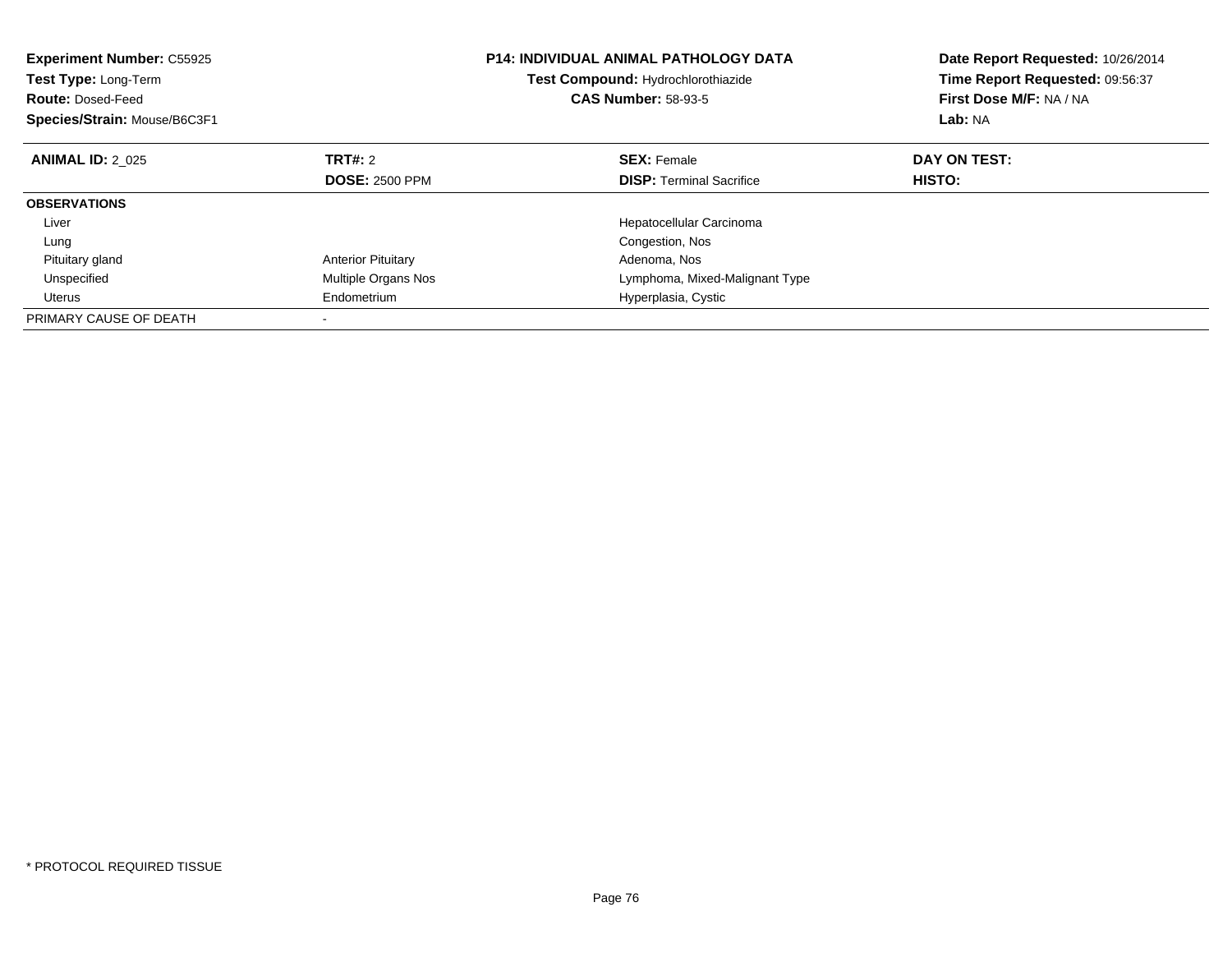| <b>Experiment Number: C55925</b><br><b>Test Type: Long-Term</b><br><b>Route: Dosed-Feed</b><br>Species/Strain: Mouse/B6C3F1 |                            | <b>P14: INDIVIDUAL ANIMAL PATHOLOGY DATA</b><br>Test Compound: Hydrochlorothiazide<br><b>CAS Number: 58-93-5</b> | Date Report Requested: 10/26/2014<br>Time Report Requested: 09:56:37<br>First Dose M/F: NA / NA<br>Lab: NA |
|-----------------------------------------------------------------------------------------------------------------------------|----------------------------|------------------------------------------------------------------------------------------------------------------|------------------------------------------------------------------------------------------------------------|
| <b>ANIMAL ID: 2 025</b>                                                                                                     | TRT#: 2                    | <b>SEX: Female</b>                                                                                               | DAY ON TEST:                                                                                               |
|                                                                                                                             | <b>DOSE: 2500 PPM</b>      | <b>DISP:</b> Terminal Sacrifice                                                                                  | HISTO:                                                                                                     |
| <b>OBSERVATIONS</b>                                                                                                         |                            |                                                                                                                  |                                                                                                            |
| Liver                                                                                                                       |                            | Hepatocellular Carcinoma                                                                                         |                                                                                                            |
| Lung                                                                                                                        |                            | Congestion, Nos                                                                                                  |                                                                                                            |
| Pituitary gland                                                                                                             | <b>Anterior Pituitary</b>  | Adenoma, Nos                                                                                                     |                                                                                                            |
| Unspecified                                                                                                                 | <b>Multiple Organs Nos</b> | Lymphoma, Mixed-Malignant Type                                                                                   |                                                                                                            |
| Uterus                                                                                                                      | Endometrium                | Hyperplasia, Cystic                                                                                              |                                                                                                            |
| PRIMARY CAUSE OF DEATH                                                                                                      |                            |                                                                                                                  |                                                                                                            |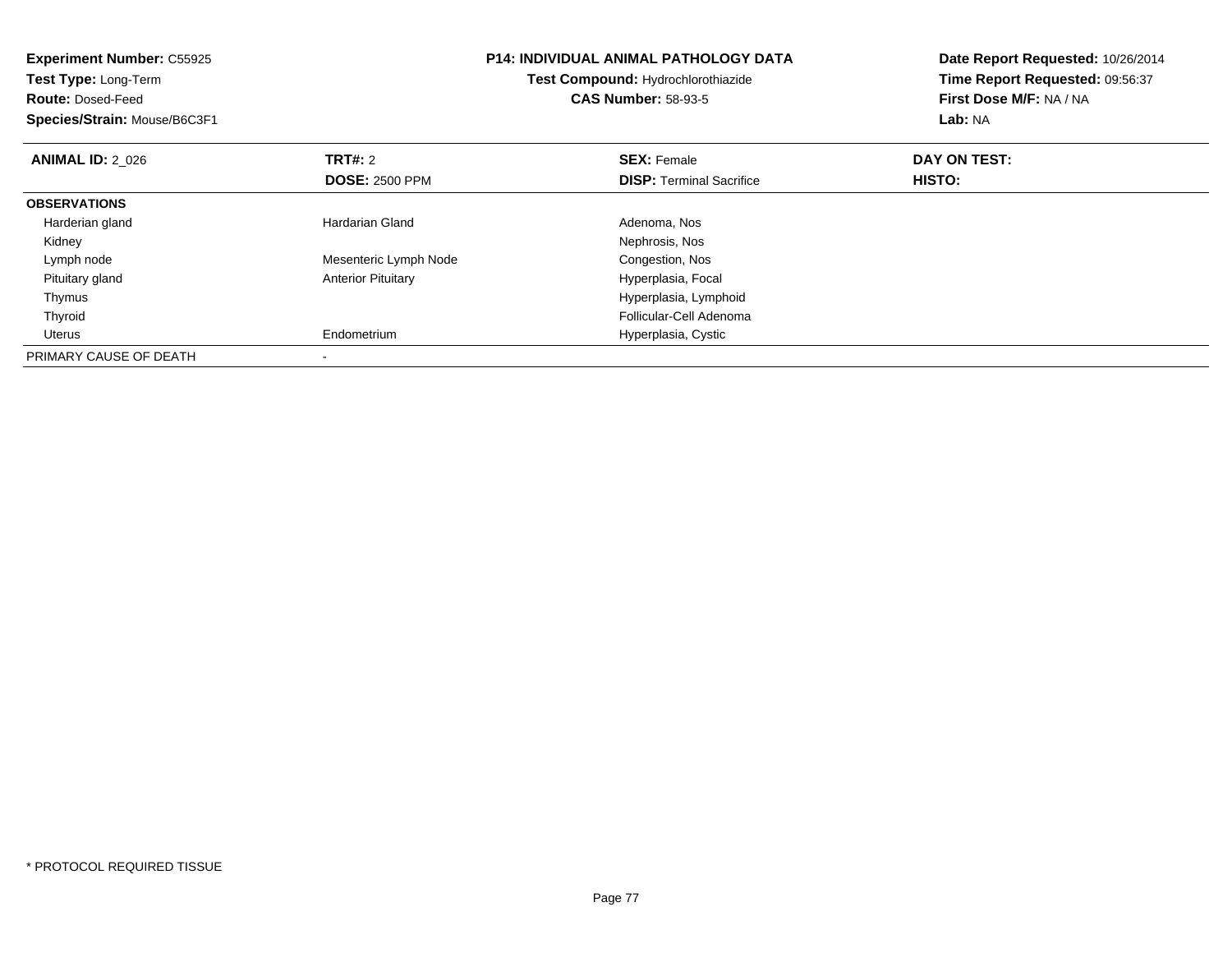| <b>Experiment Number: C55925</b><br>Test Type: Long-Term<br><b>Route: Dosed-Feed</b><br>Species/Strain: Mouse/B6C3F1 |                           | <b>P14: INDIVIDUAL ANIMAL PATHOLOGY DATA</b><br>Test Compound: Hydrochlorothiazide<br><b>CAS Number: 58-93-5</b> | Date Report Requested: 10/26/2014<br>Time Report Requested: 09:56:37<br>First Dose M/F: NA / NA<br>Lab: NA |  |
|----------------------------------------------------------------------------------------------------------------------|---------------------------|------------------------------------------------------------------------------------------------------------------|------------------------------------------------------------------------------------------------------------|--|
| <b>ANIMAL ID: 2 026</b>                                                                                              | <b>TRT#: 2</b>            | <b>SEX: Female</b>                                                                                               | DAY ON TEST:                                                                                               |  |
|                                                                                                                      | <b>DOSE: 2500 PPM</b>     | <b>DISP:</b> Terminal Sacrifice                                                                                  | HISTO:                                                                                                     |  |
| <b>OBSERVATIONS</b>                                                                                                  |                           |                                                                                                                  |                                                                                                            |  |
| Harderian gland                                                                                                      | Hardarian Gland           | Adenoma, Nos                                                                                                     |                                                                                                            |  |
| Kidney                                                                                                               |                           | Nephrosis, Nos                                                                                                   |                                                                                                            |  |
| Lymph node                                                                                                           | Mesenteric Lymph Node     | Congestion, Nos                                                                                                  |                                                                                                            |  |
| Pituitary gland                                                                                                      | <b>Anterior Pituitary</b> | Hyperplasia, Focal                                                                                               |                                                                                                            |  |
| Thymus                                                                                                               |                           | Hyperplasia, Lymphoid                                                                                            |                                                                                                            |  |
| Thyroid                                                                                                              |                           | Follicular-Cell Adenoma                                                                                          |                                                                                                            |  |
| Uterus                                                                                                               | Endometrium               | Hyperplasia, Cystic                                                                                              |                                                                                                            |  |
| PRIMARY CAUSE OF DEATH                                                                                               |                           |                                                                                                                  |                                                                                                            |  |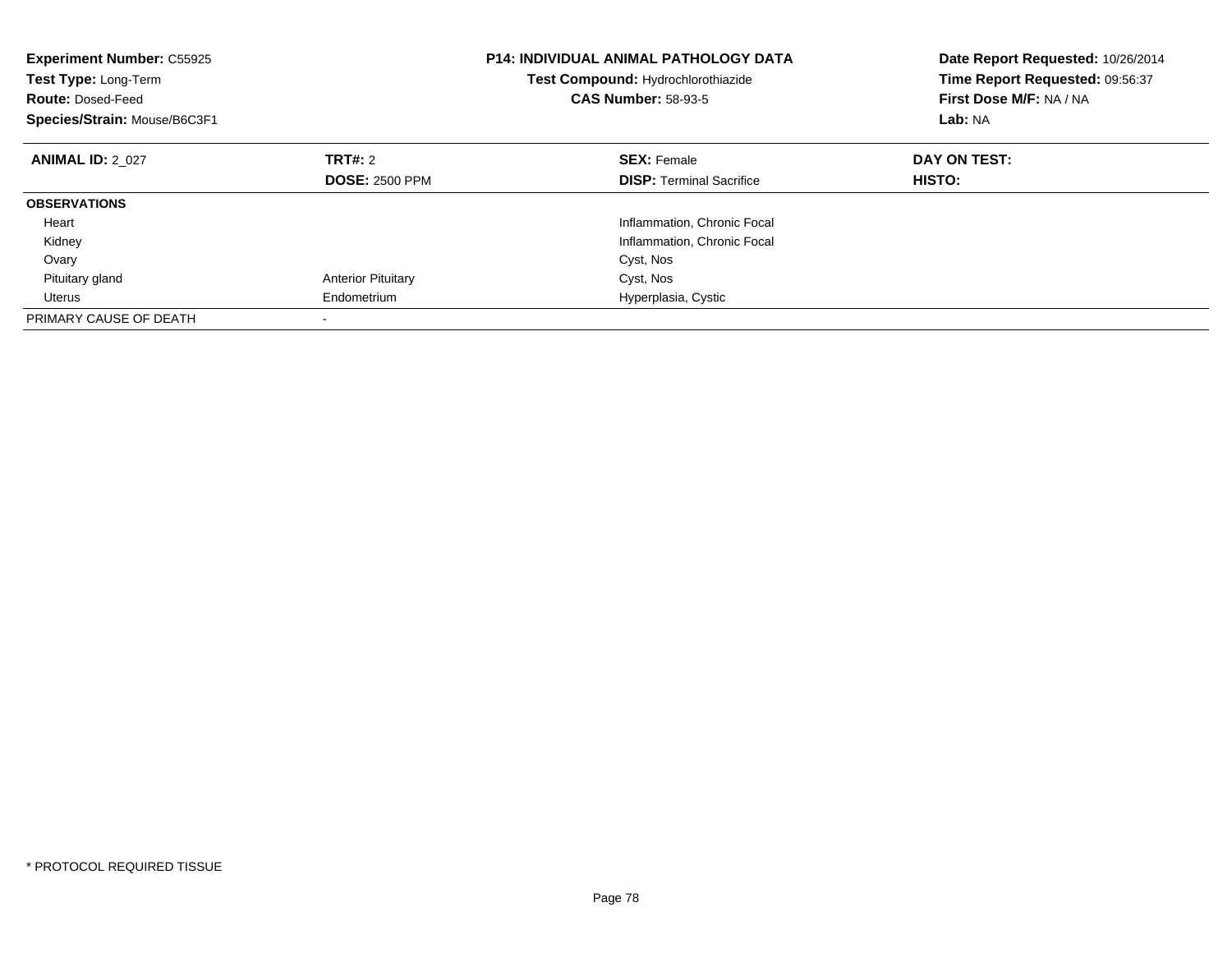| <b>Experiment Number: C55925</b><br>Test Type: Long-Term<br><b>Route: Dosed-Feed</b><br>Species/Strain: Mouse/B6C3F1 |                           | <b>P14: INDIVIDUAL ANIMAL PATHOLOGY DATA</b><br>Test Compound: Hydrochlorothiazide<br><b>CAS Number: 58-93-5</b> | Date Report Requested: 10/26/2014<br>Time Report Requested: 09:56:37<br>First Dose M/F: NA / NA<br>Lab: NA |
|----------------------------------------------------------------------------------------------------------------------|---------------------------|------------------------------------------------------------------------------------------------------------------|------------------------------------------------------------------------------------------------------------|
| <b>ANIMAL ID: 2 027</b>                                                                                              | <b>TRT#: 2</b>            | <b>SEX: Female</b>                                                                                               | DAY ON TEST:                                                                                               |
|                                                                                                                      | <b>DOSE: 2500 PPM</b>     | <b>DISP:</b> Terminal Sacrifice                                                                                  | HISTO:                                                                                                     |
| <b>OBSERVATIONS</b>                                                                                                  |                           |                                                                                                                  |                                                                                                            |
| Heart                                                                                                                |                           | Inflammation, Chronic Focal                                                                                      |                                                                                                            |
| Kidney                                                                                                               |                           | Inflammation, Chronic Focal                                                                                      |                                                                                                            |
| Ovary                                                                                                                |                           | Cyst, Nos                                                                                                        |                                                                                                            |
| Pituitary gland                                                                                                      | <b>Anterior Pituitary</b> | Cyst, Nos                                                                                                        |                                                                                                            |
| Uterus                                                                                                               | Endometrium               | Hyperplasia, Cystic                                                                                              |                                                                                                            |
| PRIMARY CAUSE OF DEATH                                                                                               |                           |                                                                                                                  |                                                                                                            |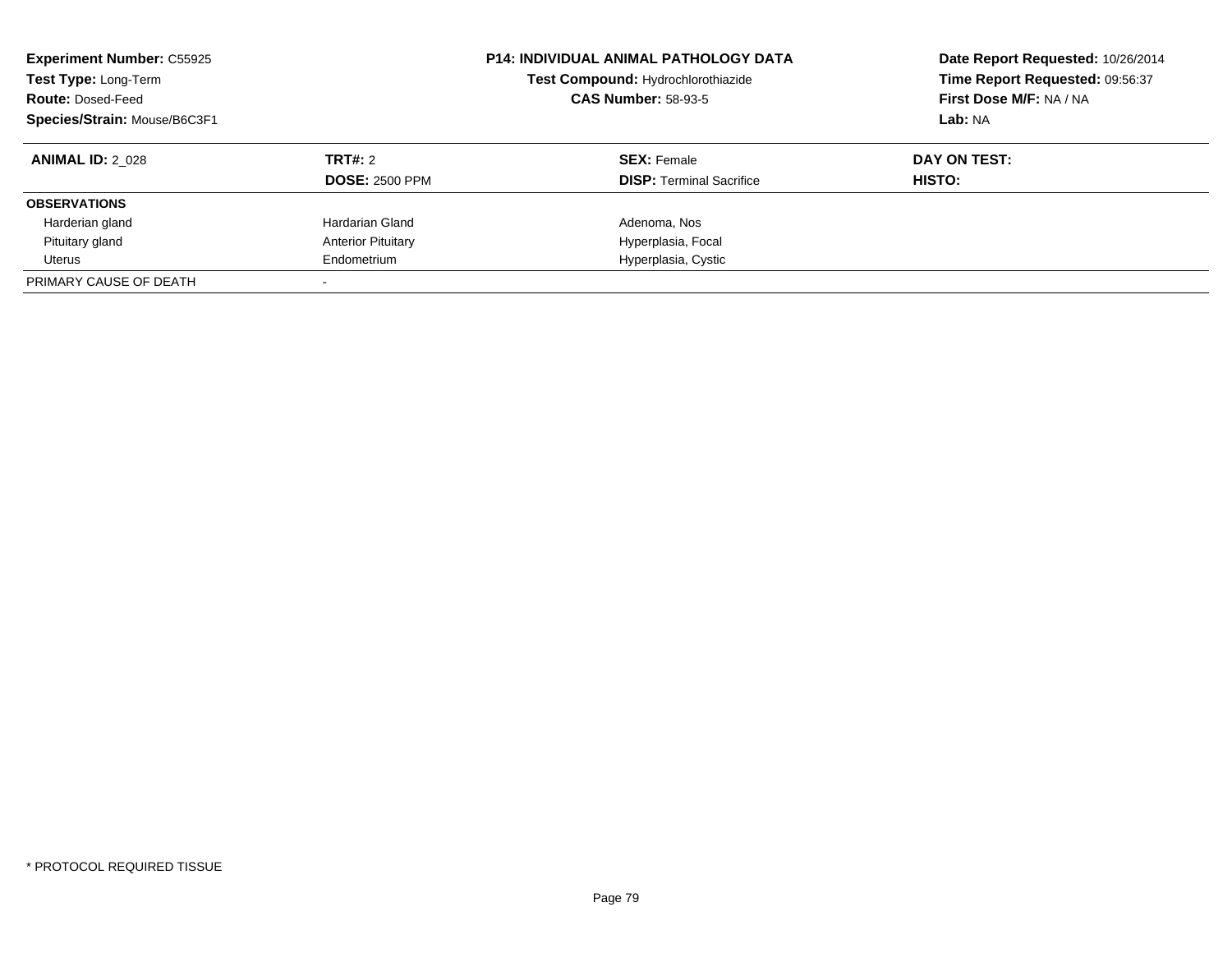| <b>Experiment Number: C55925</b><br>Test Type: Long-Term<br><b>Route: Dosed-Feed</b><br>Species/Strain: Mouse/B6C3F1 |                                         | <b>P14: INDIVIDUAL ANIMAL PATHOLOGY DATA</b><br>Test Compound: Hydrochlorothiazide<br><b>CAS Number: 58-93-5</b> | Date Report Requested: 10/26/2014<br>Time Report Requested: 09:56:37<br>First Dose M/F: NA / NA<br>Lab: NA |
|----------------------------------------------------------------------------------------------------------------------|-----------------------------------------|------------------------------------------------------------------------------------------------------------------|------------------------------------------------------------------------------------------------------------|
| <b>ANIMAL ID: 2 028</b>                                                                                              | <b>TRT#: 2</b><br><b>DOSE: 2500 PPM</b> | <b>SEX: Female</b><br><b>DISP:</b> Terminal Sacrifice                                                            | DAY ON TEST:<br>HISTO:                                                                                     |
| <b>OBSERVATIONS</b>                                                                                                  |                                         |                                                                                                                  |                                                                                                            |
| Harderian gland                                                                                                      | Hardarian Gland                         | Adenoma, Nos                                                                                                     |                                                                                                            |
| Pituitary gland                                                                                                      | <b>Anterior Pituitary</b>               | Hyperplasia, Focal                                                                                               |                                                                                                            |
| Uterus                                                                                                               | Endometrium                             | Hyperplasia, Cystic                                                                                              |                                                                                                            |
| PRIMARY CAUSE OF DEATH                                                                                               |                                         |                                                                                                                  |                                                                                                            |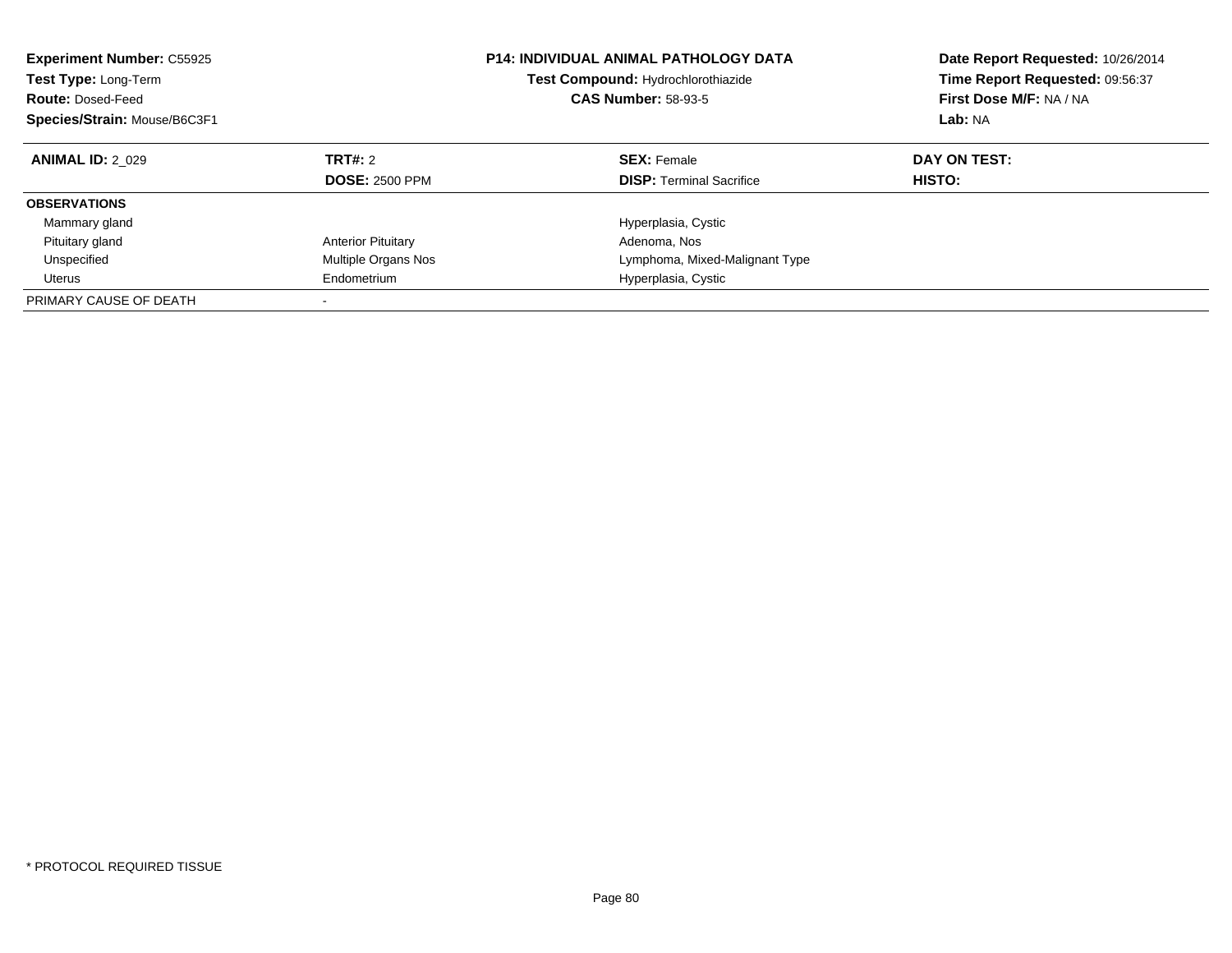| <b>Experiment Number: C55925</b><br>Test Type: Long-Term<br><b>Route: Dosed-Feed</b><br>Species/Strain: Mouse/B6C3F1 |                                         | <b>P14: INDIVIDUAL ANIMAL PATHOLOGY DATA</b><br>Date Report Requested: 10/26/2014<br>Time Report Requested: 09:56:37<br>Test Compound: Hydrochlorothiazide<br>First Dose M/F: NA / NA<br><b>CAS Number: 58-93-5</b><br>Lab: NA |                        |
|----------------------------------------------------------------------------------------------------------------------|-----------------------------------------|--------------------------------------------------------------------------------------------------------------------------------------------------------------------------------------------------------------------------------|------------------------|
| <b>ANIMAL ID: 2 029</b>                                                                                              | <b>TRT#: 2</b><br><b>DOSE: 2500 PPM</b> | <b>SEX: Female</b><br><b>DISP:</b> Terminal Sacrifice                                                                                                                                                                          | DAY ON TEST:<br>HISTO: |
| <b>OBSERVATIONS</b>                                                                                                  |                                         |                                                                                                                                                                                                                                |                        |
| Mammary gland                                                                                                        |                                         | Hyperplasia, Cystic                                                                                                                                                                                                            |                        |
| Pituitary gland                                                                                                      | <b>Anterior Pituitary</b>               | Adenoma, Nos                                                                                                                                                                                                                   |                        |
| Unspecified                                                                                                          | Multiple Organs Nos                     | Lymphoma, Mixed-Malignant Type                                                                                                                                                                                                 |                        |
| Uterus                                                                                                               | Endometrium                             | Hyperplasia, Cystic                                                                                                                                                                                                            |                        |
| PRIMARY CAUSE OF DEATH                                                                                               |                                         |                                                                                                                                                                                                                                |                        |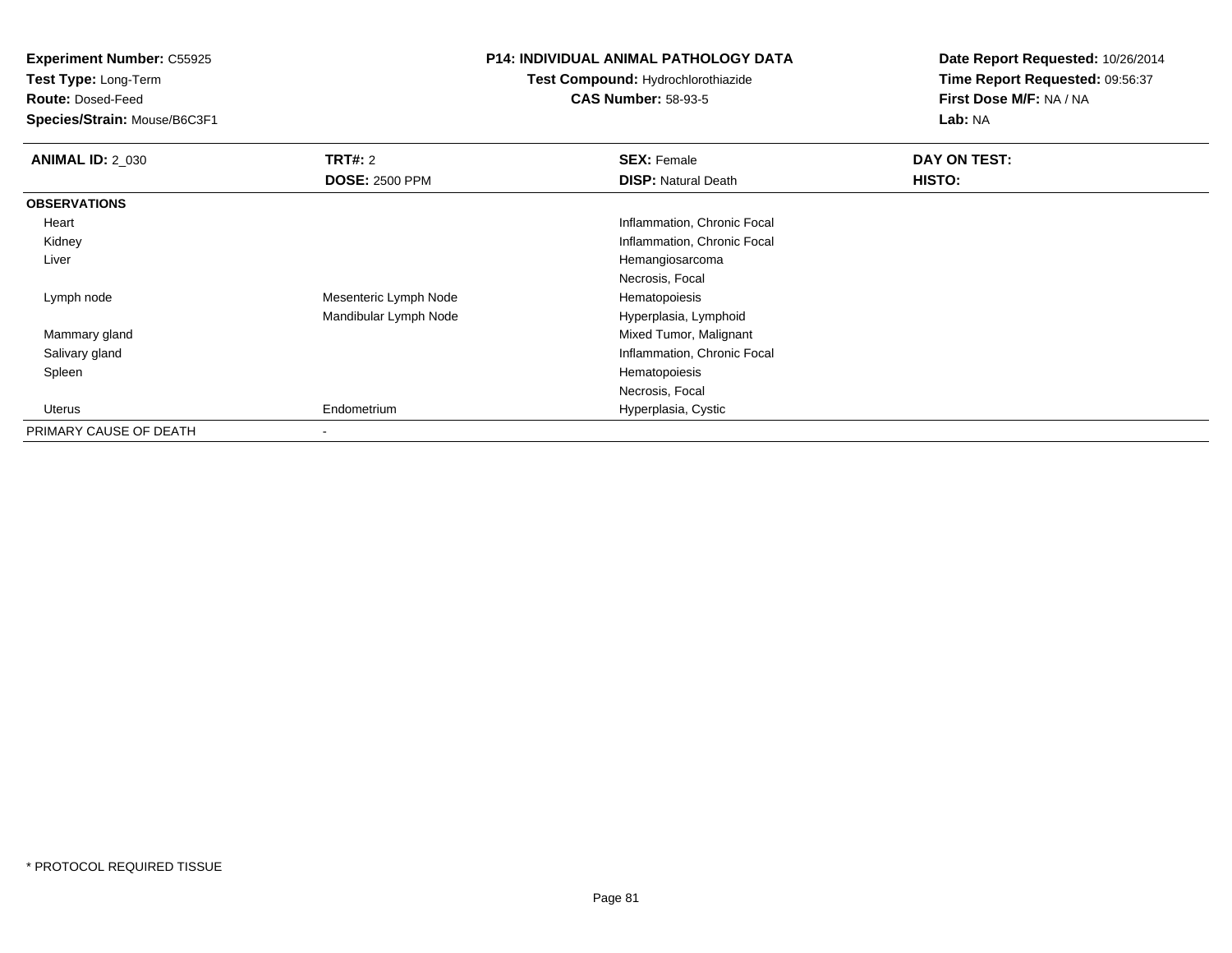**Test Type:** Long-Term

**Route:** Dosed-Feed

**Species/Strain:** Mouse/B6C3F1

### **P14: INDIVIDUAL ANIMAL PATHOLOGY DATA**

**Test Compound:** Hydrochlorothiazide**CAS Number:** 58-93-5

| <b>ANIMAL ID: 2_030</b> | <b>TRT#: 2</b>        | <b>SEX: Female</b>          | DAY ON TEST: |
|-------------------------|-----------------------|-----------------------------|--------------|
|                         | <b>DOSE: 2500 PPM</b> | <b>DISP: Natural Death</b>  | HISTO:       |
| <b>OBSERVATIONS</b>     |                       |                             |              |
| Heart                   |                       | Inflammation, Chronic Focal |              |
| Kidney                  |                       | Inflammation, Chronic Focal |              |
| Liver                   |                       | Hemangiosarcoma             |              |
|                         |                       | Necrosis, Focal             |              |
| Lymph node              | Mesenteric Lymph Node | Hematopoiesis               |              |
|                         | Mandibular Lymph Node | Hyperplasia, Lymphoid       |              |
| Mammary gland           |                       | Mixed Tumor, Malignant      |              |
| Salivary gland          |                       | Inflammation, Chronic Focal |              |
| Spleen                  |                       | Hematopoiesis               |              |
|                         |                       | Necrosis, Focal             |              |
| Uterus                  | Endometrium           | Hyperplasia, Cystic         |              |
| PRIMARY CAUSE OF DEATH  |                       |                             |              |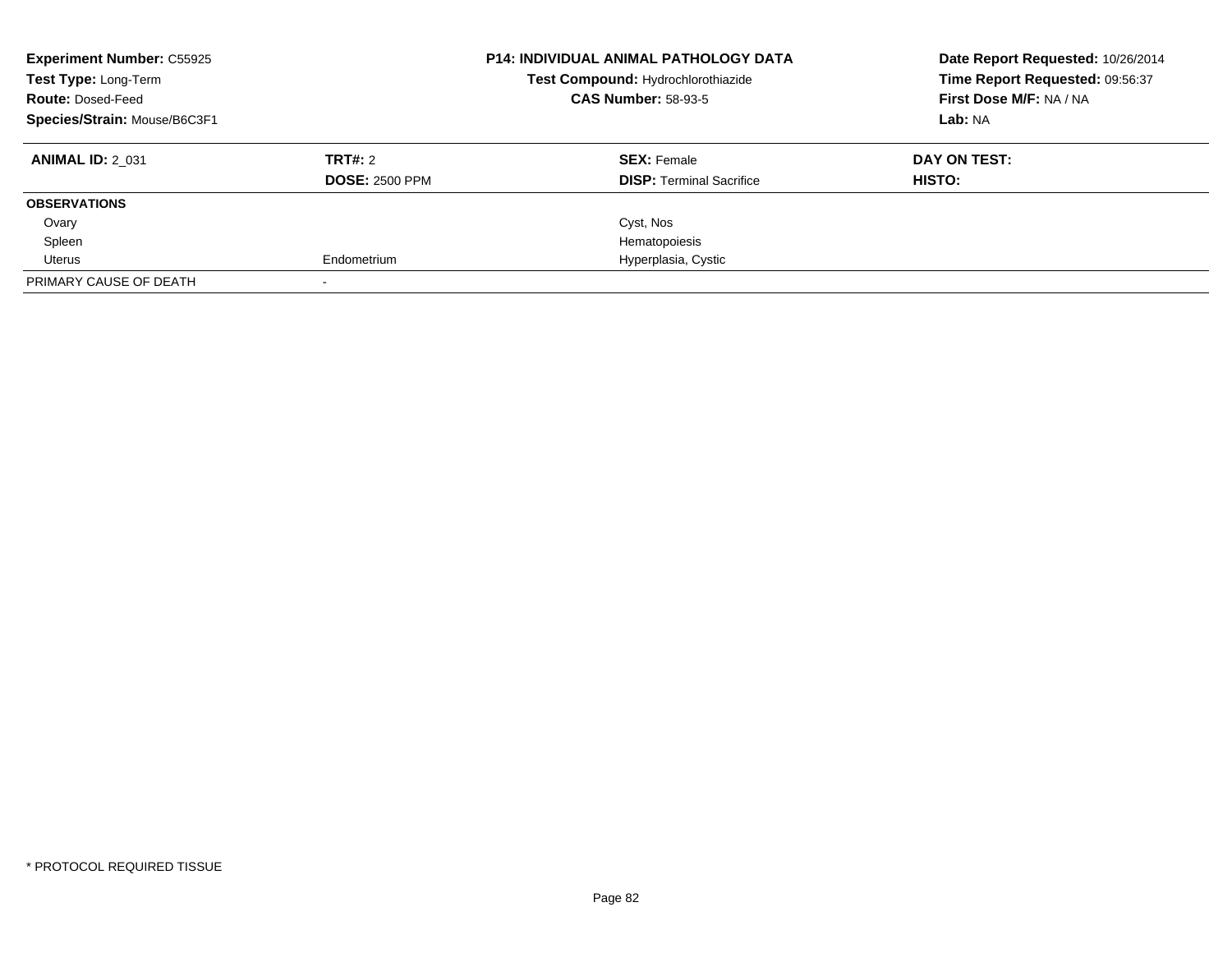| <b>Experiment Number: C55925</b><br>Test Type: Long-Term<br><b>Route: Dosed-Feed</b><br>Species/Strain: Mouse/B6C3F1 |                                  | <b>P14: INDIVIDUAL ANIMAL PATHOLOGY DATA</b><br>Date Report Requested: 10/26/2014<br>Time Report Requested: 09:56:37<br>Test Compound: Hydrochlorothiazide<br>First Dose M/F: NA / NA<br><b>CAS Number: 58-93-5</b><br>Lab: NA |                        |
|----------------------------------------------------------------------------------------------------------------------|----------------------------------|--------------------------------------------------------------------------------------------------------------------------------------------------------------------------------------------------------------------------------|------------------------|
| <b>ANIMAL ID: 2 031</b>                                                                                              | TRT#: 2<br><b>DOSE: 2500 PPM</b> | <b>SEX: Female</b><br><b>DISP:</b> Terminal Sacrifice                                                                                                                                                                          | DAY ON TEST:<br>HISTO: |
| <b>OBSERVATIONS</b>                                                                                                  |                                  |                                                                                                                                                                                                                                |                        |
| Ovary                                                                                                                |                                  | Cyst, Nos                                                                                                                                                                                                                      |                        |
| Spleen                                                                                                               |                                  | Hematopoiesis                                                                                                                                                                                                                  |                        |
| Uterus                                                                                                               | Endometrium                      | Hyperplasia, Cystic                                                                                                                                                                                                            |                        |
| PRIMARY CAUSE OF DEATH                                                                                               |                                  |                                                                                                                                                                                                                                |                        |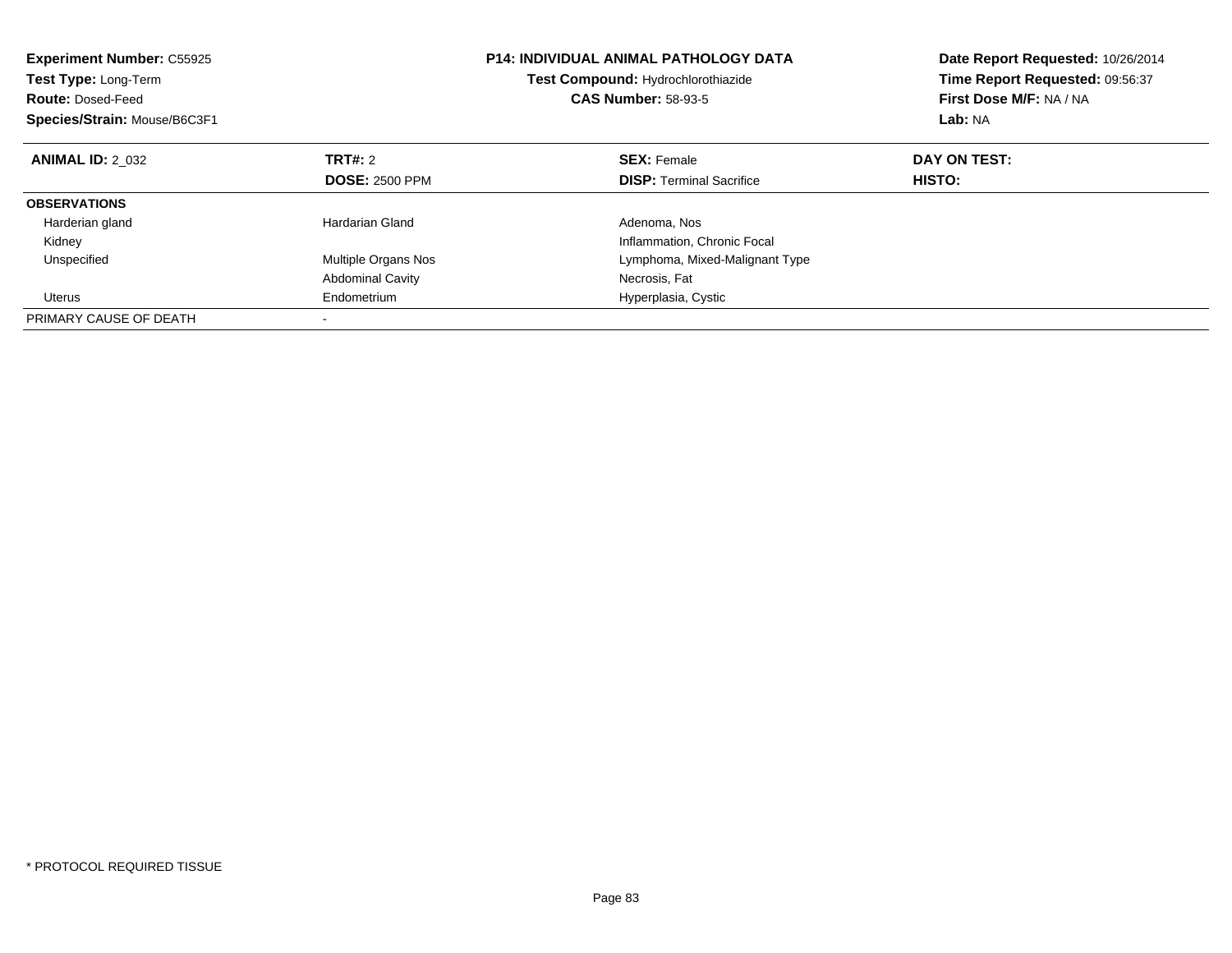| <b>Experiment Number: C55925</b><br><b>Test Type: Long-Term</b><br><b>Route: Dosed-Feed</b><br>Species/Strain: Mouse/B6C3F1 |                            | <b>P14: INDIVIDUAL ANIMAL PATHOLOGY DATA</b><br>Test Compound: Hydrochlorothiazide<br><b>CAS Number: 58-93-5</b> | Date Report Requested: 10/26/2014<br>Time Report Requested: 09:56:37<br>First Dose M/F: NA / NA<br>Lab: NA |
|-----------------------------------------------------------------------------------------------------------------------------|----------------------------|------------------------------------------------------------------------------------------------------------------|------------------------------------------------------------------------------------------------------------|
| <b>ANIMAL ID: 2 032</b>                                                                                                     | TRT#: 2                    | <b>SEX: Female</b>                                                                                               | DAY ON TEST:                                                                                               |
|                                                                                                                             | <b>DOSE: 2500 PPM</b>      | <b>DISP:</b> Terminal Sacrifice                                                                                  | HISTO:                                                                                                     |
| <b>OBSERVATIONS</b>                                                                                                         |                            |                                                                                                                  |                                                                                                            |
| Harderian gland                                                                                                             | Hardarian Gland            | Adenoma, Nos                                                                                                     |                                                                                                            |
| Kidney                                                                                                                      |                            | Inflammation, Chronic Focal                                                                                      |                                                                                                            |
| Unspecified                                                                                                                 | <b>Multiple Organs Nos</b> | Lymphoma, Mixed-Malignant Type                                                                                   |                                                                                                            |
|                                                                                                                             | <b>Abdominal Cavity</b>    | Necrosis, Fat                                                                                                    |                                                                                                            |
| Uterus                                                                                                                      | Endometrium                | Hyperplasia, Cystic                                                                                              |                                                                                                            |
| PRIMARY CAUSE OF DEATH                                                                                                      |                            |                                                                                                                  |                                                                                                            |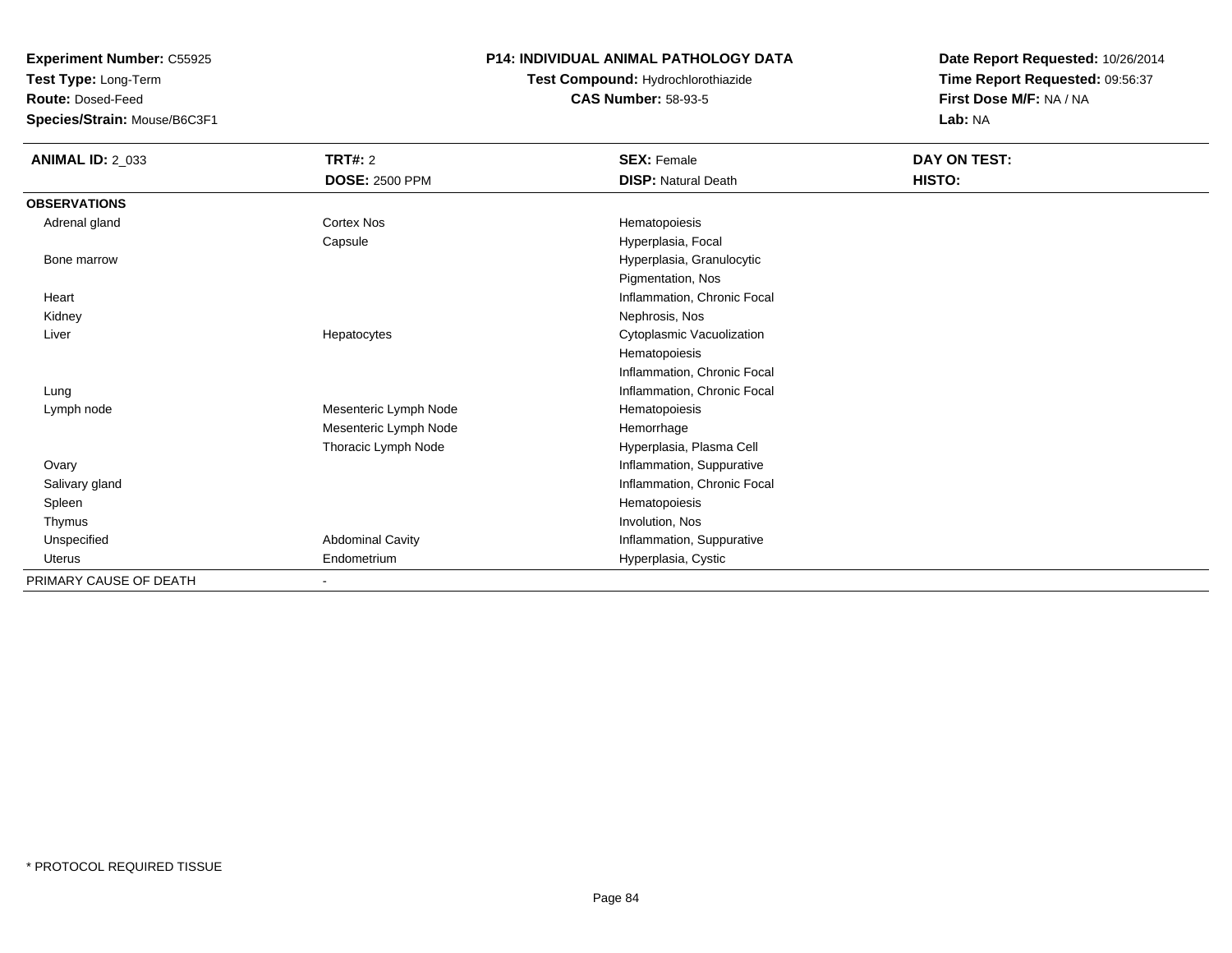**Test Type:** Long-Term

**Route:** Dosed-Feed

**Species/Strain:** Mouse/B6C3F1

### **P14: INDIVIDUAL ANIMAL PATHOLOGY DATA**

# **Test Compound:** Hydrochlorothiazide**CAS Number:** 58-93-5

| <b>ANIMAL ID: 2_033</b> | TRT#: 2                 | <b>SEX: Female</b>          | DAY ON TEST: |
|-------------------------|-------------------------|-----------------------------|--------------|
|                         | <b>DOSE: 2500 PPM</b>   | <b>DISP: Natural Death</b>  | HISTO:       |
| <b>OBSERVATIONS</b>     |                         |                             |              |
| Adrenal gland           | <b>Cortex Nos</b>       | Hematopoiesis               |              |
|                         | Capsule                 | Hyperplasia, Focal          |              |
| Bone marrow             |                         | Hyperplasia, Granulocytic   |              |
|                         |                         | Pigmentation, Nos           |              |
| Heart                   |                         | Inflammation, Chronic Focal |              |
| Kidney                  |                         | Nephrosis, Nos              |              |
| Liver                   | Hepatocytes             | Cytoplasmic Vacuolization   |              |
|                         |                         | Hematopoiesis               |              |
|                         |                         | Inflammation, Chronic Focal |              |
| Lung                    |                         | Inflammation, Chronic Focal |              |
| Lymph node              | Mesenteric Lymph Node   | Hematopoiesis               |              |
|                         | Mesenteric Lymph Node   | Hemorrhage                  |              |
|                         | Thoracic Lymph Node     | Hyperplasia, Plasma Cell    |              |
| Ovary                   |                         | Inflammation, Suppurative   |              |
| Salivary gland          |                         | Inflammation, Chronic Focal |              |
| Spleen                  |                         | Hematopoiesis               |              |
| Thymus                  |                         | Involution, Nos             |              |
| Unspecified             | <b>Abdominal Cavity</b> | Inflammation, Suppurative   |              |
| Uterus                  | Endometrium             | Hyperplasia, Cystic         |              |
| PRIMARY CAUSE OF DEATH  |                         |                             |              |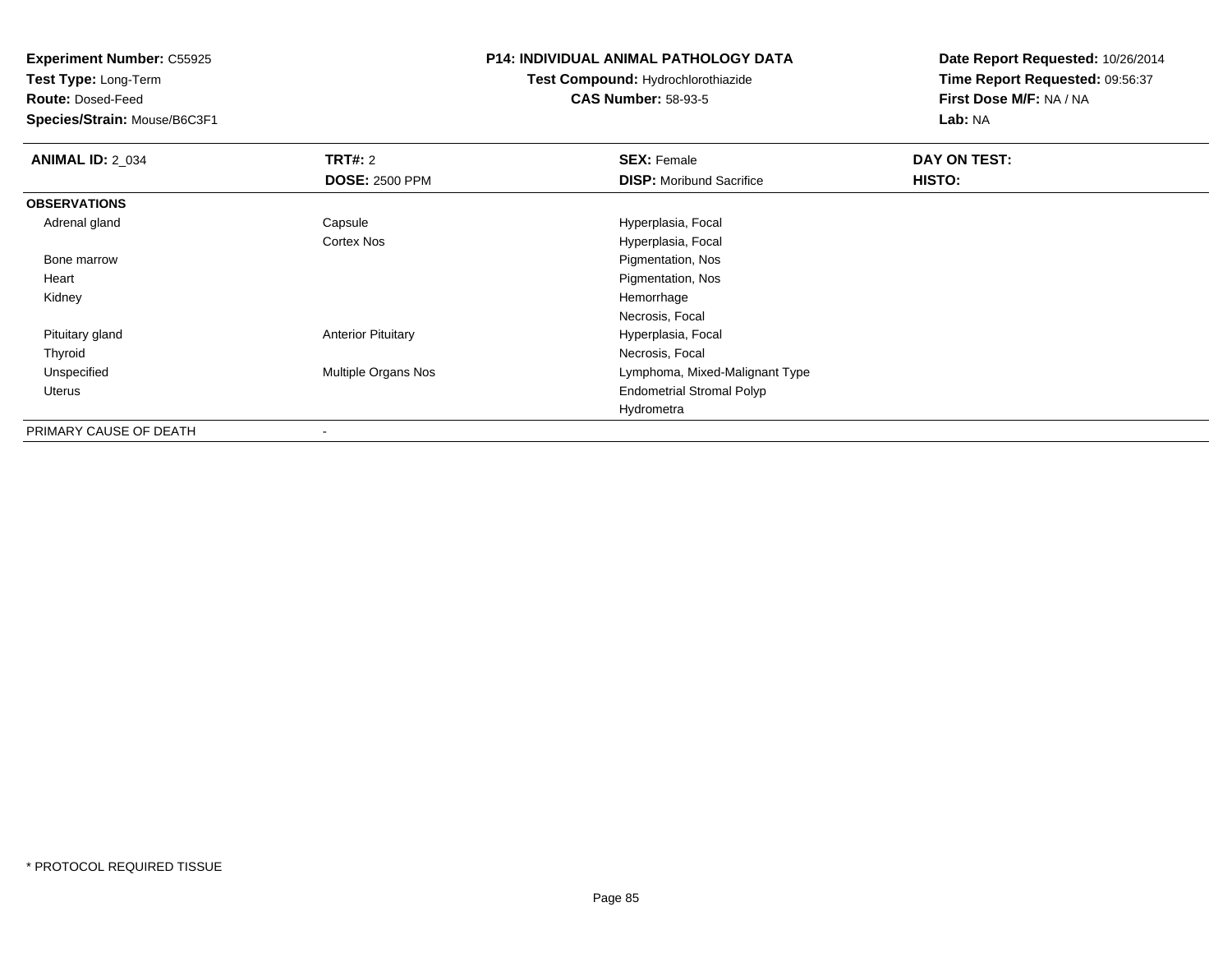**Test Type:** Long-Term

**Route:** Dosed-Feed

**Species/Strain:** Mouse/B6C3F1

# **P14: INDIVIDUAL ANIMAL PATHOLOGY DATA**

# **Test Compound:** Hydrochlorothiazide**CAS Number:** 58-93-5

| <b>ANIMAL ID: 2_034</b> | <b>TRT#: 2</b>            | <b>SEX: Female</b>               | DAY ON TEST: |  |
|-------------------------|---------------------------|----------------------------------|--------------|--|
|                         | <b>DOSE: 2500 PPM</b>     | <b>DISP:</b> Moribund Sacrifice  | HISTO:       |  |
| <b>OBSERVATIONS</b>     |                           |                                  |              |  |
| Adrenal gland           | Capsule                   | Hyperplasia, Focal               |              |  |
|                         | Cortex Nos                | Hyperplasia, Focal               |              |  |
| Bone marrow             |                           | Pigmentation, Nos                |              |  |
| Heart                   |                           | Pigmentation, Nos                |              |  |
| Kidney                  |                           | Hemorrhage                       |              |  |
|                         |                           | Necrosis, Focal                  |              |  |
| Pituitary gland         | <b>Anterior Pituitary</b> | Hyperplasia, Focal               |              |  |
| Thyroid                 |                           | Necrosis, Focal                  |              |  |
| Unspecified             | Multiple Organs Nos       | Lymphoma, Mixed-Malignant Type   |              |  |
| <b>Uterus</b>           |                           | <b>Endometrial Stromal Polyp</b> |              |  |
|                         |                           | Hydrometra                       |              |  |
| PRIMARY CAUSE OF DEATH  | -                         |                                  |              |  |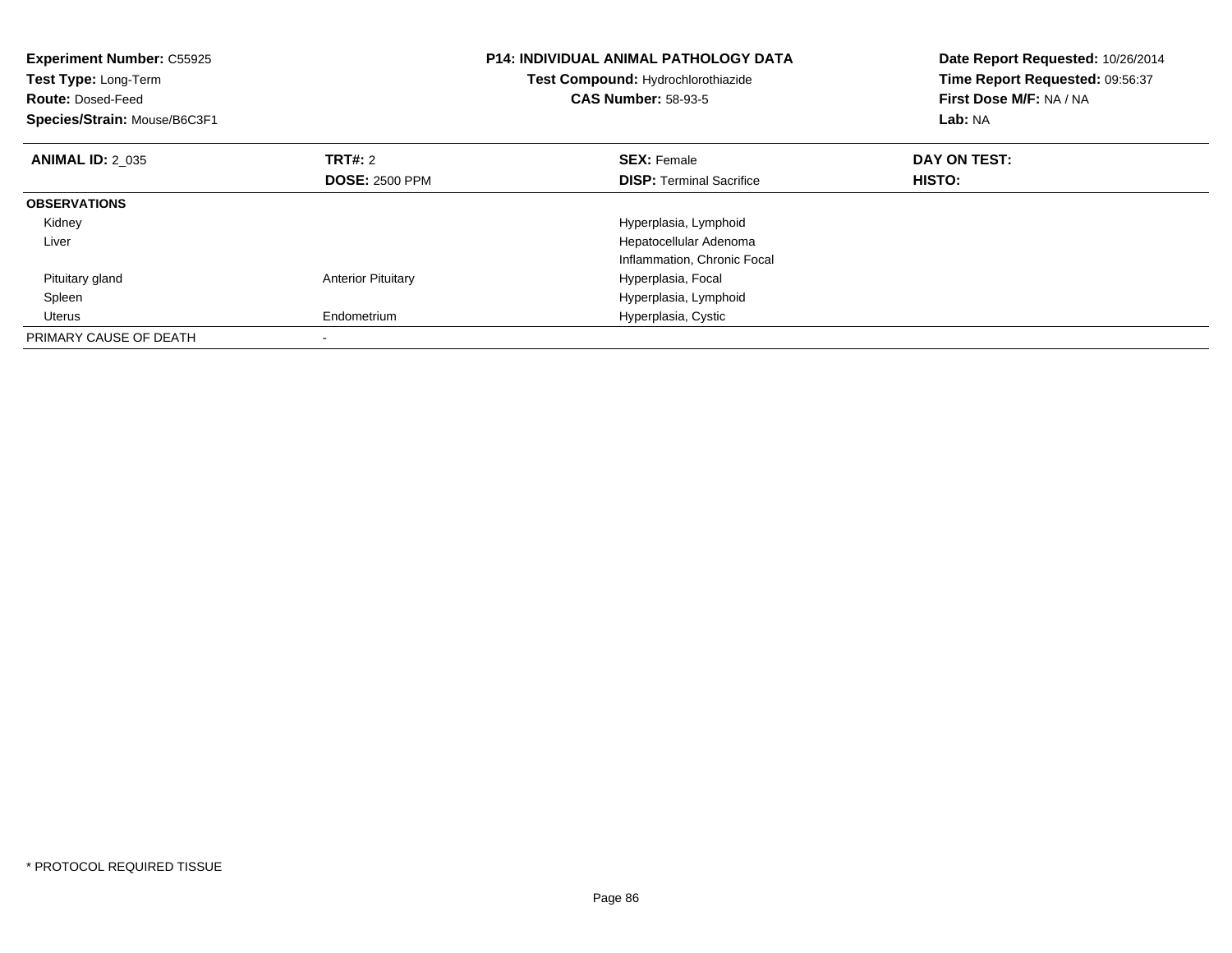| <b>Experiment Number: C55925</b><br><b>Test Type: Long-Term</b><br><b>Route: Dosed-Feed</b><br>Species/Strain: Mouse/B6C3F1 |                           | <b>P14: INDIVIDUAL ANIMAL PATHOLOGY DATA</b><br>Test Compound: Hydrochlorothiazide<br><b>CAS Number: 58-93-5</b> | Date Report Requested: 10/26/2014<br>Time Report Requested: 09:56:37<br>First Dose M/F: NA / NA<br>Lab: NA |
|-----------------------------------------------------------------------------------------------------------------------------|---------------------------|------------------------------------------------------------------------------------------------------------------|------------------------------------------------------------------------------------------------------------|
| <b>ANIMAL ID: 2 035</b>                                                                                                     | <b>TRT#: 2</b>            | <b>SEX: Female</b>                                                                                               | DAY ON TEST:                                                                                               |
|                                                                                                                             | <b>DOSE: 2500 PPM</b>     | <b>DISP:</b> Terminal Sacrifice                                                                                  | <b>HISTO:</b>                                                                                              |
| <b>OBSERVATIONS</b>                                                                                                         |                           |                                                                                                                  |                                                                                                            |
| Kidney                                                                                                                      |                           | Hyperplasia, Lymphoid                                                                                            |                                                                                                            |
| Liver                                                                                                                       |                           | Hepatocellular Adenoma                                                                                           |                                                                                                            |
|                                                                                                                             |                           | Inflammation, Chronic Focal                                                                                      |                                                                                                            |
| Pituitary gland                                                                                                             | <b>Anterior Pituitary</b> | Hyperplasia, Focal                                                                                               |                                                                                                            |
| Spleen                                                                                                                      |                           | Hyperplasia, Lymphoid                                                                                            |                                                                                                            |
| Uterus                                                                                                                      | Endometrium               | Hyperplasia, Cystic                                                                                              |                                                                                                            |
| PRIMARY CAUSE OF DEATH                                                                                                      |                           |                                                                                                                  |                                                                                                            |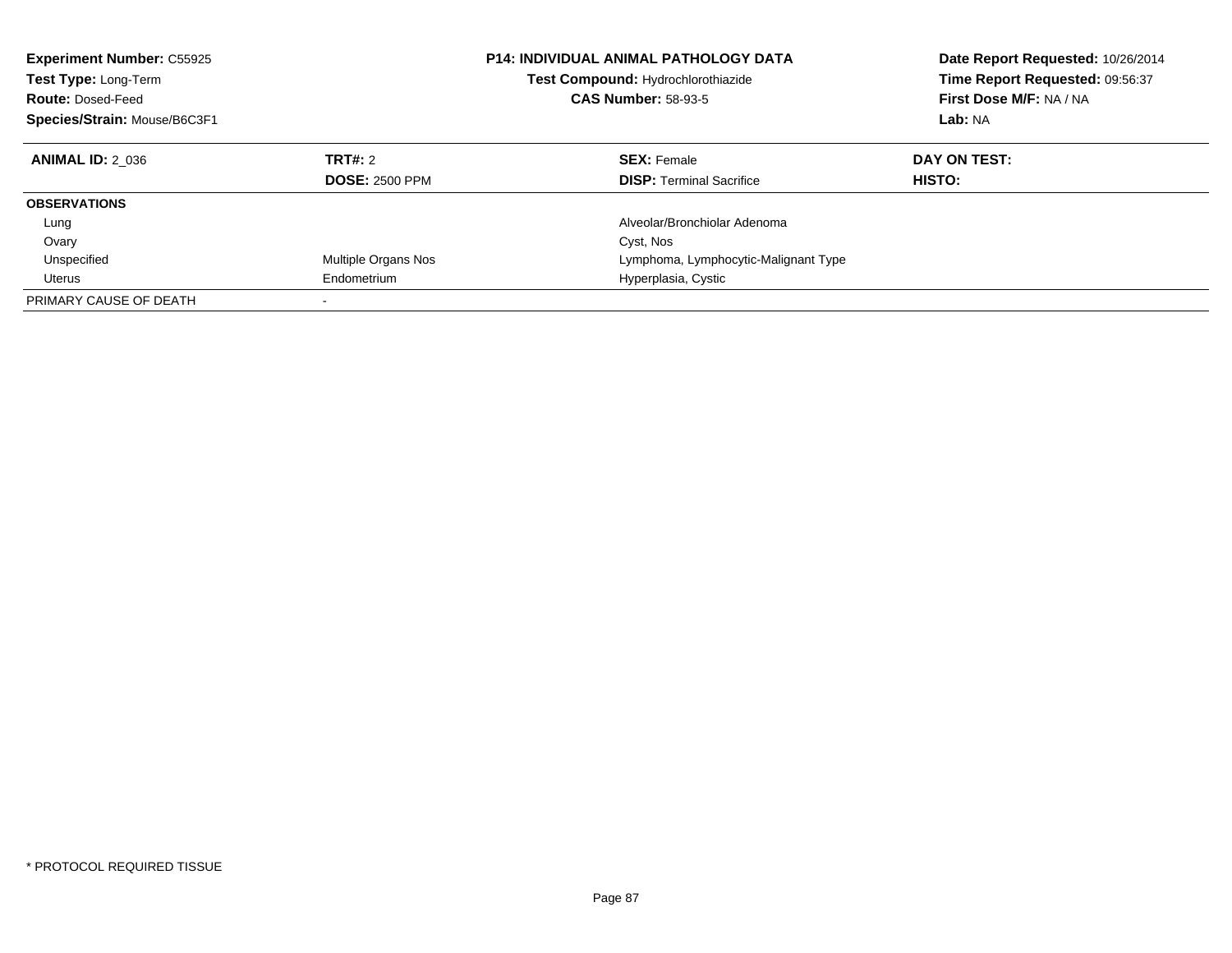| <b>Experiment Number: C55925</b><br>Test Type: Long-Term<br><b>Route: Dosed-Feed</b><br>Species/Strain: Mouse/B6C3F1 |                                  | <b>P14: INDIVIDUAL ANIMAL PATHOLOGY DATA</b><br>Test Compound: Hydrochlorothiazide<br><b>CAS Number: 58-93-5</b> | Date Report Requested: 10/26/2014<br>Time Report Requested: 09:56:37<br>First Dose M/F: NA / NA<br>Lab: NA |
|----------------------------------------------------------------------------------------------------------------------|----------------------------------|------------------------------------------------------------------------------------------------------------------|------------------------------------------------------------------------------------------------------------|
| <b>ANIMAL ID: 2 036</b>                                                                                              | TRT#: 2<br><b>DOSE: 2500 PPM</b> | <b>SEX: Female</b><br><b>DISP:</b> Terminal Sacrifice                                                            | DAY ON TEST:<br>HISTO:                                                                                     |
| <b>OBSERVATIONS</b>                                                                                                  |                                  |                                                                                                                  |                                                                                                            |
| Lung                                                                                                                 |                                  | Alveolar/Bronchiolar Adenoma                                                                                     |                                                                                                            |
| Ovary                                                                                                                |                                  | Cyst, Nos                                                                                                        |                                                                                                            |
| Unspecified                                                                                                          | Multiple Organs Nos              | Lymphoma, Lymphocytic-Malignant Type                                                                             |                                                                                                            |
| Uterus                                                                                                               | Endometrium                      | Hyperplasia, Cystic                                                                                              |                                                                                                            |
| PRIMARY CAUSE OF DEATH                                                                                               |                                  |                                                                                                                  |                                                                                                            |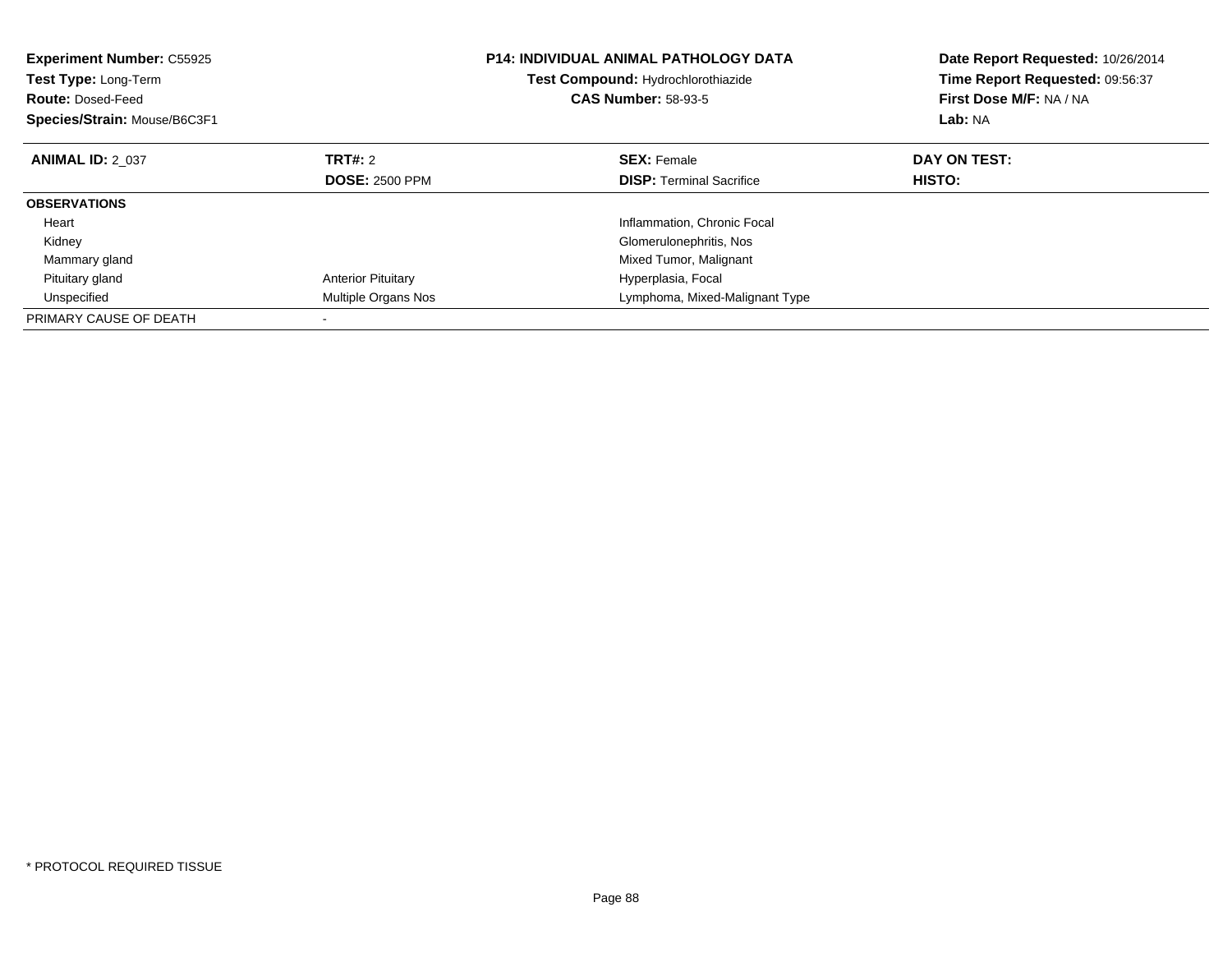| <b>Experiment Number: C55925</b><br>Test Type: Long-Term<br><b>Route: Dosed-Feed</b><br>Species/Strain: Mouse/B6C3F1 |                           | <b>P14: INDIVIDUAL ANIMAL PATHOLOGY DATA</b><br>Test Compound: Hydrochlorothiazide<br><b>CAS Number: 58-93-5</b> | Date Report Requested: 10/26/2014<br>Time Report Requested: 09:56:37<br>First Dose M/F: NA / NA<br>Lab: NA |
|----------------------------------------------------------------------------------------------------------------------|---------------------------|------------------------------------------------------------------------------------------------------------------|------------------------------------------------------------------------------------------------------------|
| <b>ANIMAL ID: 2 037</b>                                                                                              | TRT#: 2                   | <b>SEX: Female</b>                                                                                               | DAY ON TEST:                                                                                               |
|                                                                                                                      | <b>DOSE: 2500 PPM</b>     | <b>DISP:</b> Terminal Sacrifice                                                                                  | HISTO:                                                                                                     |
| <b>OBSERVATIONS</b>                                                                                                  |                           |                                                                                                                  |                                                                                                            |
| Heart                                                                                                                |                           | Inflammation, Chronic Focal                                                                                      |                                                                                                            |
| Kidney                                                                                                               |                           | Glomerulonephritis, Nos                                                                                          |                                                                                                            |
| Mammary gland                                                                                                        |                           | Mixed Tumor, Malignant                                                                                           |                                                                                                            |
| Pituitary gland                                                                                                      | <b>Anterior Pituitary</b> | Hyperplasia, Focal                                                                                               |                                                                                                            |
| Unspecified                                                                                                          | Multiple Organs Nos       | Lymphoma, Mixed-Malignant Type                                                                                   |                                                                                                            |
| PRIMARY CAUSE OF DEATH                                                                                               |                           |                                                                                                                  |                                                                                                            |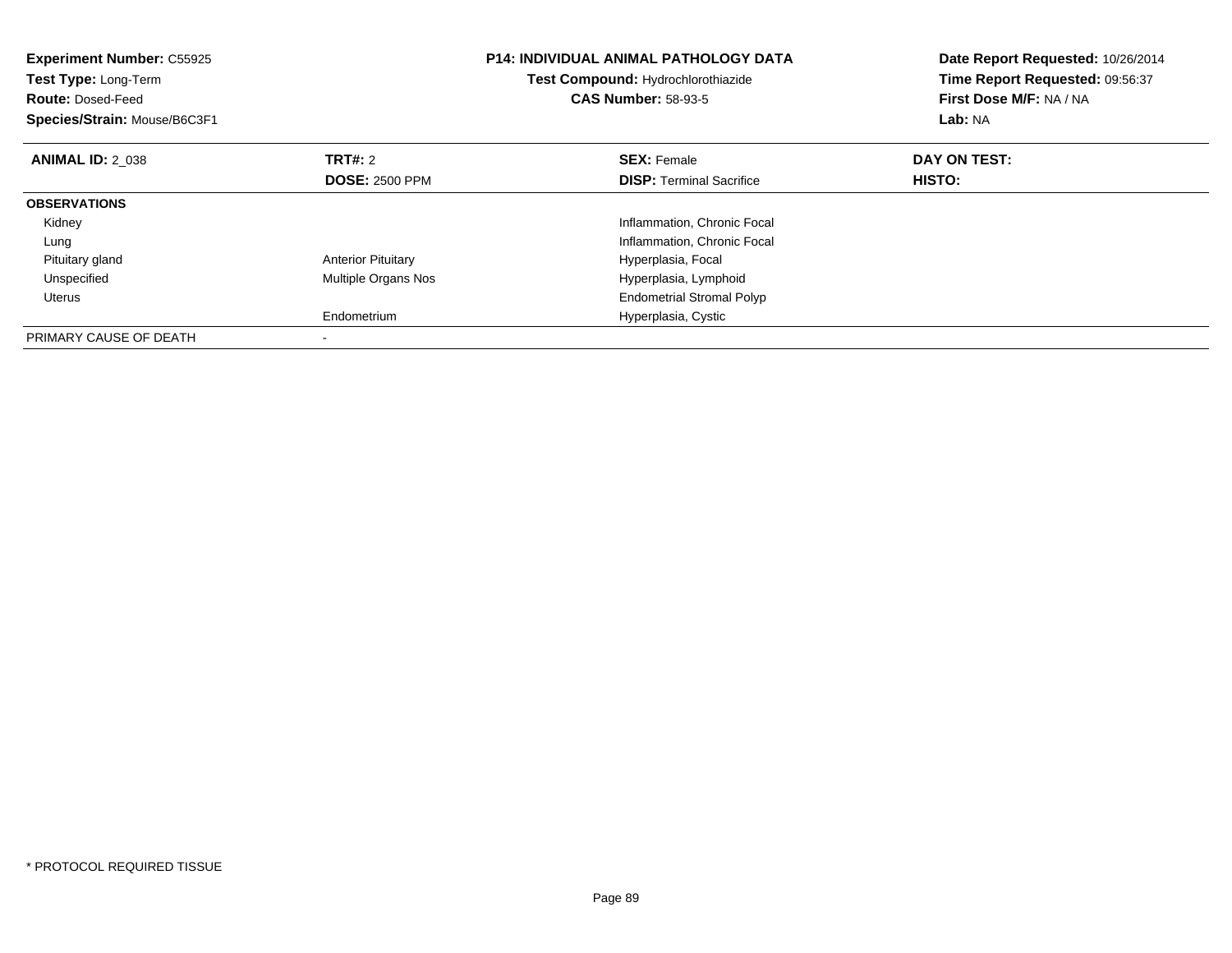| <b>Experiment Number: C55925</b><br>Test Type: Long-Term<br><b>Route: Dosed-Feed</b><br>Species/Strain: Mouse/B6C3F1 |                           | <b>P14: INDIVIDUAL ANIMAL PATHOLOGY DATA</b><br>Test Compound: Hydrochlorothiazide<br><b>CAS Number: 58-93-5</b> | Date Report Requested: 10/26/2014<br>Time Report Requested: 09:56:37<br>First Dose M/F: NA / NA<br>Lab: NA |
|----------------------------------------------------------------------------------------------------------------------|---------------------------|------------------------------------------------------------------------------------------------------------------|------------------------------------------------------------------------------------------------------------|
| <b>ANIMAL ID: 2 038</b>                                                                                              | <b>TRT#: 2</b>            | <b>SEX: Female</b>                                                                                               | DAY ON TEST:                                                                                               |
|                                                                                                                      | <b>DOSE: 2500 PPM</b>     | <b>DISP:</b> Terminal Sacrifice                                                                                  | HISTO:                                                                                                     |
| <b>OBSERVATIONS</b>                                                                                                  |                           |                                                                                                                  |                                                                                                            |
| Kidney                                                                                                               |                           | Inflammation, Chronic Focal                                                                                      |                                                                                                            |
| Lung                                                                                                                 |                           | Inflammation, Chronic Focal                                                                                      |                                                                                                            |
| Pituitary gland                                                                                                      | <b>Anterior Pituitary</b> | Hyperplasia, Focal                                                                                               |                                                                                                            |
| Unspecified                                                                                                          | Multiple Organs Nos       | Hyperplasia, Lymphoid                                                                                            |                                                                                                            |
| <b>Uterus</b>                                                                                                        |                           | <b>Endometrial Stromal Polyp</b>                                                                                 |                                                                                                            |
|                                                                                                                      | Endometrium               | Hyperplasia, Cystic                                                                                              |                                                                                                            |
| PRIMARY CAUSE OF DEATH                                                                                               |                           |                                                                                                                  |                                                                                                            |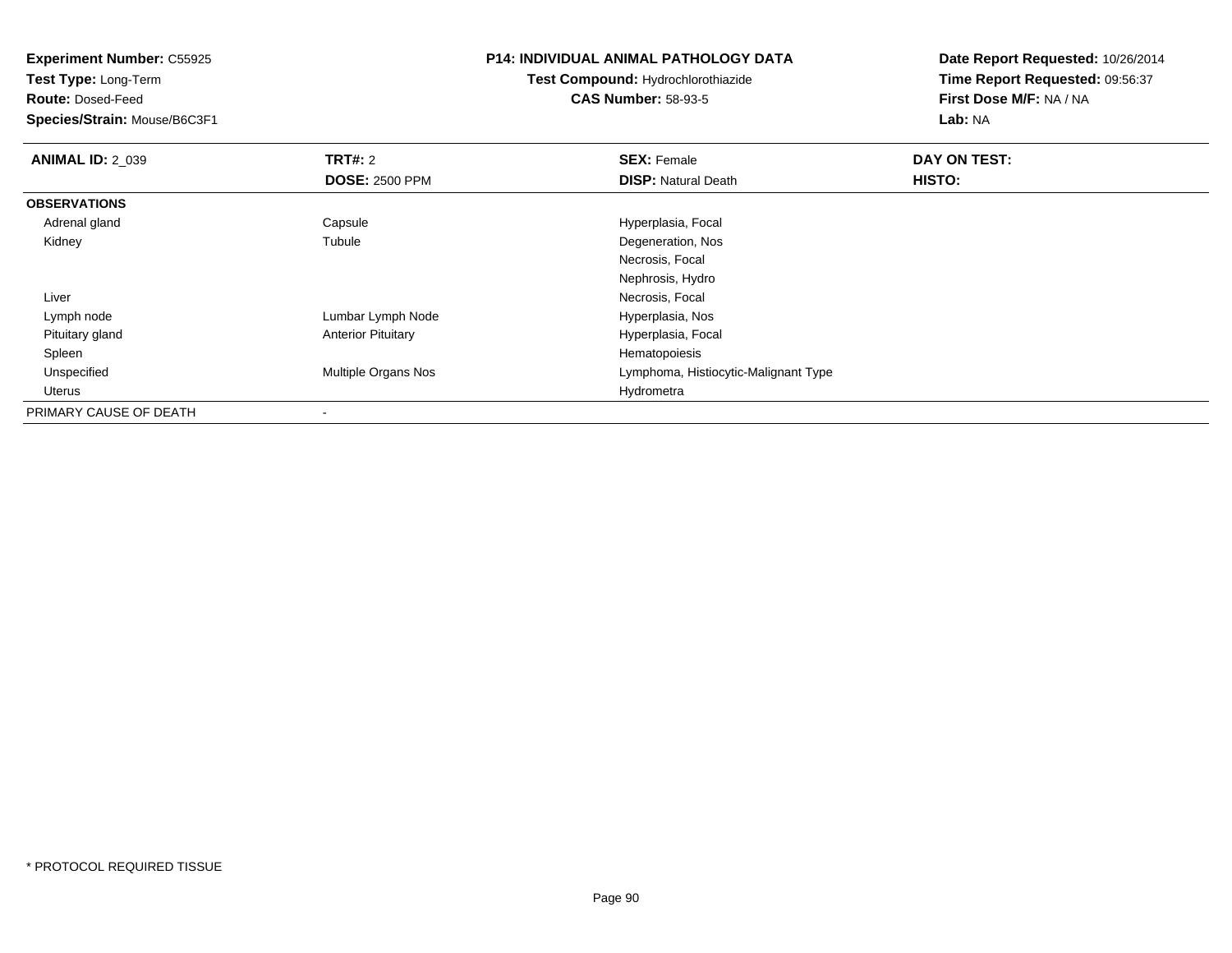| <b>Experiment Number: C55925</b><br>Test Type: Long-Term |                           | <b>P14: INDIVIDUAL ANIMAL PATHOLOGY DATA</b> | Date Report Requested: 10/26/2014 |
|----------------------------------------------------------|---------------------------|----------------------------------------------|-----------------------------------|
|                                                          |                           | Test Compound: Hydrochlorothiazide           | Time Report Requested: 09:56:37   |
| <b>Route: Dosed-Feed</b>                                 |                           | <b>CAS Number: 58-93-5</b>                   | First Dose M/F: NA / NA           |
| Species/Strain: Mouse/B6C3F1                             |                           |                                              | Lab: NA                           |
| <b>ANIMAL ID: 2 039</b>                                  | <b>TRT#: 2</b>            | <b>SEX: Female</b>                           | DAY ON TEST:                      |
|                                                          | <b>DOSE: 2500 PPM</b>     | <b>DISP: Natural Death</b>                   | HISTO:                            |
| <b>OBSERVATIONS</b>                                      |                           |                                              |                                   |
| Adrenal gland                                            | Capsule                   | Hyperplasia, Focal                           |                                   |
| Kidney                                                   | Tubule                    | Degeneration, Nos                            |                                   |
|                                                          |                           | Necrosis, Focal                              |                                   |
|                                                          |                           | Nephrosis, Hydro                             |                                   |
| Liver                                                    |                           | Necrosis, Focal                              |                                   |
| Lymph node                                               | Lumbar Lymph Node         | Hyperplasia, Nos                             |                                   |
| Pituitary gland                                          | <b>Anterior Pituitary</b> | Hyperplasia, Focal                           |                                   |
| Spleen                                                   |                           | Hematopoiesis                                |                                   |
| Unspecified                                              | Multiple Organs Nos       | Lymphoma, Histiocytic-Malignant Type         |                                   |
| Uterus                                                   |                           | Hydrometra                                   |                                   |
| PRIMARY CAUSE OF DEATH                                   |                           |                                              |                                   |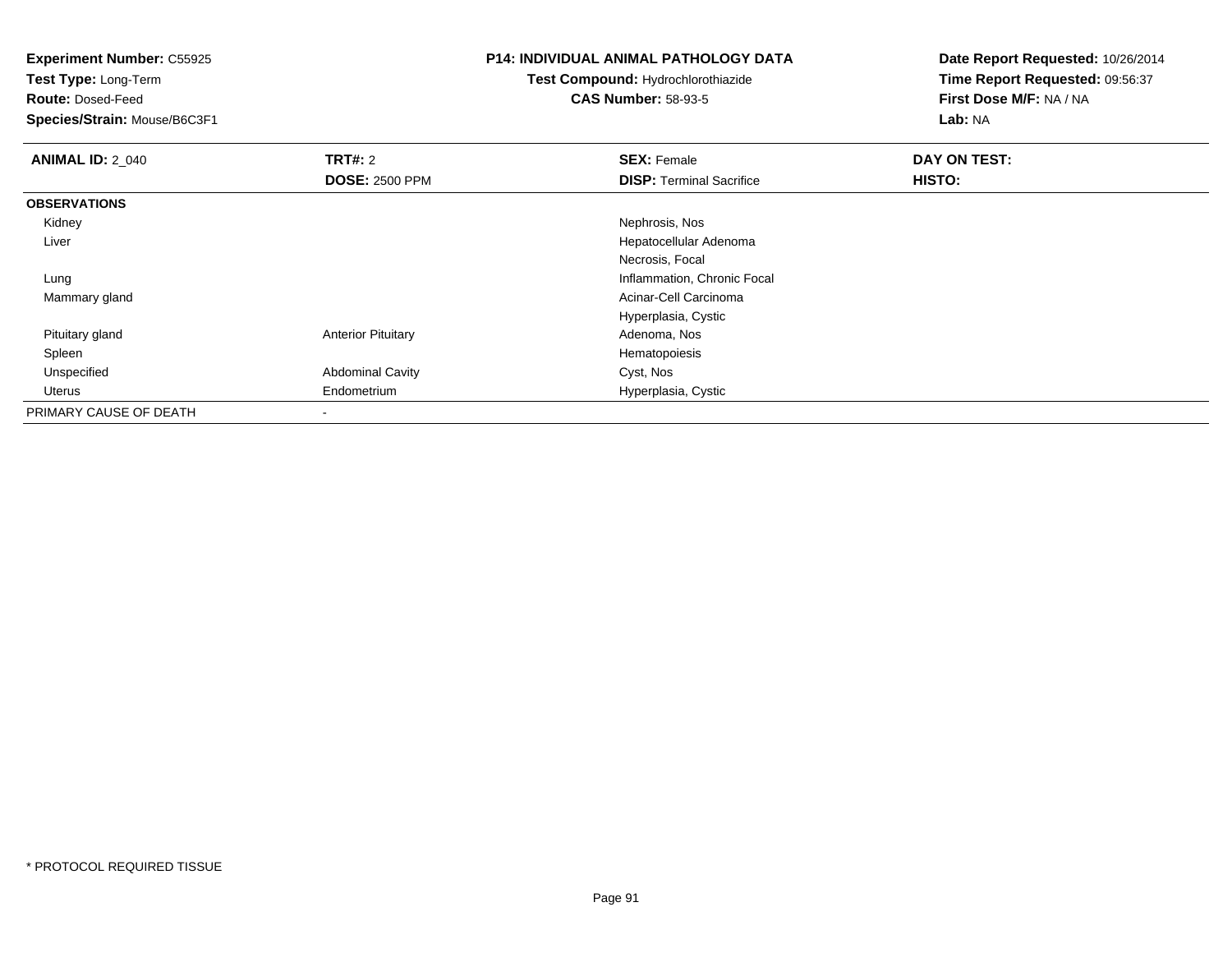**Test Type:** Long-Term

**Route:** Dosed-Feed

**Species/Strain:** Mouse/B6C3F1

### **P14: INDIVIDUAL ANIMAL PATHOLOGY DATA**

**Test Compound:** Hydrochlorothiazide**CAS Number:** 58-93-5

| <b>ANIMAL ID: 2 040</b> | TRT#: 2                   | <b>SEX: Female</b>              | DAY ON TEST: |  |
|-------------------------|---------------------------|---------------------------------|--------------|--|
|                         | <b>DOSE: 2500 PPM</b>     | <b>DISP: Terminal Sacrifice</b> | HISTO:       |  |
| <b>OBSERVATIONS</b>     |                           |                                 |              |  |
| Kidney                  |                           | Nephrosis, Nos                  |              |  |
| Liver                   |                           | Hepatocellular Adenoma          |              |  |
|                         |                           | Necrosis, Focal                 |              |  |
| Lung                    |                           | Inflammation, Chronic Focal     |              |  |
| Mammary gland           |                           | Acinar-Cell Carcinoma           |              |  |
|                         |                           | Hyperplasia, Cystic             |              |  |
| Pituitary gland         | <b>Anterior Pituitary</b> | Adenoma, Nos                    |              |  |
| Spleen                  |                           | Hematopoiesis                   |              |  |
| Unspecified             | <b>Abdominal Cavity</b>   | Cyst, Nos                       |              |  |
| Uterus                  | Endometrium               | Hyperplasia, Cystic             |              |  |
| PRIMARY CAUSE OF DEATH  | ۰                         |                                 |              |  |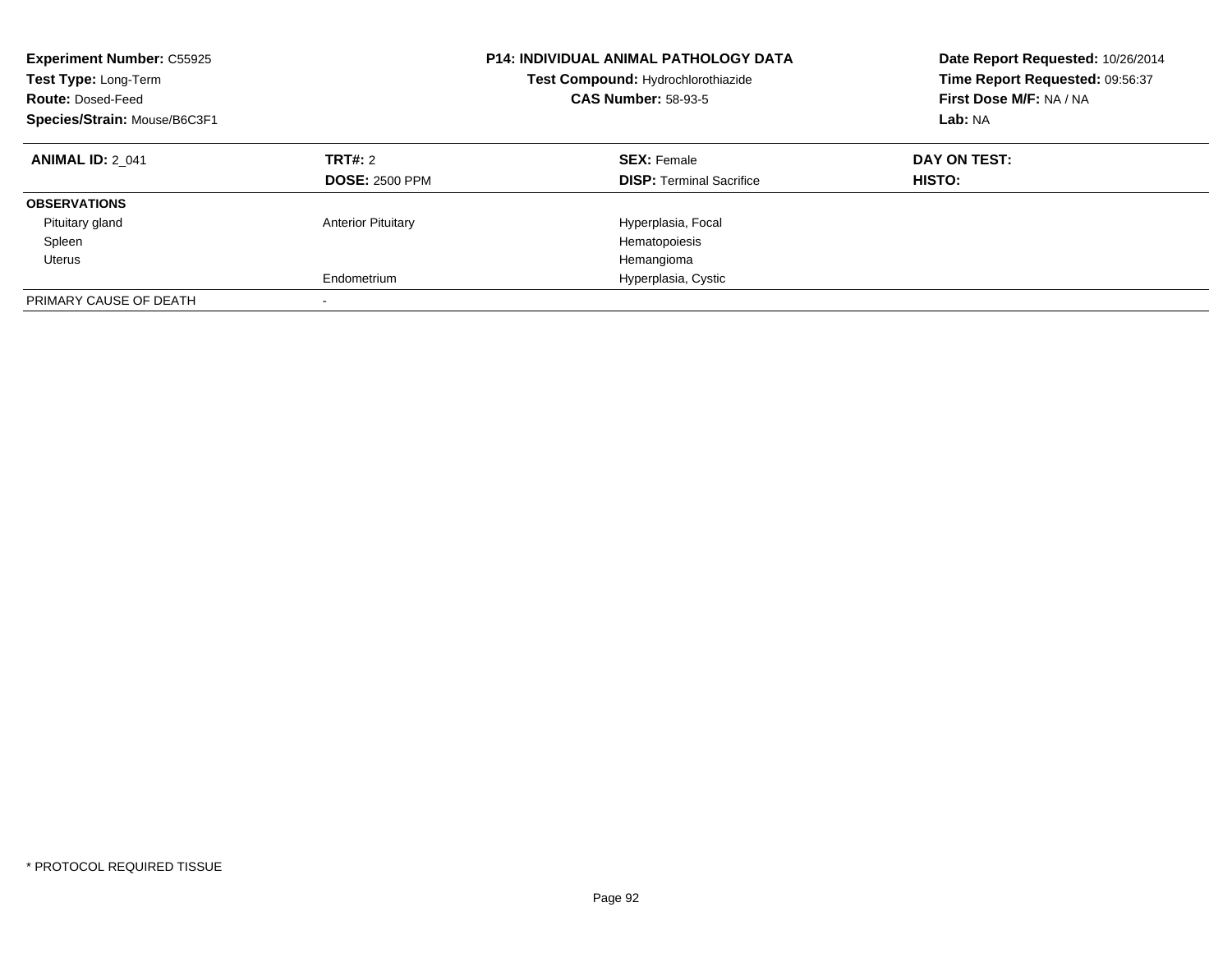| <b>Experiment Number: C55925</b><br>Test Type: Long-Term<br><b>Route: Dosed-Feed</b><br>Species/Strain: Mouse/B6C3F1 |                                  | <b>P14: INDIVIDUAL ANIMAL PATHOLOGY DATA</b><br>Test Compound: Hydrochlorothiazide<br><b>CAS Number: 58-93-5</b> | Date Report Requested: 10/26/2014<br>Time Report Requested: 09:56:37<br>First Dose M/F: NA / NA<br>Lab: NA |  |
|----------------------------------------------------------------------------------------------------------------------|----------------------------------|------------------------------------------------------------------------------------------------------------------|------------------------------------------------------------------------------------------------------------|--|
| <b>ANIMAL ID: 2 041</b>                                                                                              | TRT#: 2<br><b>DOSE: 2500 PPM</b> | <b>SEX: Female</b><br><b>DISP:</b> Terminal Sacrifice                                                            | DAY ON TEST:<br>HISTO:                                                                                     |  |
| <b>OBSERVATIONS</b>                                                                                                  |                                  |                                                                                                                  |                                                                                                            |  |
| Pituitary gland                                                                                                      | <b>Anterior Pituitary</b>        | Hyperplasia, Focal                                                                                               |                                                                                                            |  |
| Spleen                                                                                                               |                                  | Hematopoiesis                                                                                                    |                                                                                                            |  |
| Uterus                                                                                                               |                                  | Hemangioma                                                                                                       |                                                                                                            |  |
|                                                                                                                      | Endometrium                      | Hyperplasia, Cystic                                                                                              |                                                                                                            |  |
| PRIMARY CAUSE OF DEATH                                                                                               | -                                |                                                                                                                  |                                                                                                            |  |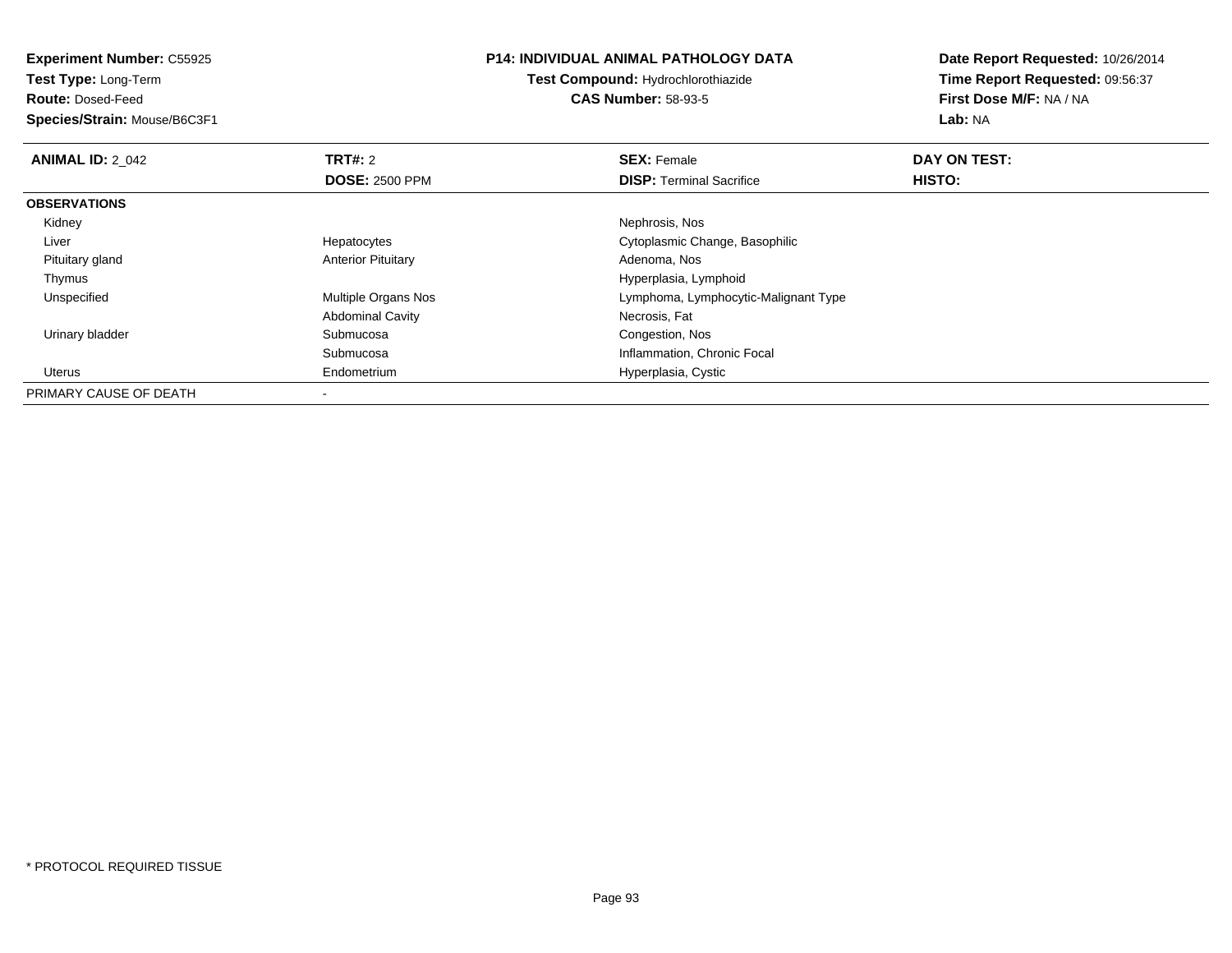**Test Type:** Long-Term

**Route:** Dosed-Feed

**Species/Strain:** Mouse/B6C3F1

### **P14: INDIVIDUAL ANIMAL PATHOLOGY DATA**

**Test Compound:** Hydrochlorothiazide**CAS Number:** 58-93-5

| <b>ANIMAL ID: 2 042</b> | TRT#: 2                    | <b>SEX: Female</b>                   | DAY ON TEST: |  |
|-------------------------|----------------------------|--------------------------------------|--------------|--|
|                         | <b>DOSE: 2500 PPM</b>      | <b>DISP: Terminal Sacrifice</b>      | HISTO:       |  |
| <b>OBSERVATIONS</b>     |                            |                                      |              |  |
| Kidney                  |                            | Nephrosis, Nos                       |              |  |
| Liver                   | Hepatocytes                | Cytoplasmic Change, Basophilic       |              |  |
| Pituitary gland         | <b>Anterior Pituitary</b>  | Adenoma, Nos                         |              |  |
| Thymus                  |                            | Hyperplasia, Lymphoid                |              |  |
| Unspecified             | <b>Multiple Organs Nos</b> | Lymphoma, Lymphocytic-Malignant Type |              |  |
|                         | <b>Abdominal Cavity</b>    | Necrosis, Fat                        |              |  |
| Urinary bladder         | Submucosa                  | Congestion, Nos                      |              |  |
|                         | Submucosa                  | Inflammation, Chronic Focal          |              |  |
| Uterus                  | Endometrium                | Hyperplasia, Cystic                  |              |  |
| PRIMARY CAUSE OF DEATH  |                            |                                      |              |  |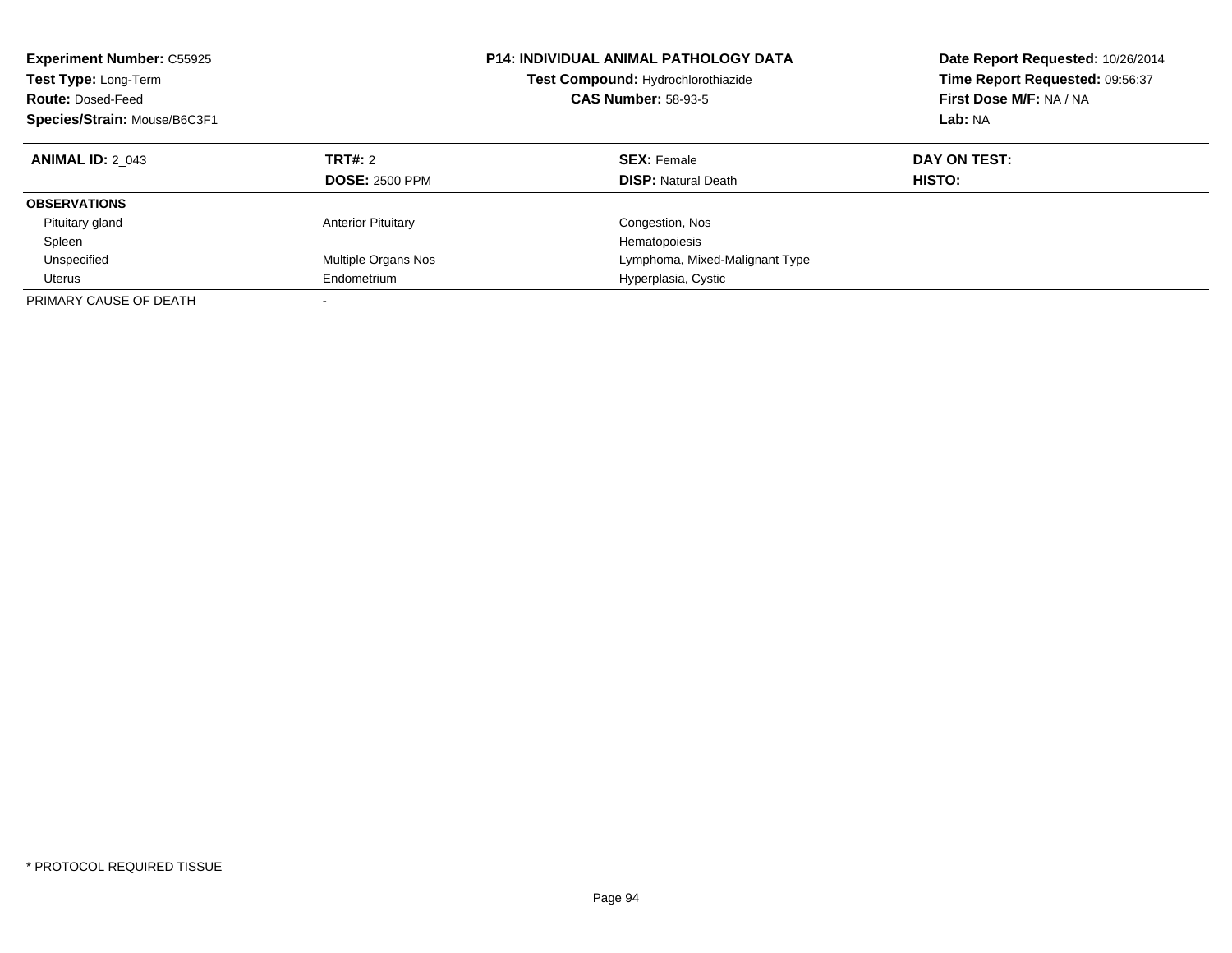| <b>Experiment Number: C55925</b><br>Test Type: Long-Term<br><b>Route: Dosed-Feed</b><br>Species/Strain: Mouse/B6C3F1 |                                  | <b>P14: INDIVIDUAL ANIMAL PATHOLOGY DATA</b><br>Test Compound: Hydrochlorothiazide<br><b>CAS Number: 58-93-5</b> | Date Report Requested: 10/26/2014<br>Time Report Requested: 09:56:37<br>First Dose M/F: NA / NA<br>Lab: NA |
|----------------------------------------------------------------------------------------------------------------------|----------------------------------|------------------------------------------------------------------------------------------------------------------|------------------------------------------------------------------------------------------------------------|
| <b>ANIMAL ID: 2 043</b>                                                                                              | TRT#: 2<br><b>DOSE: 2500 PPM</b> | <b>SEX: Female</b><br><b>DISP:</b> Natural Death                                                                 | DAY ON TEST:<br>HISTO:                                                                                     |
| <b>OBSERVATIONS</b>                                                                                                  |                                  |                                                                                                                  |                                                                                                            |
| Pituitary gland<br>Spleen                                                                                            | <b>Anterior Pituitary</b>        | Congestion, Nos<br>Hematopoiesis                                                                                 |                                                                                                            |
| Unspecified                                                                                                          | Multiple Organs Nos              | Lymphoma, Mixed-Malignant Type                                                                                   |                                                                                                            |
| Uterus<br>PRIMARY CAUSE OF DEATH                                                                                     | Endometrium                      | Hyperplasia, Cystic                                                                                              |                                                                                                            |
|                                                                                                                      |                                  |                                                                                                                  |                                                                                                            |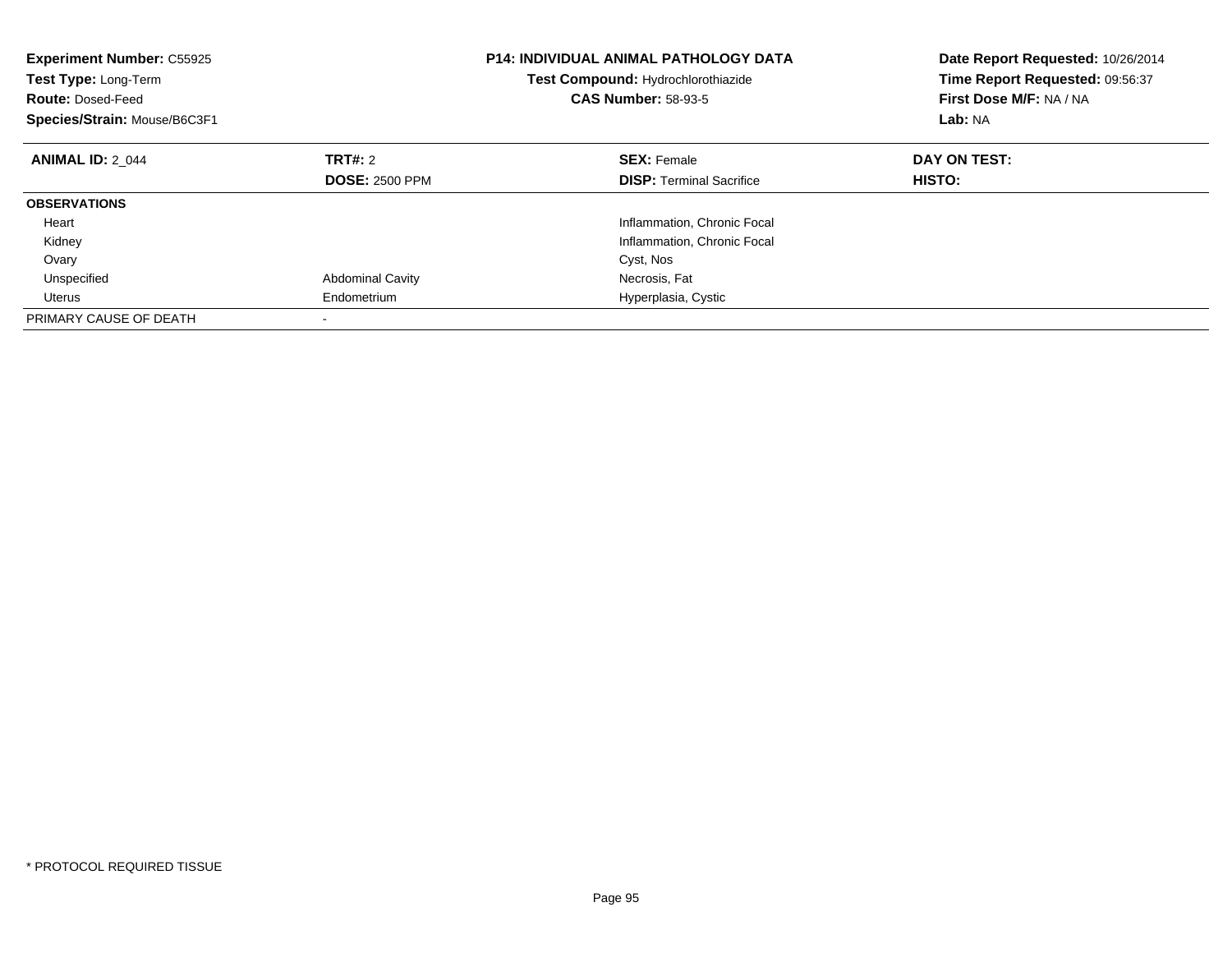| <b>Experiment Number: C55925</b><br>Test Type: Long-Term<br><b>Route: Dosed-Feed</b><br>Species/Strain: Mouse/B6C3F1 |                         | <b>P14: INDIVIDUAL ANIMAL PATHOLOGY DATA</b><br>Test Compound: Hydrochlorothiazide<br><b>CAS Number: 58-93-5</b> | Date Report Requested: 10/26/2014<br>Time Report Requested: 09:56:37<br>First Dose M/F: NA / NA<br>Lab: NA |
|----------------------------------------------------------------------------------------------------------------------|-------------------------|------------------------------------------------------------------------------------------------------------------|------------------------------------------------------------------------------------------------------------|
| <b>ANIMAL ID: 2 044</b>                                                                                              | <b>TRT#:</b> 2          | <b>SEX: Female</b>                                                                                               | DAY ON TEST:                                                                                               |
|                                                                                                                      | <b>DOSE: 2500 PPM</b>   | <b>DISP:</b> Terminal Sacrifice                                                                                  | HISTO:                                                                                                     |
| <b>OBSERVATIONS</b>                                                                                                  |                         |                                                                                                                  |                                                                                                            |
| Heart                                                                                                                |                         | Inflammation, Chronic Focal                                                                                      |                                                                                                            |
| Kidney                                                                                                               |                         | Inflammation, Chronic Focal                                                                                      |                                                                                                            |
| Ovary                                                                                                                |                         | Cyst, Nos                                                                                                        |                                                                                                            |
| Unspecified                                                                                                          | <b>Abdominal Cavity</b> | Necrosis, Fat                                                                                                    |                                                                                                            |
| Uterus                                                                                                               | Endometrium             | Hyperplasia, Cystic                                                                                              |                                                                                                            |
| PRIMARY CAUSE OF DEATH                                                                                               |                         |                                                                                                                  |                                                                                                            |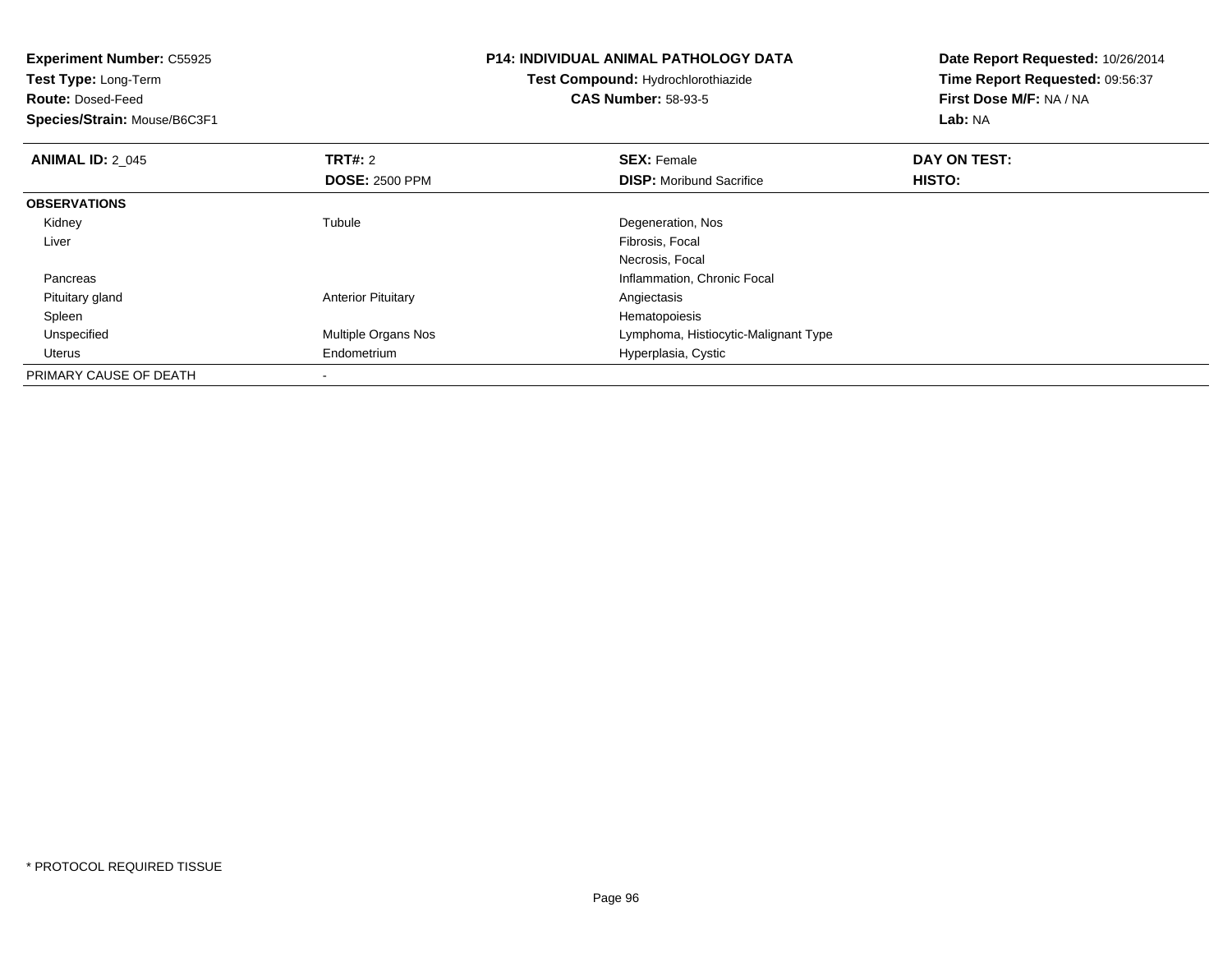| <b>Experiment Number: C55925</b><br>Test Type: Long-Term |                           | <b>P14: INDIVIDUAL ANIMAL PATHOLOGY DATA</b> | Date Report Requested: 10/26/2014 |  |
|----------------------------------------------------------|---------------------------|----------------------------------------------|-----------------------------------|--|
|                                                          |                           | Test Compound: Hydrochlorothiazide           | Time Report Requested: 09:56:37   |  |
| <b>Route: Dosed-Feed</b>                                 |                           | <b>CAS Number: 58-93-5</b>                   | First Dose M/F: NA / NA           |  |
| Species/Strain: Mouse/B6C3F1                             |                           |                                              | Lab: NA                           |  |
| <b>ANIMAL ID: 2_045</b>                                  | <b>TRT#: 2</b>            | <b>SEX: Female</b>                           | DAY ON TEST:                      |  |
|                                                          | <b>DOSE: 2500 PPM</b>     | <b>DISP:</b> Moribund Sacrifice              | HISTO:                            |  |
| <b>OBSERVATIONS</b>                                      |                           |                                              |                                   |  |
| Kidney                                                   | Tubule                    | Degeneration, Nos                            |                                   |  |
| Liver                                                    |                           | Fibrosis, Focal                              |                                   |  |
|                                                          |                           | Necrosis, Focal                              |                                   |  |
| Pancreas                                                 |                           | Inflammation, Chronic Focal                  |                                   |  |
| Pituitary gland                                          | <b>Anterior Pituitary</b> | Angiectasis                                  |                                   |  |
| Spleen                                                   |                           | Hematopoiesis                                |                                   |  |
| Unspecified                                              | Multiple Organs Nos       | Lymphoma, Histiocytic-Malignant Type         |                                   |  |
| Uterus                                                   | Endometrium               | Hyperplasia, Cystic                          |                                   |  |
| PRIMARY CAUSE OF DEATH                                   |                           |                                              |                                   |  |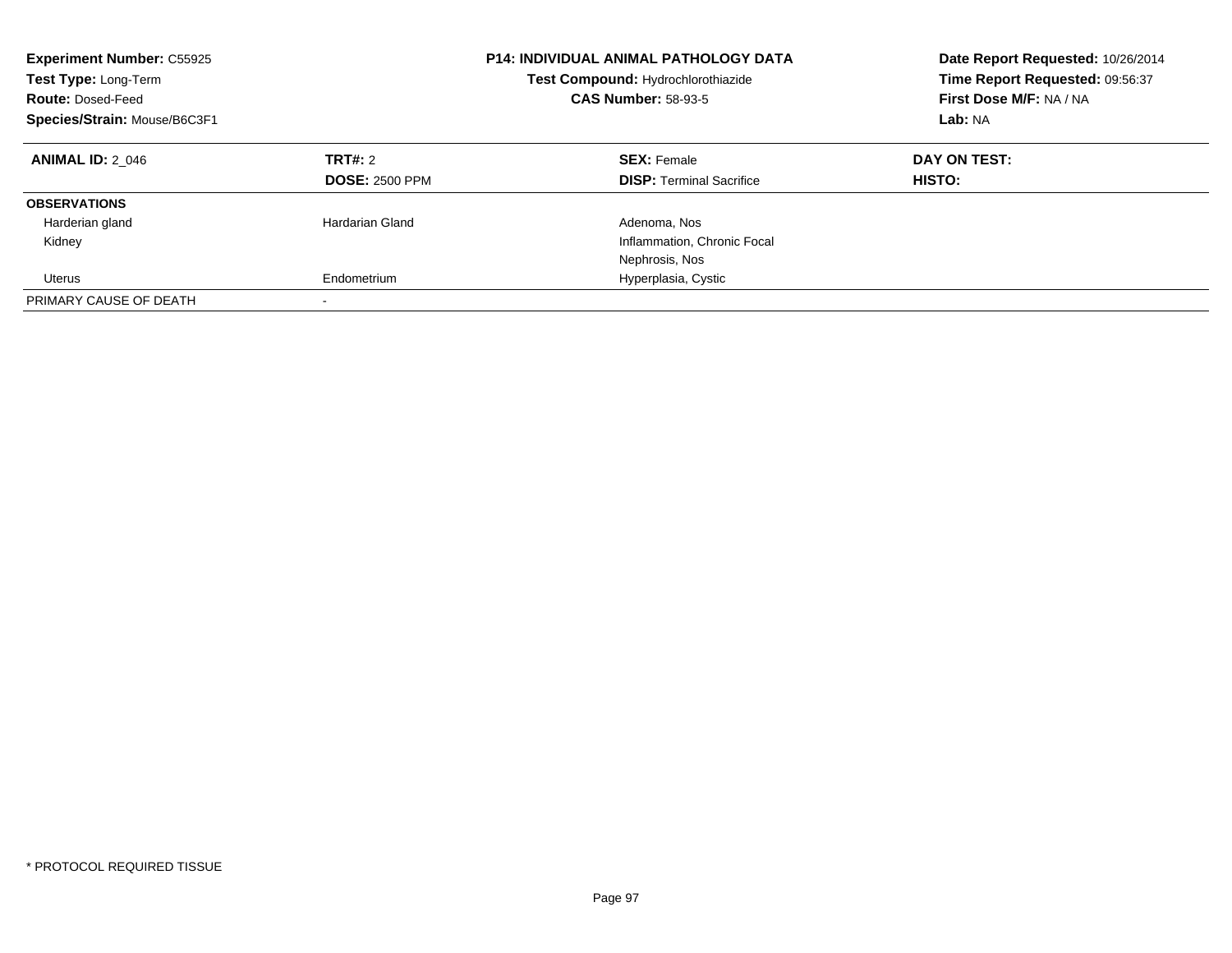| <b>Experiment Number: C55925</b><br>Test Type: Long-Term<br><b>Route: Dosed-Feed</b><br>Species/Strain: Mouse/B6C3F1 |                                  | <b>P14: INDIVIDUAL ANIMAL PATHOLOGY DATA</b><br>Test Compound: Hydrochlorothiazide<br><b>CAS Number: 58-93-5</b> | Date Report Requested: 10/26/2014<br>Time Report Requested: 09:56:37<br>First Dose M/F: NA / NA<br>Lab: NA |  |
|----------------------------------------------------------------------------------------------------------------------|----------------------------------|------------------------------------------------------------------------------------------------------------------|------------------------------------------------------------------------------------------------------------|--|
| <b>ANIMAL ID: 2 046</b>                                                                                              | TRT#: 2<br><b>DOSE: 2500 PPM</b> | <b>SEX: Female</b><br><b>DISP:</b> Terminal Sacrifice                                                            | DAY ON TEST:<br><b>HISTO:</b>                                                                              |  |
| <b>OBSERVATIONS</b>                                                                                                  |                                  |                                                                                                                  |                                                                                                            |  |
| Harderian gland                                                                                                      | Hardarian Gland                  | Adenoma, Nos                                                                                                     |                                                                                                            |  |
| Kidney                                                                                                               |                                  | Inflammation, Chronic Focal                                                                                      |                                                                                                            |  |
|                                                                                                                      |                                  | Nephrosis, Nos                                                                                                   |                                                                                                            |  |
| <b>Uterus</b>                                                                                                        | Endometrium                      | Hyperplasia, Cystic                                                                                              |                                                                                                            |  |
| PRIMARY CAUSE OF DEATH                                                                                               |                                  |                                                                                                                  |                                                                                                            |  |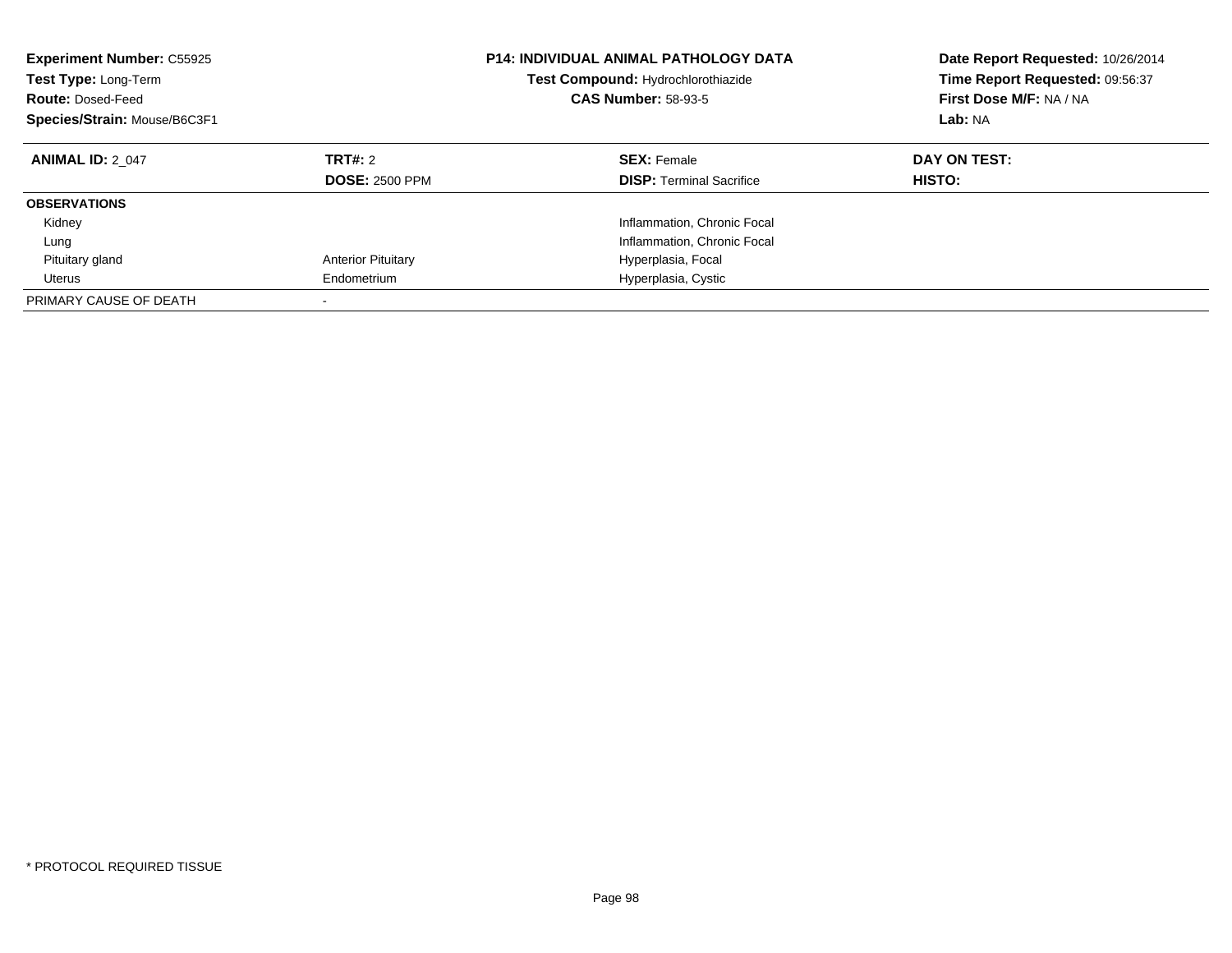| <b>Experiment Number: C55925</b><br><b>P14: INDIVIDUAL ANIMAL PATHOLOGY DATA</b><br>Test Compound: Hydrochlorothiazide<br>Test Type: Long-Term<br><b>CAS Number: 58-93-5</b><br><b>Route: Dosed-Feed</b><br>Species/Strain: Mouse/B6C3F1 |                                  |                                                       | Date Report Requested: 10/26/2014<br>Time Report Requested: 09:56:37<br>First Dose M/F: NA / NA<br>Lab: NA |
|------------------------------------------------------------------------------------------------------------------------------------------------------------------------------------------------------------------------------------------|----------------------------------|-------------------------------------------------------|------------------------------------------------------------------------------------------------------------|
| <b>ANIMAL ID: 2 047</b>                                                                                                                                                                                                                  | TRT#: 2<br><b>DOSE: 2500 PPM</b> | <b>SEX: Female</b><br><b>DISP:</b> Terminal Sacrifice | DAY ON TEST:<br>HISTO:                                                                                     |
| <b>OBSERVATIONS</b>                                                                                                                                                                                                                      |                                  |                                                       |                                                                                                            |
| Kidney                                                                                                                                                                                                                                   |                                  | Inflammation, Chronic Focal                           |                                                                                                            |
| Lung                                                                                                                                                                                                                                     |                                  | Inflammation, Chronic Focal                           |                                                                                                            |
| Pituitary gland                                                                                                                                                                                                                          | <b>Anterior Pituitary</b>        | Hyperplasia, Focal                                    |                                                                                                            |
| Uterus                                                                                                                                                                                                                                   | Endometrium                      | Hyperplasia, Cystic                                   |                                                                                                            |
| PRIMARY CAUSE OF DEATH                                                                                                                                                                                                                   |                                  |                                                       |                                                                                                            |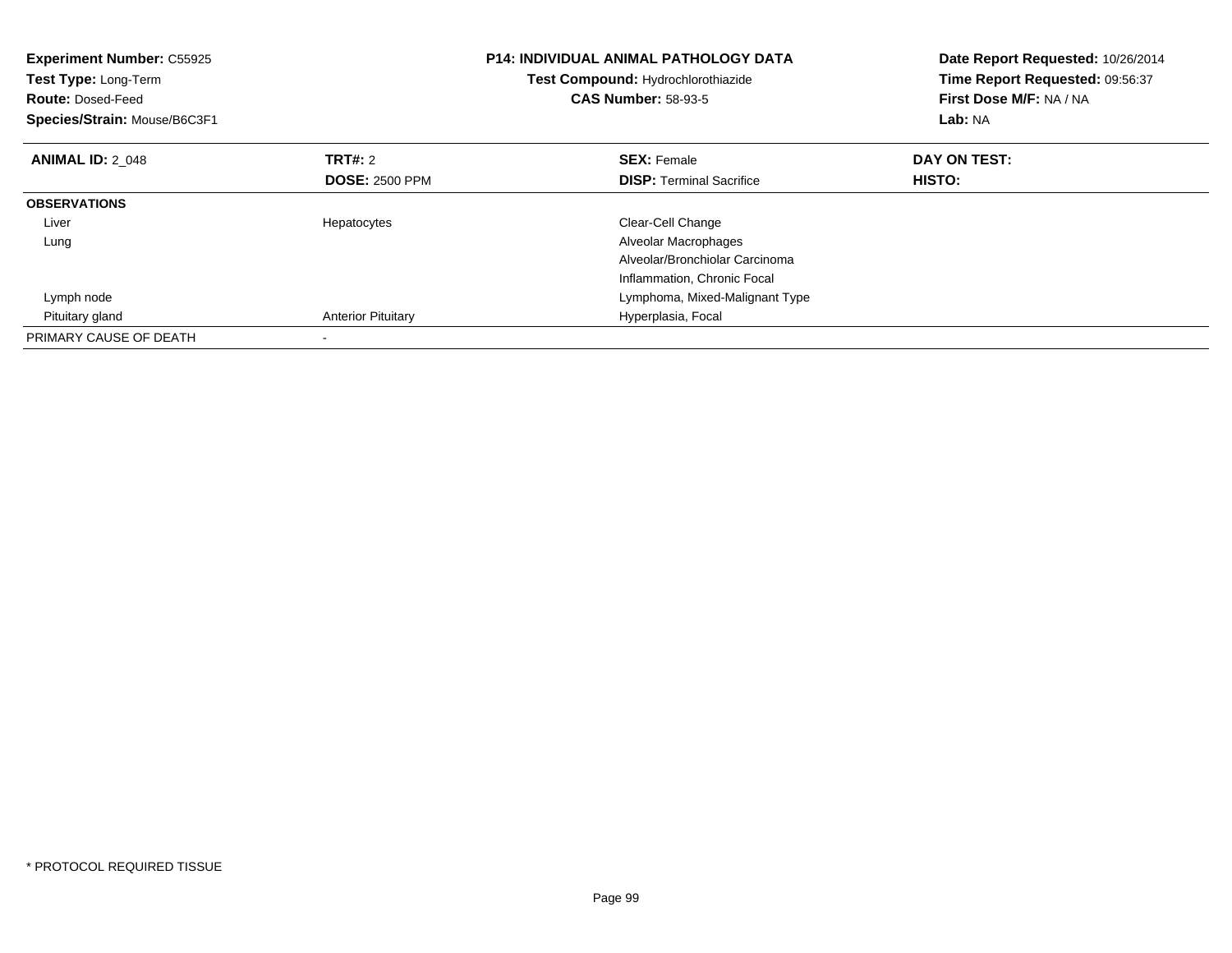| <b>Experiment Number: C55925</b><br>Test Type: Long-Term<br><b>Route: Dosed-Feed</b><br>Species/Strain: Mouse/B6C3F1 |                           | <b>P14: INDIVIDUAL ANIMAL PATHOLOGY DATA</b><br>Test Compound: Hydrochlorothiazide<br><b>CAS Number: 58-93-5</b> | Date Report Requested: 10/26/2014<br>Time Report Requested: 09:56:37<br>First Dose M/F: NA / NA<br>Lab: NA |
|----------------------------------------------------------------------------------------------------------------------|---------------------------|------------------------------------------------------------------------------------------------------------------|------------------------------------------------------------------------------------------------------------|
| <b>ANIMAL ID: 2 048</b>                                                                                              | TRT#: 2                   | <b>SEX: Female</b>                                                                                               | DAY ON TEST:                                                                                               |
|                                                                                                                      | <b>DOSE: 2500 PPM</b>     | <b>DISP:</b> Terminal Sacrifice                                                                                  | HISTO:                                                                                                     |
| <b>OBSERVATIONS</b>                                                                                                  |                           |                                                                                                                  |                                                                                                            |
| Liver                                                                                                                | Hepatocytes               | Clear-Cell Change                                                                                                |                                                                                                            |
| Lung                                                                                                                 |                           | Alveolar Macrophages                                                                                             |                                                                                                            |
|                                                                                                                      |                           | Alveolar/Bronchiolar Carcinoma                                                                                   |                                                                                                            |
|                                                                                                                      |                           | Inflammation, Chronic Focal                                                                                      |                                                                                                            |
| Lymph node                                                                                                           |                           | Lymphoma, Mixed-Malignant Type                                                                                   |                                                                                                            |
| Pituitary gland                                                                                                      | <b>Anterior Pituitary</b> | Hyperplasia, Focal                                                                                               |                                                                                                            |
| PRIMARY CAUSE OF DEATH                                                                                               |                           |                                                                                                                  |                                                                                                            |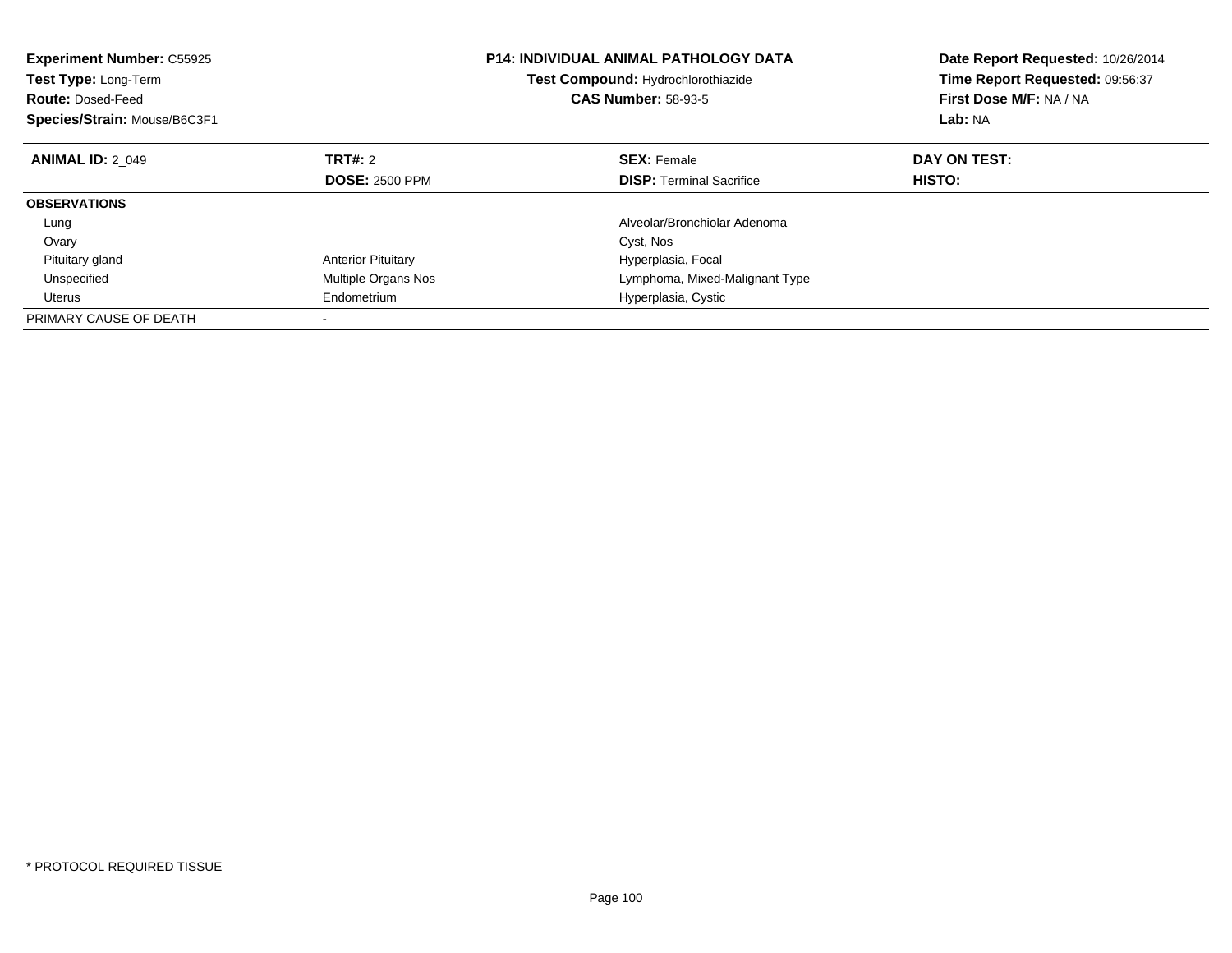| <b>Experiment Number: C55925</b><br>Test Type: Long-Term<br><b>Route: Dosed-Feed</b><br>Species/Strain: Mouse/B6C3F1 | <b>P14: INDIVIDUAL ANIMAL PATHOLOGY DATA</b><br>Test Compound: Hydrochlorothiazide<br><b>CAS Number: 58-93-5</b> |                                 | Date Report Requested: 10/26/2014<br>Time Report Requested: 09:56:37<br>First Dose M/F: NA / NA<br>Lab: NA |
|----------------------------------------------------------------------------------------------------------------------|------------------------------------------------------------------------------------------------------------------|---------------------------------|------------------------------------------------------------------------------------------------------------|
| <b>ANIMAL ID: 2 049</b>                                                                                              | TRT#: 2                                                                                                          | <b>SEX: Female</b>              | DAY ON TEST:                                                                                               |
|                                                                                                                      | <b>DOSE: 2500 PPM</b>                                                                                            | <b>DISP:</b> Terminal Sacrifice | HISTO:                                                                                                     |
| <b>OBSERVATIONS</b>                                                                                                  |                                                                                                                  |                                 |                                                                                                            |
| Lung                                                                                                                 |                                                                                                                  | Alveolar/Bronchiolar Adenoma    |                                                                                                            |
| Ovary                                                                                                                |                                                                                                                  | Cyst, Nos                       |                                                                                                            |
| Pituitary gland                                                                                                      | <b>Anterior Pituitary</b>                                                                                        | Hyperplasia, Focal              |                                                                                                            |
| Unspecified                                                                                                          | Multiple Organs Nos                                                                                              | Lymphoma, Mixed-Malignant Type  |                                                                                                            |
| Uterus                                                                                                               | Endometrium                                                                                                      | Hyperplasia, Cystic             |                                                                                                            |
| PRIMARY CAUSE OF DEATH                                                                                               |                                                                                                                  |                                 |                                                                                                            |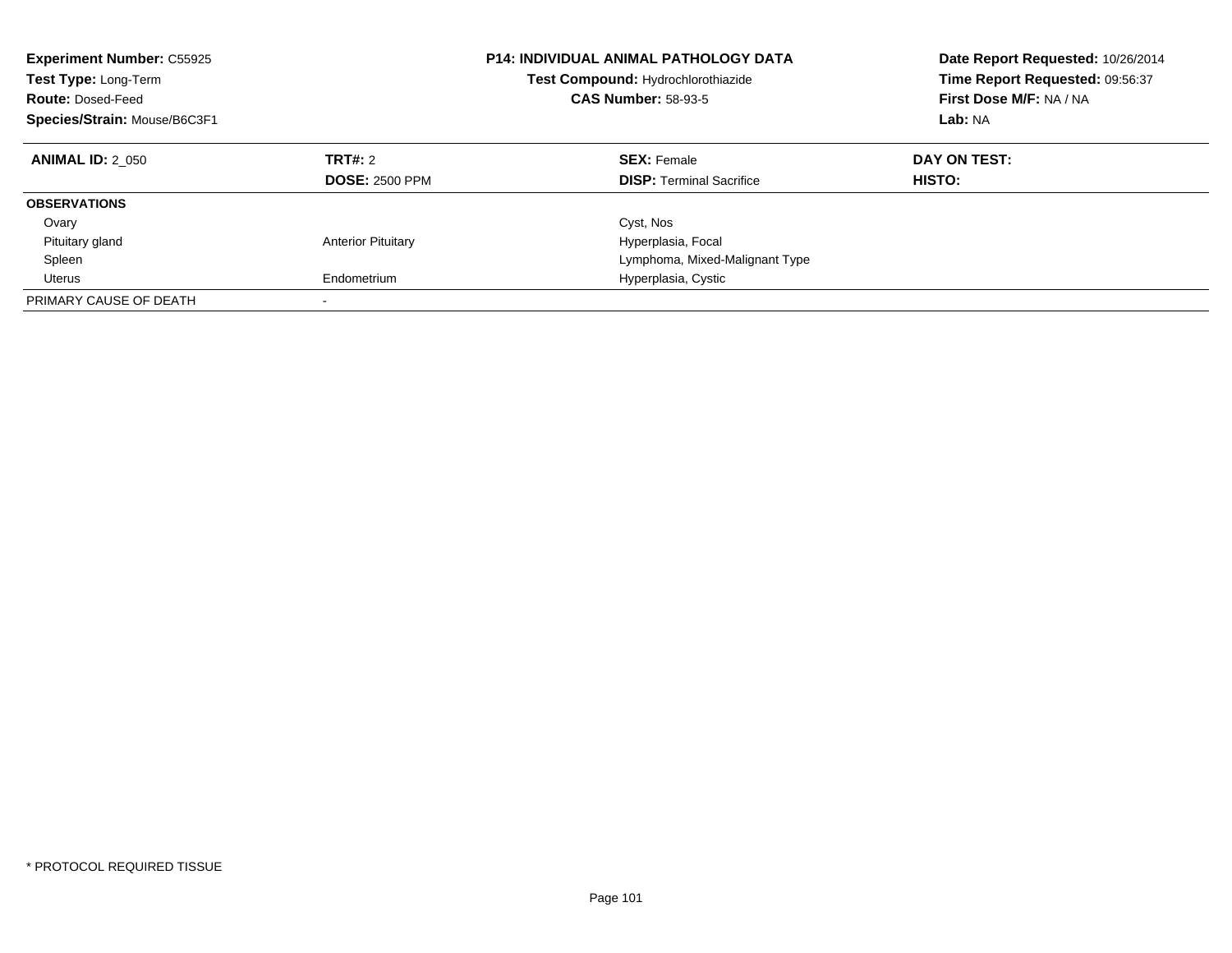| <b>Experiment Number: C55925</b><br>Test Type: Long-Term<br><b>Route: Dosed-Feed</b><br>Species/Strain: Mouse/B6C3F1 |                                  | <b>P14: INDIVIDUAL ANIMAL PATHOLOGY DATA</b><br>Test Compound: Hydrochlorothiazide<br><b>CAS Number: 58-93-5</b> | Date Report Requested: 10/26/2014<br>Time Report Requested: 09:56:37<br>First Dose M/F: NA / NA<br>Lab: NA |
|----------------------------------------------------------------------------------------------------------------------|----------------------------------|------------------------------------------------------------------------------------------------------------------|------------------------------------------------------------------------------------------------------------|
| <b>ANIMAL ID: 2 050</b>                                                                                              | TRT#: 2<br><b>DOSE: 2500 PPM</b> | <b>SEX: Female</b><br><b>DISP:</b> Terminal Sacrifice                                                            | DAY ON TEST:<br><b>HISTO:</b>                                                                              |
| <b>OBSERVATIONS</b>                                                                                                  |                                  |                                                                                                                  |                                                                                                            |
| Ovary                                                                                                                |                                  | Cyst, Nos                                                                                                        |                                                                                                            |
| Pituitary gland                                                                                                      | <b>Anterior Pituitary</b>        | Hyperplasia, Focal                                                                                               |                                                                                                            |
| Spleen                                                                                                               |                                  | Lymphoma, Mixed-Malignant Type                                                                                   |                                                                                                            |
| Uterus                                                                                                               | Endometrium                      | Hyperplasia, Cystic                                                                                              |                                                                                                            |
| PRIMARY CAUSE OF DEATH                                                                                               |                                  |                                                                                                                  |                                                                                                            |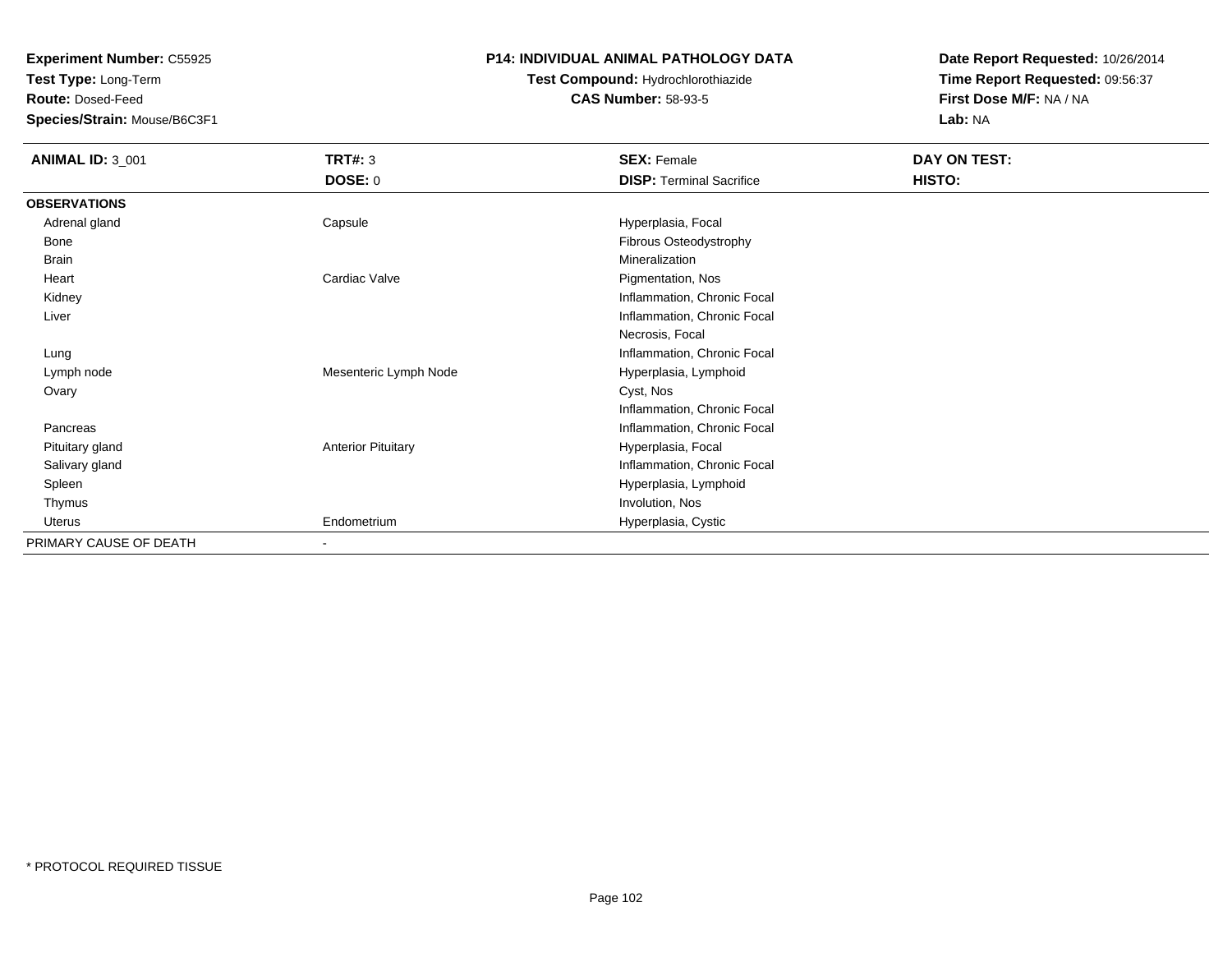**Test Type:** Long-Term

**Route:** Dosed-Feed

**Species/Strain:** Mouse/B6C3F1

### **P14: INDIVIDUAL ANIMAL PATHOLOGY DATA**

# **Test Compound:** Hydrochlorothiazide**CAS Number:** 58-93-5

| <b>ANIMAL ID: 3_001</b> | TRT#: 3                   | <b>SEX: Female</b>              | DAY ON TEST: |  |
|-------------------------|---------------------------|---------------------------------|--------------|--|
|                         | <b>DOSE: 0</b>            | <b>DISP: Terminal Sacrifice</b> | HISTO:       |  |
| <b>OBSERVATIONS</b>     |                           |                                 |              |  |
| Adrenal gland           | Capsule                   | Hyperplasia, Focal              |              |  |
| Bone                    |                           | Fibrous Osteodystrophy          |              |  |
| <b>Brain</b>            |                           | Mineralization                  |              |  |
| Heart                   | Cardiac Valve             | Pigmentation, Nos               |              |  |
| Kidney                  |                           | Inflammation, Chronic Focal     |              |  |
| Liver                   |                           | Inflammation, Chronic Focal     |              |  |
|                         |                           | Necrosis, Focal                 |              |  |
| Lung                    |                           | Inflammation, Chronic Focal     |              |  |
| Lymph node              | Mesenteric Lymph Node     | Hyperplasia, Lymphoid           |              |  |
| Ovary                   |                           | Cyst, Nos                       |              |  |
|                         |                           | Inflammation, Chronic Focal     |              |  |
| Pancreas                |                           | Inflammation, Chronic Focal     |              |  |
| Pituitary gland         | <b>Anterior Pituitary</b> | Hyperplasia, Focal              |              |  |
| Salivary gland          |                           | Inflammation, Chronic Focal     |              |  |
| Spleen                  |                           | Hyperplasia, Lymphoid           |              |  |
| Thymus                  |                           | Involution, Nos                 |              |  |
| Uterus                  | Endometrium               | Hyperplasia, Cystic             |              |  |
| PRIMARY CAUSE OF DEATH  | $\overline{\phantom{0}}$  |                                 |              |  |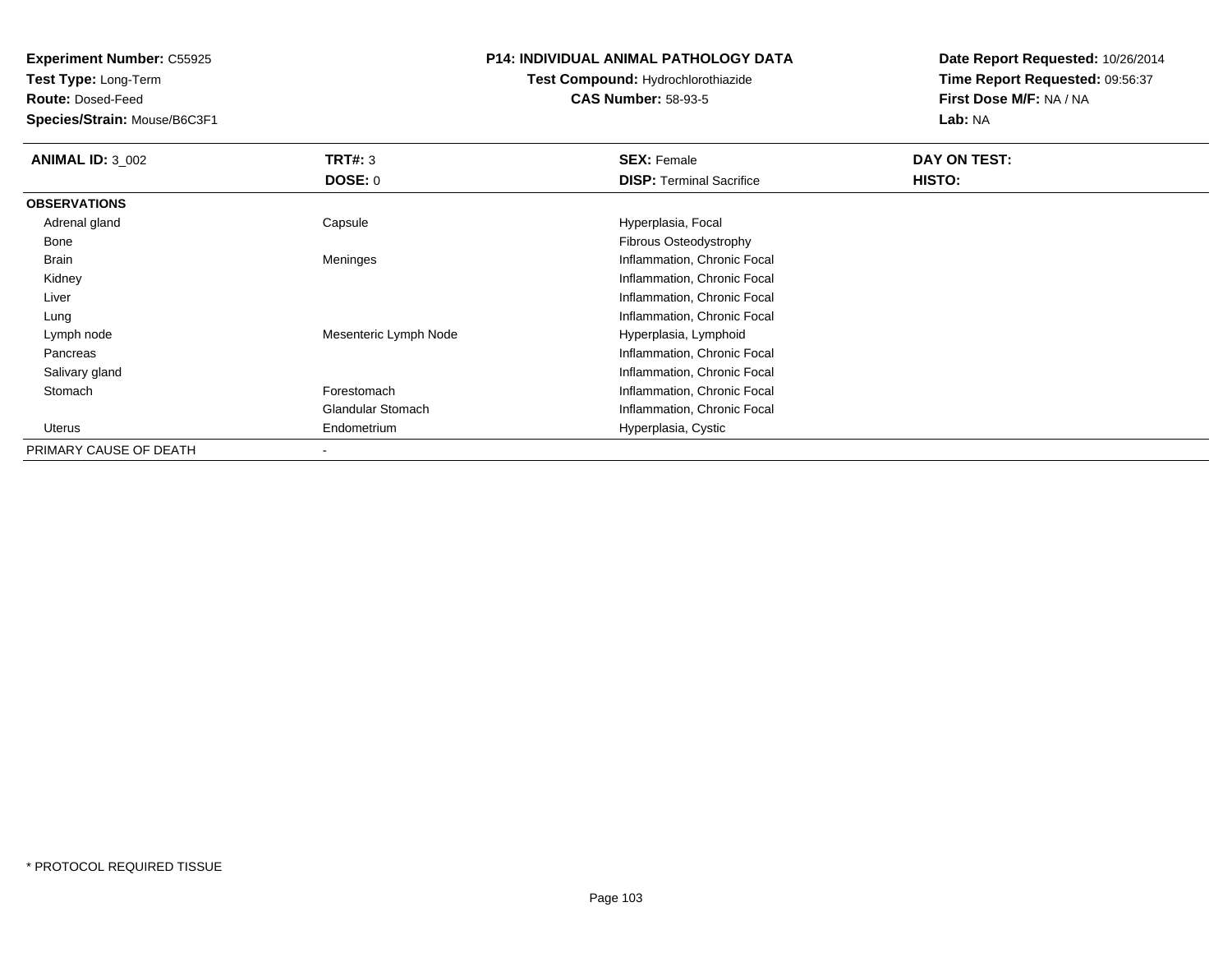**Test Type:** Long-Term

**Route:** Dosed-Feed

**Species/Strain:** Mouse/B6C3F1

### **P14: INDIVIDUAL ANIMAL PATHOLOGY DATA**

# **Test Compound:** Hydrochlorothiazide**CAS Number:** 58-93-5

| <b>ANIMAL ID: 3 002</b> | TRT#: 3                  | <b>SEX: Female</b>              | DAY ON TEST:  |
|-------------------------|--------------------------|---------------------------------|---------------|
|                         | DOSE: 0                  | <b>DISP: Terminal Sacrifice</b> | <b>HISTO:</b> |
| <b>OBSERVATIONS</b>     |                          |                                 |               |
| Adrenal gland           | Capsule                  | Hyperplasia, Focal              |               |
| Bone                    |                          | Fibrous Osteodystrophy          |               |
| Brain                   | Meninges                 | Inflammation, Chronic Focal     |               |
| Kidney                  |                          | Inflammation, Chronic Focal     |               |
| Liver                   |                          | Inflammation, Chronic Focal     |               |
| Lung                    |                          | Inflammation, Chronic Focal     |               |
| Lymph node              | Mesenteric Lymph Node    | Hyperplasia, Lymphoid           |               |
| Pancreas                |                          | Inflammation, Chronic Focal     |               |
| Salivary gland          |                          | Inflammation, Chronic Focal     |               |
| Stomach                 | Forestomach              | Inflammation, Chronic Focal     |               |
|                         | Glandular Stomach        | Inflammation, Chronic Focal     |               |
| Uterus                  | Endometrium              | Hyperplasia, Cystic             |               |
| PRIMARY CAUSE OF DEATH  | $\overline{\phantom{a}}$ |                                 |               |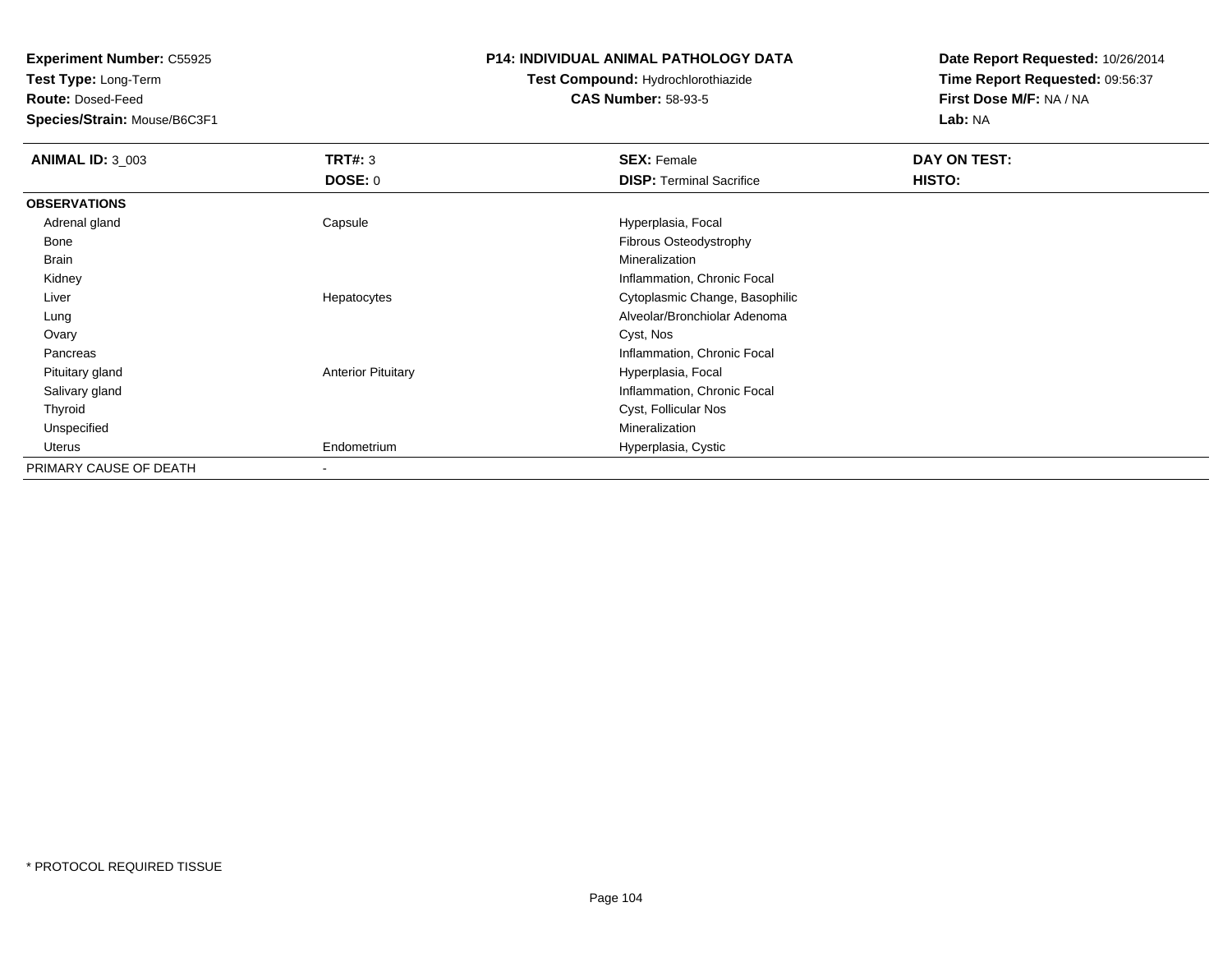**Test Type:** Long-Term

**Route:** Dosed-Feed

**Species/Strain:** Mouse/B6C3F1

### **P14: INDIVIDUAL ANIMAL PATHOLOGY DATA**

# **Test Compound:** Hydrochlorothiazide**CAS Number:** 58-93-5

| <b>ANIMAL ID: 3 003</b> | TRT#: 3                   | <b>SEX: Female</b>              | DAY ON TEST: |
|-------------------------|---------------------------|---------------------------------|--------------|
|                         | <b>DOSE: 0</b>            | <b>DISP: Terminal Sacrifice</b> | HISTO:       |
| <b>OBSERVATIONS</b>     |                           |                                 |              |
| Adrenal gland           | Capsule                   | Hyperplasia, Focal              |              |
| Bone                    |                           | Fibrous Osteodystrophy          |              |
| Brain                   |                           | Mineralization                  |              |
| Kidney                  |                           | Inflammation, Chronic Focal     |              |
| Liver                   | Hepatocytes               | Cytoplasmic Change, Basophilic  |              |
| Lung                    |                           | Alveolar/Bronchiolar Adenoma    |              |
| Ovary                   |                           | Cyst, Nos                       |              |
| Pancreas                |                           | Inflammation, Chronic Focal     |              |
| Pituitary gland         | <b>Anterior Pituitary</b> | Hyperplasia, Focal              |              |
| Salivary gland          |                           | Inflammation, Chronic Focal     |              |
| Thyroid                 |                           | Cyst, Follicular Nos            |              |
| Unspecified             |                           | Mineralization                  |              |
| Uterus                  | Endometrium               | Hyperplasia, Cystic             |              |
| PRIMARY CAUSE OF DEATH  | $\overline{\phantom{a}}$  |                                 |              |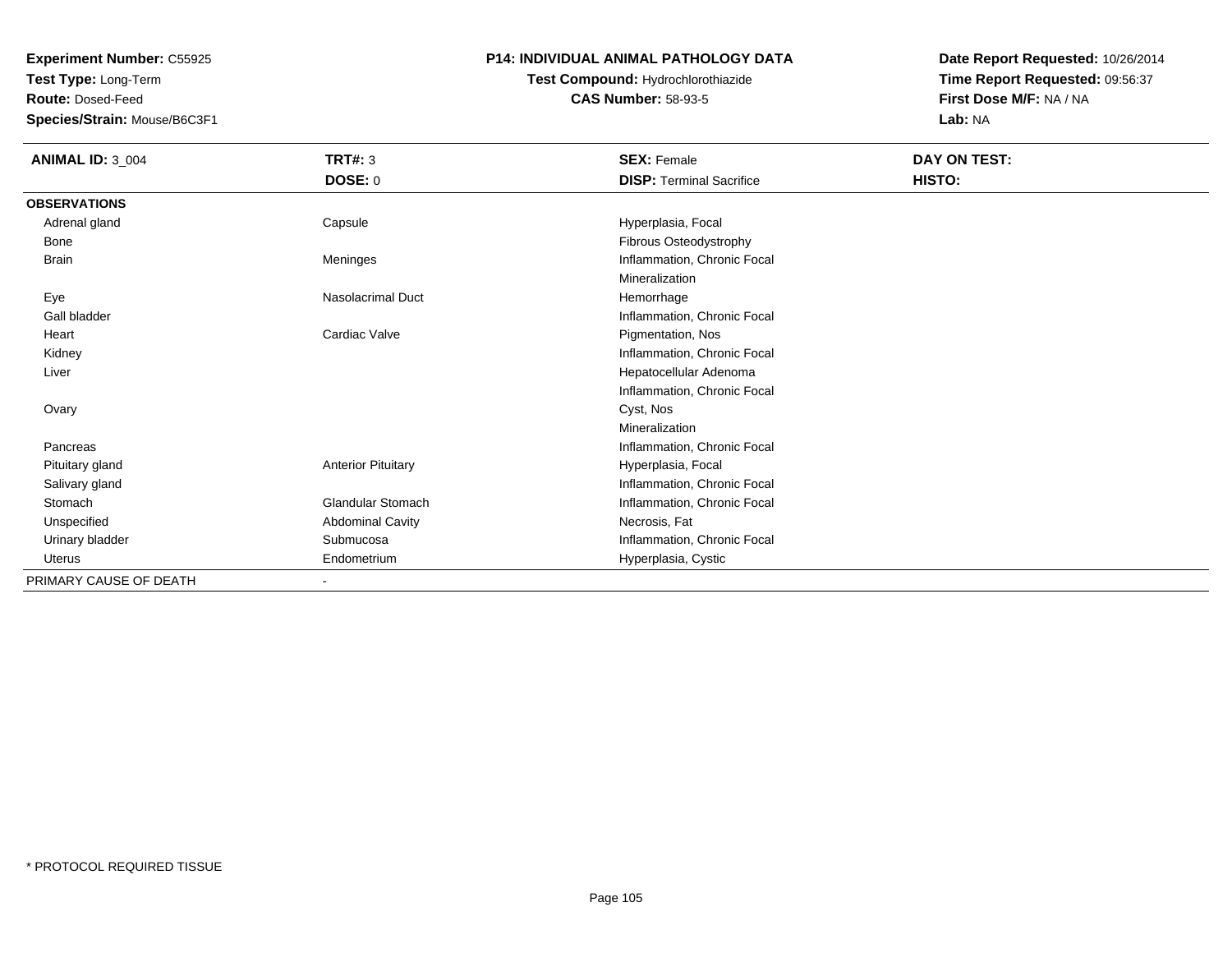**Test Type:** Long-Term

**Route:** Dosed-Feed

**Species/Strain:** Mouse/B6C3F1

### **P14: INDIVIDUAL ANIMAL PATHOLOGY DATA**

**Test Compound:** Hydrochlorothiazide**CAS Number:** 58-93-5

| <b>ANIMAL ID: 3_004</b> | <b>TRT#: 3</b>            | <b>SEX: Female</b>              | DAY ON TEST: |
|-------------------------|---------------------------|---------------------------------|--------------|
|                         | <b>DOSE: 0</b>            | <b>DISP: Terminal Sacrifice</b> | HISTO:       |
| <b>OBSERVATIONS</b>     |                           |                                 |              |
| Adrenal gland           | Capsule                   | Hyperplasia, Focal              |              |
| Bone                    |                           | Fibrous Osteodystrophy          |              |
| <b>Brain</b>            | Meninges                  | Inflammation, Chronic Focal     |              |
|                         |                           | Mineralization                  |              |
| Eye                     | <b>Nasolacrimal Duct</b>  | Hemorrhage                      |              |
| Gall bladder            |                           | Inflammation, Chronic Focal     |              |
| Heart                   | Cardiac Valve             | Pigmentation, Nos               |              |
| Kidney                  |                           | Inflammation, Chronic Focal     |              |
| Liver                   |                           | Hepatocellular Adenoma          |              |
|                         |                           | Inflammation, Chronic Focal     |              |
| Ovary                   |                           | Cyst, Nos                       |              |
|                         |                           | Mineralization                  |              |
| Pancreas                |                           | Inflammation, Chronic Focal     |              |
| Pituitary gland         | <b>Anterior Pituitary</b> | Hyperplasia, Focal              |              |
| Salivary gland          |                           | Inflammation, Chronic Focal     |              |
| Stomach                 | <b>Glandular Stomach</b>  | Inflammation, Chronic Focal     |              |
| Unspecified             | <b>Abdominal Cavity</b>   | Necrosis, Fat                   |              |
| Urinary bladder         | Submucosa                 | Inflammation, Chronic Focal     |              |
| Uterus                  | Endometrium               | Hyperplasia, Cystic             |              |
| PRIMARY CAUSE OF DEATH  |                           |                                 |              |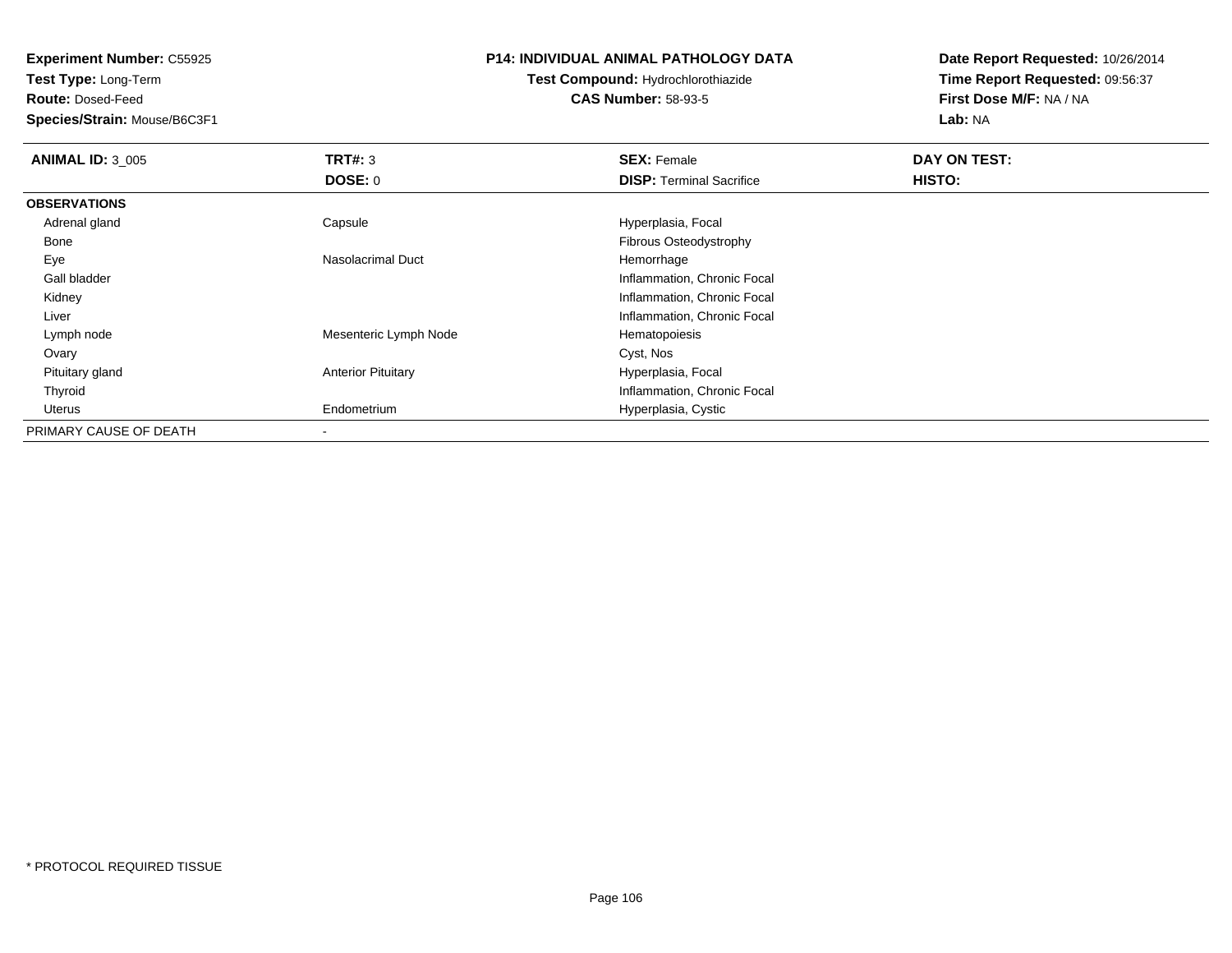**Test Type:** Long-Term

**Route:** Dosed-Feed

**Species/Strain:** Mouse/B6C3F1

### **P14: INDIVIDUAL ANIMAL PATHOLOGY DATA**

# **Test Compound:** Hydrochlorothiazide**CAS Number:** 58-93-5

| <b>ANIMAL ID: 3_005</b> | TRT#: 3                   | <b>SEX: Female</b>              | DAY ON TEST: |  |
|-------------------------|---------------------------|---------------------------------|--------------|--|
|                         | DOSE: 0                   | <b>DISP:</b> Terminal Sacrifice | HISTO:       |  |
| <b>OBSERVATIONS</b>     |                           |                                 |              |  |
| Adrenal gland           | Capsule                   | Hyperplasia, Focal              |              |  |
| Bone                    |                           | Fibrous Osteodystrophy          |              |  |
| Eye                     | Nasolacrimal Duct         | Hemorrhage                      |              |  |
| Gall bladder            |                           | Inflammation, Chronic Focal     |              |  |
| Kidney                  |                           | Inflammation, Chronic Focal     |              |  |
| Liver                   |                           | Inflammation, Chronic Focal     |              |  |
| Lymph node              | Mesenteric Lymph Node     | Hematopoiesis                   |              |  |
| Ovary                   |                           | Cyst, Nos                       |              |  |
| Pituitary gland         | <b>Anterior Pituitary</b> | Hyperplasia, Focal              |              |  |
| Thyroid                 |                           | Inflammation, Chronic Focal     |              |  |
| Uterus                  | Endometrium               | Hyperplasia, Cystic             |              |  |
| PRIMARY CAUSE OF DEATH  |                           |                                 |              |  |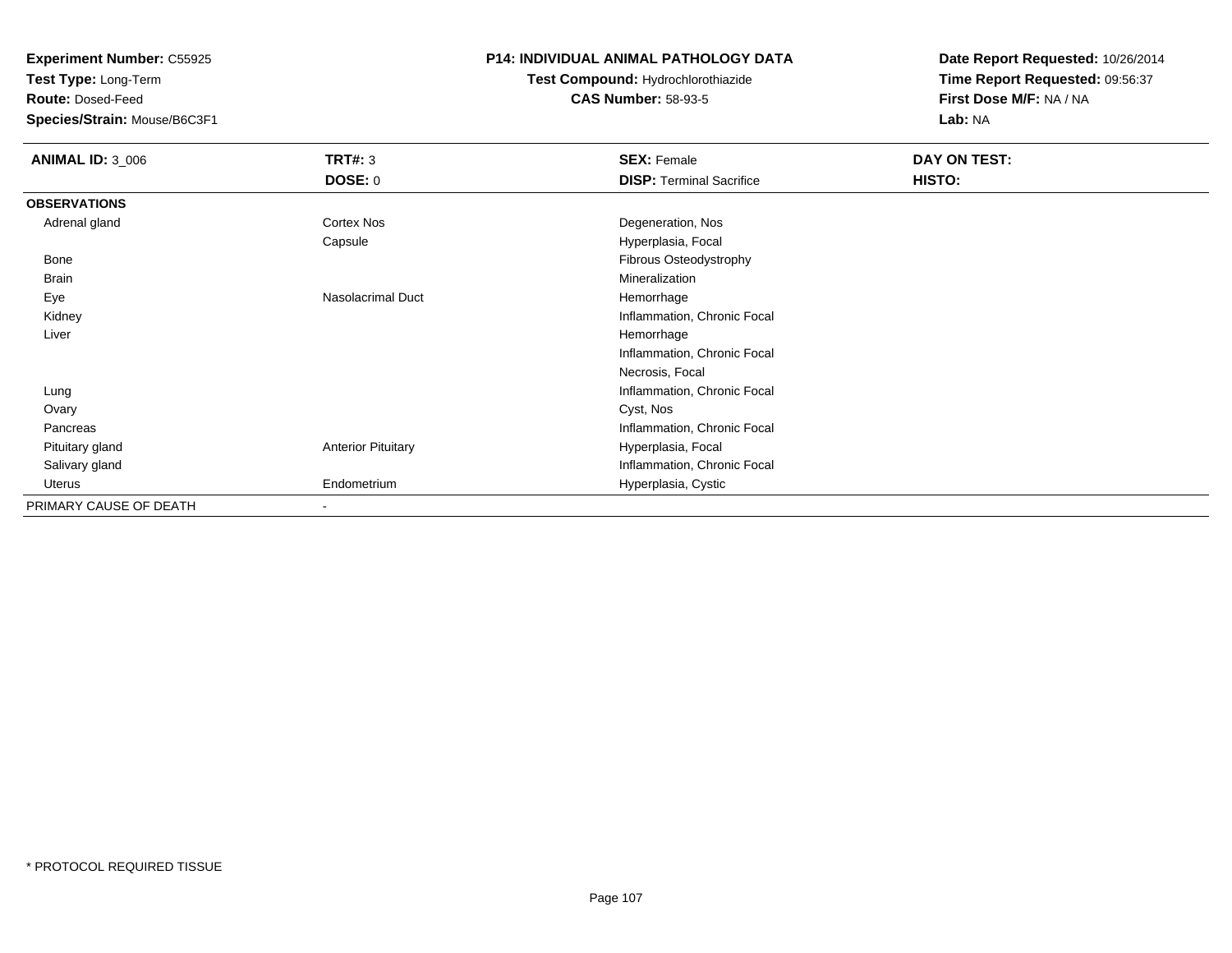**Test Type:** Long-Term

**Route:** Dosed-Feed

**Species/Strain:** Mouse/B6C3F1

### **P14: INDIVIDUAL ANIMAL PATHOLOGY DATA**

# **Test Compound:** Hydrochlorothiazide**CAS Number:** 58-93-5

| <b>ANIMAL ID: 3_006</b> | <b>TRT#: 3</b>            | <b>SEX: Female</b>              | DAY ON TEST: |  |
|-------------------------|---------------------------|---------------------------------|--------------|--|
|                         | <b>DOSE: 0</b>            | <b>DISP: Terminal Sacrifice</b> | HISTO:       |  |
| <b>OBSERVATIONS</b>     |                           |                                 |              |  |
| Adrenal gland           | Cortex Nos                | Degeneration, Nos               |              |  |
|                         | Capsule                   | Hyperplasia, Focal              |              |  |
| Bone                    |                           | Fibrous Osteodystrophy          |              |  |
| <b>Brain</b>            |                           | Mineralization                  |              |  |
| Eye                     | Nasolacrimal Duct         | Hemorrhage                      |              |  |
| Kidney                  |                           | Inflammation, Chronic Focal     |              |  |
| Liver                   |                           | Hemorrhage                      |              |  |
|                         |                           | Inflammation, Chronic Focal     |              |  |
|                         |                           | Necrosis, Focal                 |              |  |
| Lung                    |                           | Inflammation, Chronic Focal     |              |  |
| Ovary                   |                           | Cyst, Nos                       |              |  |
| Pancreas                |                           | Inflammation, Chronic Focal     |              |  |
| Pituitary gland         | <b>Anterior Pituitary</b> | Hyperplasia, Focal              |              |  |
| Salivary gland          |                           | Inflammation, Chronic Focal     |              |  |
| Uterus                  | Endometrium               | Hyperplasia, Cystic             |              |  |
| PRIMARY CAUSE OF DEATH  | $\overline{\phantom{a}}$  |                                 |              |  |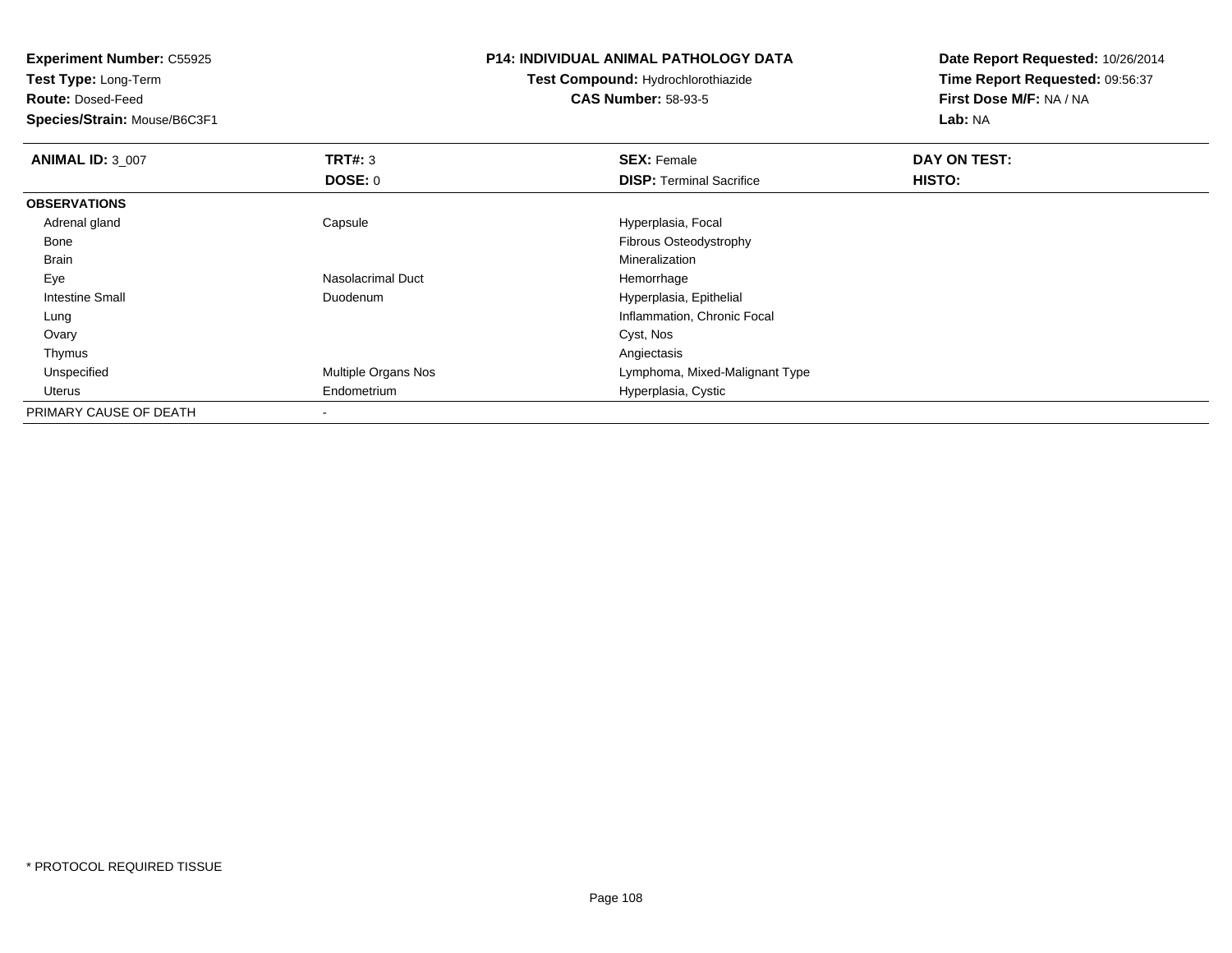**Experiment Number:** C55925**Test Type:** Long-Term**Route:** Dosed-Feed **Species/Strain:** Mouse/B6C3F1**P14: INDIVIDUAL ANIMAL PATHOLOGY DATATest Compound:** Hydrochlorothiazide**CAS Number:** 58-93-5**Date Report Requested:** 10/26/2014**Time Report Requested:** 09:56:37**First Dose M/F:** NA / NA**Lab:** NA**ANIMAL ID:** 3\_007 **TRT#:** <sup>3</sup> **SEX:** Female **DAY ON TEST: DOSE:** 0**DISP:** Terminal Sacrifice **HISTO: OBSERVATIONS** Adrenal glandCapsule **Capsule Hyperplasia**, Focal Bone Fibrous Osteodystrophy Brainn and the control of the control of the control of the control of the control of the control of the control of the control of the control of the control of the control of the control of the control of the control of the co EyeNasolacrimal Duct **Hemorrhage**  Intestine Small Duodenum Hyperplasia, Epithelial Lung Inflammation, Chronic Focal Ovaryy and the control of the control of the control of the control of the control of the control of the control of the control of the control of the control of the control of the control of the control of the control of the co Thymuss and the contract of the contract of the contract of the contract of the contract of the contract of the contract of the contract of the contract of the contract of the contract of the contract of the contract of the cont Unspecified Multiple Organs Nos Lymphoma, Mixed-Malignant Type Uterus Endometrium Hyperplasia, Cystic PRIMARY CAUSE OF DEATH-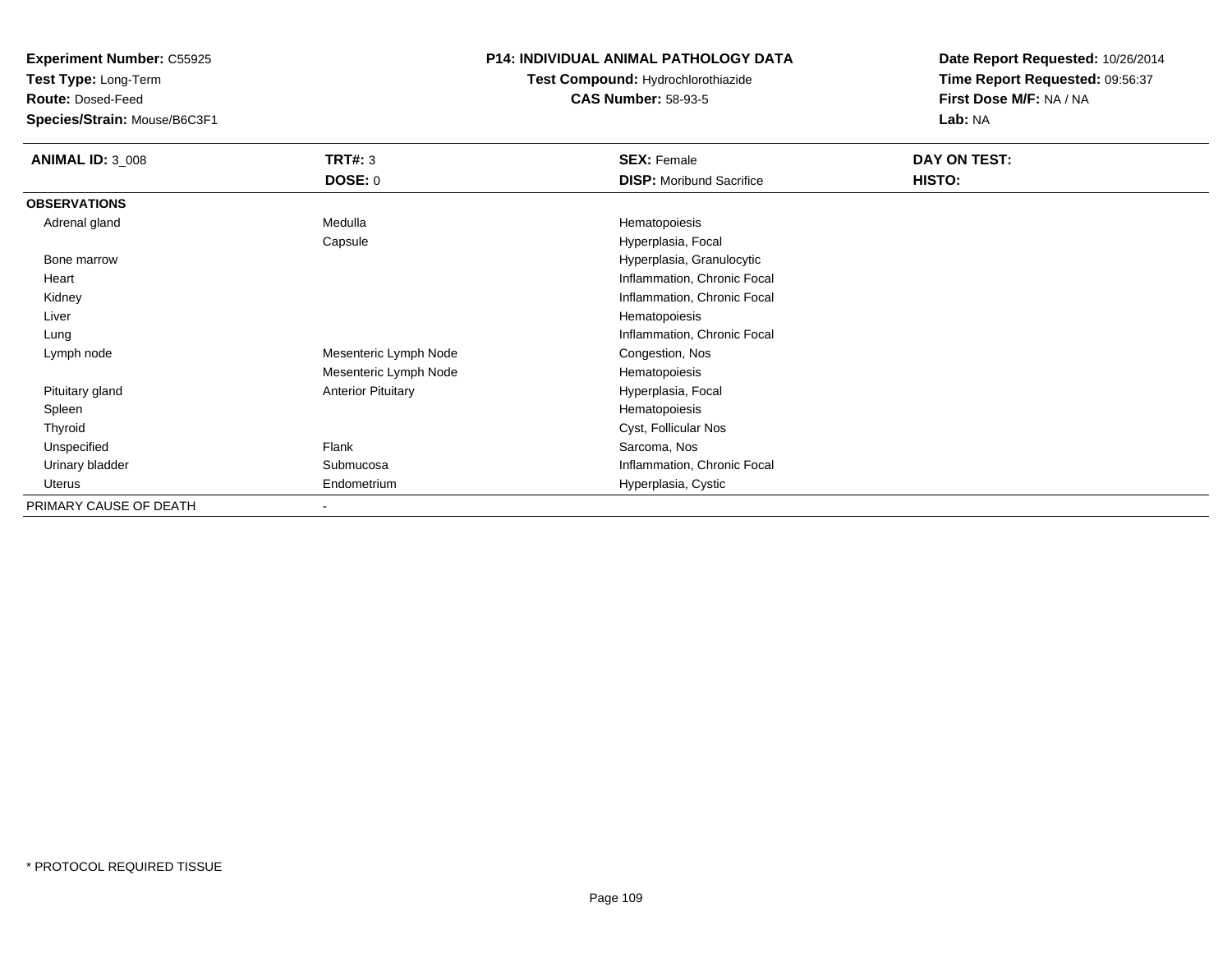**Test Type:** Long-Term

**Route:** Dosed-Feed

**Species/Strain:** Mouse/B6C3F1

## **P14: INDIVIDUAL ANIMAL PATHOLOGY DATA**

# **Test Compound:** Hydrochlorothiazide**CAS Number:** 58-93-5

| <b>ANIMAL ID: 3 008</b> | TRT#: 3                   | <b>SEX: Female</b>              | DAY ON TEST: |
|-------------------------|---------------------------|---------------------------------|--------------|
|                         | <b>DOSE: 0</b>            | <b>DISP:</b> Moribund Sacrifice | HISTO:       |
| <b>OBSERVATIONS</b>     |                           |                                 |              |
| Adrenal gland           | Medulla                   | Hematopoiesis                   |              |
|                         | Capsule                   | Hyperplasia, Focal              |              |
| Bone marrow             |                           | Hyperplasia, Granulocytic       |              |
| Heart                   |                           | Inflammation, Chronic Focal     |              |
| Kidney                  |                           | Inflammation, Chronic Focal     |              |
| Liver                   |                           | Hematopoiesis                   |              |
| Lung                    |                           | Inflammation, Chronic Focal     |              |
| Lymph node              | Mesenteric Lymph Node     | Congestion, Nos                 |              |
|                         | Mesenteric Lymph Node     | Hematopoiesis                   |              |
| Pituitary gland         | <b>Anterior Pituitary</b> | Hyperplasia, Focal              |              |
| Spleen                  |                           | Hematopoiesis                   |              |
| Thyroid                 |                           | Cyst, Follicular Nos            |              |
| Unspecified             | Flank                     | Sarcoma, Nos                    |              |
| Urinary bladder         | Submucosa                 | Inflammation, Chronic Focal     |              |
| Uterus                  | Endometrium               | Hyperplasia, Cystic             |              |
| PRIMARY CAUSE OF DEATH  |                           |                                 |              |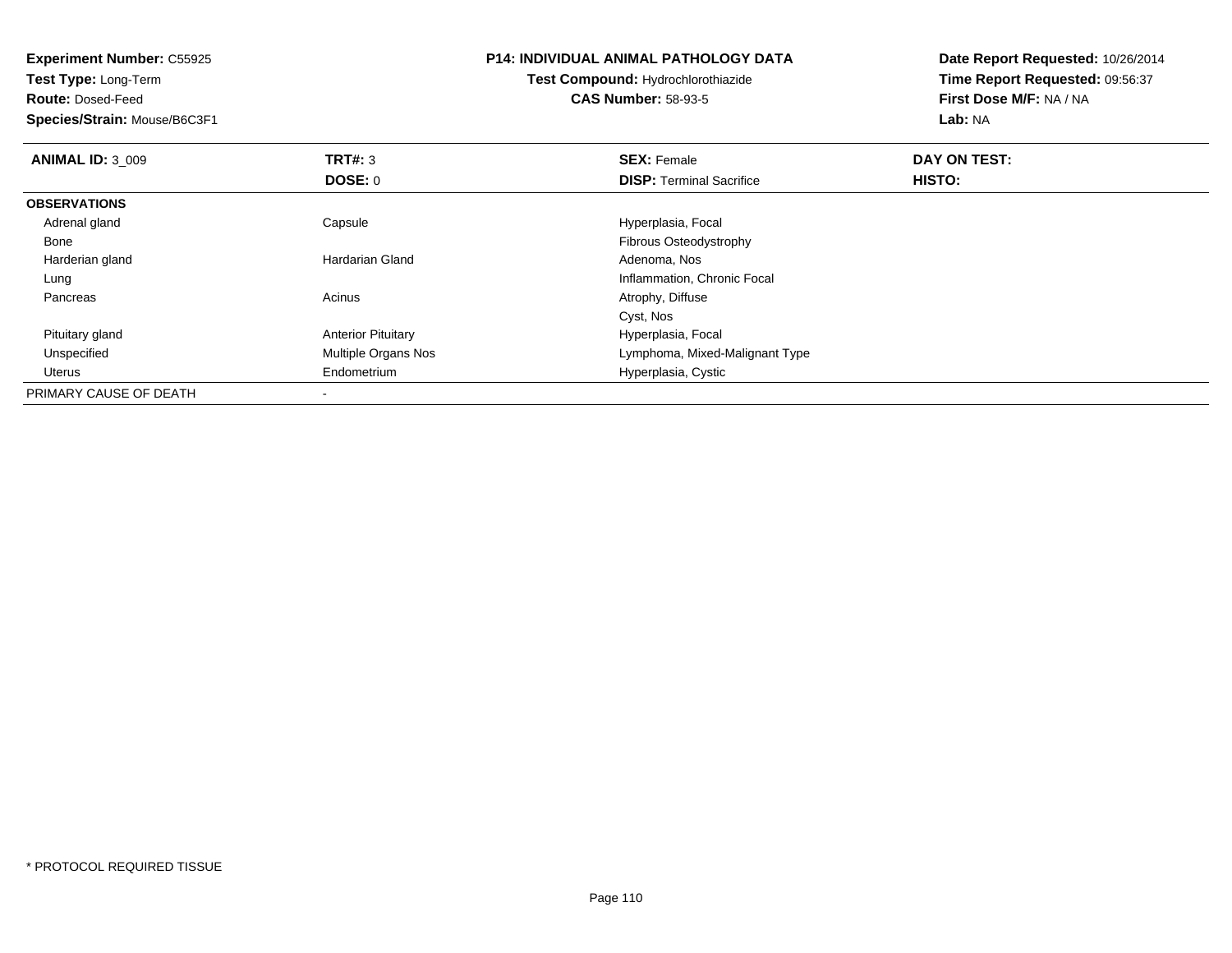| <b>Experiment Number: C55925</b> |                           | <b>P14: INDIVIDUAL ANIMAL PATHOLOGY DATA</b> | Date Report Requested: 10/26/2014 |
|----------------------------------|---------------------------|----------------------------------------------|-----------------------------------|
| Test Type: Long-Term             |                           | Test Compound: Hydrochlorothiazide           | Time Report Requested: 09:56:37   |
| <b>Route: Dosed-Feed</b>         |                           | <b>CAS Number: 58-93-5</b>                   | First Dose M/F: NA / NA           |
| Species/Strain: Mouse/B6C3F1     |                           |                                              | Lab: NA                           |
| <b>ANIMAL ID: 3_009</b>          | <b>TRT#: 3</b>            | <b>SEX: Female</b>                           | DAY ON TEST:                      |
|                                  | DOSE: 0                   | <b>DISP:</b> Terminal Sacrifice              | HISTO:                            |
| <b>OBSERVATIONS</b>              |                           |                                              |                                   |
| Adrenal gland                    | Capsule                   | Hyperplasia, Focal                           |                                   |
| Bone                             |                           | Fibrous Osteodystrophy                       |                                   |
| Harderian gland                  | <b>Hardarian Gland</b>    | Adenoma, Nos                                 |                                   |
| Lung                             |                           | Inflammation, Chronic Focal                  |                                   |
| Pancreas                         | Acinus                    | Atrophy, Diffuse                             |                                   |
|                                  |                           | Cyst, Nos                                    |                                   |
| Pituitary gland                  | <b>Anterior Pituitary</b> | Hyperplasia, Focal                           |                                   |
| Unspecified                      | Multiple Organs Nos       | Lymphoma, Mixed-Malignant Type               |                                   |
| Uterus                           | Endometrium               | Hyperplasia, Cystic                          |                                   |
| PRIMARY CAUSE OF DEATH           |                           |                                              |                                   |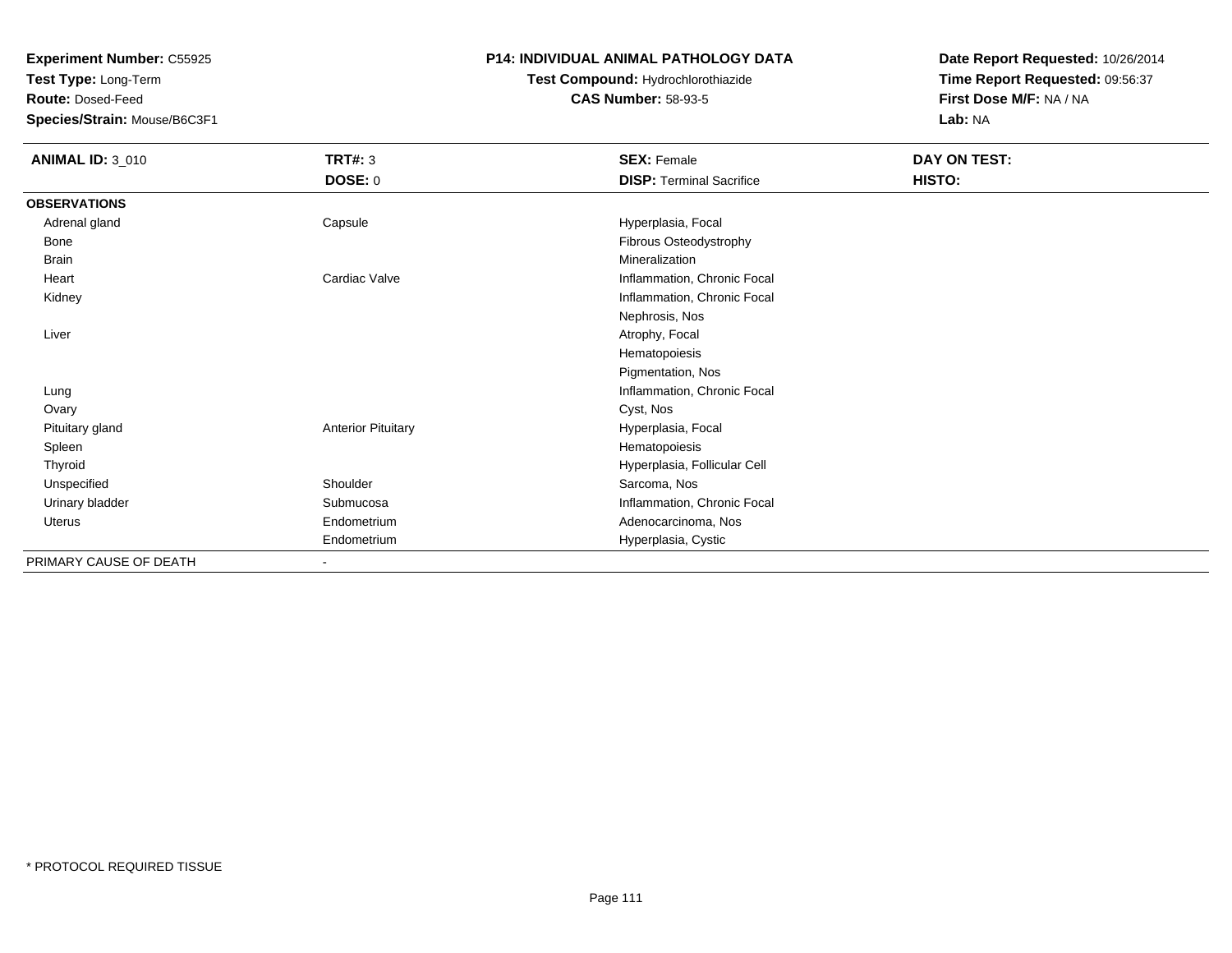**Test Type:** Long-Term

**Route:** Dosed-Feed

**Species/Strain:** Mouse/B6C3F1

### **P14: INDIVIDUAL ANIMAL PATHOLOGY DATA**

# **Test Compound:** Hydrochlorothiazide**CAS Number:** 58-93-5

| <b>ANIMAL ID: 3_010</b> | <b>TRT#: 3</b>            | <b>SEX: Female</b>              | DAY ON TEST: |
|-------------------------|---------------------------|---------------------------------|--------------|
|                         | DOSE: 0                   | <b>DISP: Terminal Sacrifice</b> | HISTO:       |
| <b>OBSERVATIONS</b>     |                           |                                 |              |
| Adrenal gland           | Capsule                   | Hyperplasia, Focal              |              |
| Bone                    |                           | Fibrous Osteodystrophy          |              |
| Brain                   |                           | Mineralization                  |              |
| Heart                   | Cardiac Valve             | Inflammation, Chronic Focal     |              |
| Kidney                  |                           | Inflammation, Chronic Focal     |              |
|                         |                           | Nephrosis, Nos                  |              |
| Liver                   |                           | Atrophy, Focal                  |              |
|                         |                           | Hematopoiesis                   |              |
|                         |                           | Pigmentation, Nos               |              |
| Lung                    |                           | Inflammation, Chronic Focal     |              |
| Ovary                   |                           | Cyst, Nos                       |              |
| Pituitary gland         | <b>Anterior Pituitary</b> | Hyperplasia, Focal              |              |
| Spleen                  |                           | Hematopoiesis                   |              |
| Thyroid                 |                           | Hyperplasia, Follicular Cell    |              |
| Unspecified             | Shoulder                  | Sarcoma, Nos                    |              |
| Urinary bladder         | Submucosa                 | Inflammation, Chronic Focal     |              |
| Uterus                  | Endometrium               | Adenocarcinoma, Nos             |              |
|                         | Endometrium               | Hyperplasia, Cystic             |              |
| PRIMARY CAUSE OF DEATH  | ٠                         |                                 |              |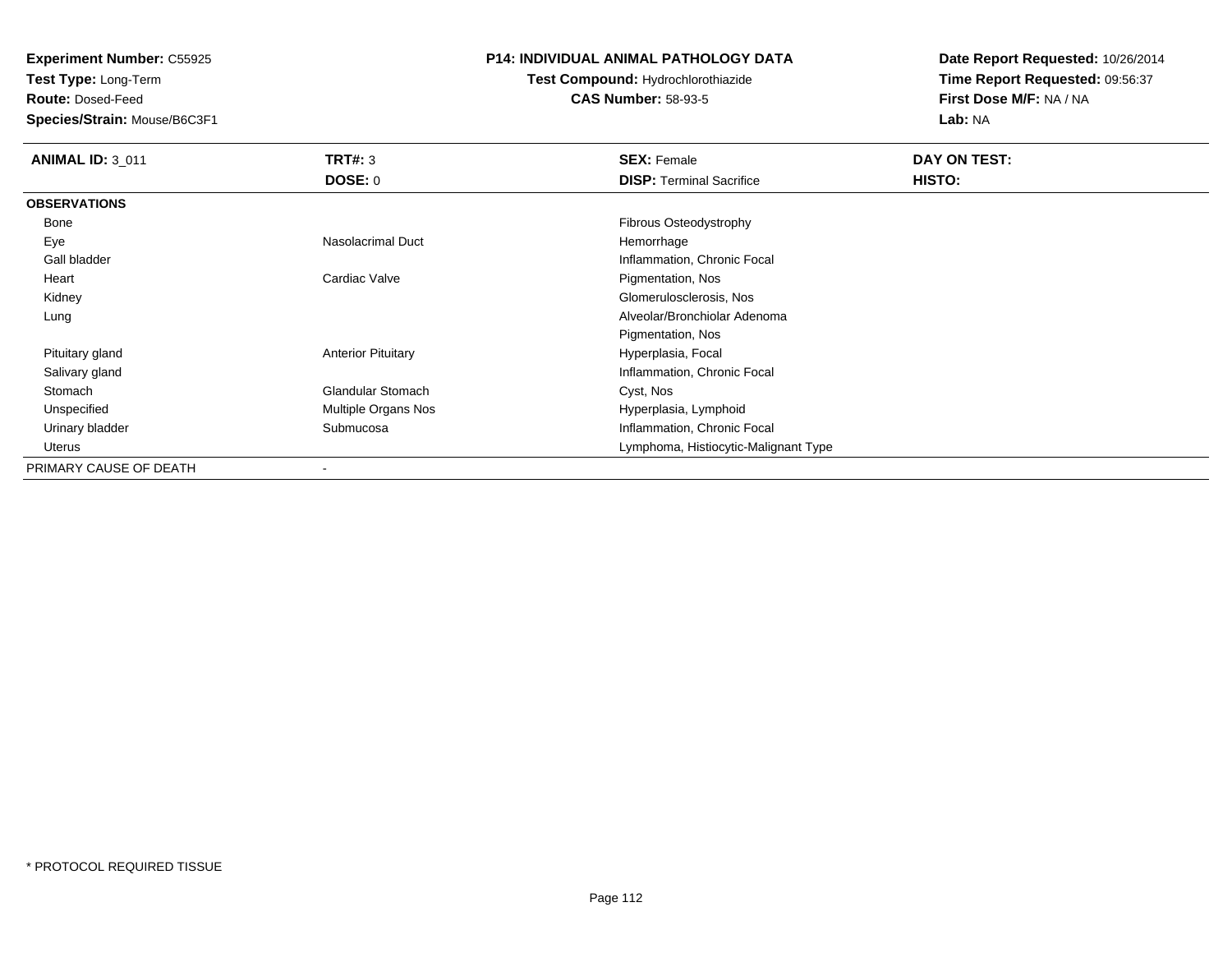**Test Type:** Long-Term

**Route:** Dosed-Feed

**Species/Strain:** Mouse/B6C3F1

### **P14: INDIVIDUAL ANIMAL PATHOLOGY DATA**

**Test Compound:** Hydrochlorothiazide**CAS Number:** 58-93-5

| <b>ANIMAL ID: 3 011</b> | TRT#: 3                   | <b>SEX: Female</b>                   | DAY ON TEST:  |  |
|-------------------------|---------------------------|--------------------------------------|---------------|--|
|                         | DOSE: 0                   | <b>DISP: Terminal Sacrifice</b>      | <b>HISTO:</b> |  |
| <b>OBSERVATIONS</b>     |                           |                                      |               |  |
| Bone                    |                           | Fibrous Osteodystrophy               |               |  |
| Eye                     | Nasolacrimal Duct         | Hemorrhage                           |               |  |
| Gall bladder            |                           | Inflammation, Chronic Focal          |               |  |
| Heart                   | Cardiac Valve             | Pigmentation, Nos                    |               |  |
| Kidney                  |                           | Glomerulosclerosis, Nos              |               |  |
| Lung                    |                           | Alveolar/Bronchiolar Adenoma         |               |  |
|                         |                           | Pigmentation, Nos                    |               |  |
| Pituitary gland         | <b>Anterior Pituitary</b> | Hyperplasia, Focal                   |               |  |
| Salivary gland          |                           | Inflammation, Chronic Focal          |               |  |
| Stomach                 | <b>Glandular Stomach</b>  | Cyst, Nos                            |               |  |
| Unspecified             | Multiple Organs Nos       | Hyperplasia, Lymphoid                |               |  |
| Urinary bladder         | Submucosa                 | Inflammation, Chronic Focal          |               |  |
| Uterus                  |                           | Lymphoma, Histiocytic-Malignant Type |               |  |
| PRIMARY CAUSE OF DEATH  |                           |                                      |               |  |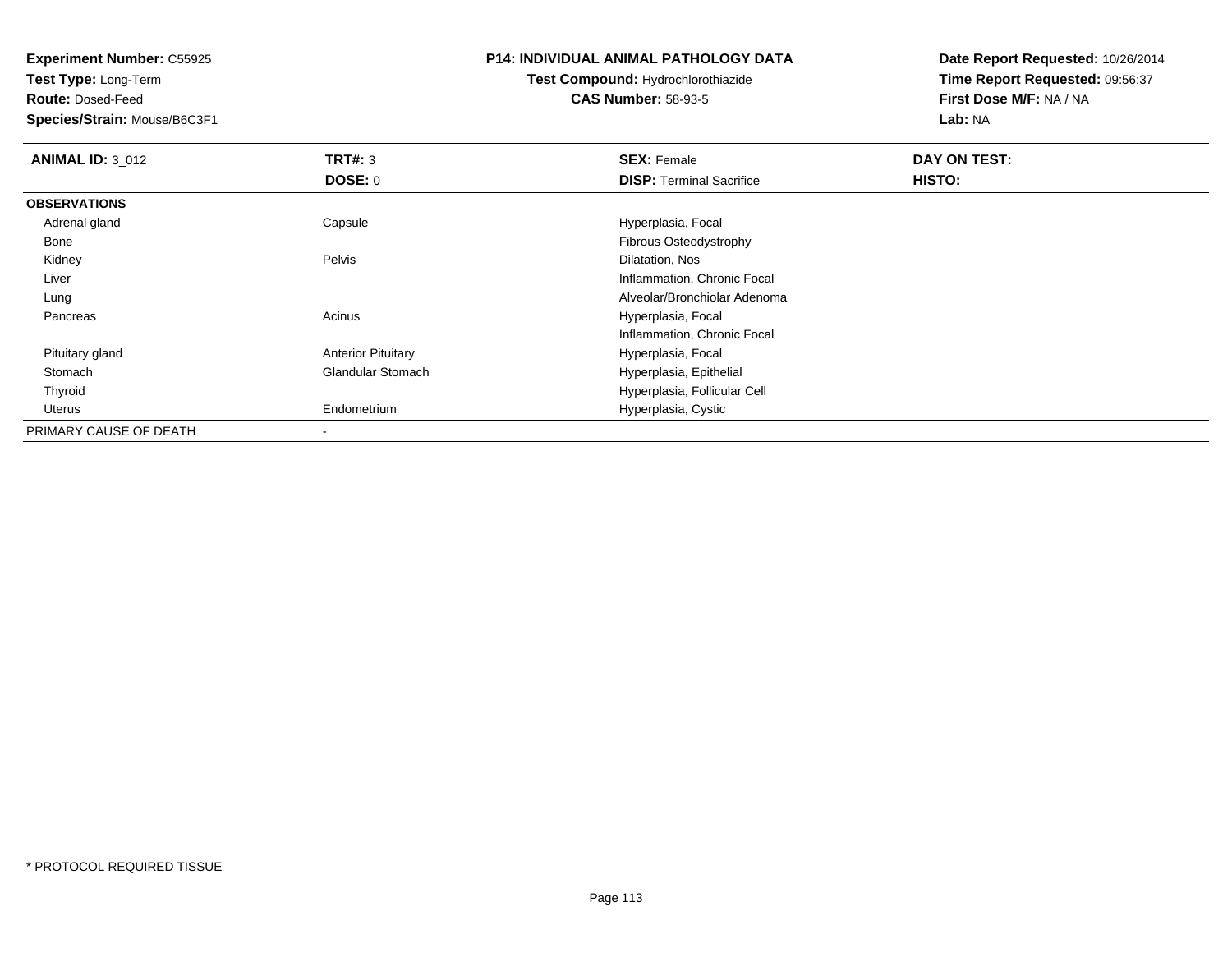**Test Type:** Long-Term

**Route:** Dosed-Feed

**Species/Strain:** Mouse/B6C3F1

#### **P14: INDIVIDUAL ANIMAL PATHOLOGY DATA**

**Test Compound:** Hydrochlorothiazide**CAS Number:** 58-93-5

| <b>ANIMAL ID: 3 012</b> | TRT#: 3                   | <b>SEX: Female</b>              | DAY ON TEST: |  |
|-------------------------|---------------------------|---------------------------------|--------------|--|
|                         | <b>DOSE: 0</b>            | <b>DISP: Terminal Sacrifice</b> | HISTO:       |  |
| <b>OBSERVATIONS</b>     |                           |                                 |              |  |
| Adrenal gland           | Capsule                   | Hyperplasia, Focal              |              |  |
| Bone                    |                           | <b>Fibrous Osteodystrophy</b>   |              |  |
| Kidney                  | Pelvis                    | Dilatation, Nos                 |              |  |
| Liver                   |                           | Inflammation, Chronic Focal     |              |  |
| Lung                    |                           | Alveolar/Bronchiolar Adenoma    |              |  |
| Pancreas                | Acinus                    | Hyperplasia, Focal              |              |  |
|                         |                           | Inflammation, Chronic Focal     |              |  |
| Pituitary gland         | <b>Anterior Pituitary</b> | Hyperplasia, Focal              |              |  |
| Stomach                 | Glandular Stomach         | Hyperplasia, Epithelial         |              |  |
| Thyroid                 |                           | Hyperplasia, Follicular Cell    |              |  |
| Uterus                  | Endometrium               | Hyperplasia, Cystic             |              |  |
| PRIMARY CAUSE OF DEATH  |                           |                                 |              |  |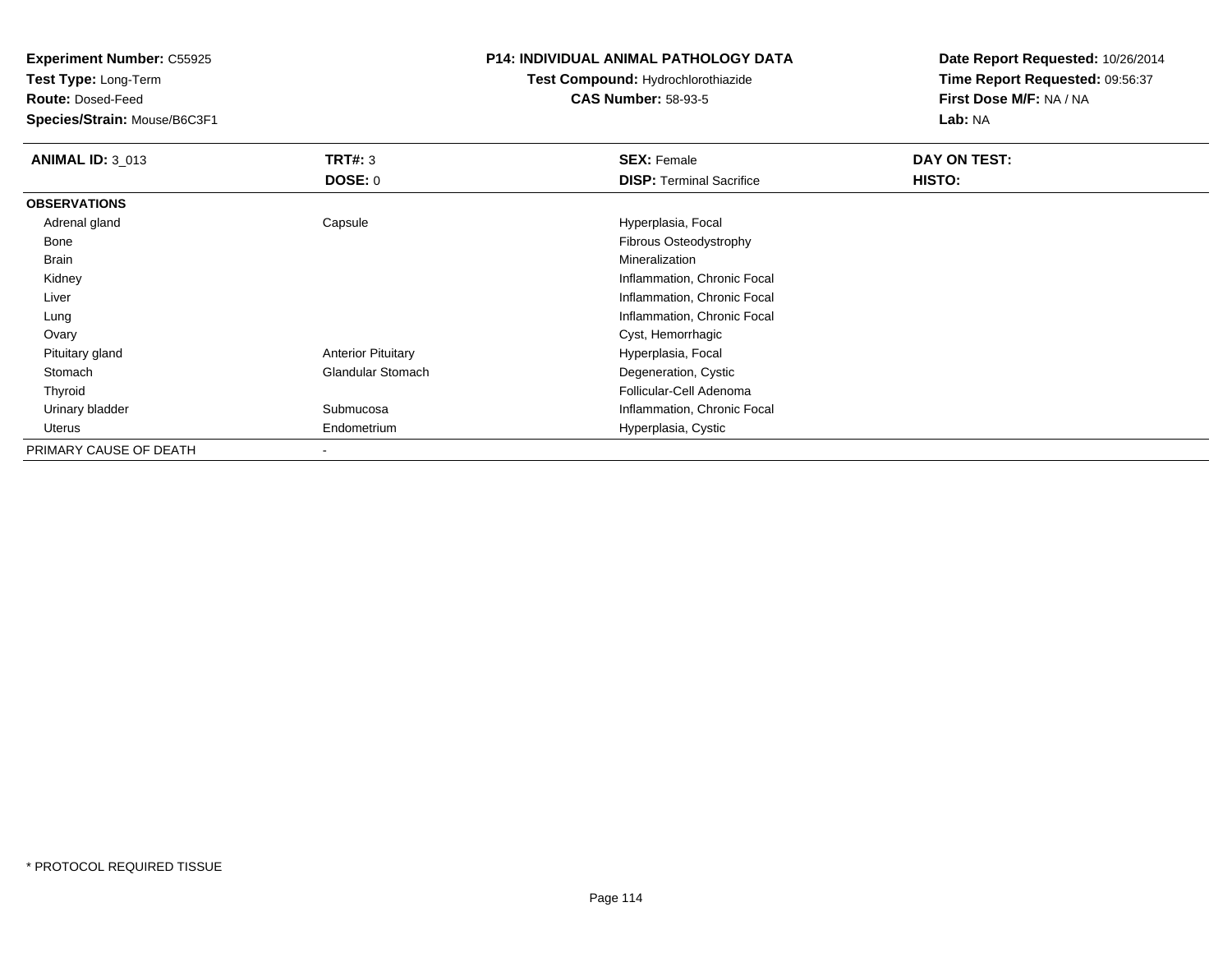**Test Type:** Long-Term

**Route:** Dosed-Feed

**Species/Strain:** Mouse/B6C3F1

### **P14: INDIVIDUAL ANIMAL PATHOLOGY DATA**

# **Test Compound:** Hydrochlorothiazide**CAS Number:** 58-93-5

| <b>ANIMAL ID: 3_013</b> | TRT#: 3                   | <b>SEX: Female</b>              | DAY ON TEST: |  |
|-------------------------|---------------------------|---------------------------------|--------------|--|
|                         | DOSE: 0                   | <b>DISP: Terminal Sacrifice</b> | HISTO:       |  |
| <b>OBSERVATIONS</b>     |                           |                                 |              |  |
| Adrenal gland           | Capsule                   | Hyperplasia, Focal              |              |  |
| Bone                    |                           | Fibrous Osteodystrophy          |              |  |
| Brain                   |                           | Mineralization                  |              |  |
| Kidney                  |                           | Inflammation, Chronic Focal     |              |  |
| Liver                   |                           | Inflammation, Chronic Focal     |              |  |
| Lung                    |                           | Inflammation, Chronic Focal     |              |  |
| Ovary                   |                           | Cyst, Hemorrhagic               |              |  |
| Pituitary gland         | <b>Anterior Pituitary</b> | Hyperplasia, Focal              |              |  |
| Stomach                 | <b>Glandular Stomach</b>  | Degeneration, Cystic            |              |  |
| Thyroid                 |                           | Follicular-Cell Adenoma         |              |  |
| Urinary bladder         | Submucosa                 | Inflammation, Chronic Focal     |              |  |
| Uterus                  | Endometrium               | Hyperplasia, Cystic             |              |  |
| PRIMARY CAUSE OF DEATH  |                           |                                 |              |  |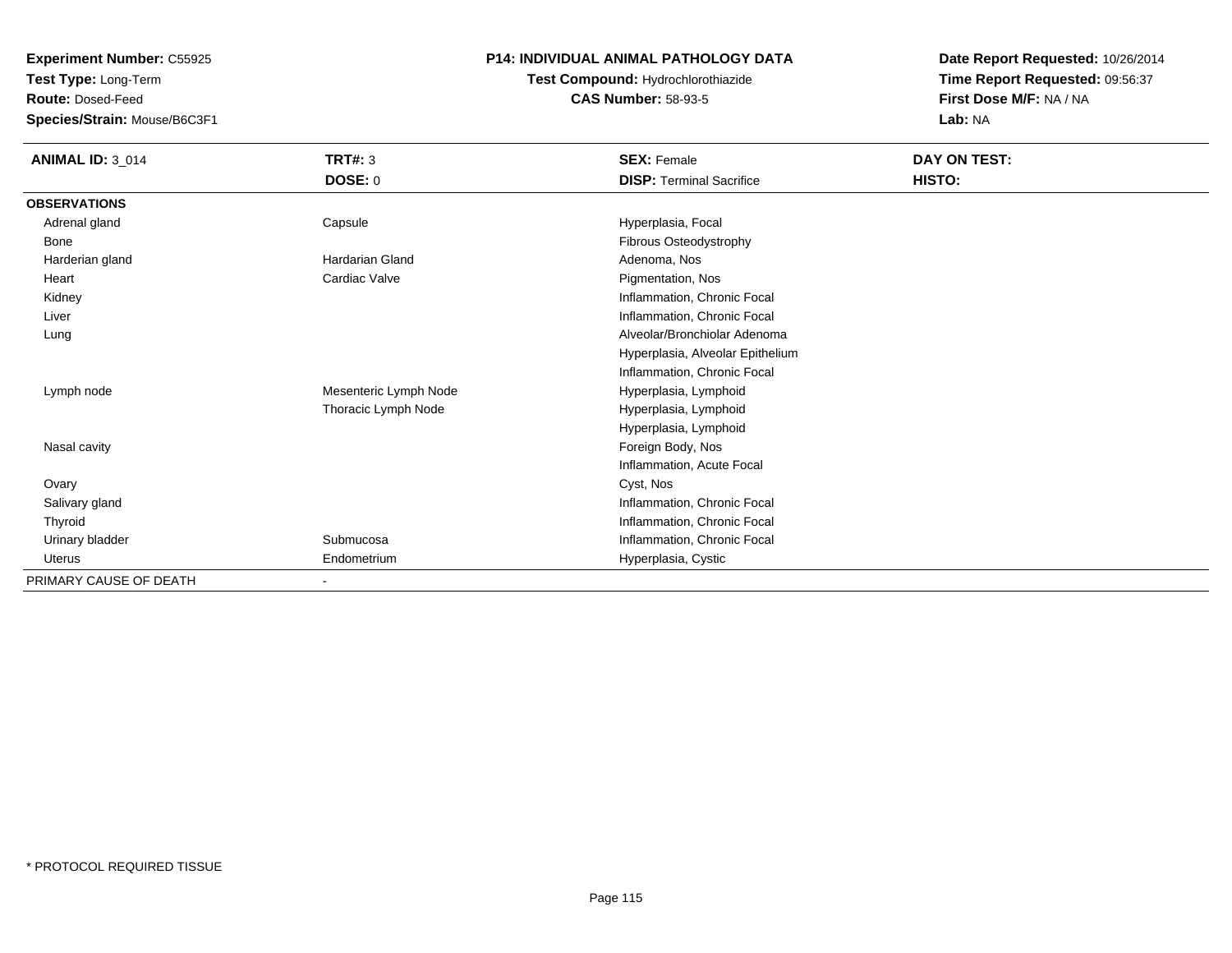**Test Type:** Long-Term

**Route:** Dosed-Feed

**Species/Strain:** Mouse/B6C3F1

# **P14: INDIVIDUAL ANIMAL PATHOLOGY DATA**

# **Test Compound:** Hydrochlorothiazide**CAS Number:** 58-93-5

| <b>ANIMAL ID: 3_014</b> | <b>TRT#: 3</b>         | <b>SEX: Female</b>               | DAY ON TEST: |  |
|-------------------------|------------------------|----------------------------------|--------------|--|
|                         | <b>DOSE: 0</b>         | <b>DISP: Terminal Sacrifice</b>  | HISTO:       |  |
| <b>OBSERVATIONS</b>     |                        |                                  |              |  |
| Adrenal gland           | Capsule                | Hyperplasia, Focal               |              |  |
| Bone                    |                        | Fibrous Osteodystrophy           |              |  |
| Harderian gland         | <b>Hardarian Gland</b> | Adenoma, Nos                     |              |  |
| Heart                   | Cardiac Valve          | Pigmentation, Nos                |              |  |
| Kidney                  |                        | Inflammation, Chronic Focal      |              |  |
| Liver                   |                        | Inflammation, Chronic Focal      |              |  |
| Lung                    |                        | Alveolar/Bronchiolar Adenoma     |              |  |
|                         |                        | Hyperplasia, Alveolar Epithelium |              |  |
|                         |                        | Inflammation, Chronic Focal      |              |  |
| Lymph node              | Mesenteric Lymph Node  | Hyperplasia, Lymphoid            |              |  |
|                         | Thoracic Lymph Node    | Hyperplasia, Lymphoid            |              |  |
|                         |                        | Hyperplasia, Lymphoid            |              |  |
| Nasal cavity            |                        | Foreign Body, Nos                |              |  |
|                         |                        | Inflammation, Acute Focal        |              |  |
| Ovary                   |                        | Cyst, Nos                        |              |  |
| Salivary gland          |                        | Inflammation, Chronic Focal      |              |  |
| Thyroid                 |                        | Inflammation, Chronic Focal      |              |  |
| Urinary bladder         | Submucosa              | Inflammation, Chronic Focal      |              |  |
| Uterus                  | Endometrium            | Hyperplasia, Cystic              |              |  |
| PRIMARY CAUSE OF DEATH  |                        |                                  |              |  |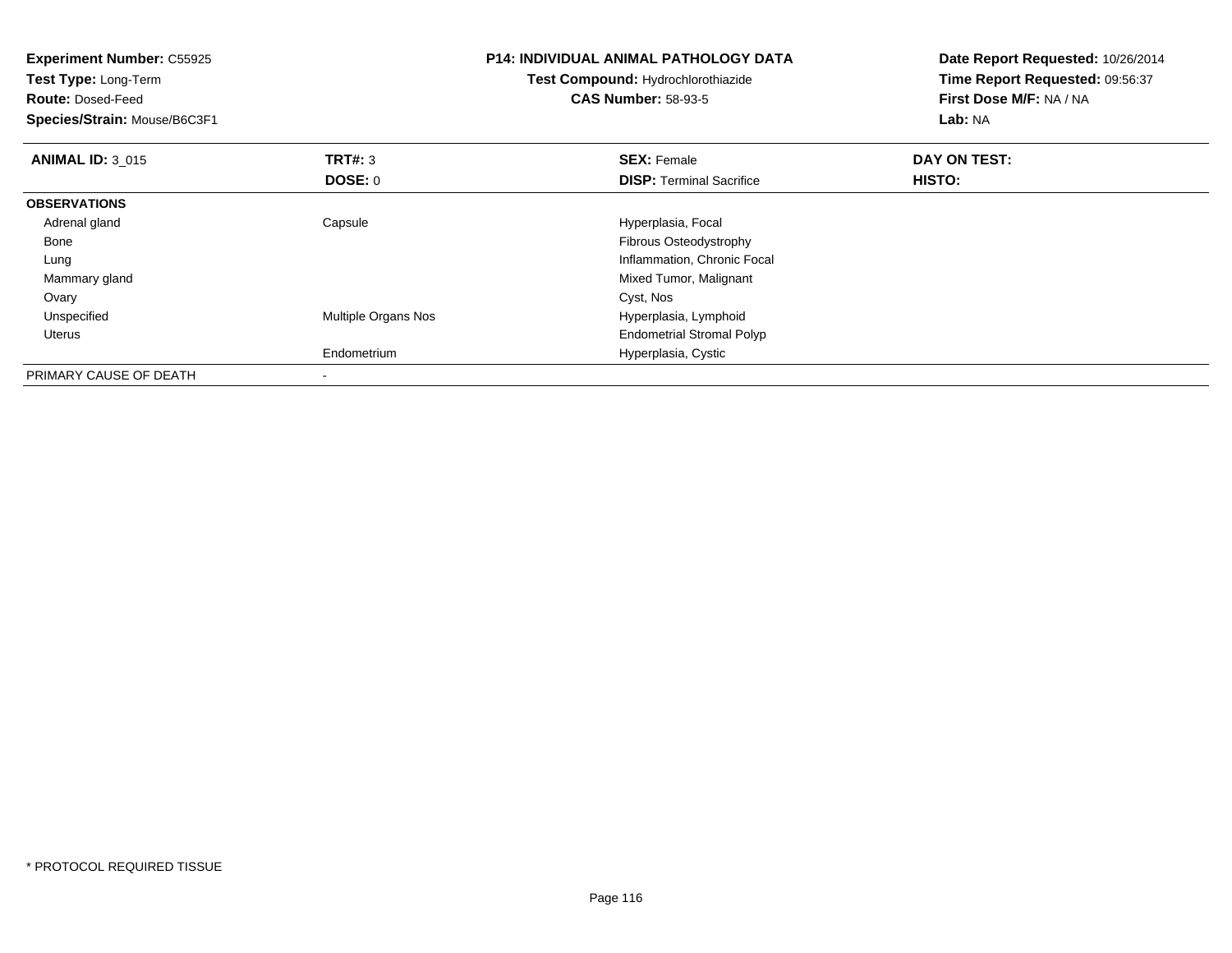| <b>Experiment Number: C55925</b><br>Test Type: Long-Term<br><b>Route: Dosed-Feed</b><br>Species/Strain: Mouse/B6C3F1 |                     | <b>P14: INDIVIDUAL ANIMAL PATHOLOGY DATA</b><br>Test Compound: Hydrochlorothiazide<br><b>CAS Number: 58-93-5</b> | Date Report Requested: 10/26/2014<br>Time Report Requested: 09:56:37<br>First Dose M/F: NA / NA<br>Lab: NA |
|----------------------------------------------------------------------------------------------------------------------|---------------------|------------------------------------------------------------------------------------------------------------------|------------------------------------------------------------------------------------------------------------|
| <b>ANIMAL ID: 3 015</b>                                                                                              | <b>TRT#:</b> 3      | <b>SEX: Female</b>                                                                                               | DAY ON TEST:                                                                                               |
|                                                                                                                      | DOSE: 0             | <b>DISP:</b> Terminal Sacrifice                                                                                  | HISTO:                                                                                                     |
| <b>OBSERVATIONS</b>                                                                                                  |                     |                                                                                                                  |                                                                                                            |
| Adrenal gland                                                                                                        | Capsule             | Hyperplasia, Focal                                                                                               |                                                                                                            |
| Bone                                                                                                                 |                     | Fibrous Osteodystrophy                                                                                           |                                                                                                            |
| Lung                                                                                                                 |                     | Inflammation, Chronic Focal                                                                                      |                                                                                                            |
| Mammary gland                                                                                                        |                     | Mixed Tumor, Malignant                                                                                           |                                                                                                            |
| Ovary                                                                                                                |                     | Cyst, Nos                                                                                                        |                                                                                                            |
| Unspecified                                                                                                          | Multiple Organs Nos | Hyperplasia, Lymphoid                                                                                            |                                                                                                            |
| Uterus                                                                                                               |                     | <b>Endometrial Stromal Polyp</b>                                                                                 |                                                                                                            |
|                                                                                                                      | Endometrium         | Hyperplasia, Cystic                                                                                              |                                                                                                            |
| PRIMARY CAUSE OF DEATH                                                                                               |                     |                                                                                                                  |                                                                                                            |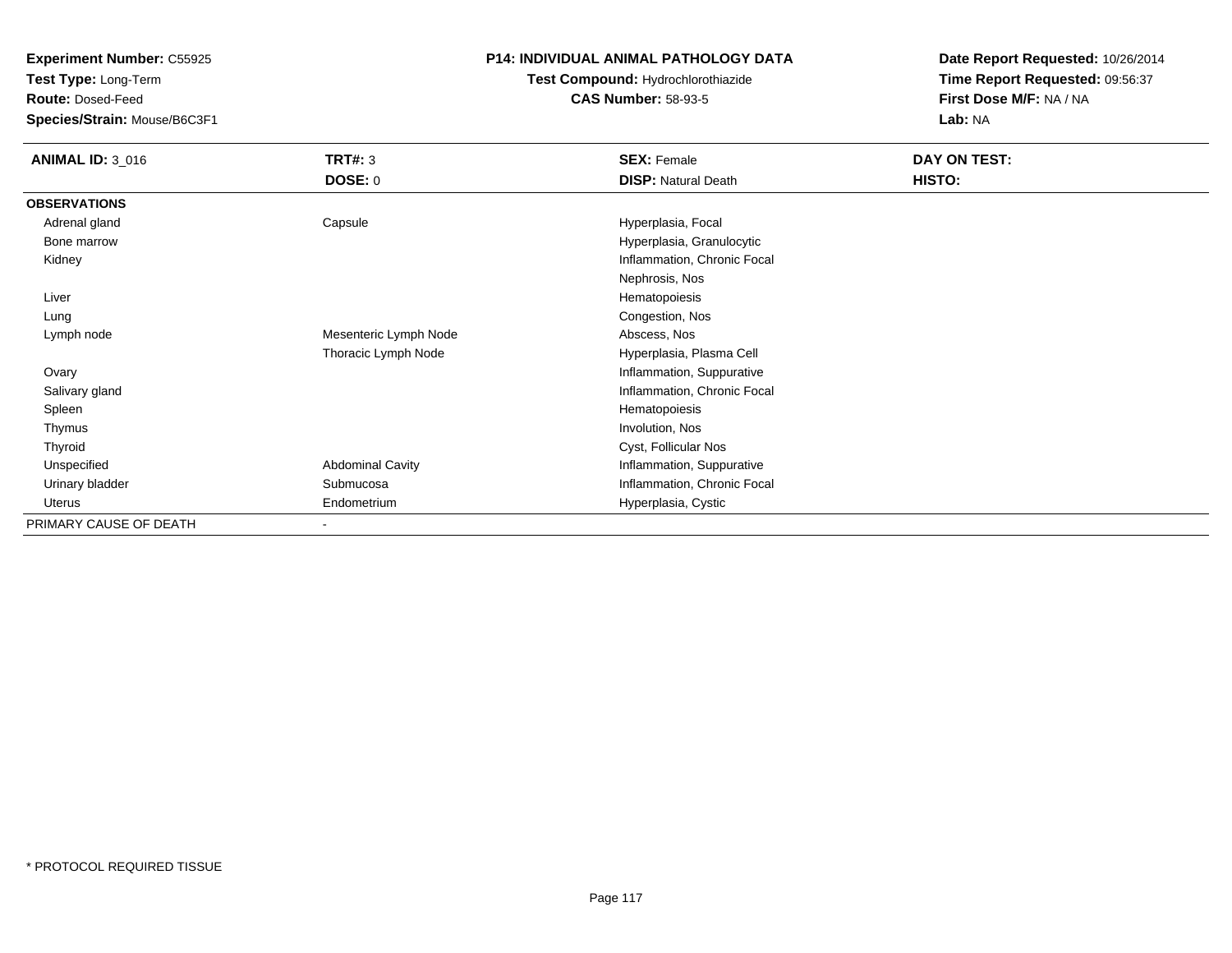**Test Type:** Long-Term

**Route:** Dosed-Feed

**Species/Strain:** Mouse/B6C3F1

# **P14: INDIVIDUAL ANIMAL PATHOLOGY DATA**

# **Test Compound:** Hydrochlorothiazide**CAS Number:** 58-93-5

| <b>ANIMAL ID: 3_016</b> | TRT#: 3                  | <b>SEX: Female</b>          | DAY ON TEST: |
|-------------------------|--------------------------|-----------------------------|--------------|
|                         | <b>DOSE: 0</b>           | <b>DISP: Natural Death</b>  | HISTO:       |
| <b>OBSERVATIONS</b>     |                          |                             |              |
| Adrenal gland           | Capsule                  | Hyperplasia, Focal          |              |
| Bone marrow             |                          | Hyperplasia, Granulocytic   |              |
| Kidney                  |                          | Inflammation, Chronic Focal |              |
|                         |                          | Nephrosis, Nos              |              |
| Liver                   |                          | Hematopoiesis               |              |
| Lung                    |                          | Congestion, Nos             |              |
| Lymph node              | Mesenteric Lymph Node    | Abscess, Nos                |              |
|                         | Thoracic Lymph Node      | Hyperplasia, Plasma Cell    |              |
| Ovary                   |                          | Inflammation, Suppurative   |              |
| Salivary gland          |                          | Inflammation, Chronic Focal |              |
| Spleen                  |                          | Hematopoiesis               |              |
| Thymus                  |                          | Involution, Nos             |              |
| Thyroid                 |                          | Cyst, Follicular Nos        |              |
| Unspecified             | <b>Abdominal Cavity</b>  | Inflammation, Suppurative   |              |
| Urinary bladder         | Submucosa                | Inflammation, Chronic Focal |              |
| Uterus                  | Endometrium              | Hyperplasia, Cystic         |              |
| PRIMARY CAUSE OF DEATH  | $\overline{\phantom{a}}$ |                             |              |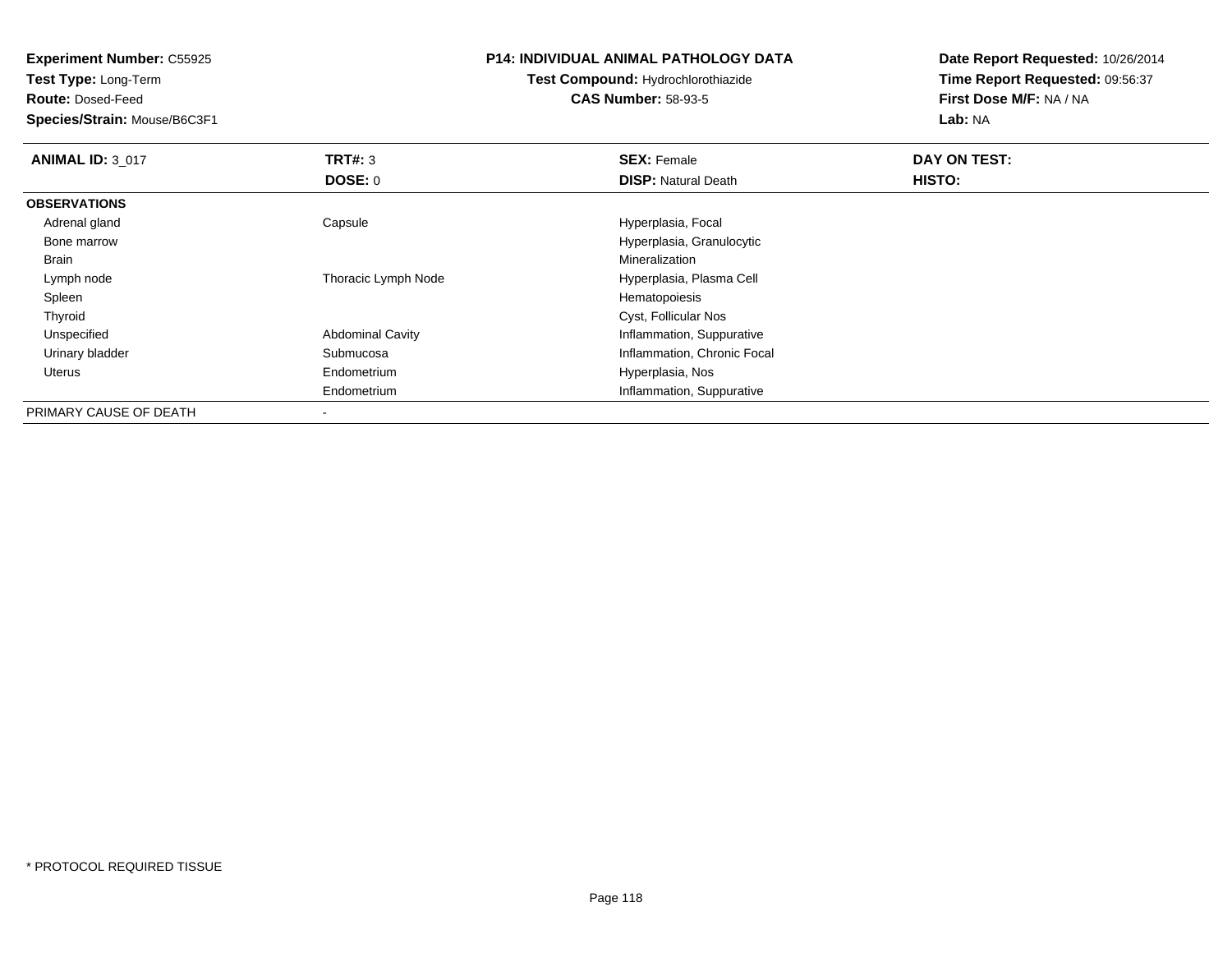**Test Type:** Long-Term

**Route:** Dosed-Feed

**Species/Strain:** Mouse/B6C3F1

#### **P14: INDIVIDUAL ANIMAL PATHOLOGY DATA**

# **Test Compound:** Hydrochlorothiazide**CAS Number:** 58-93-5

| <b>ANIMAL ID: 3 017</b> | TRT#: 3                  | <b>SEX: Female</b>          | DAY ON TEST:  |
|-------------------------|--------------------------|-----------------------------|---------------|
|                         | DOSE: 0                  | <b>DISP: Natural Death</b>  | <b>HISTO:</b> |
| <b>OBSERVATIONS</b>     |                          |                             |               |
| Adrenal gland           | Capsule                  | Hyperplasia, Focal          |               |
| Bone marrow             |                          | Hyperplasia, Granulocytic   |               |
| Brain                   |                          | Mineralization              |               |
| Lymph node              | Thoracic Lymph Node      | Hyperplasia, Plasma Cell    |               |
| Spleen                  |                          | Hematopoiesis               |               |
| Thyroid                 |                          | Cyst, Follicular Nos        |               |
| Unspecified             | <b>Abdominal Cavity</b>  | Inflammation, Suppurative   |               |
| Urinary bladder         | Submucosa                | Inflammation, Chronic Focal |               |
| Uterus                  | Endometrium              | Hyperplasia, Nos            |               |
|                         | Endometrium              | Inflammation, Suppurative   |               |
| PRIMARY CAUSE OF DEATH  | $\overline{\phantom{a}}$ |                             |               |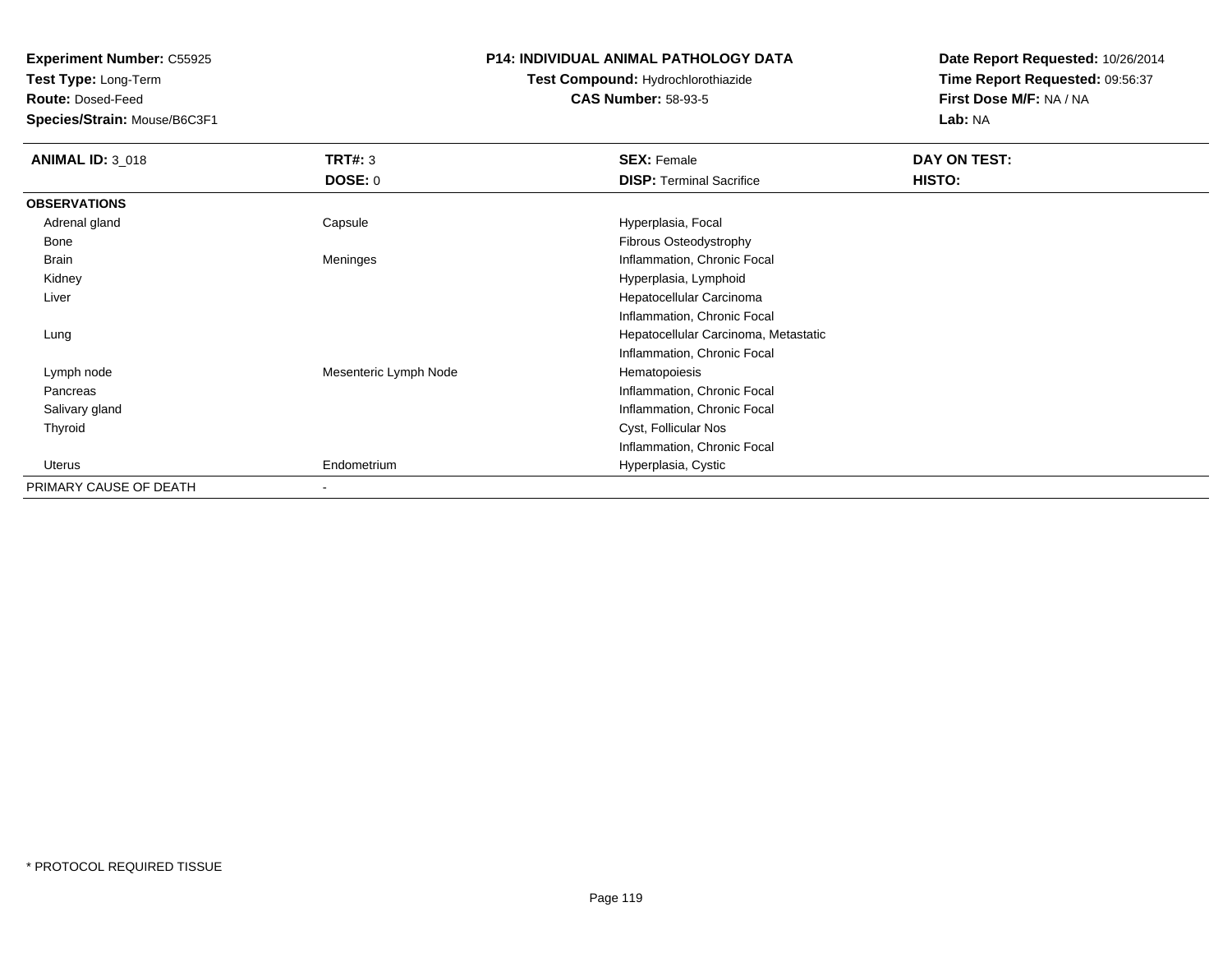**Test Type:** Long-Term

**Route:** Dosed-Feed

**Species/Strain:** Mouse/B6C3F1

### **P14: INDIVIDUAL ANIMAL PATHOLOGY DATA**

# **Test Compound:** Hydrochlorothiazide**CAS Number:** 58-93-5

| <b>ANIMAL ID: 3 018</b> | <b>TRT#: 3</b>           | <b>SEX: Female</b>                   | <b>DAY ON TEST:</b> |
|-------------------------|--------------------------|--------------------------------------|---------------------|
|                         | <b>DOSE: 0</b>           | <b>DISP: Terminal Sacrifice</b>      | <b>HISTO:</b>       |
| <b>OBSERVATIONS</b>     |                          |                                      |                     |
| Adrenal gland           | Capsule                  | Hyperplasia, Focal                   |                     |
| Bone                    |                          | Fibrous Osteodystrophy               |                     |
| Brain                   | Meninges                 | Inflammation, Chronic Focal          |                     |
| Kidney                  |                          | Hyperplasia, Lymphoid                |                     |
| Liver                   |                          | Hepatocellular Carcinoma             |                     |
|                         |                          | Inflammation, Chronic Focal          |                     |
| Lung                    |                          | Hepatocellular Carcinoma, Metastatic |                     |
|                         |                          | Inflammation, Chronic Focal          |                     |
| Lymph node              | Mesenteric Lymph Node    | Hematopoiesis                        |                     |
| Pancreas                |                          | Inflammation, Chronic Focal          |                     |
| Salivary gland          |                          | Inflammation, Chronic Focal          |                     |
| Thyroid                 |                          | Cyst, Follicular Nos                 |                     |
|                         |                          | Inflammation, Chronic Focal          |                     |
| Uterus                  | Endometrium              | Hyperplasia, Cystic                  |                     |
| PRIMARY CAUSE OF DEATH  | $\overline{\phantom{a}}$ |                                      |                     |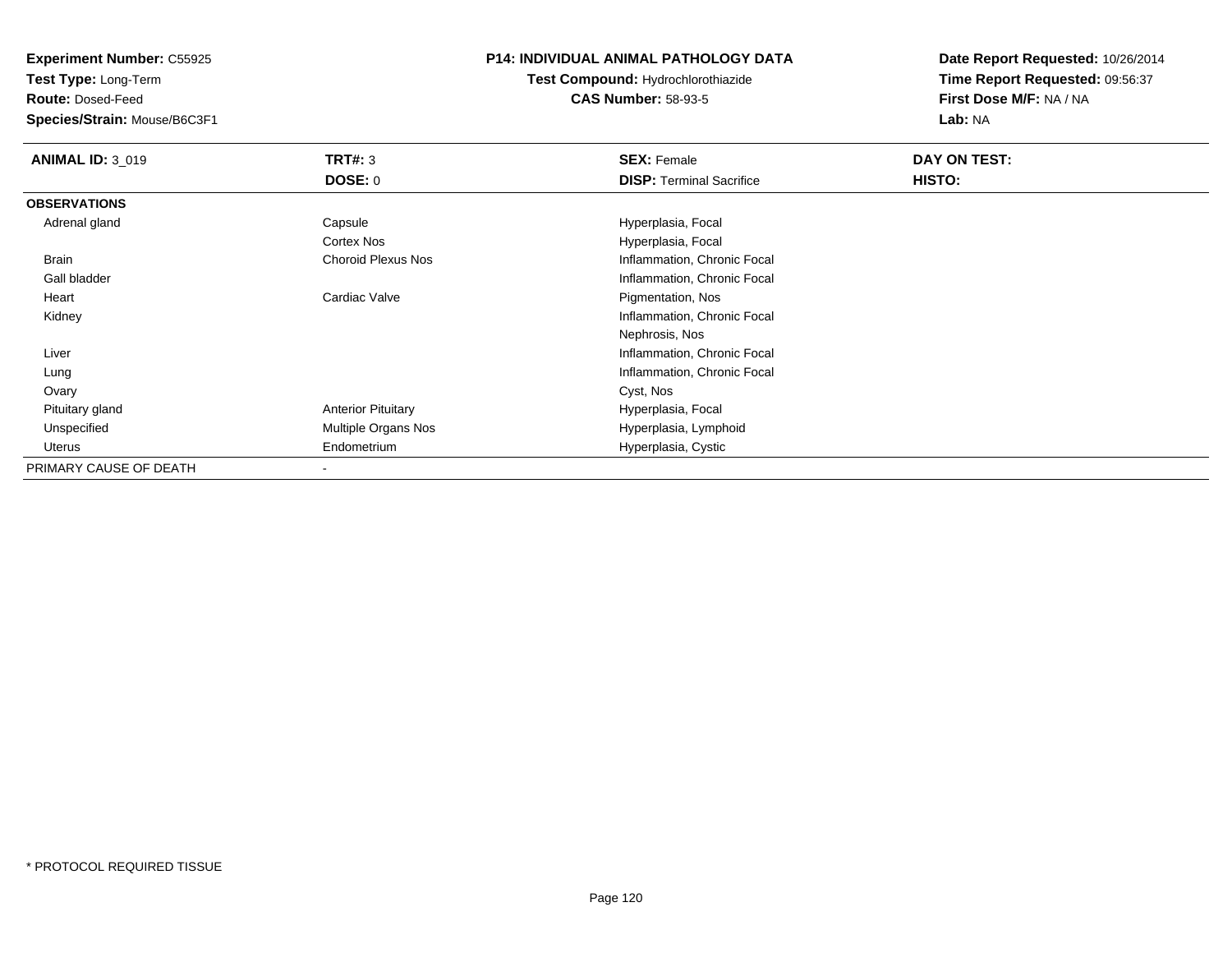**Test Type:** Long-Term

**Route:** Dosed-Feed

**Species/Strain:** Mouse/B6C3F1

### **P14: INDIVIDUAL ANIMAL PATHOLOGY DATA**

**Test Compound:** Hydrochlorothiazide**CAS Number:** 58-93-5

| <b>ANIMAL ID: 3_019</b> | <b>TRT#: 3</b>            | <b>SEX: Female</b>              | DAY ON TEST: |  |
|-------------------------|---------------------------|---------------------------------|--------------|--|
|                         | <b>DOSE: 0</b>            | <b>DISP: Terminal Sacrifice</b> | HISTO:       |  |
| <b>OBSERVATIONS</b>     |                           |                                 |              |  |
| Adrenal gland           | Capsule                   | Hyperplasia, Focal              |              |  |
|                         | <b>Cortex Nos</b>         | Hyperplasia, Focal              |              |  |
| Brain                   | <b>Choroid Plexus Nos</b> | Inflammation, Chronic Focal     |              |  |
| Gall bladder            |                           | Inflammation, Chronic Focal     |              |  |
| Heart                   | Cardiac Valve             | Pigmentation, Nos               |              |  |
| Kidney                  |                           | Inflammation, Chronic Focal     |              |  |
|                         |                           | Nephrosis, Nos                  |              |  |
| Liver                   |                           | Inflammation, Chronic Focal     |              |  |
| Lung                    |                           | Inflammation, Chronic Focal     |              |  |
| Ovary                   |                           | Cyst, Nos                       |              |  |
| Pituitary gland         | <b>Anterior Pituitary</b> | Hyperplasia, Focal              |              |  |
| Unspecified             | Multiple Organs Nos       | Hyperplasia, Lymphoid           |              |  |
| Uterus                  | Endometrium               | Hyperplasia, Cystic             |              |  |
| PRIMARY CAUSE OF DEATH  |                           |                                 |              |  |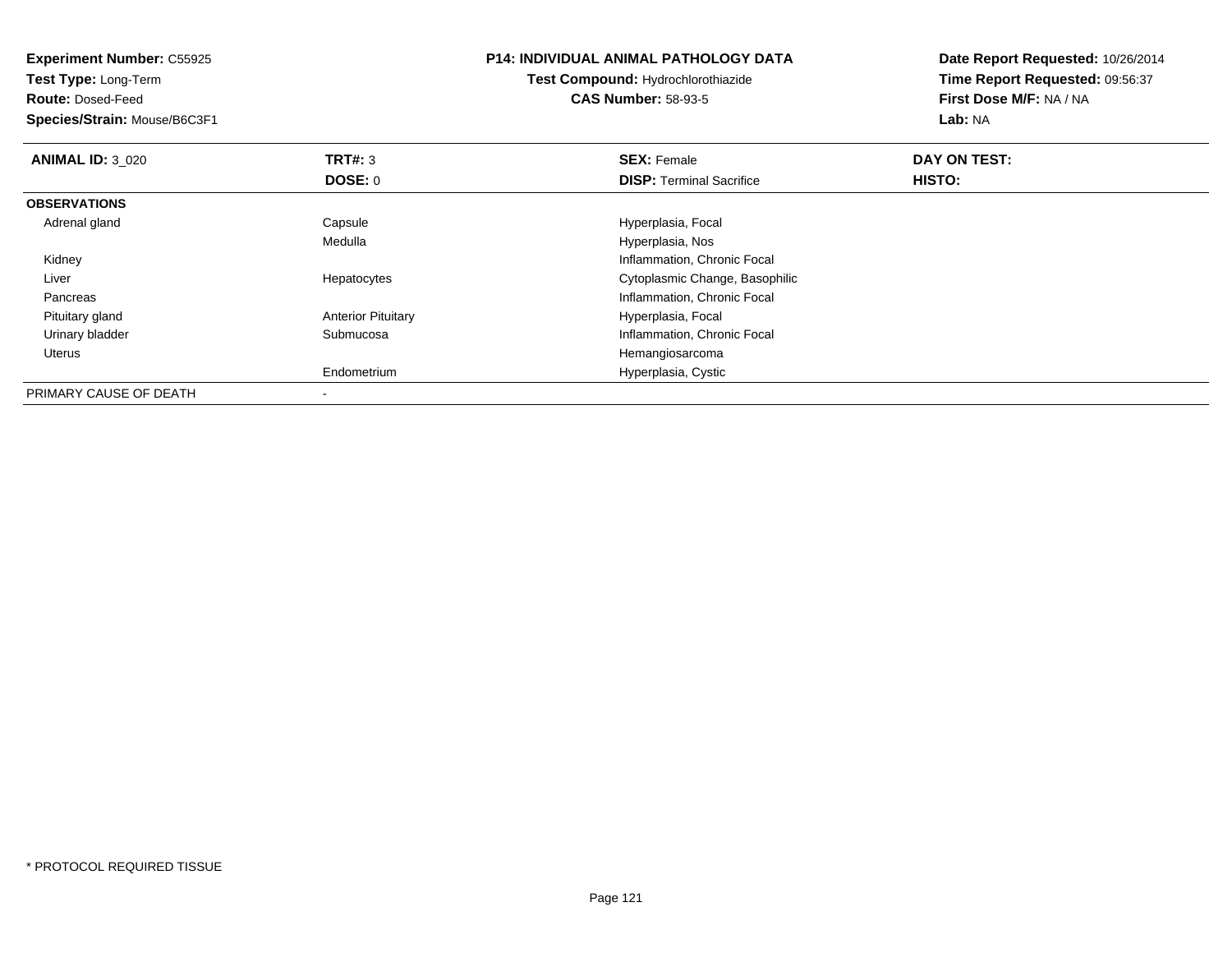| <b>Experiment Number: C55925</b><br>Test Type: Long-Term |                           | <b>P14: INDIVIDUAL ANIMAL PATHOLOGY DATA</b> | Date Report Requested: 10/26/2014 |
|----------------------------------------------------------|---------------------------|----------------------------------------------|-----------------------------------|
|                                                          |                           | Test Compound: Hydrochlorothiazide           | Time Report Requested: 09:56:37   |
| <b>Route: Dosed-Feed</b>                                 |                           | <b>CAS Number: 58-93-5</b>                   | First Dose M/F: NA / NA           |
| Species/Strain: Mouse/B6C3F1                             |                           |                                              | Lab: NA                           |
| <b>ANIMAL ID: 3 020</b>                                  | <b>TRT#:</b> 3            | <b>SEX: Female</b>                           | DAY ON TEST:                      |
|                                                          | DOSE: 0                   | <b>DISP:</b> Terminal Sacrifice              | HISTO:                            |
| <b>OBSERVATIONS</b>                                      |                           |                                              |                                   |
| Adrenal gland                                            | Capsule                   | Hyperplasia, Focal                           |                                   |
|                                                          | Medulla                   | Hyperplasia, Nos                             |                                   |
| Kidney                                                   |                           | Inflammation, Chronic Focal                  |                                   |
| Liver                                                    | Hepatocytes               | Cytoplasmic Change, Basophilic               |                                   |
| Pancreas                                                 |                           | Inflammation, Chronic Focal                  |                                   |
| Pituitary gland                                          | <b>Anterior Pituitary</b> | Hyperplasia, Focal                           |                                   |
| Urinary bladder                                          | Submucosa                 | Inflammation, Chronic Focal                  |                                   |
| Uterus                                                   |                           | Hemangiosarcoma                              |                                   |
|                                                          | Endometrium               | Hyperplasia, Cystic                          |                                   |
| PRIMARY CAUSE OF DEATH                                   |                           |                                              |                                   |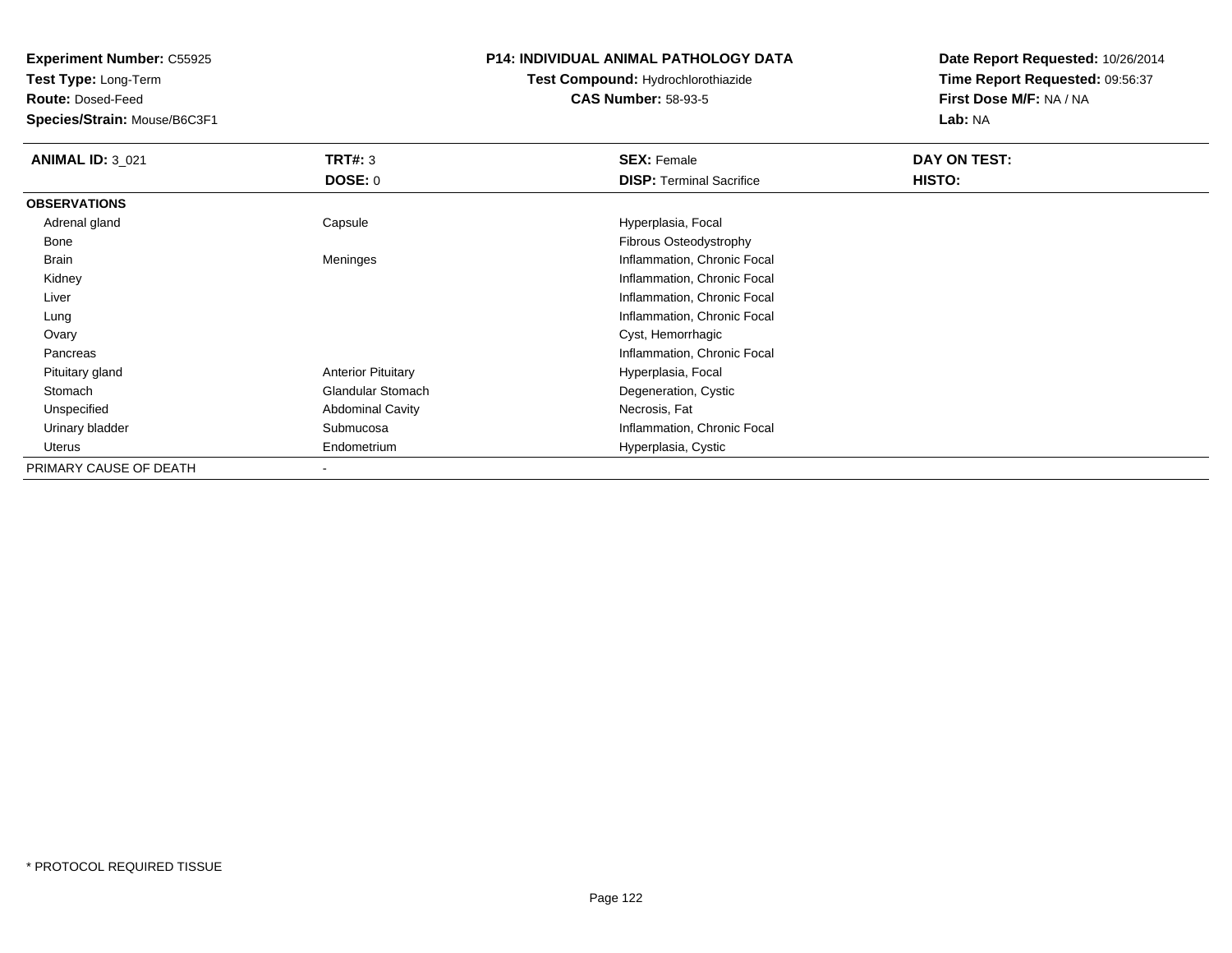**Test Type:** Long-Term

**Route:** Dosed-Feed

**Species/Strain:** Mouse/B6C3F1

#### **P14: INDIVIDUAL ANIMAL PATHOLOGY DATA**

# **Test Compound:** Hydrochlorothiazide**CAS Number:** 58-93-5

| <b>ANIMAL ID: 3_021</b> | TRT#: 3                   | <b>SEX: Female</b>              | DAY ON TEST: |  |
|-------------------------|---------------------------|---------------------------------|--------------|--|
|                         | DOSE: 0                   | <b>DISP:</b> Terminal Sacrifice | HISTO:       |  |
| <b>OBSERVATIONS</b>     |                           |                                 |              |  |
| Adrenal gland           | Capsule                   | Hyperplasia, Focal              |              |  |
| Bone                    |                           | Fibrous Osteodystrophy          |              |  |
| Brain                   | Meninges                  | Inflammation, Chronic Focal     |              |  |
| Kidney                  |                           | Inflammation, Chronic Focal     |              |  |
| Liver                   |                           | Inflammation, Chronic Focal     |              |  |
| Lung                    |                           | Inflammation, Chronic Focal     |              |  |
| Ovary                   |                           | Cyst, Hemorrhagic               |              |  |
| Pancreas                |                           | Inflammation, Chronic Focal     |              |  |
| Pituitary gland         | <b>Anterior Pituitary</b> | Hyperplasia, Focal              |              |  |
| Stomach                 | <b>Glandular Stomach</b>  | Degeneration, Cystic            |              |  |
| Unspecified             | <b>Abdominal Cavity</b>   | Necrosis, Fat                   |              |  |
| Urinary bladder         | Submucosa                 | Inflammation, Chronic Focal     |              |  |
| Uterus                  | Endometrium               | Hyperplasia, Cystic             |              |  |
| PRIMARY CAUSE OF DEATH  |                           |                                 |              |  |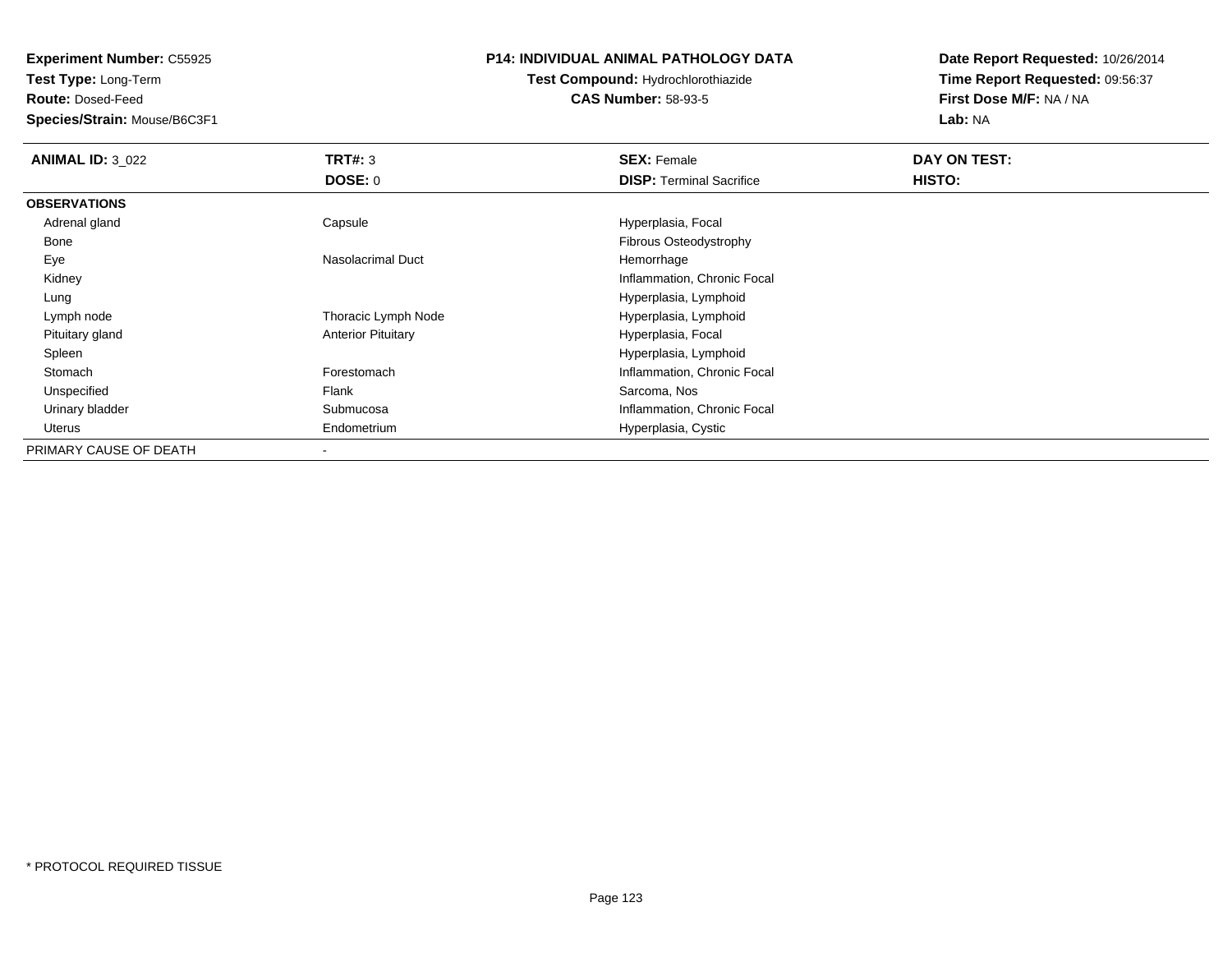**Test Type:** Long-Term

**Route:** Dosed-Feed

**Species/Strain:** Mouse/B6C3F1

## **P14: INDIVIDUAL ANIMAL PATHOLOGY DATA**

**Test Compound:** Hydrochlorothiazide**CAS Number:** 58-93-5

| <b>ANIMAL ID: 3 022</b> | TRT#: 3                   | <b>SEX: Female</b>              | DAY ON TEST: |  |
|-------------------------|---------------------------|---------------------------------|--------------|--|
|                         | <b>DOSE: 0</b>            | <b>DISP: Terminal Sacrifice</b> | HISTO:       |  |
| <b>OBSERVATIONS</b>     |                           |                                 |              |  |
| Adrenal gland           | Capsule                   | Hyperplasia, Focal              |              |  |
| Bone                    |                           | Fibrous Osteodystrophy          |              |  |
| Eye                     | <b>Nasolacrimal Duct</b>  | Hemorrhage                      |              |  |
| Kidney                  |                           | Inflammation, Chronic Focal     |              |  |
| Lung                    |                           | Hyperplasia, Lymphoid           |              |  |
| Lymph node              | Thoracic Lymph Node       | Hyperplasia, Lymphoid           |              |  |
| Pituitary gland         | <b>Anterior Pituitary</b> | Hyperplasia, Focal              |              |  |
| Spleen                  |                           | Hyperplasia, Lymphoid           |              |  |
| Stomach                 | Forestomach               | Inflammation, Chronic Focal     |              |  |
| Unspecified             | Flank                     | Sarcoma, Nos                    |              |  |
| Urinary bladder         | Submucosa                 | Inflammation, Chronic Focal     |              |  |
| Uterus                  | Endometrium               | Hyperplasia, Cystic             |              |  |
| PRIMARY CAUSE OF DEATH  |                           |                                 |              |  |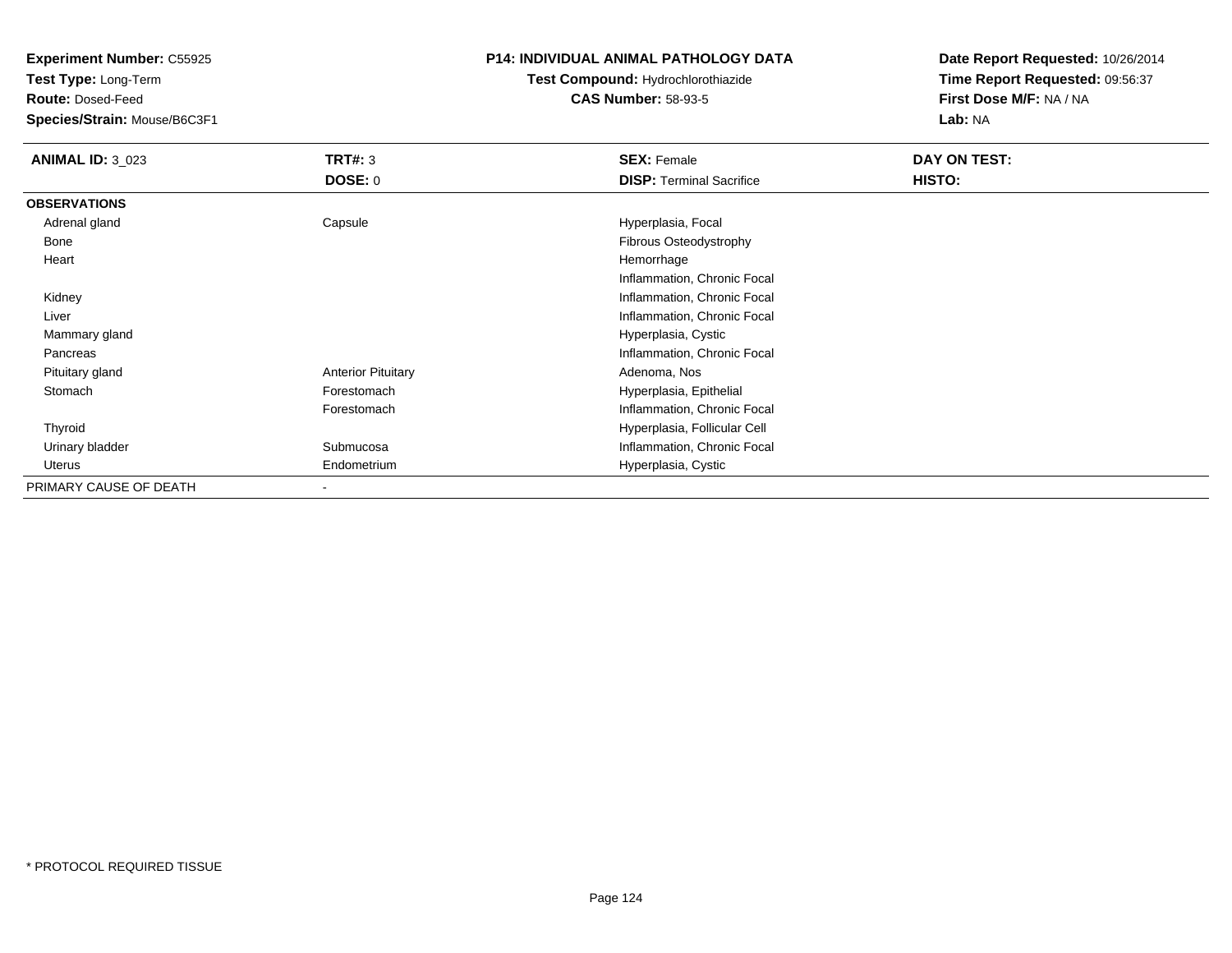**Test Type:** Long-Term

**Route:** Dosed-Feed

**Species/Strain:** Mouse/B6C3F1

## **P14: INDIVIDUAL ANIMAL PATHOLOGY DATA**

# **Test Compound:** Hydrochlorothiazide**CAS Number:** 58-93-5

| <b>ANIMAL ID: 3 023</b> | <b>TRT#: 3</b>            | <b>SEX: Female</b>              | DAY ON TEST: |
|-------------------------|---------------------------|---------------------------------|--------------|
|                         | DOSE: 0                   | <b>DISP: Terminal Sacrifice</b> | HISTO:       |
| <b>OBSERVATIONS</b>     |                           |                                 |              |
| Adrenal gland           | Capsule                   | Hyperplasia, Focal              |              |
| Bone                    |                           | Fibrous Osteodystrophy          |              |
| Heart                   |                           | Hemorrhage                      |              |
|                         |                           | Inflammation, Chronic Focal     |              |
| Kidney                  |                           | Inflammation, Chronic Focal     |              |
| Liver                   |                           | Inflammation, Chronic Focal     |              |
| Mammary gland           |                           | Hyperplasia, Cystic             |              |
| Pancreas                |                           | Inflammation, Chronic Focal     |              |
| Pituitary gland         | <b>Anterior Pituitary</b> | Adenoma, Nos                    |              |
| Stomach                 | Forestomach               | Hyperplasia, Epithelial         |              |
|                         | Forestomach               | Inflammation, Chronic Focal     |              |
| Thyroid                 |                           | Hyperplasia, Follicular Cell    |              |
| Urinary bladder         | Submucosa                 | Inflammation, Chronic Focal     |              |
| Uterus                  | Endometrium               | Hyperplasia, Cystic             |              |
| PRIMARY CAUSE OF DEATH  | $\overline{\phantom{a}}$  |                                 |              |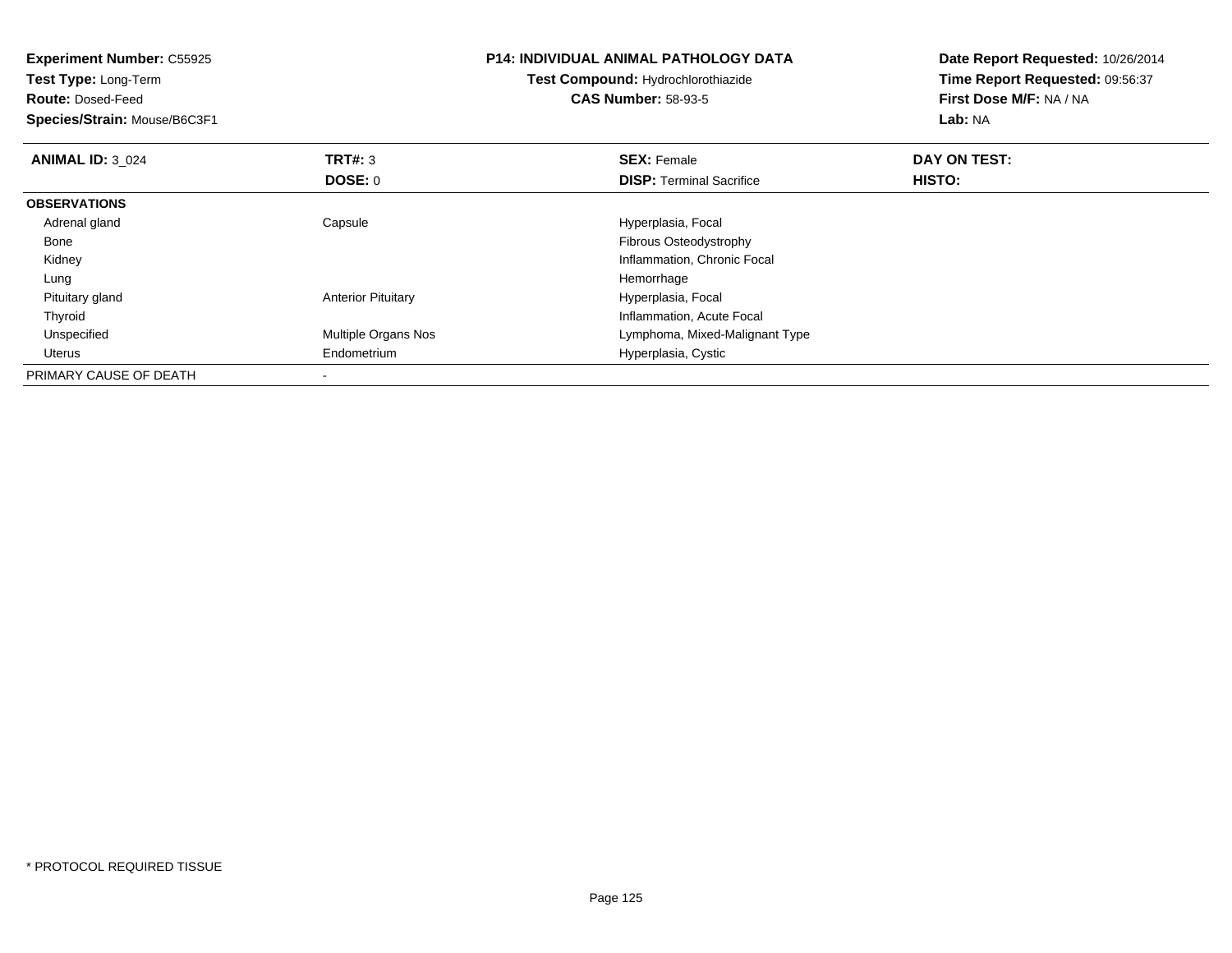| <b>Experiment Number: C55925</b><br><b>Test Type: Long-Term</b><br><b>Route: Dosed-Feed</b><br>Species/Strain: Mouse/B6C3F1 |                           | <b>P14: INDIVIDUAL ANIMAL PATHOLOGY DATA</b><br>Test Compound: Hydrochlorothiazide<br><b>CAS Number: 58-93-5</b> | Date Report Requested: 10/26/2014<br>Time Report Requested: 09:56:37<br>First Dose M/F: NA / NA<br>Lab: NA |  |
|-----------------------------------------------------------------------------------------------------------------------------|---------------------------|------------------------------------------------------------------------------------------------------------------|------------------------------------------------------------------------------------------------------------|--|
| <b>ANIMAL ID: 3 024</b>                                                                                                     | TRT#: 3                   | <b>SEX: Female</b>                                                                                               | DAY ON TEST:                                                                                               |  |
|                                                                                                                             | DOSE: 0                   | <b>DISP:</b> Terminal Sacrifice                                                                                  | <b>HISTO:</b>                                                                                              |  |
| <b>OBSERVATIONS</b>                                                                                                         |                           |                                                                                                                  |                                                                                                            |  |
| Adrenal gland                                                                                                               | Capsule                   | Hyperplasia, Focal                                                                                               |                                                                                                            |  |
| Bone                                                                                                                        |                           | Fibrous Osteodystrophy                                                                                           |                                                                                                            |  |
| Kidney                                                                                                                      |                           | Inflammation, Chronic Focal                                                                                      |                                                                                                            |  |
| Lung                                                                                                                        |                           | Hemorrhage                                                                                                       |                                                                                                            |  |
| Pituitary gland                                                                                                             | <b>Anterior Pituitary</b> | Hyperplasia, Focal                                                                                               |                                                                                                            |  |
| Thyroid                                                                                                                     |                           | Inflammation, Acute Focal                                                                                        |                                                                                                            |  |
| Unspecified                                                                                                                 | Multiple Organs Nos       | Lymphoma, Mixed-Malignant Type                                                                                   |                                                                                                            |  |
| Uterus                                                                                                                      | Endometrium               | Hyperplasia, Cystic                                                                                              |                                                                                                            |  |
| PRIMARY CAUSE OF DEATH                                                                                                      |                           |                                                                                                                  |                                                                                                            |  |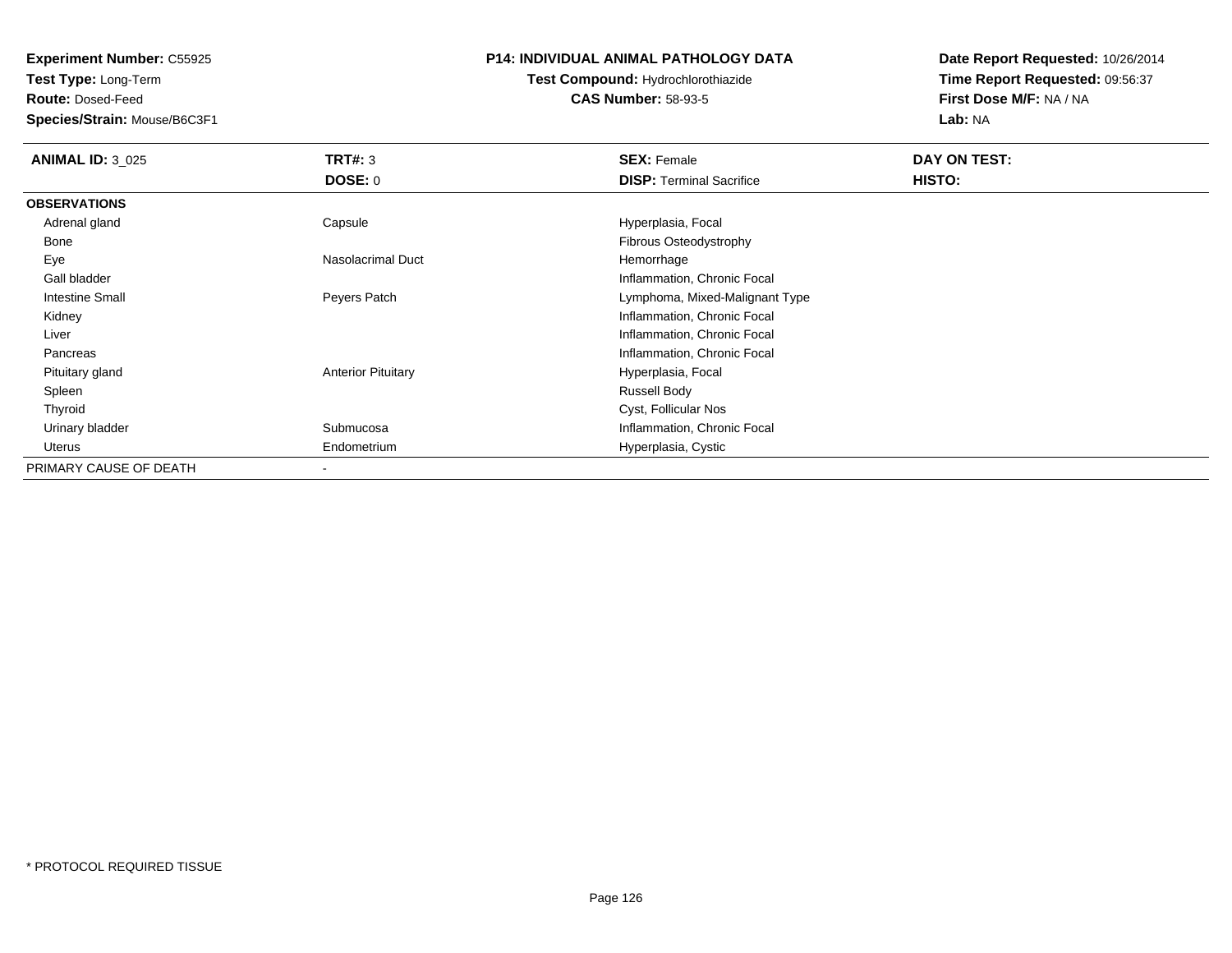**Test Type:** Long-Term

**Route:** Dosed-Feed

**Species/Strain:** Mouse/B6C3F1

## **P14: INDIVIDUAL ANIMAL PATHOLOGY DATA**

# **Test Compound:** Hydrochlorothiazide**CAS Number:** 58-93-5

| <b>ANIMAL ID: 3_025</b> | TRT#: 3                   | <b>SEX: Female</b>              | DAY ON TEST: |
|-------------------------|---------------------------|---------------------------------|--------------|
|                         | DOSE: 0                   | <b>DISP:</b> Terminal Sacrifice | HISTO:       |
| <b>OBSERVATIONS</b>     |                           |                                 |              |
| Adrenal gland           | Capsule                   | Hyperplasia, Focal              |              |
| Bone                    |                           | Fibrous Osteodystrophy          |              |
| Eye                     | Nasolacrimal Duct         | Hemorrhage                      |              |
| Gall bladder            |                           | Inflammation, Chronic Focal     |              |
| <b>Intestine Small</b>  | Peyers Patch              | Lymphoma, Mixed-Malignant Type  |              |
| Kidney                  |                           | Inflammation, Chronic Focal     |              |
| Liver                   |                           | Inflammation, Chronic Focal     |              |
| Pancreas                |                           | Inflammation, Chronic Focal     |              |
| Pituitary gland         | <b>Anterior Pituitary</b> | Hyperplasia, Focal              |              |
| Spleen                  |                           | <b>Russell Body</b>             |              |
| Thyroid                 |                           | Cyst, Follicular Nos            |              |
| Urinary bladder         | Submucosa                 | Inflammation, Chronic Focal     |              |
| Uterus                  | Endometrium               | Hyperplasia, Cystic             |              |
| PRIMARY CAUSE OF DEATH  |                           |                                 |              |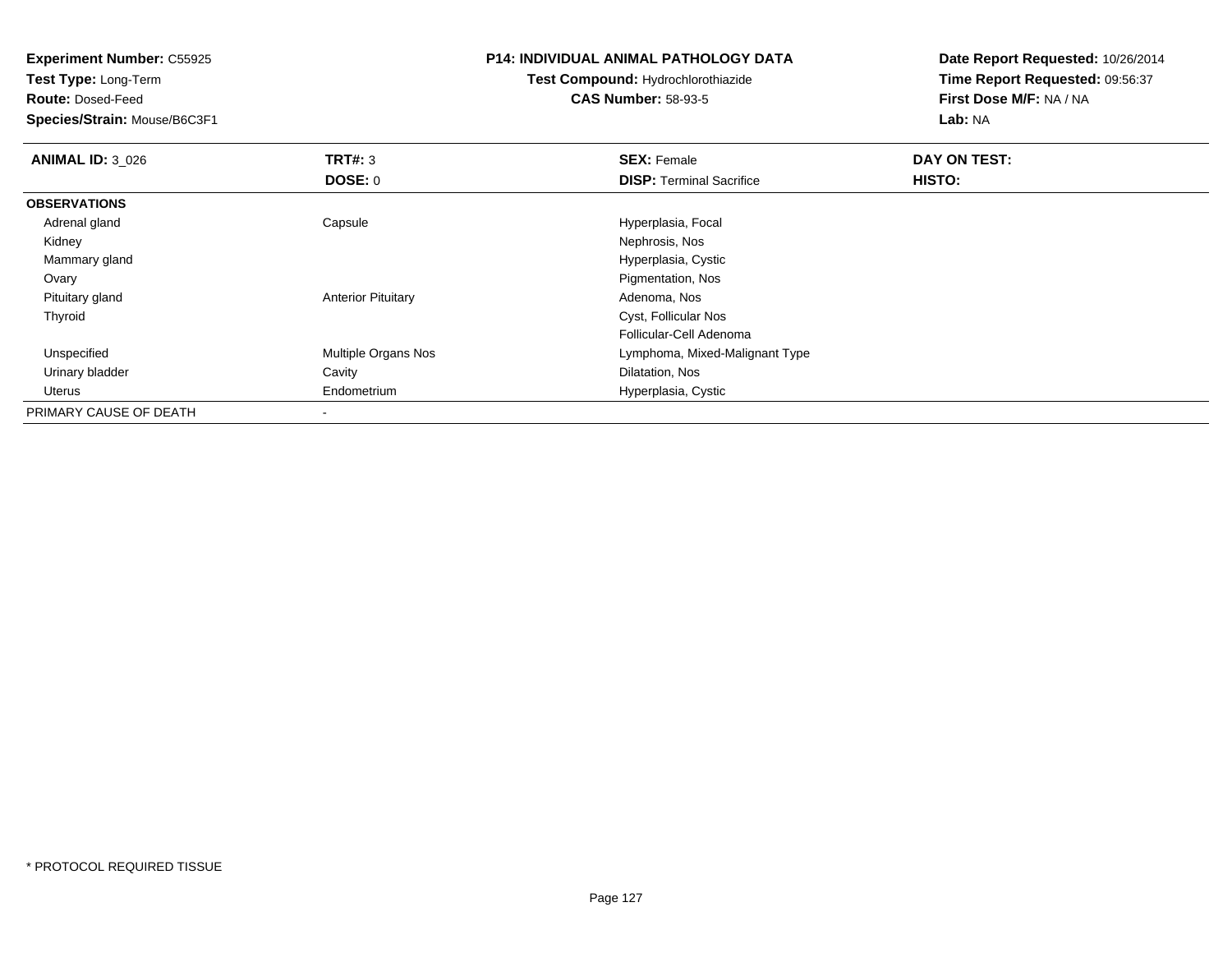**Experiment Number:** C55925**Test Type:** Long-Term**Route:** Dosed-Feed **Species/Strain:** Mouse/B6C3F1**P14: INDIVIDUAL ANIMAL PATHOLOGY DATATest Compound:** Hydrochlorothiazide**CAS Number:** 58-93-5**Date Report Requested:** 10/26/2014**Time Report Requested:** 09:56:37**First Dose M/F:** NA / NA**Lab:** NA**ANIMAL ID:** 3\_026**6 DAY ON TEST: TRT#:** 3 **SEX: Female SEX: Female DAY ON TEST: DOSE:** 0**DISP:** Terminal Sacrifice **HISTO: OBSERVATIONS** Adrenal gland Capsule Hyperplasia, Focal Kidneyy which is a set of the set of the set of the set of the set of the set of the Nephrosis, Nos Mammary gland Hyperplasia, Cystic **Ovary**  Pigmentation, Nos Pituitary glandAnterior Pituitary **Adenoma, Nos** Adenoma, Nos Thyroid Cyst, Follicular Nos Follicular-Cell Adenomad **Example 20 Multiple Organs Nos** Communist Communist Cymphoma, Mixed-Malignant Type Unspecified Urinary bladder Cavity Dilatation, Nos Uterus Endometrium Hyperplasia, Cystic PRIMARY CAUSE OF DEATH-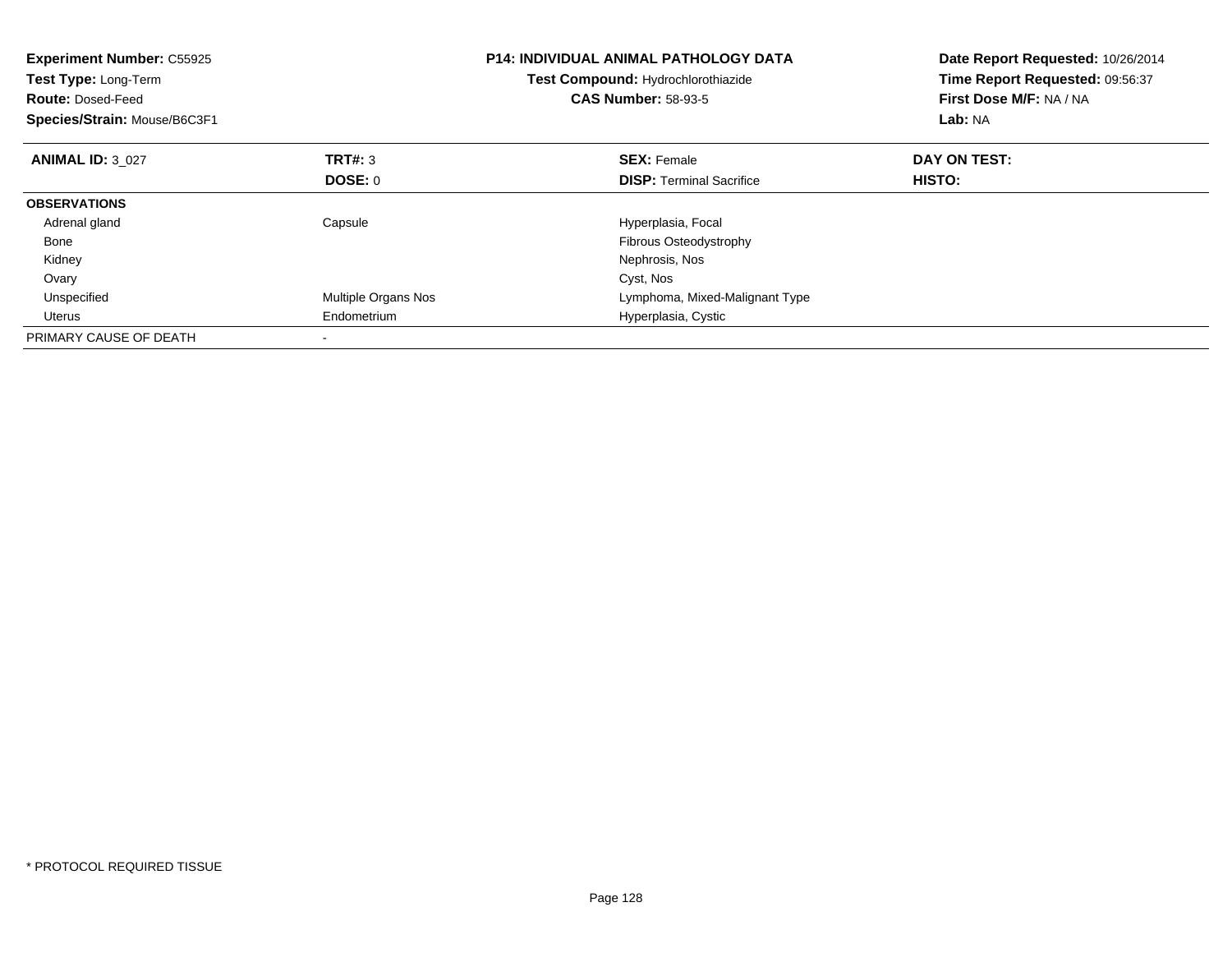| <b>Experiment Number: C55925</b><br>Test Type: Long-Term<br>Test Compound: Hydrochlorothiazide<br><b>CAS Number: 58-93-5</b><br><b>Route: Dosed-Feed</b><br>Species/Strain: Mouse/B6C3F1 |                     |                                 |              | <b>P14: INDIVIDUAL ANIMAL PATHOLOGY DATA</b> | Date Report Requested: 10/26/2014<br>Time Report Requested: 09:56:37<br>First Dose M/F: NA / NA<br>Lab: NA |
|------------------------------------------------------------------------------------------------------------------------------------------------------------------------------------------|---------------------|---------------------------------|--------------|----------------------------------------------|------------------------------------------------------------------------------------------------------------|
| <b>ANIMAL ID: 3 027</b>                                                                                                                                                                  | TRT#: 3             | <b>SEX: Female</b>              | DAY ON TEST: |                                              |                                                                                                            |
|                                                                                                                                                                                          | <b>DOSE: 0</b>      | <b>DISP:</b> Terminal Sacrifice | HISTO:       |                                              |                                                                                                            |
| <b>OBSERVATIONS</b>                                                                                                                                                                      |                     |                                 |              |                                              |                                                                                                            |
| Adrenal gland                                                                                                                                                                            | Capsule             | Hyperplasia, Focal              |              |                                              |                                                                                                            |
| Bone                                                                                                                                                                                     |                     | <b>Fibrous Osteodystrophy</b>   |              |                                              |                                                                                                            |
| Kidney                                                                                                                                                                                   |                     | Nephrosis, Nos                  |              |                                              |                                                                                                            |
| Ovary                                                                                                                                                                                    |                     | Cyst, Nos                       |              |                                              |                                                                                                            |
| Unspecified                                                                                                                                                                              | Multiple Organs Nos | Lymphoma, Mixed-Malignant Type  |              |                                              |                                                                                                            |
| Uterus                                                                                                                                                                                   | Endometrium         | Hyperplasia, Cystic             |              |                                              |                                                                                                            |
| PRIMARY CAUSE OF DEATH                                                                                                                                                                   |                     |                                 |              |                                              |                                                                                                            |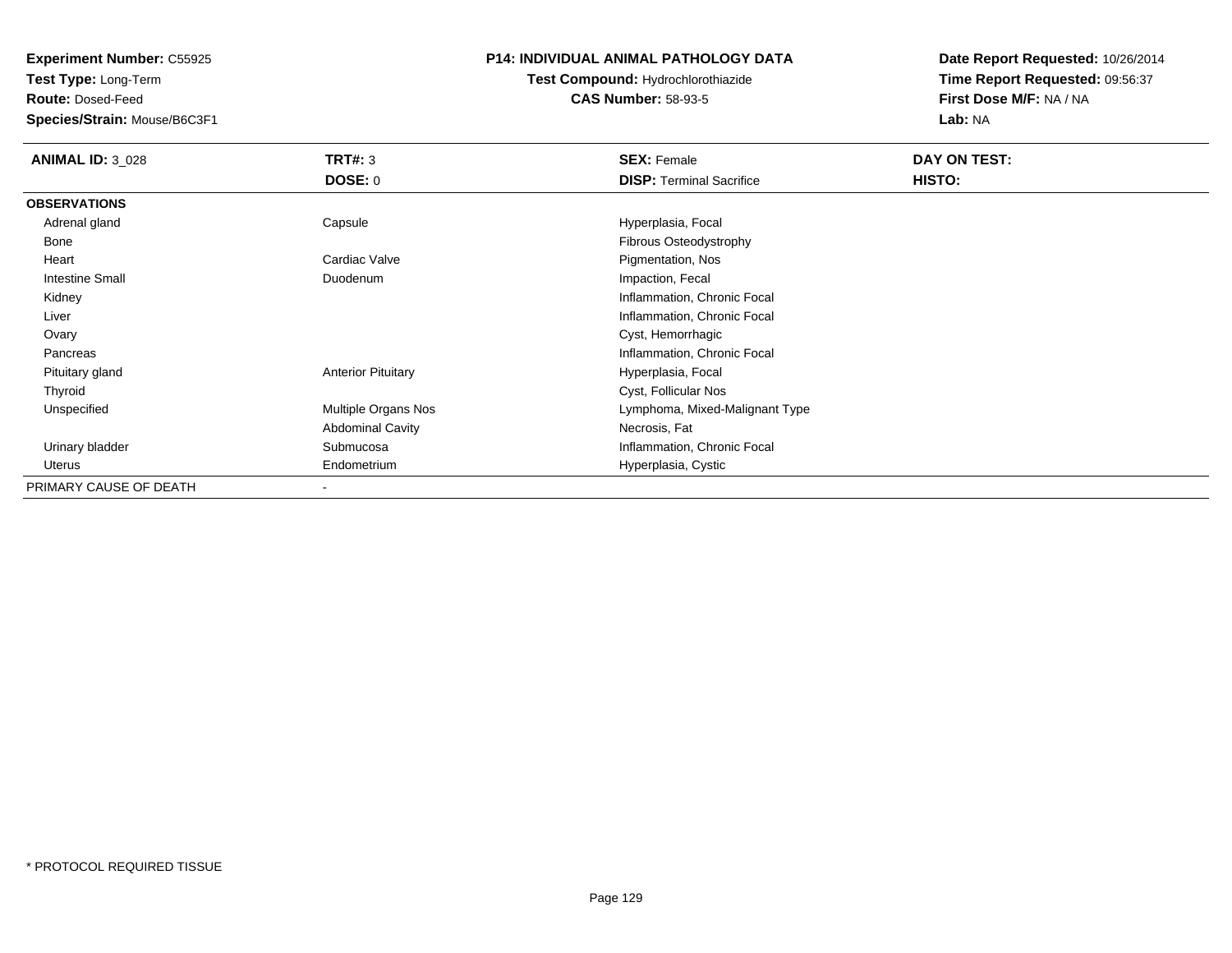**Test Type:** Long-Term

**Route:** Dosed-Feed

**Species/Strain:** Mouse/B6C3F1

## **P14: INDIVIDUAL ANIMAL PATHOLOGY DATA**

**Test Compound:** Hydrochlorothiazide**CAS Number:** 58-93-5

| <b>ANIMAL ID: 3 028</b> | <b>TRT#: 3</b>            | <b>SEX: Female</b>              | DAY ON TEST: |  |
|-------------------------|---------------------------|---------------------------------|--------------|--|
|                         | DOSE: 0                   | <b>DISP:</b> Terminal Sacrifice | HISTO:       |  |
| <b>OBSERVATIONS</b>     |                           |                                 |              |  |
| Adrenal gland           | Capsule                   | Hyperplasia, Focal              |              |  |
| Bone                    |                           | Fibrous Osteodystrophy          |              |  |
| Heart                   | Cardiac Valve             | Pigmentation, Nos               |              |  |
| <b>Intestine Small</b>  | Duodenum                  | Impaction, Fecal                |              |  |
| Kidney                  |                           | Inflammation, Chronic Focal     |              |  |
| Liver                   |                           | Inflammation, Chronic Focal     |              |  |
| Ovary                   |                           | Cyst, Hemorrhagic               |              |  |
| Pancreas                |                           | Inflammation, Chronic Focal     |              |  |
| Pituitary gland         | <b>Anterior Pituitary</b> | Hyperplasia, Focal              |              |  |
| Thyroid                 |                           | Cyst, Follicular Nos            |              |  |
| Unspecified             | Multiple Organs Nos       | Lymphoma, Mixed-Malignant Type  |              |  |
|                         | <b>Abdominal Cavity</b>   | Necrosis, Fat                   |              |  |
| Urinary bladder         | Submucosa                 | Inflammation, Chronic Focal     |              |  |
| Uterus                  | Endometrium               | Hyperplasia, Cystic             |              |  |
| PRIMARY CAUSE OF DEATH  | $\blacksquare$            |                                 |              |  |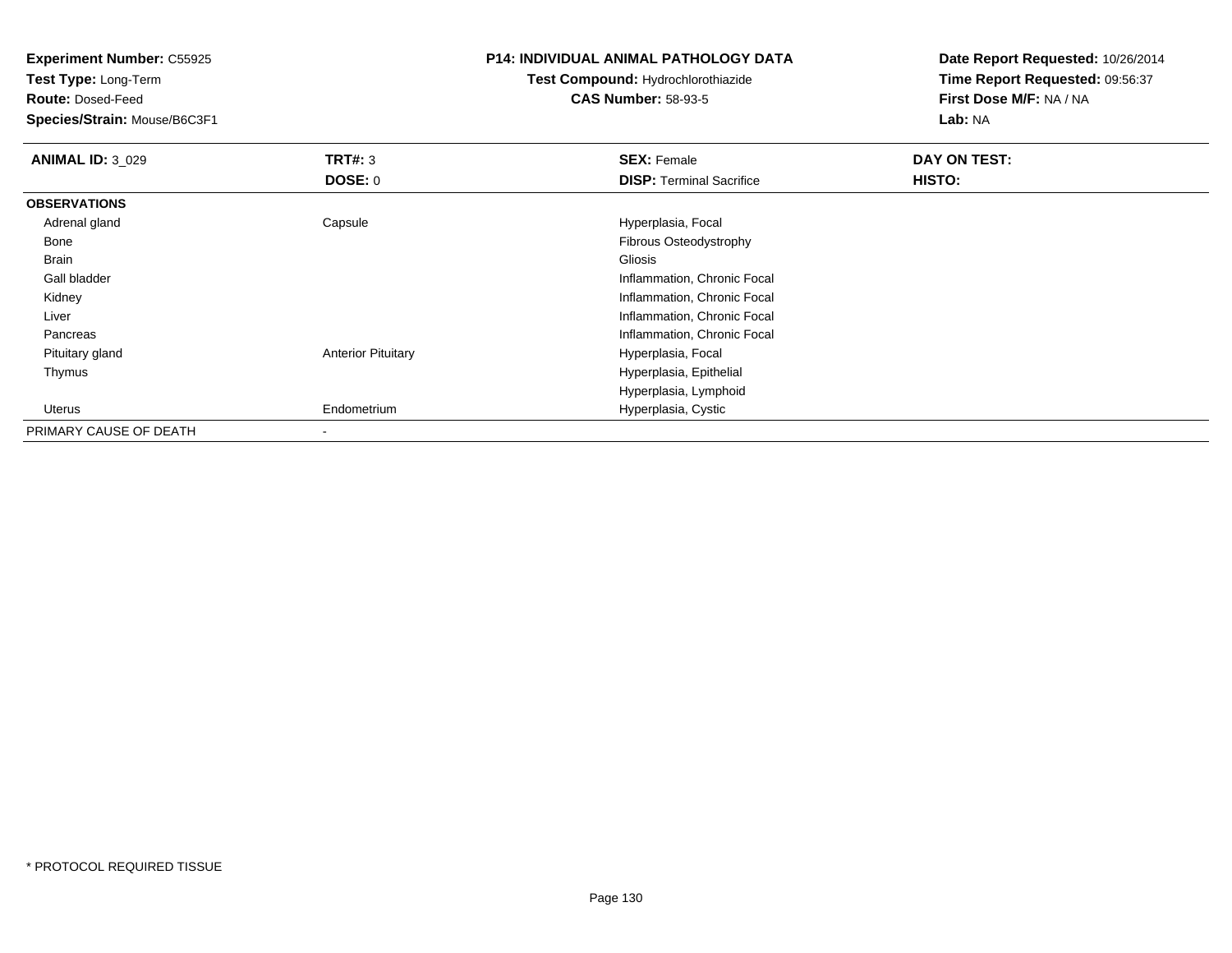**Experiment Number:** C55925**Test Type:** Long-Term**Route:** Dosed-Feed **Species/Strain:** Mouse/B6C3F1**P14: INDIVIDUAL ANIMAL PATHOLOGY DATATest Compound:** Hydrochlorothiazide**CAS Number:** 58-93-5**Date Report Requested:** 10/26/2014**Time Report Requested:** 09:56:37**First Dose M/F:** NA / NA**Lab:** NA**ANIMAL ID: 3 029 TRT#:** 3 **SEX:** Female **DAY ON TEST: DOSE:** 0**DISP:** Terminal Sacrifice **HISTO: OBSERVATIONS** Adrenal glandCapsule **Capsule Hyperplasia**, Focal Bone Fibrous Osteodystrophy Brainn and the control of the control of the control of the control of the control of the control of the control of Gall bladder Inflammation, Chronic Focal Kidney Inflammation, Chronic Focal Liver Inflammation, Chronic Focal Pancreas Inflammation, Chronic Focal Pituitary glandAnterior Pituitary **Hyperplasia**, Focal Thymus Hyperplasia, Epithelial Hyperplasia, Lymphoid Uterus Endometrium Hyperplasia, Cystic PRIMARY CAUSE OF DEATH-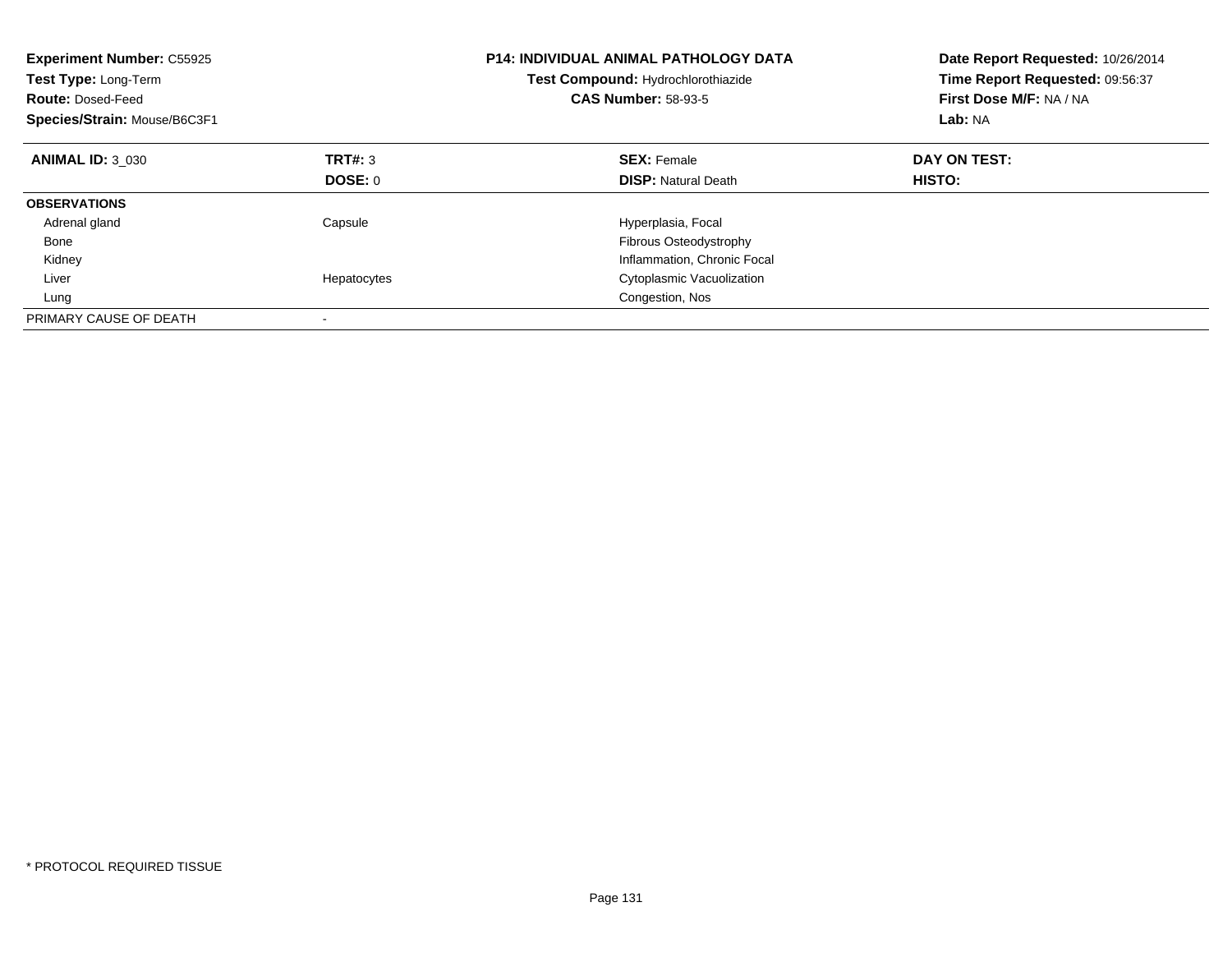| <b>Experiment Number: C55925</b><br>Test Type: Long-Term<br><b>Route: Dosed-Feed</b><br>Species/Strain: Mouse/B6C3F1 |             | <b>P14: INDIVIDUAL ANIMAL PATHOLOGY DATA</b><br>Test Compound: Hydrochlorothiazide<br><b>CAS Number: 58-93-5</b> | Date Report Requested: 10/26/2014<br>Time Report Requested: 09:56:37<br>First Dose M/F: NA / NA<br>Lab: NA |  |
|----------------------------------------------------------------------------------------------------------------------|-------------|------------------------------------------------------------------------------------------------------------------|------------------------------------------------------------------------------------------------------------|--|
| <b>ANIMAL ID: 3 030</b>                                                                                              | TRT#: 3     | <b>SEX: Female</b>                                                                                               | DAY ON TEST:                                                                                               |  |
|                                                                                                                      | DOSE: 0     | <b>DISP:</b> Natural Death                                                                                       | <b>HISTO:</b>                                                                                              |  |
| <b>OBSERVATIONS</b>                                                                                                  |             |                                                                                                                  |                                                                                                            |  |
| Adrenal gland                                                                                                        | Capsule     | Hyperplasia, Focal                                                                                               |                                                                                                            |  |
| Bone                                                                                                                 |             | Fibrous Osteodystrophy                                                                                           |                                                                                                            |  |
| Kidney                                                                                                               |             | Inflammation, Chronic Focal                                                                                      |                                                                                                            |  |
| Liver                                                                                                                | Hepatocytes | Cytoplasmic Vacuolization                                                                                        |                                                                                                            |  |
| Lung                                                                                                                 |             | Congestion, Nos                                                                                                  |                                                                                                            |  |
| PRIMARY CAUSE OF DEATH                                                                                               |             |                                                                                                                  |                                                                                                            |  |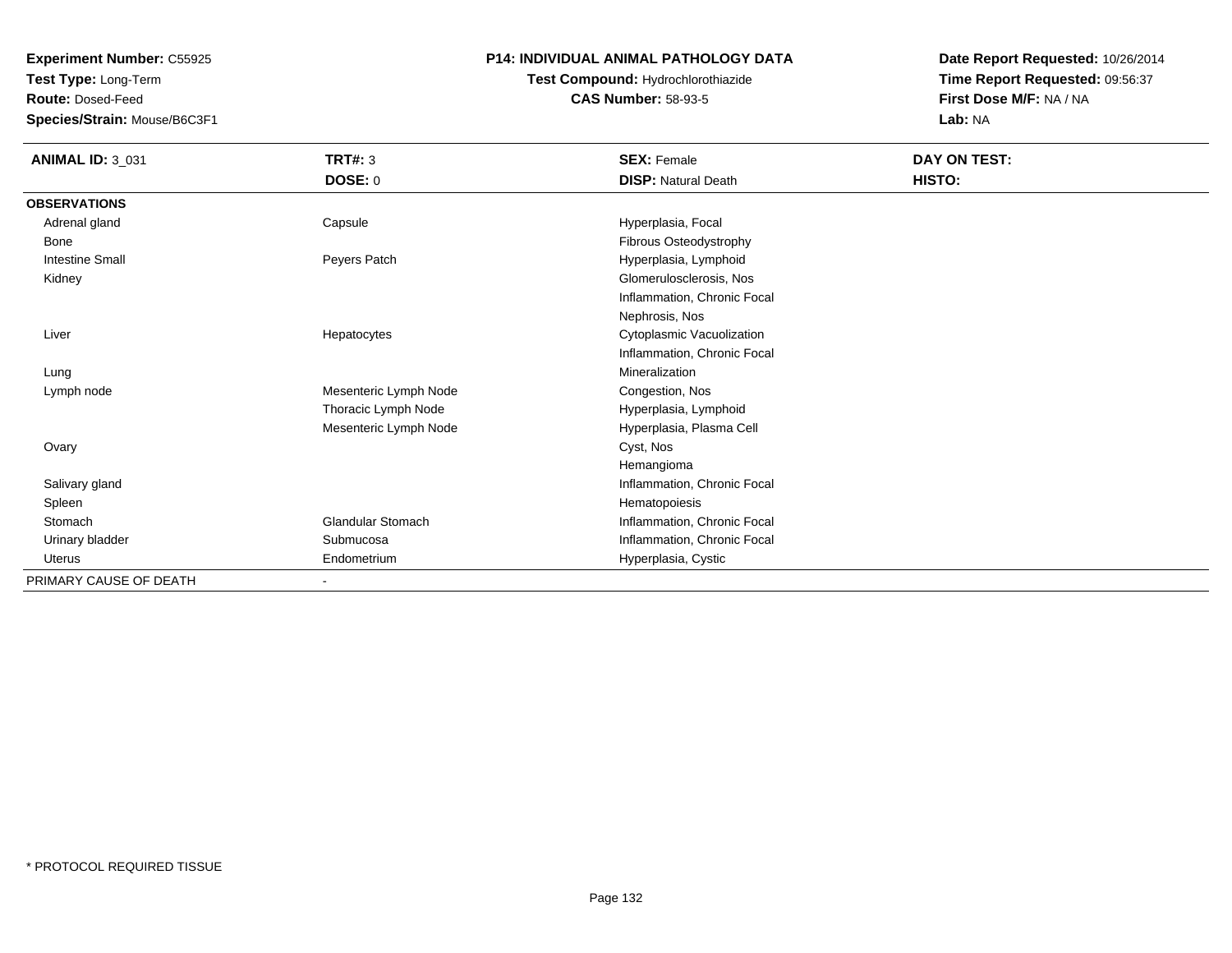**Test Type:** Long-Term

**Route:** Dosed-Feed

**Species/Strain:** Mouse/B6C3F1

### **P14: INDIVIDUAL ANIMAL PATHOLOGY DATA**

# **Test Compound:** Hydrochlorothiazide**CAS Number:** 58-93-5

| <b>ANIMAL ID: 3_031</b> | <b>TRT#: 3</b>           | <b>SEX: Female</b>          | DAY ON TEST: |
|-------------------------|--------------------------|-----------------------------|--------------|
|                         | DOSE: 0                  | <b>DISP: Natural Death</b>  | HISTO:       |
| <b>OBSERVATIONS</b>     |                          |                             |              |
| Adrenal gland           | Capsule                  | Hyperplasia, Focal          |              |
| Bone                    |                          | Fibrous Osteodystrophy      |              |
| <b>Intestine Small</b>  | Peyers Patch             | Hyperplasia, Lymphoid       |              |
| Kidney                  |                          | Glomerulosclerosis, Nos     |              |
|                         |                          | Inflammation, Chronic Focal |              |
|                         |                          | Nephrosis, Nos              |              |
| Liver                   | Hepatocytes              | Cytoplasmic Vacuolization   |              |
|                         |                          | Inflammation, Chronic Focal |              |
| Lung                    |                          | Mineralization              |              |
| Lymph node              | Mesenteric Lymph Node    | Congestion, Nos             |              |
|                         | Thoracic Lymph Node      | Hyperplasia, Lymphoid       |              |
|                         | Mesenteric Lymph Node    | Hyperplasia, Plasma Cell    |              |
| Ovary                   |                          | Cyst, Nos                   |              |
|                         |                          | Hemangioma                  |              |
| Salivary gland          |                          | Inflammation, Chronic Focal |              |
| Spleen                  |                          | Hematopoiesis               |              |
| Stomach                 | <b>Glandular Stomach</b> | Inflammation, Chronic Focal |              |
| Urinary bladder         | Submucosa                | Inflammation, Chronic Focal |              |
| Uterus                  | Endometrium              | Hyperplasia, Cystic         |              |
| PRIMARY CAUSE OF DEATH  | Ξ.                       |                             |              |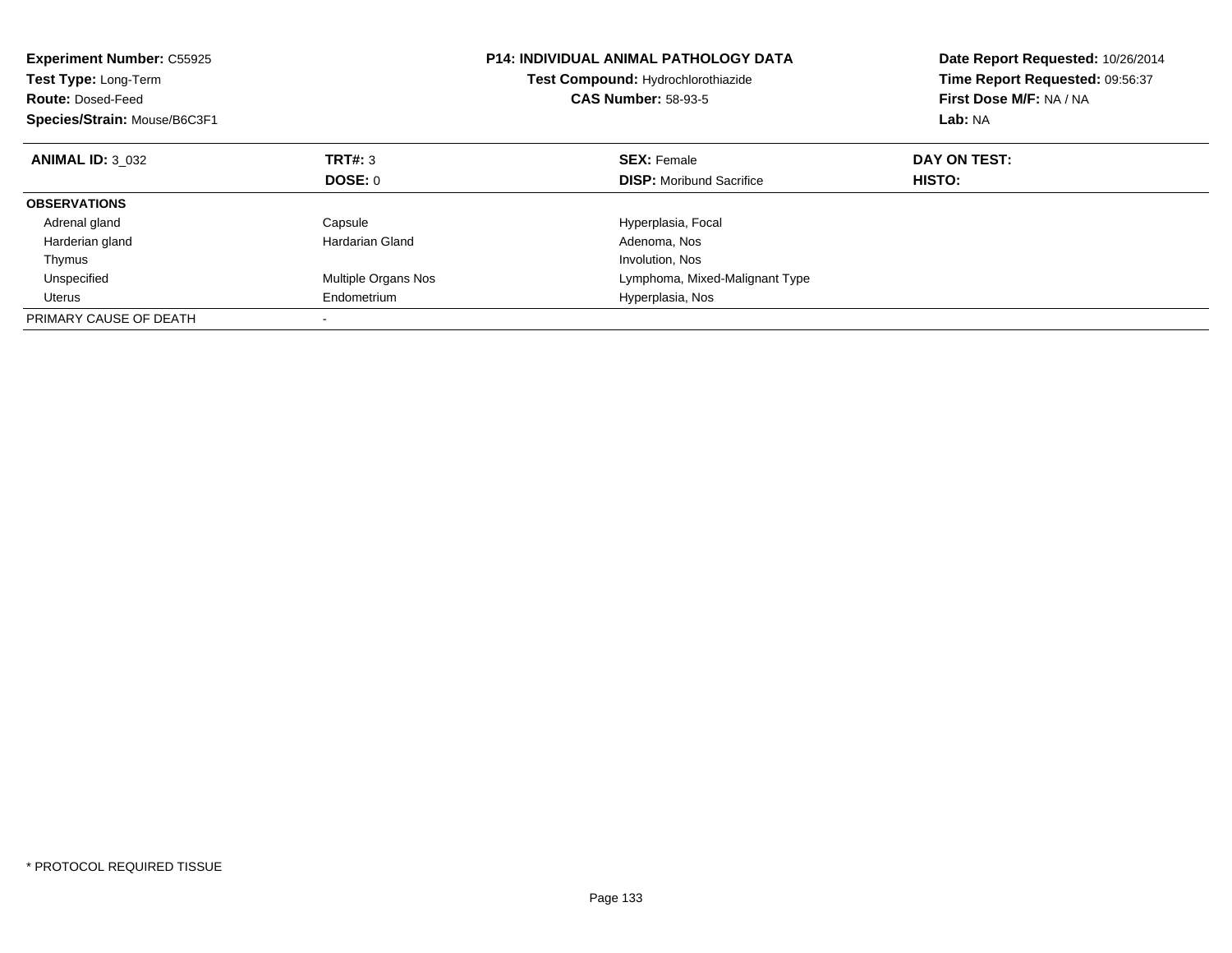| <b>Experiment Number: C55925</b><br><b>Test Type: Long-Term</b><br><b>Route: Dosed-Feed</b><br>Species/Strain: Mouse/B6C3F1 |                     | <b>P14: INDIVIDUAL ANIMAL PATHOLOGY DATA</b><br>Test Compound: Hydrochlorothiazide<br><b>CAS Number: 58-93-5</b> | Date Report Requested: 10/26/2014<br>Time Report Requested: 09:56:37<br>First Dose M/F: NA / NA<br>Lab: NA |
|-----------------------------------------------------------------------------------------------------------------------------|---------------------|------------------------------------------------------------------------------------------------------------------|------------------------------------------------------------------------------------------------------------|
| <b>ANIMAL ID: 3 032</b>                                                                                                     | TRT#: 3             | <b>SEX: Female</b>                                                                                               | DAY ON TEST:                                                                                               |
|                                                                                                                             | DOSE: 0             | <b>DISP:</b> Moribund Sacrifice                                                                                  | <b>HISTO:</b>                                                                                              |
| <b>OBSERVATIONS</b>                                                                                                         |                     |                                                                                                                  |                                                                                                            |
| Adrenal gland                                                                                                               | Capsule             | Hyperplasia, Focal                                                                                               |                                                                                                            |
| Harderian gland                                                                                                             | Hardarian Gland     | Adenoma, Nos                                                                                                     |                                                                                                            |
| Thymus                                                                                                                      |                     | Involution, Nos                                                                                                  |                                                                                                            |
| Unspecified                                                                                                                 | Multiple Organs Nos | Lymphoma, Mixed-Malignant Type                                                                                   |                                                                                                            |
| <b>Uterus</b>                                                                                                               | Endometrium         | Hyperplasia, Nos                                                                                                 |                                                                                                            |
| PRIMARY CAUSE OF DEATH                                                                                                      |                     |                                                                                                                  |                                                                                                            |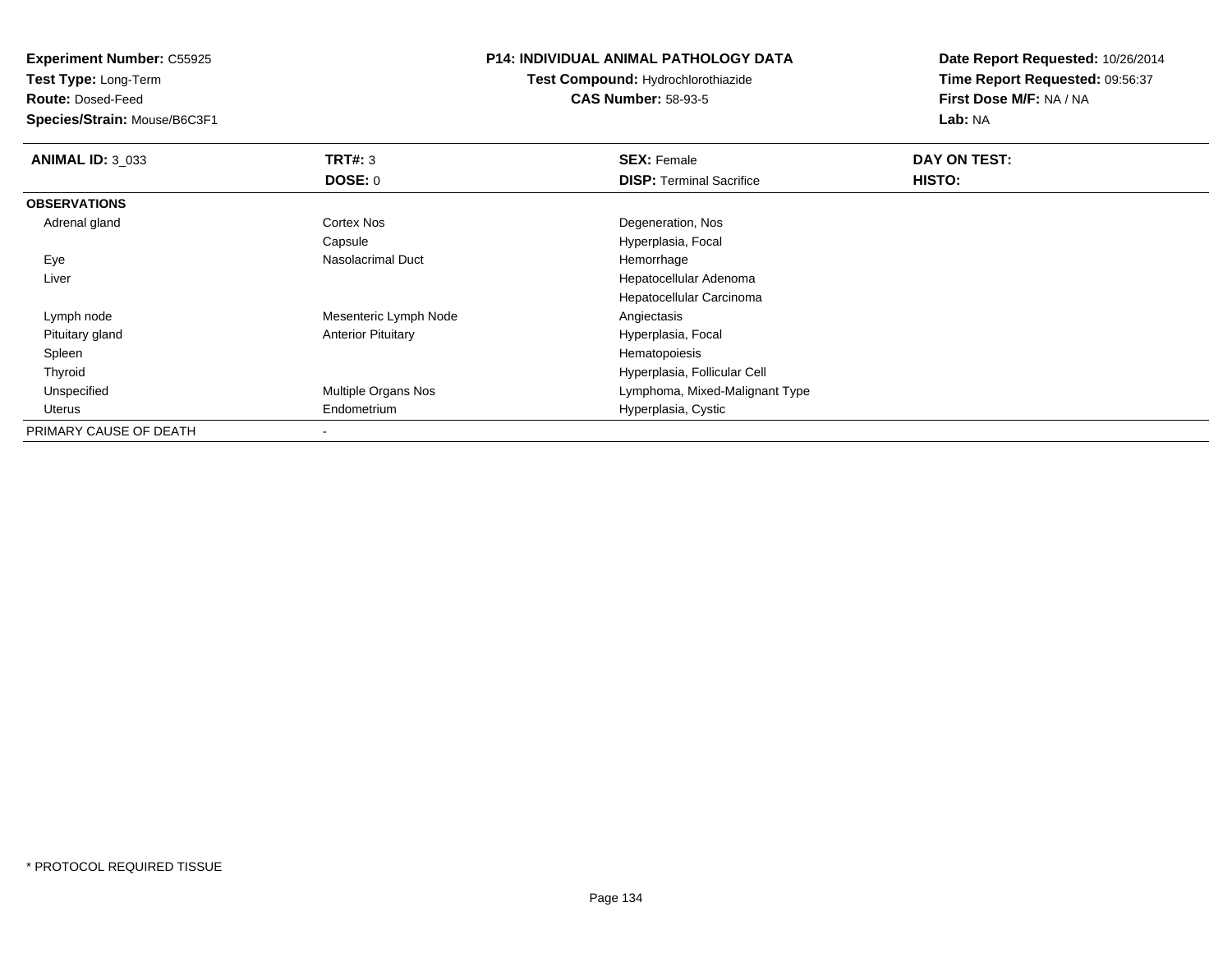**Test Type:** Long-Term

**Route:** Dosed-Feed

**Species/Strain:** Mouse/B6C3F1

## **P14: INDIVIDUAL ANIMAL PATHOLOGY DATA**

**Test Compound:** Hydrochlorothiazide**CAS Number:** 58-93-5

| <b>ANIMAL ID: 3 033</b> | TRT#: 3                   | <b>SEX: Female</b>              | <b>DAY ON TEST:</b> |  |
|-------------------------|---------------------------|---------------------------------|---------------------|--|
|                         | DOSE: 0                   | <b>DISP: Terminal Sacrifice</b> | <b>HISTO:</b>       |  |
| <b>OBSERVATIONS</b>     |                           |                                 |                     |  |
| Adrenal gland           | Cortex Nos                | Degeneration, Nos               |                     |  |
|                         | Capsule                   | Hyperplasia, Focal              |                     |  |
| Eye                     | Nasolacrimal Duct         | Hemorrhage                      |                     |  |
| Liver                   |                           | Hepatocellular Adenoma          |                     |  |
|                         |                           | Hepatocellular Carcinoma        |                     |  |
| Lymph node              | Mesenteric Lymph Node     | Angiectasis                     |                     |  |
| Pituitary gland         | <b>Anterior Pituitary</b> | Hyperplasia, Focal              |                     |  |
| Spleen                  |                           | Hematopoiesis                   |                     |  |
| Thyroid                 |                           | Hyperplasia, Follicular Cell    |                     |  |
| Unspecified             | Multiple Organs Nos       | Lymphoma, Mixed-Malignant Type  |                     |  |
| Uterus                  | Endometrium               | Hyperplasia, Cystic             |                     |  |
| PRIMARY CAUSE OF DEATH  |                           |                                 |                     |  |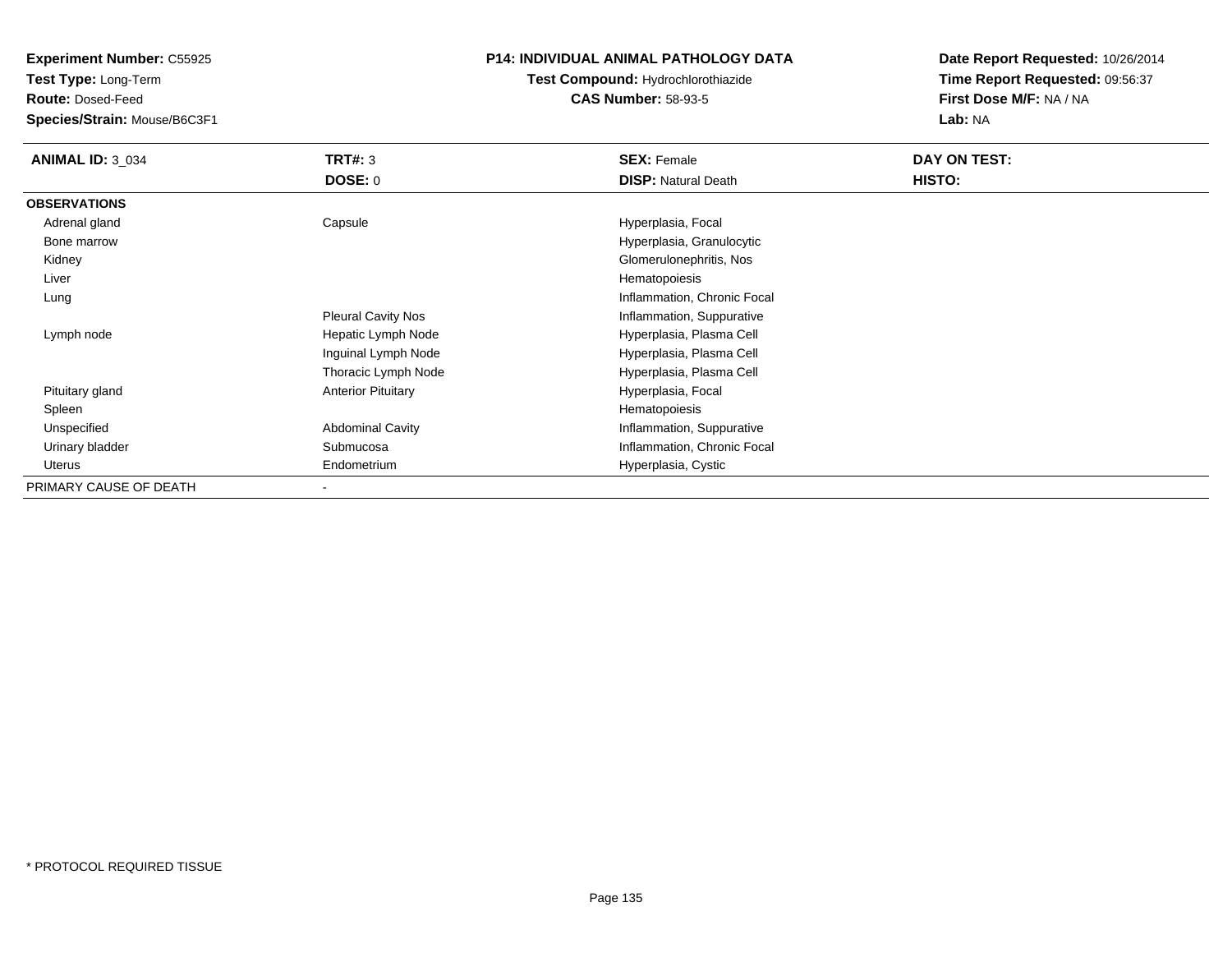**Test Type:** Long-Term

**Route:** Dosed-Feed

**Species/Strain:** Mouse/B6C3F1

# **P14: INDIVIDUAL ANIMAL PATHOLOGY DATA**

# **Test Compound:** Hydrochlorothiazide**CAS Number:** 58-93-5

| <b>ANIMAL ID: 3 034</b> | TRT#: 3                   | <b>SEX: Female</b>          | DAY ON TEST:  |
|-------------------------|---------------------------|-----------------------------|---------------|
|                         | <b>DOSE: 0</b>            | <b>DISP:</b> Natural Death  | <b>HISTO:</b> |
| <b>OBSERVATIONS</b>     |                           |                             |               |
| Adrenal gland           | Capsule                   | Hyperplasia, Focal          |               |
| Bone marrow             |                           | Hyperplasia, Granulocytic   |               |
| Kidney                  |                           | Glomerulonephritis, Nos     |               |
| Liver                   |                           | Hematopoiesis               |               |
| Lung                    |                           | Inflammation, Chronic Focal |               |
|                         | <b>Pleural Cavity Nos</b> | Inflammation, Suppurative   |               |
| Lymph node              | Hepatic Lymph Node        | Hyperplasia, Plasma Cell    |               |
|                         | Inguinal Lymph Node       | Hyperplasia, Plasma Cell    |               |
|                         | Thoracic Lymph Node       | Hyperplasia, Plasma Cell    |               |
| Pituitary gland         | <b>Anterior Pituitary</b> | Hyperplasia, Focal          |               |
| Spleen                  |                           | Hematopoiesis               |               |
| Unspecified             | <b>Abdominal Cavity</b>   | Inflammation, Suppurative   |               |
| Urinary bladder         | Submucosa                 | Inflammation, Chronic Focal |               |
| Uterus                  | Endometrium               | Hyperplasia, Cystic         |               |
| PRIMARY CAUSE OF DEATH  | $\blacksquare$            |                             |               |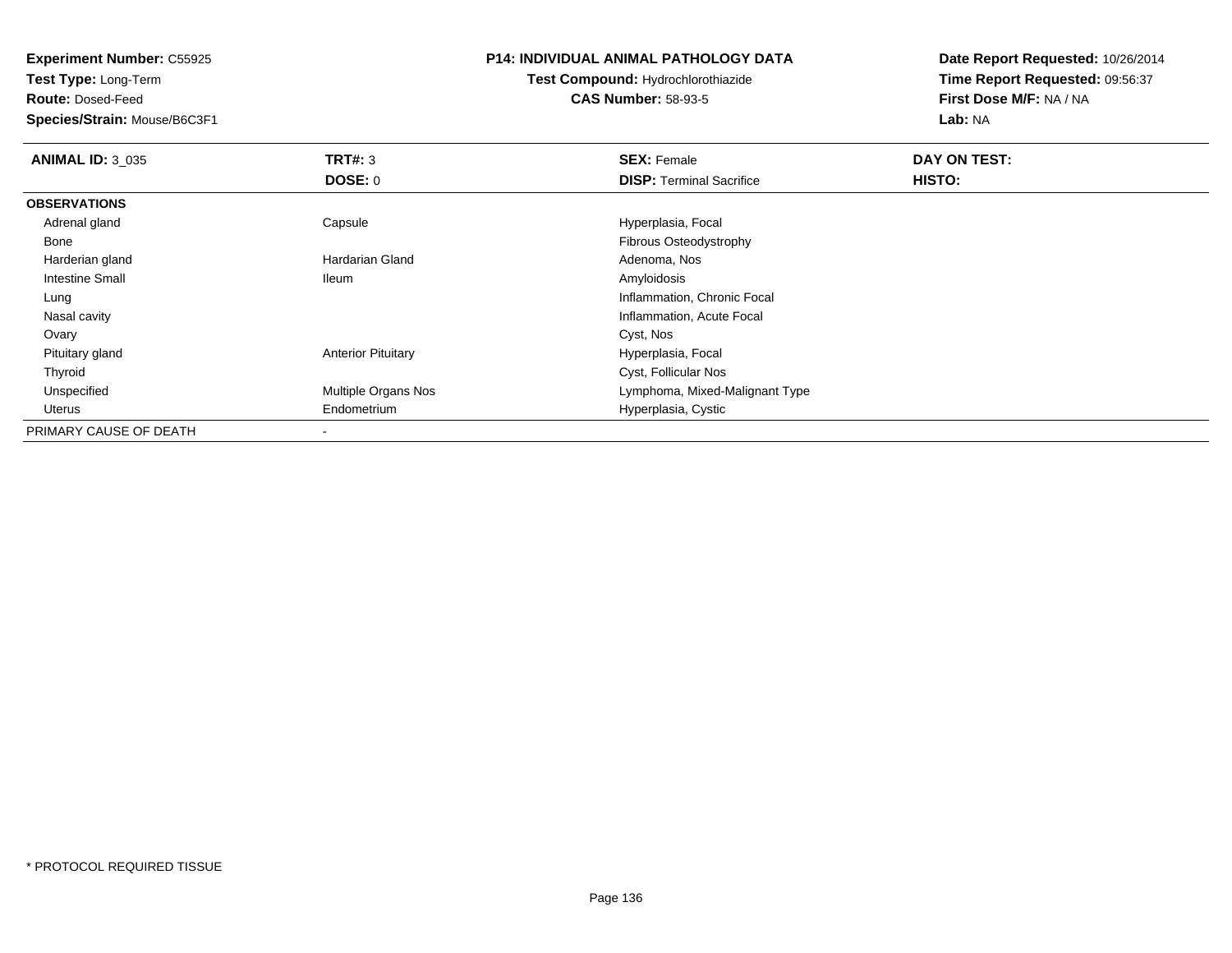**Test Type:** Long-Term

**Route:** Dosed-Feed

**Species/Strain:** Mouse/B6C3F1

### **P14: INDIVIDUAL ANIMAL PATHOLOGY DATA**

**Test Compound:** Hydrochlorothiazide**CAS Number:** 58-93-5

| <b>ANIMAL ID: 3_035</b> | TRT#: 3                    | <b>SEX: Female</b>              | DAY ON TEST: |  |
|-------------------------|----------------------------|---------------------------------|--------------|--|
|                         | <b>DOSE: 0</b>             | <b>DISP:</b> Terminal Sacrifice | HISTO:       |  |
| <b>OBSERVATIONS</b>     |                            |                                 |              |  |
| Adrenal gland           | Capsule                    | Hyperplasia, Focal              |              |  |
| Bone                    |                            | Fibrous Osteodystrophy          |              |  |
| Harderian gland         | Hardarian Gland            | Adenoma, Nos                    |              |  |
| <b>Intestine Small</b>  | <b>Ileum</b>               | Amyloidosis                     |              |  |
| Lung                    |                            | Inflammation, Chronic Focal     |              |  |
| Nasal cavity            |                            | Inflammation, Acute Focal       |              |  |
| Ovary                   |                            | Cyst, Nos                       |              |  |
| Pituitary gland         | <b>Anterior Pituitary</b>  | Hyperplasia, Focal              |              |  |
| Thyroid                 |                            | Cyst, Follicular Nos            |              |  |
| Unspecified             | <b>Multiple Organs Nos</b> | Lymphoma, Mixed-Malignant Type  |              |  |
| Uterus                  | Endometrium                | Hyperplasia, Cystic             |              |  |
| PRIMARY CAUSE OF DEATH  |                            |                                 |              |  |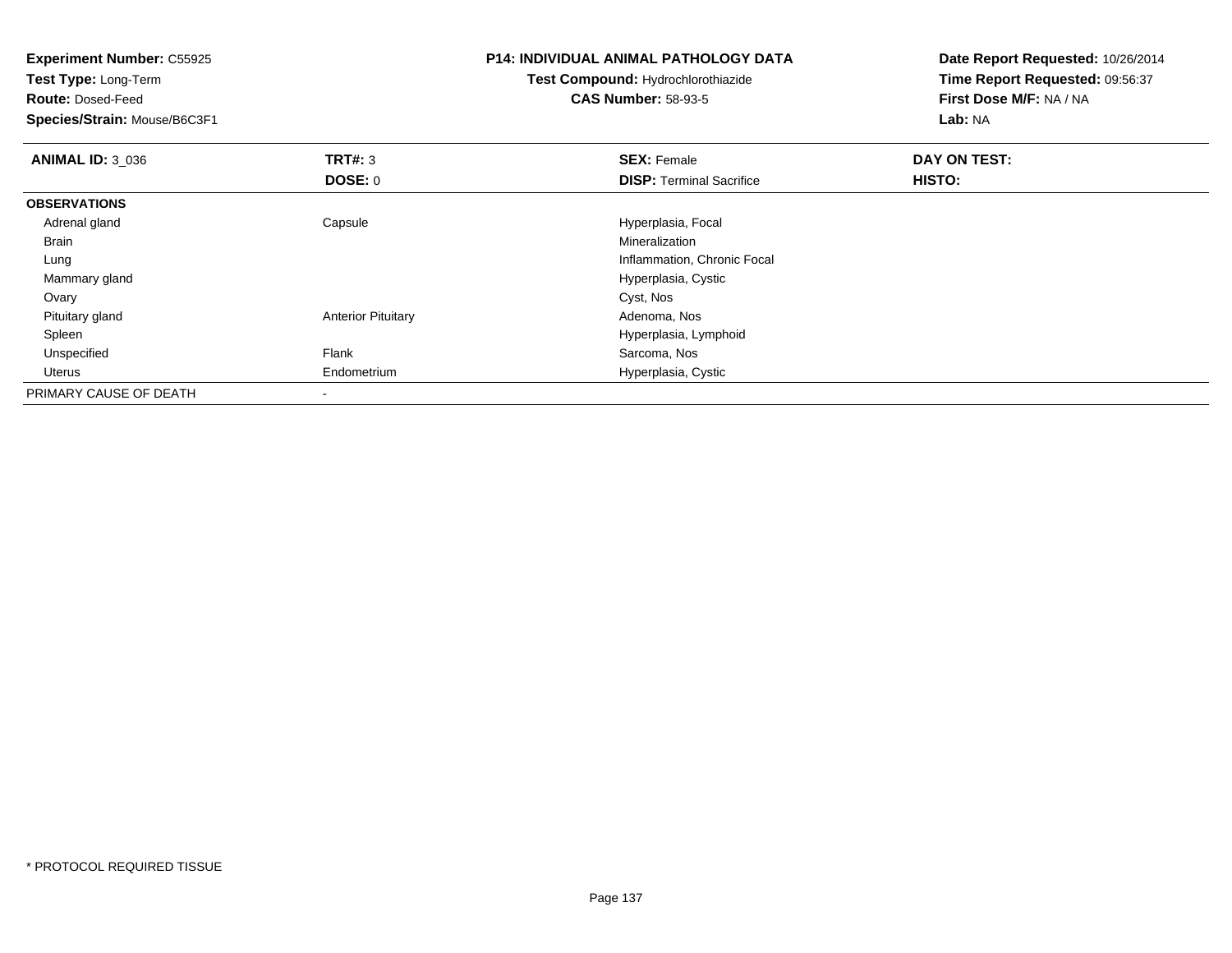| <b>Experiment Number: C55925</b> |                           | <b>P14: INDIVIDUAL ANIMAL PATHOLOGY DATA</b> | Date Report Requested: 10/26/2014 |  |
|----------------------------------|---------------------------|----------------------------------------------|-----------------------------------|--|
| <b>Test Type: Long-Term</b>      |                           | Test Compound: Hydrochlorothiazide           | Time Report Requested: 09:56:37   |  |
| <b>Route: Dosed-Feed</b>         |                           | <b>CAS Number: 58-93-5</b>                   | First Dose M/F: NA / NA           |  |
| Species/Strain: Mouse/B6C3F1     |                           |                                              | Lab: NA                           |  |
| <b>ANIMAL ID: 3_036</b>          | <b>TRT#:</b> 3            | <b>SEX: Female</b>                           | DAY ON TEST:                      |  |
|                                  | DOSE: 0                   | <b>DISP:</b> Terminal Sacrifice              | HISTO:                            |  |
| <b>OBSERVATIONS</b>              |                           |                                              |                                   |  |
| Adrenal gland                    | Capsule                   | Hyperplasia, Focal                           |                                   |  |
| Brain                            |                           | Mineralization                               |                                   |  |
| Lung                             |                           | Inflammation, Chronic Focal                  |                                   |  |
| Mammary gland                    |                           | Hyperplasia, Cystic                          |                                   |  |
| Ovary                            |                           | Cyst, Nos                                    |                                   |  |
| Pituitary gland                  | <b>Anterior Pituitary</b> | Adenoma, Nos                                 |                                   |  |
| Spleen                           |                           | Hyperplasia, Lymphoid                        |                                   |  |
| Unspecified                      | Flank                     | Sarcoma, Nos                                 |                                   |  |
| Uterus                           | Endometrium               | Hyperplasia, Cystic                          |                                   |  |
| PRIMARY CAUSE OF DEATH           |                           |                                              |                                   |  |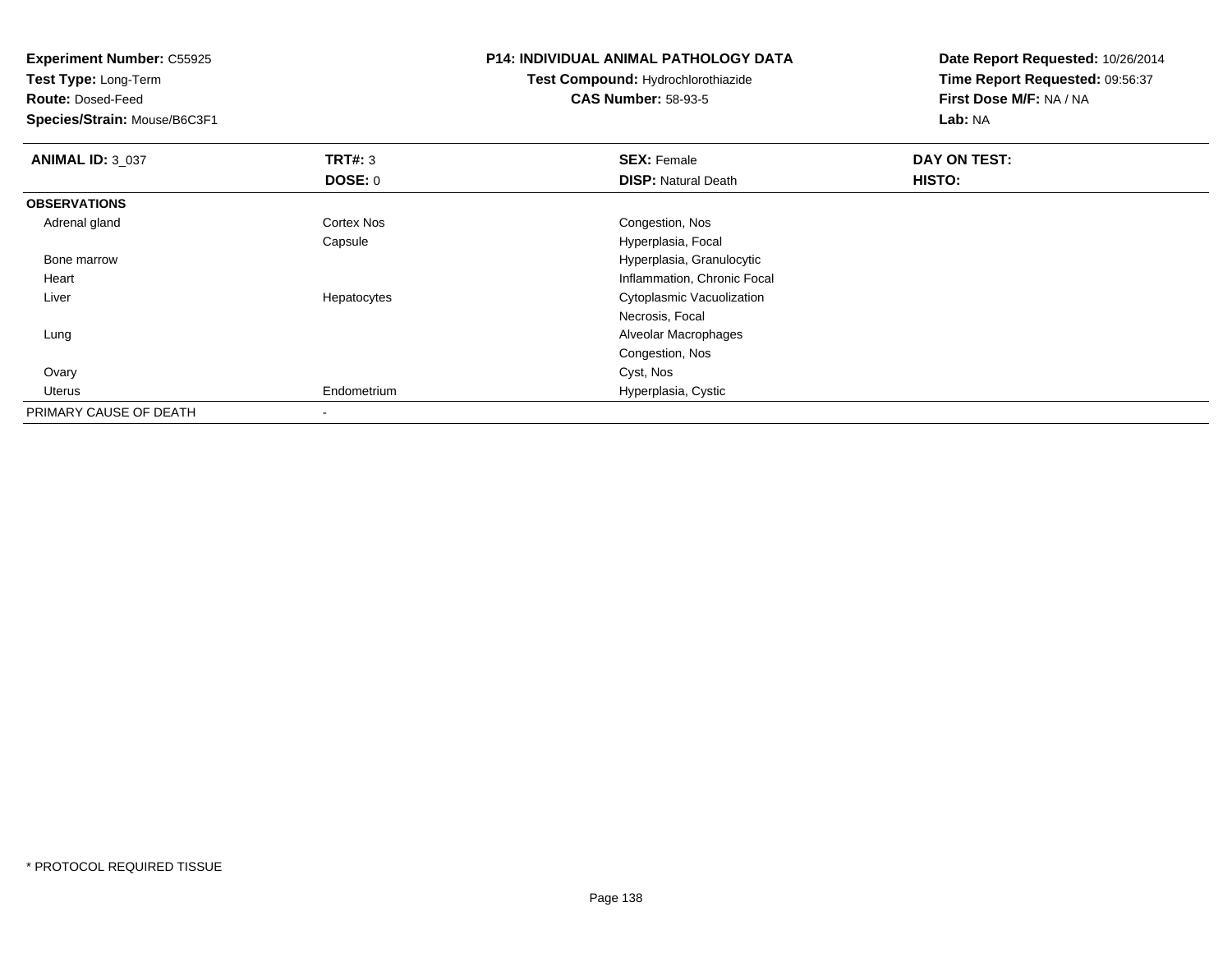**Experiment Number:** C55925**Test Type:** Long-Term**Route:** Dosed-Feed **Species/Strain:** Mouse/B6C3F1**P14: INDIVIDUAL ANIMAL PATHOLOGY DATATest Compound:** Hydrochlorothiazide**CAS Number:** 58-93-5**Date Report Requested:** 10/26/2014**Time Report Requested:** 09:56:37**First Dose M/F:** NA / NA**Lab:** NA**ANIMAL ID: 3 037 TRT#:** <sup>3</sup> **SEX:** Female **DAY ON TEST: DOSE:** 0**DISP:** Natural Death **HISTO: OBSERVATIONS** Adrenal gland Cortex Nos Congestion, Nos Capsule Hyperplasia, Focal Bone marrow Hyperplasia, Granulocytic Heart Inflammation, Chronic Focal Liver Hepatocytes Cytoplasmic VacuolizationNecrosis, Focal Lung Alveolar Macrophages Congestion, Nos Ovaryy and the control of the control of the control of the control of the control of the control of the control of the control of the control of the control of the control of the control of the control of the control of the co Uterus Endometrium Hyperplasia, Cystic PRIMARY CAUSE OF DEATH-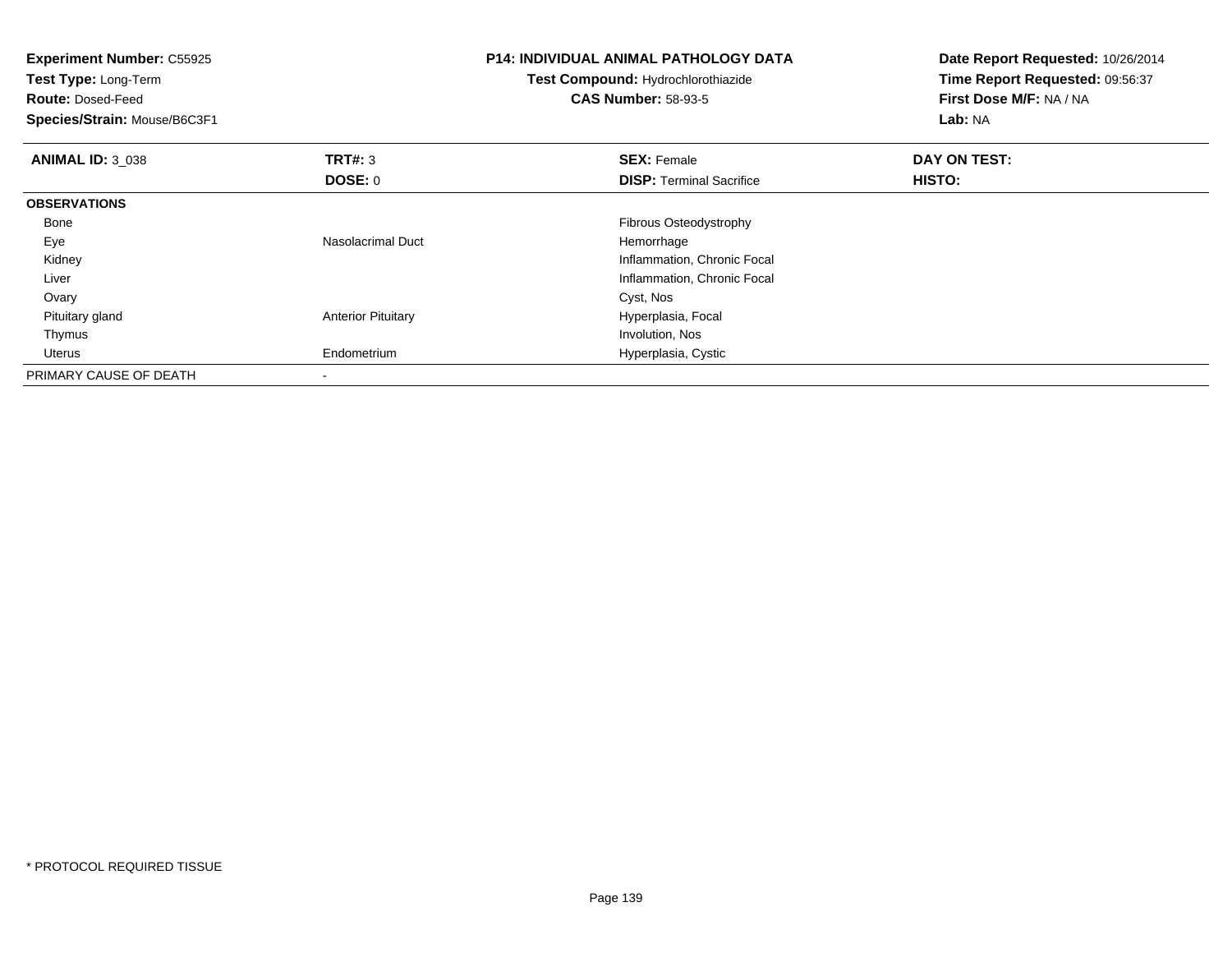| <b>Experiment Number: C55925</b><br>Test Type: Long-Term<br><b>Route: Dosed-Feed</b><br>Species/Strain: Mouse/B6C3F1 |                           | <b>P14: INDIVIDUAL ANIMAL PATHOLOGY DATA</b><br><b>Test Compound: Hydrochlorothiazide</b><br><b>CAS Number: 58-93-5</b> | Date Report Requested: 10/26/2014<br>Time Report Requested: 09:56:37<br>First Dose M/F: NA / NA<br>Lab: NA |
|----------------------------------------------------------------------------------------------------------------------|---------------------------|-------------------------------------------------------------------------------------------------------------------------|------------------------------------------------------------------------------------------------------------|
| <b>ANIMAL ID: 3 038</b>                                                                                              | TRT#: 3                   | <b>SEX: Female</b>                                                                                                      | DAY ON TEST:                                                                                               |
|                                                                                                                      | DOSE: 0                   | <b>DISP:</b> Terminal Sacrifice                                                                                         | HISTO:                                                                                                     |
| <b>OBSERVATIONS</b>                                                                                                  |                           |                                                                                                                         |                                                                                                            |
| Bone                                                                                                                 |                           | Fibrous Osteodystrophy                                                                                                  |                                                                                                            |
| Eye                                                                                                                  | Nasolacrimal Duct         | Hemorrhage                                                                                                              |                                                                                                            |
| Kidney                                                                                                               |                           | Inflammation, Chronic Focal                                                                                             |                                                                                                            |
| Liver                                                                                                                |                           | Inflammation, Chronic Focal                                                                                             |                                                                                                            |
| Ovary                                                                                                                |                           | Cyst, Nos                                                                                                               |                                                                                                            |
| Pituitary gland                                                                                                      | <b>Anterior Pituitary</b> | Hyperplasia, Focal                                                                                                      |                                                                                                            |
| Thymus                                                                                                               |                           | Involution, Nos                                                                                                         |                                                                                                            |
| Uterus                                                                                                               | Endometrium               | Hyperplasia, Cystic                                                                                                     |                                                                                                            |
| PRIMARY CAUSE OF DEATH                                                                                               |                           |                                                                                                                         |                                                                                                            |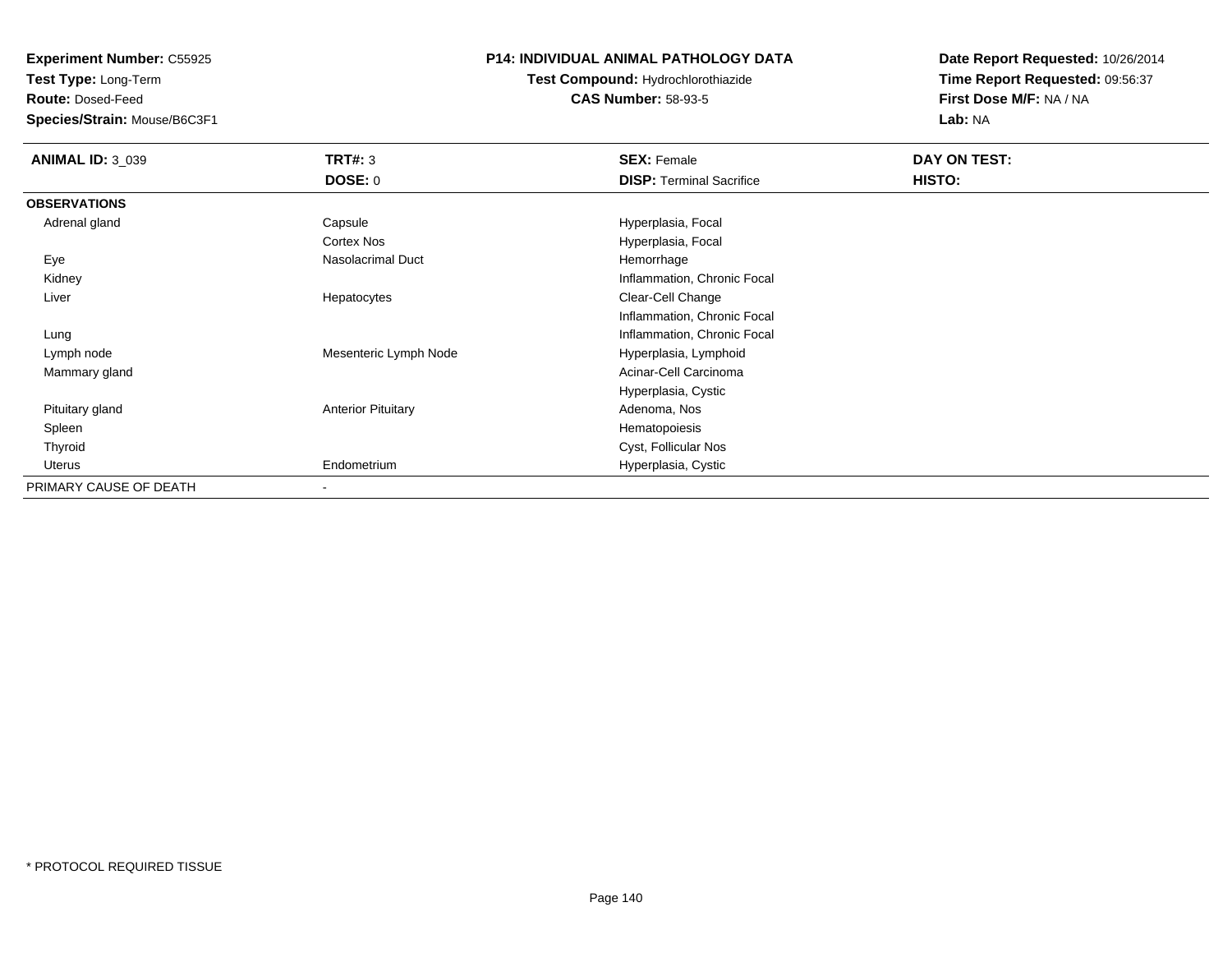**Test Type:** Long-Term

**Route:** Dosed-Feed

**Species/Strain:** Mouse/B6C3F1

## **P14: INDIVIDUAL ANIMAL PATHOLOGY DATA**

**Test Compound:** Hydrochlorothiazide**CAS Number:** 58-93-5

| <b>ANIMAL ID: 3_039</b> | <b>TRT#: 3</b>            | <b>SEX: Female</b>              | DAY ON TEST: |  |
|-------------------------|---------------------------|---------------------------------|--------------|--|
|                         | DOSE: 0                   | <b>DISP: Terminal Sacrifice</b> | HISTO:       |  |
| <b>OBSERVATIONS</b>     |                           |                                 |              |  |
| Adrenal gland           | Capsule                   | Hyperplasia, Focal              |              |  |
|                         | Cortex Nos                | Hyperplasia, Focal              |              |  |
| Eye                     | Nasolacrimal Duct         | Hemorrhage                      |              |  |
| Kidney                  |                           | Inflammation, Chronic Focal     |              |  |
| Liver                   | Hepatocytes               | Clear-Cell Change               |              |  |
|                         |                           | Inflammation, Chronic Focal     |              |  |
| Lung                    |                           | Inflammation, Chronic Focal     |              |  |
| Lymph node              | Mesenteric Lymph Node     | Hyperplasia, Lymphoid           |              |  |
| Mammary gland           |                           | Acinar-Cell Carcinoma           |              |  |
|                         |                           | Hyperplasia, Cystic             |              |  |
| Pituitary gland         | <b>Anterior Pituitary</b> | Adenoma, Nos                    |              |  |
| Spleen                  |                           | Hematopoiesis                   |              |  |
| Thyroid                 |                           | Cyst, Follicular Nos            |              |  |
| Uterus                  | Endometrium               | Hyperplasia, Cystic             |              |  |
| PRIMARY CAUSE OF DEATH  | $\overline{\phantom{a}}$  |                                 |              |  |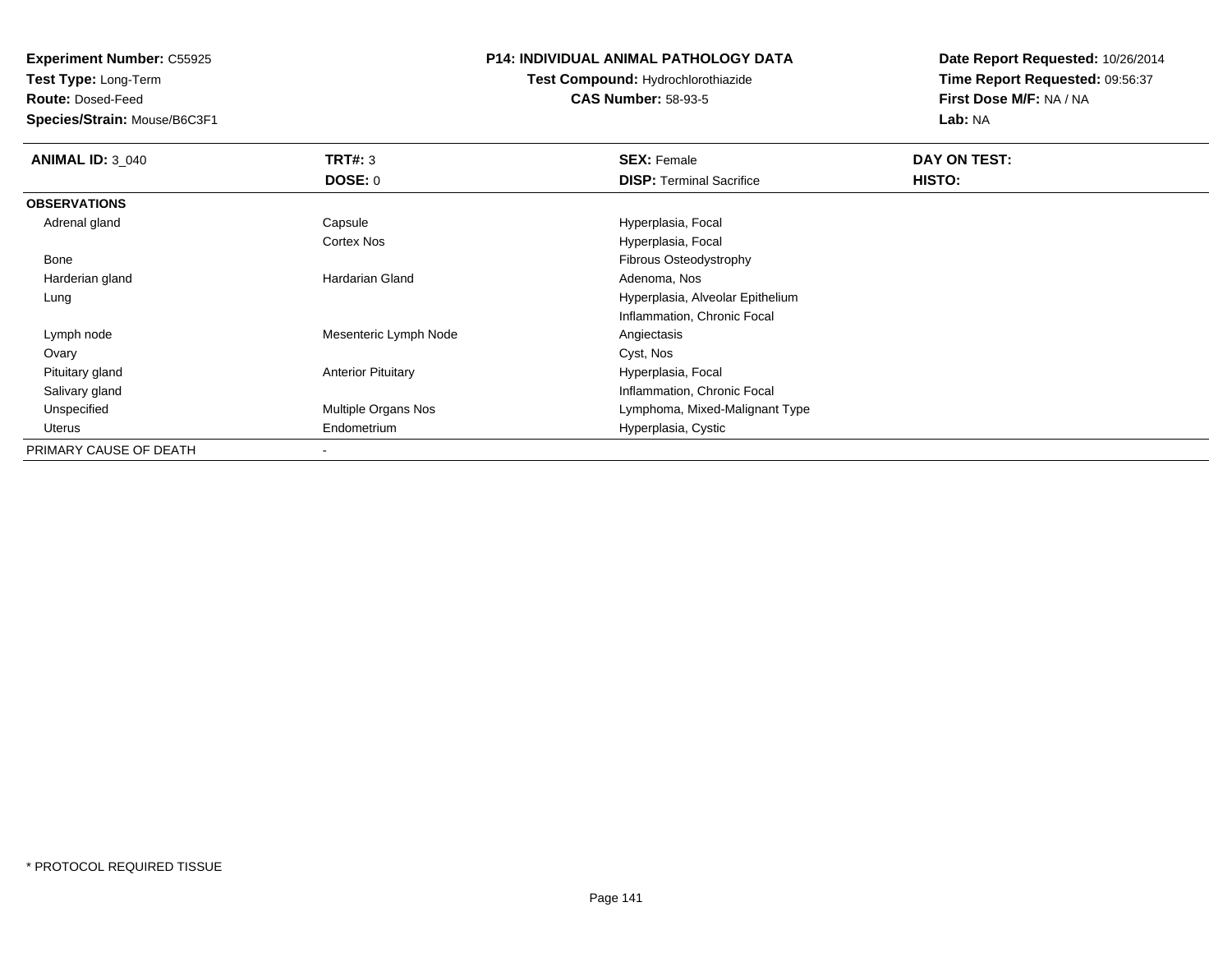**Test Type:** Long-Term

**Route:** Dosed-Feed

**Species/Strain:** Mouse/B6C3F1

## **P14: INDIVIDUAL ANIMAL PATHOLOGY DATA**

**Test Compound:** Hydrochlorothiazide**CAS Number:** 58-93-5

| <b>ANIMAL ID: 3_040</b> | TRT#: 3                    | <b>SEX: Female</b>               | DAY ON TEST: |  |
|-------------------------|----------------------------|----------------------------------|--------------|--|
|                         | DOSE: 0                    | <b>DISP: Terminal Sacrifice</b>  | HISTO:       |  |
| <b>OBSERVATIONS</b>     |                            |                                  |              |  |
| Adrenal gland           | Capsule                    | Hyperplasia, Focal               |              |  |
|                         | <b>Cortex Nos</b>          | Hyperplasia, Focal               |              |  |
| Bone                    |                            | Fibrous Osteodystrophy           |              |  |
| Harderian gland         | Hardarian Gland            | Adenoma, Nos                     |              |  |
| Lung                    |                            | Hyperplasia, Alveolar Epithelium |              |  |
|                         |                            | Inflammation, Chronic Focal      |              |  |
| Lymph node              | Mesenteric Lymph Node      | Angiectasis                      |              |  |
| Ovary                   |                            | Cyst, Nos                        |              |  |
| Pituitary gland         | <b>Anterior Pituitary</b>  | Hyperplasia, Focal               |              |  |
| Salivary gland          |                            | Inflammation, Chronic Focal      |              |  |
| Unspecified             | <b>Multiple Organs Nos</b> | Lymphoma, Mixed-Malignant Type   |              |  |
| Uterus                  | Endometrium                | Hyperplasia, Cystic              |              |  |
| PRIMARY CAUSE OF DEATH  |                            |                                  |              |  |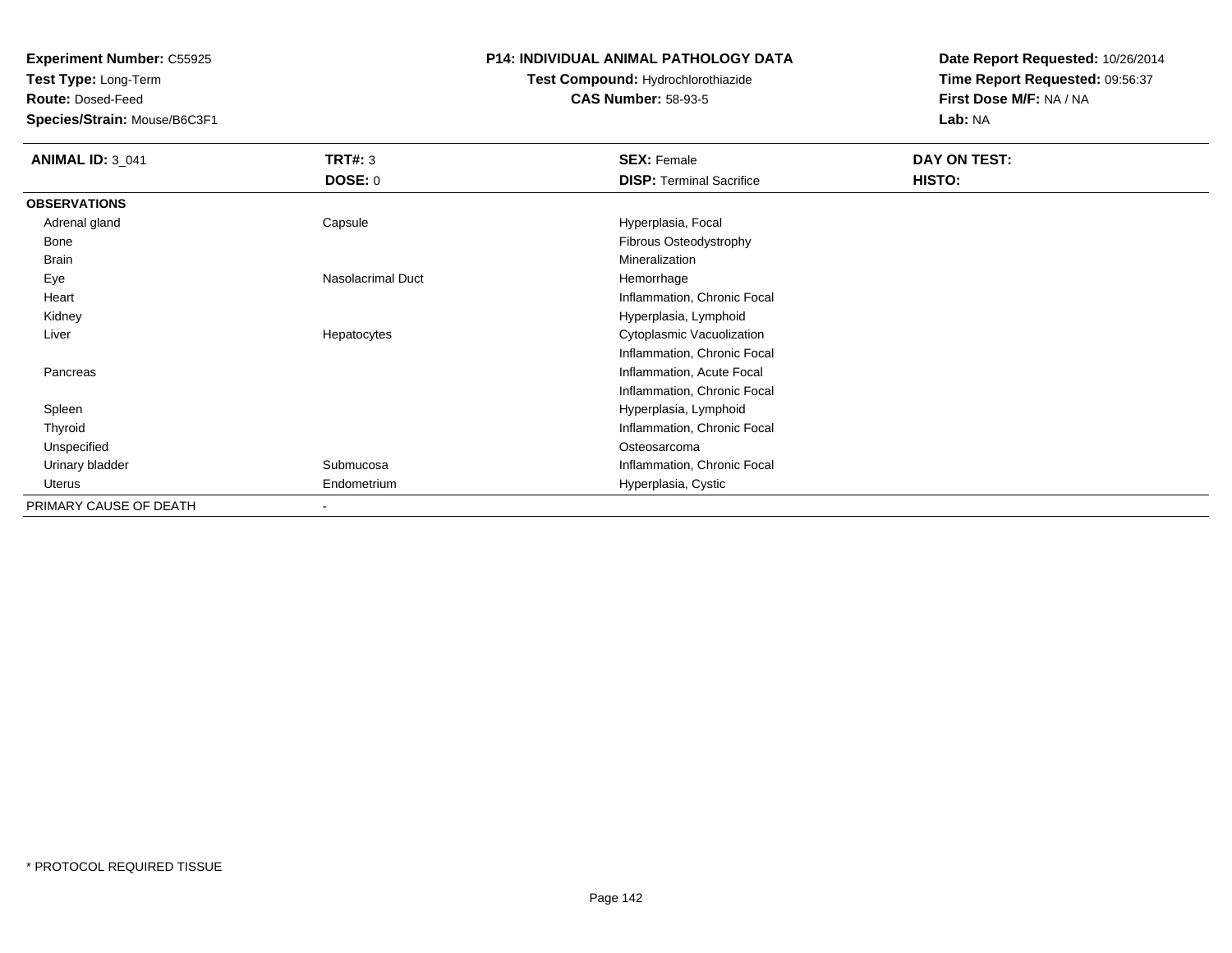**Test Type:** Long-Term

**Route:** Dosed-Feed

**Species/Strain:** Mouse/B6C3F1

## **P14: INDIVIDUAL ANIMAL PATHOLOGY DATA**

# **Test Compound:** Hydrochlorothiazide**CAS Number:** 58-93-5

| <b>ANIMAL ID: 3_041</b> | <b>TRT#: 3</b>           | <b>SEX: Female</b>              | DAY ON TEST: |  |
|-------------------------|--------------------------|---------------------------------|--------------|--|
|                         | <b>DOSE: 0</b>           | <b>DISP: Terminal Sacrifice</b> | HISTO:       |  |
| <b>OBSERVATIONS</b>     |                          |                                 |              |  |
| Adrenal gland           | Capsule                  | Hyperplasia, Focal              |              |  |
| Bone                    |                          | Fibrous Osteodystrophy          |              |  |
| <b>Brain</b>            |                          | Mineralization                  |              |  |
| Eye                     | Nasolacrimal Duct        | Hemorrhage                      |              |  |
| Heart                   |                          | Inflammation, Chronic Focal     |              |  |
| Kidney                  |                          | Hyperplasia, Lymphoid           |              |  |
| Liver                   | Hepatocytes              | Cytoplasmic Vacuolization       |              |  |
|                         |                          | Inflammation, Chronic Focal     |              |  |
| Pancreas                |                          | Inflammation, Acute Focal       |              |  |
|                         |                          | Inflammation, Chronic Focal     |              |  |
| Spleen                  |                          | Hyperplasia, Lymphoid           |              |  |
| Thyroid                 |                          | Inflammation, Chronic Focal     |              |  |
| Unspecified             |                          | Osteosarcoma                    |              |  |
| Urinary bladder         | Submucosa                | Inflammation, Chronic Focal     |              |  |
| Uterus                  | Endometrium              | Hyperplasia, Cystic             |              |  |
| PRIMARY CAUSE OF DEATH  | $\overline{\phantom{a}}$ |                                 |              |  |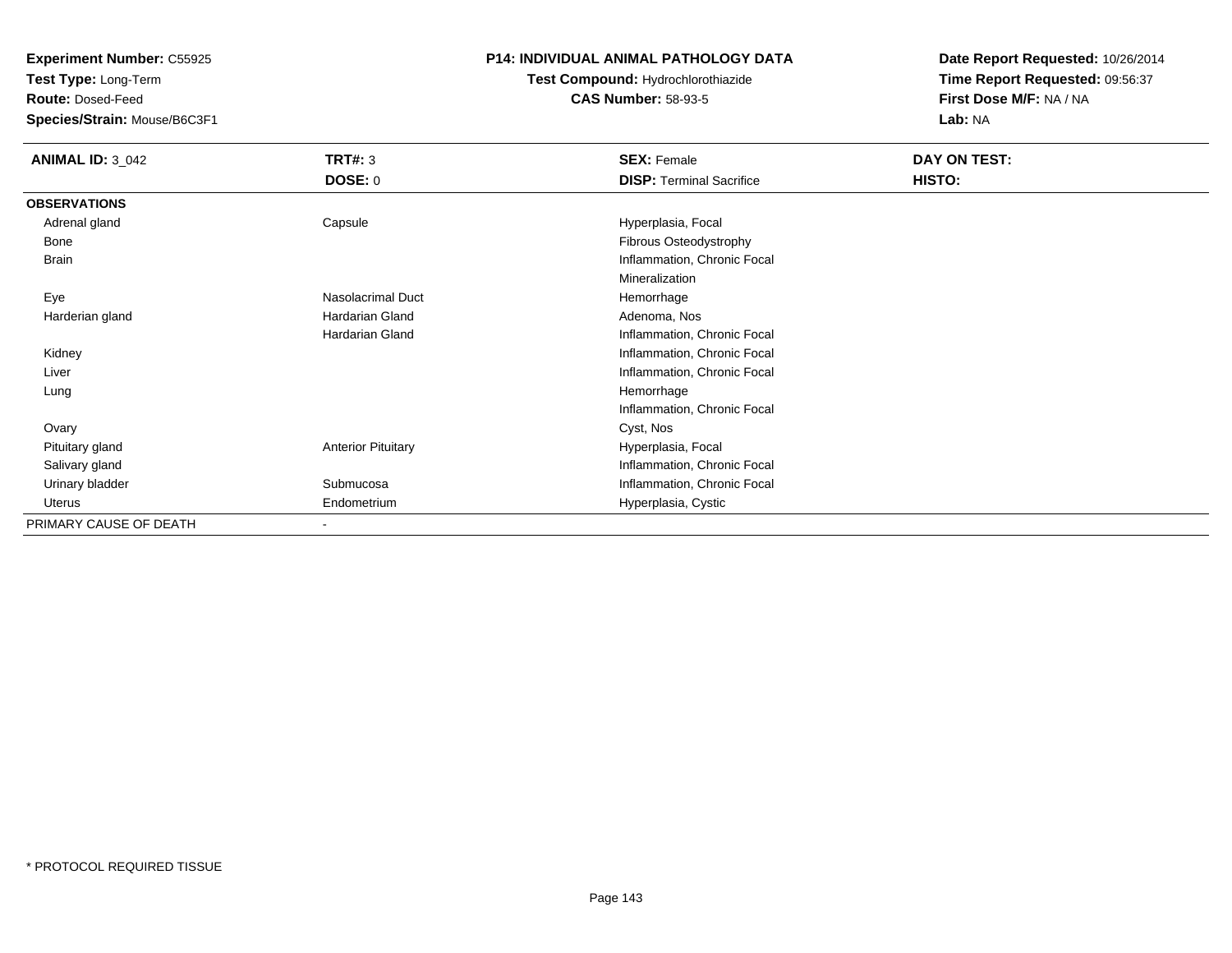**Test Type:** Long-Term

**Route:** Dosed-Feed

**Species/Strain:** Mouse/B6C3F1

# **P14: INDIVIDUAL ANIMAL PATHOLOGY DATA**

**Test Compound:** Hydrochlorothiazide**CAS Number:** 58-93-5

| <b>ANIMAL ID: 3_042</b> | TRT#: 3<br><b>DOSE: 0</b> | <b>SEX: Female</b><br><b>DISP: Terminal Sacrifice</b> | DAY ON TEST:<br>HISTO: |
|-------------------------|---------------------------|-------------------------------------------------------|------------------------|
| <b>OBSERVATIONS</b>     |                           |                                                       |                        |
| Adrenal gland           | Capsule                   | Hyperplasia, Focal                                    |                        |
| Bone                    |                           | Fibrous Osteodystrophy                                |                        |
| Brain                   |                           | Inflammation, Chronic Focal                           |                        |
|                         |                           | Mineralization                                        |                        |
| Eye                     | <b>Nasolacrimal Duct</b>  | Hemorrhage                                            |                        |
| Harderian gland         | Hardarian Gland           | Adenoma, Nos                                          |                        |
|                         | <b>Hardarian Gland</b>    | Inflammation, Chronic Focal                           |                        |
| Kidney                  |                           | Inflammation, Chronic Focal                           |                        |
| Liver                   |                           | Inflammation, Chronic Focal                           |                        |
| Lung                    |                           | Hemorrhage                                            |                        |
|                         |                           | Inflammation, Chronic Focal                           |                        |
| Ovary                   |                           | Cyst, Nos                                             |                        |
| Pituitary gland         | <b>Anterior Pituitary</b> | Hyperplasia, Focal                                    |                        |
| Salivary gland          |                           | Inflammation, Chronic Focal                           |                        |
| Urinary bladder         | Submucosa                 | Inflammation, Chronic Focal                           |                        |
| Uterus                  | Endometrium               | Hyperplasia, Cystic                                   |                        |
| PRIMARY CAUSE OF DEATH  | $\overline{\phantom{0}}$  |                                                       |                        |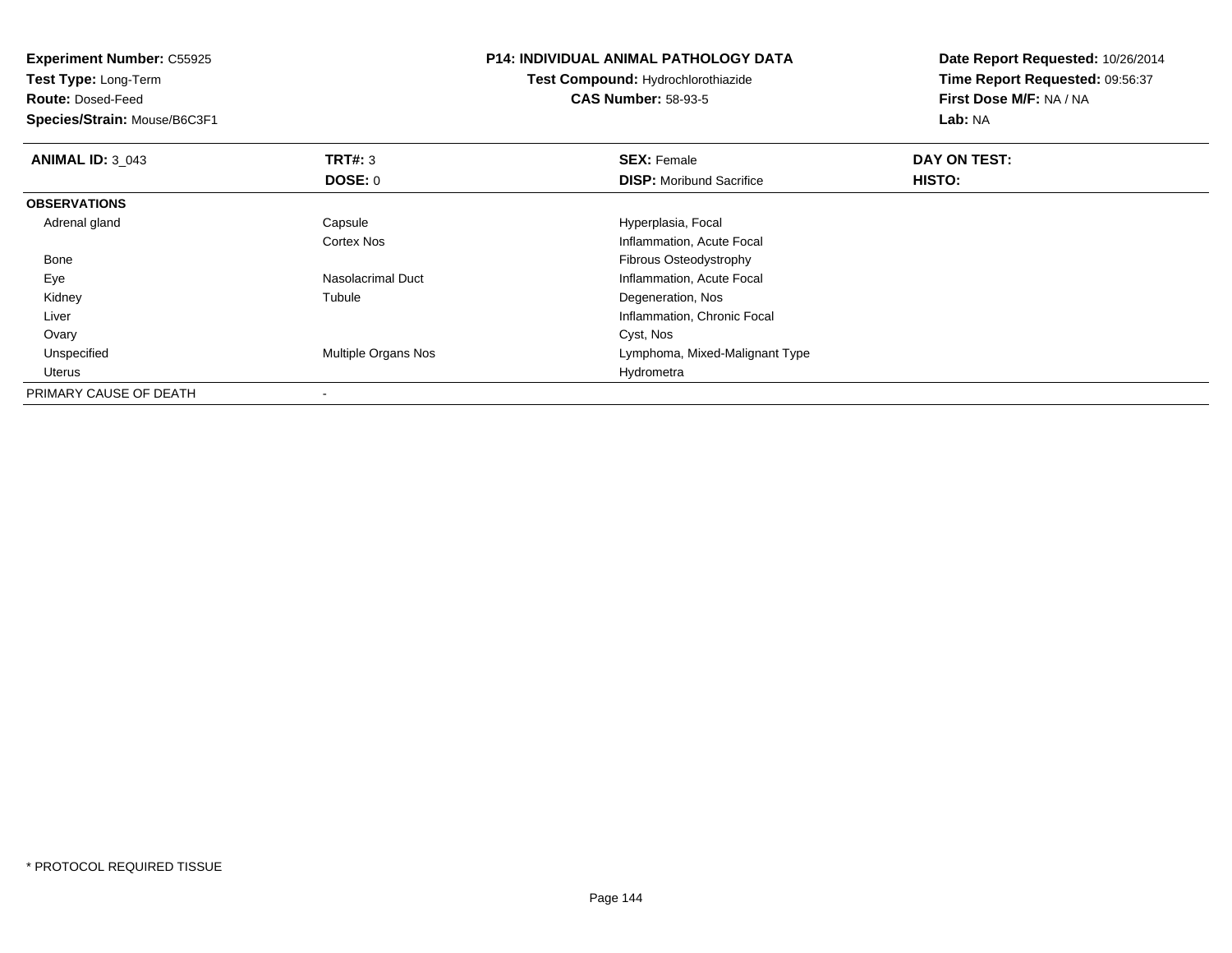| <b>Experiment Number: C55925</b><br>Test Type: Long-Term |                     | <b>P14: INDIVIDUAL ANIMAL PATHOLOGY DATA</b> | Date Report Requested: 10/26/2014<br>Time Report Requested: 09:56:37 |  |
|----------------------------------------------------------|---------------------|----------------------------------------------|----------------------------------------------------------------------|--|
|                                                          |                     | <b>Test Compound: Hydrochlorothiazide</b>    |                                                                      |  |
| <b>Route: Dosed-Feed</b>                                 |                     | <b>CAS Number: 58-93-5</b>                   | First Dose M/F: NA / NA                                              |  |
| Species/Strain: Mouse/B6C3F1                             |                     |                                              | Lab: NA                                                              |  |
| <b>ANIMAL ID: 3 043</b>                                  | <b>TRT#: 3</b>      | <b>SEX: Female</b>                           | DAY ON TEST:                                                         |  |
|                                                          | DOSE: 0             | <b>DISP:</b> Moribund Sacrifice              | HISTO:                                                               |  |
| <b>OBSERVATIONS</b>                                      |                     |                                              |                                                                      |  |
| Adrenal gland                                            | Capsule             | Hyperplasia, Focal                           |                                                                      |  |
|                                                          | Cortex Nos          | Inflammation, Acute Focal                    |                                                                      |  |
| Bone                                                     |                     | Fibrous Osteodystrophy                       |                                                                      |  |
| Eye                                                      | Nasolacrimal Duct   | Inflammation, Acute Focal                    |                                                                      |  |
| Kidney                                                   | Tubule              | Degeneration, Nos                            |                                                                      |  |
| Liver                                                    |                     | Inflammation, Chronic Focal                  |                                                                      |  |
| Ovary                                                    |                     | Cyst, Nos                                    |                                                                      |  |
| Unspecified                                              | Multiple Organs Nos | Lymphoma, Mixed-Malignant Type               |                                                                      |  |
| Uterus                                                   |                     | Hydrometra                                   |                                                                      |  |
| PRIMARY CAUSE OF DEATH                                   |                     |                                              |                                                                      |  |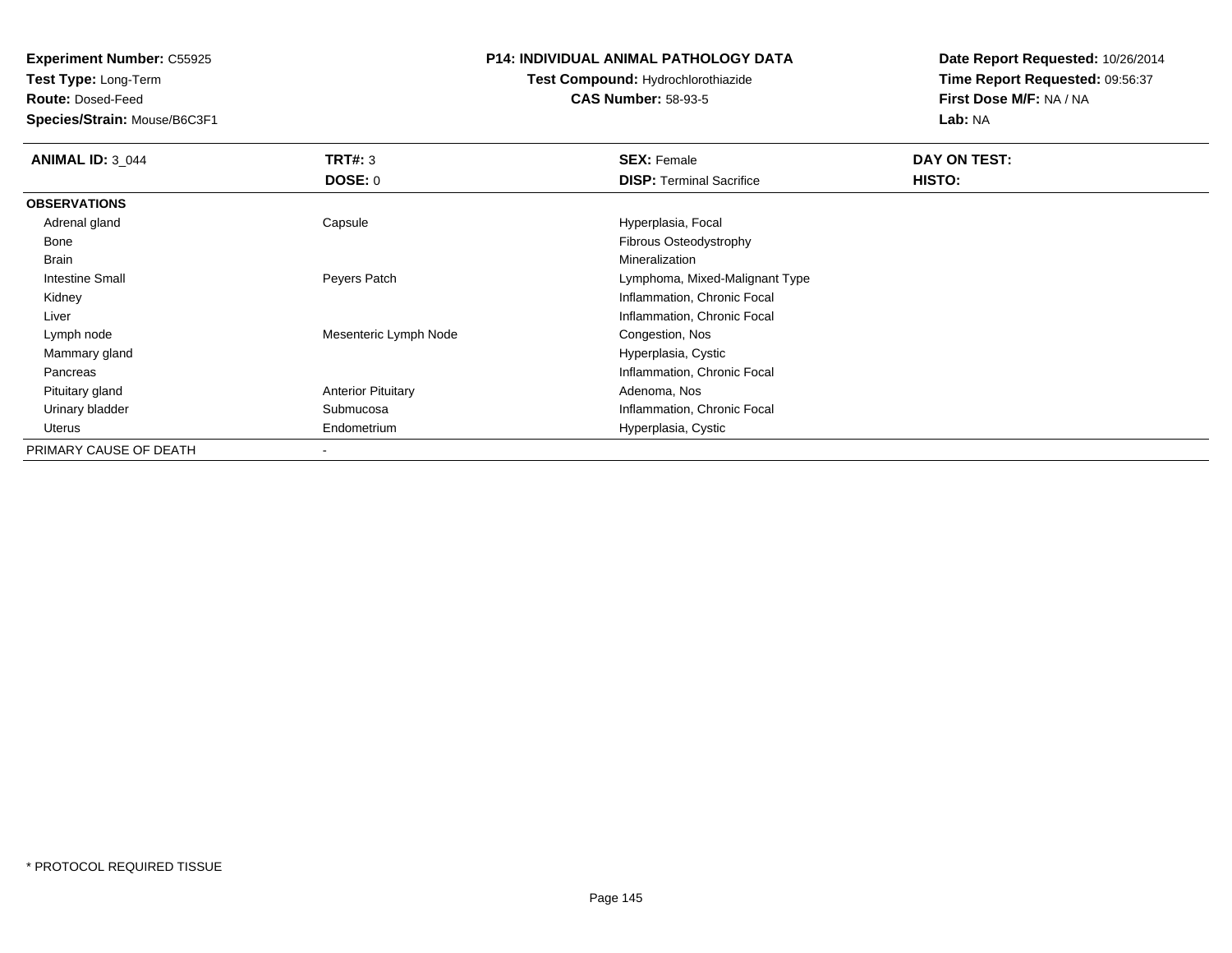**Experiment Number:** C55925

**Test Type:** Long-Term

**Route:** Dosed-Feed

**Species/Strain:** Mouse/B6C3F1

#### **P14: INDIVIDUAL ANIMAL PATHOLOGY DATA**

## **Test Compound:** Hydrochlorothiazide**CAS Number:** 58-93-5

**Date Report Requested:** 10/26/2014**Time Report Requested:** 09:56:37**First Dose M/F:** NA / NA**Lab:** NA

| <b>ANIMAL ID: 3 044</b> | TRT#: 3                   | <b>SEX: Female</b>              | DAY ON TEST: |  |
|-------------------------|---------------------------|---------------------------------|--------------|--|
|                         | DOSE: 0                   | <b>DISP: Terminal Sacrifice</b> | HISTO:       |  |
| <b>OBSERVATIONS</b>     |                           |                                 |              |  |
| Adrenal gland           | Capsule                   | Hyperplasia, Focal              |              |  |
| Bone                    |                           | Fibrous Osteodystrophy          |              |  |
| Brain                   |                           | Mineralization                  |              |  |
| <b>Intestine Small</b>  | Peyers Patch              | Lymphoma, Mixed-Malignant Type  |              |  |
| Kidney                  |                           | Inflammation, Chronic Focal     |              |  |
| Liver                   |                           | Inflammation, Chronic Focal     |              |  |
| Lymph node              | Mesenteric Lymph Node     | Congestion, Nos                 |              |  |
| Mammary gland           |                           | Hyperplasia, Cystic             |              |  |
| Pancreas                |                           | Inflammation, Chronic Focal     |              |  |
| Pituitary gland         | <b>Anterior Pituitary</b> | Adenoma, Nos                    |              |  |
| Urinary bladder         | Submucosa                 | Inflammation, Chronic Focal     |              |  |
| Uterus                  | Endometrium               | Hyperplasia, Cystic             |              |  |
| PRIMARY CAUSE OF DEATH  |                           |                                 |              |  |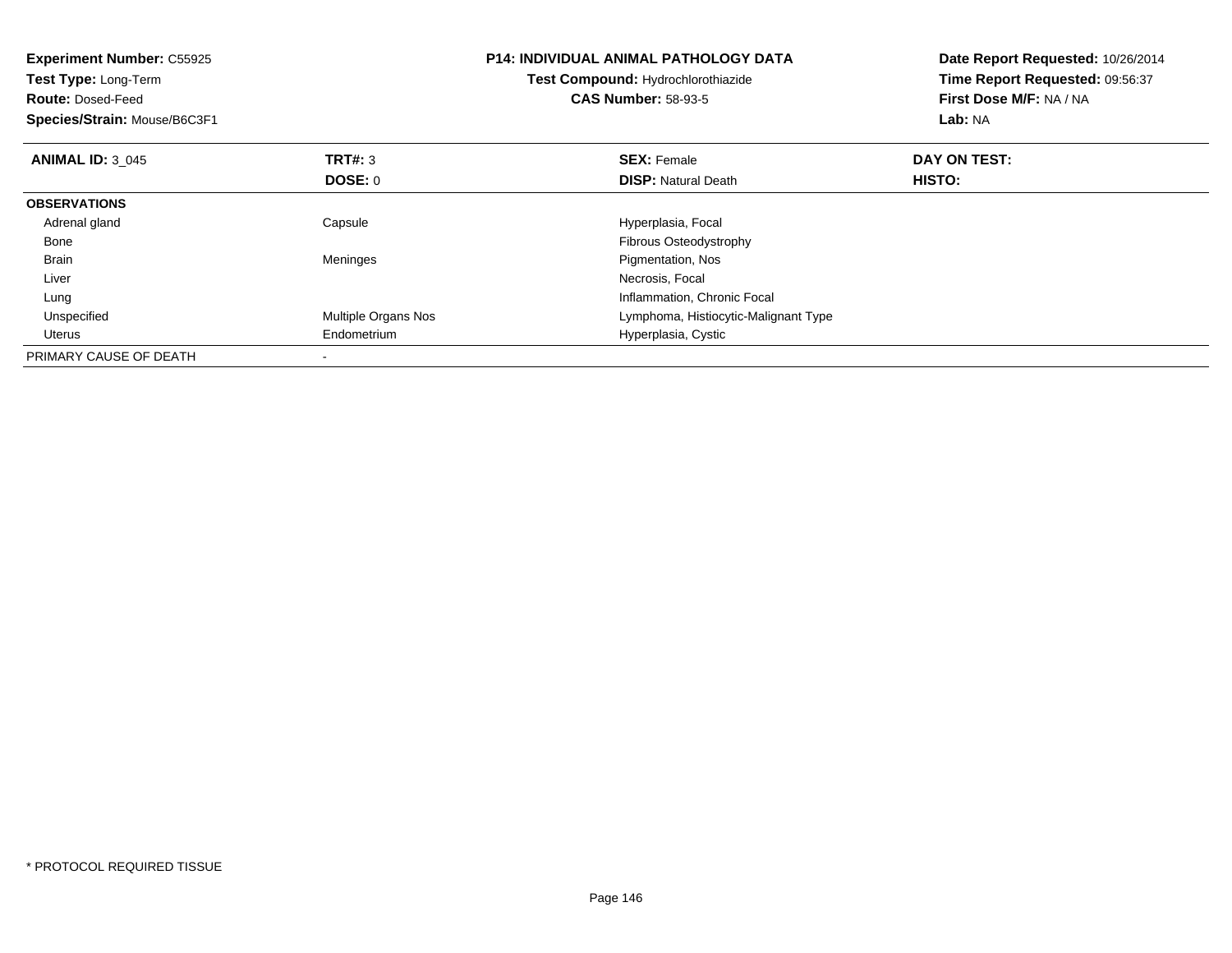| <b>Experiment Number: C55925</b><br>Test Type: Long-Term<br><b>Route: Dosed-Feed</b><br>Species/Strain: Mouse/B6C3F1 |                     | <b>P14: INDIVIDUAL ANIMAL PATHOLOGY DATA</b><br>Test Compound: Hydrochlorothiazide<br><b>CAS Number: 58-93-5</b> | Date Report Requested: 10/26/2014<br>Time Report Requested: 09:56:37<br>First Dose M/F: NA / NA<br>Lab: NA |  |
|----------------------------------------------------------------------------------------------------------------------|---------------------|------------------------------------------------------------------------------------------------------------------|------------------------------------------------------------------------------------------------------------|--|
| <b>ANIMAL ID: 3 045</b>                                                                                              | <b>TRT#: 3</b>      | <b>SEX: Female</b>                                                                                               | DAY ON TEST:                                                                                               |  |
|                                                                                                                      | DOSE: 0             | <b>DISP:</b> Natural Death                                                                                       | HISTO:                                                                                                     |  |
| <b>OBSERVATIONS</b>                                                                                                  |                     |                                                                                                                  |                                                                                                            |  |
| Adrenal gland                                                                                                        | Capsule             | Hyperplasia, Focal                                                                                               |                                                                                                            |  |
| Bone                                                                                                                 |                     | Fibrous Osteodystrophy                                                                                           |                                                                                                            |  |
| Brain                                                                                                                | Meninges            | Pigmentation, Nos                                                                                                |                                                                                                            |  |
| Liver                                                                                                                |                     | Necrosis, Focal                                                                                                  |                                                                                                            |  |
| Lung                                                                                                                 |                     | Inflammation, Chronic Focal                                                                                      |                                                                                                            |  |
| Unspecified                                                                                                          | Multiple Organs Nos | Lymphoma, Histiocytic-Malignant Type                                                                             |                                                                                                            |  |
| Uterus                                                                                                               | Endometrium         | Hyperplasia, Cystic                                                                                              |                                                                                                            |  |
| PRIMARY CAUSE OF DEATH                                                                                               |                     |                                                                                                                  |                                                                                                            |  |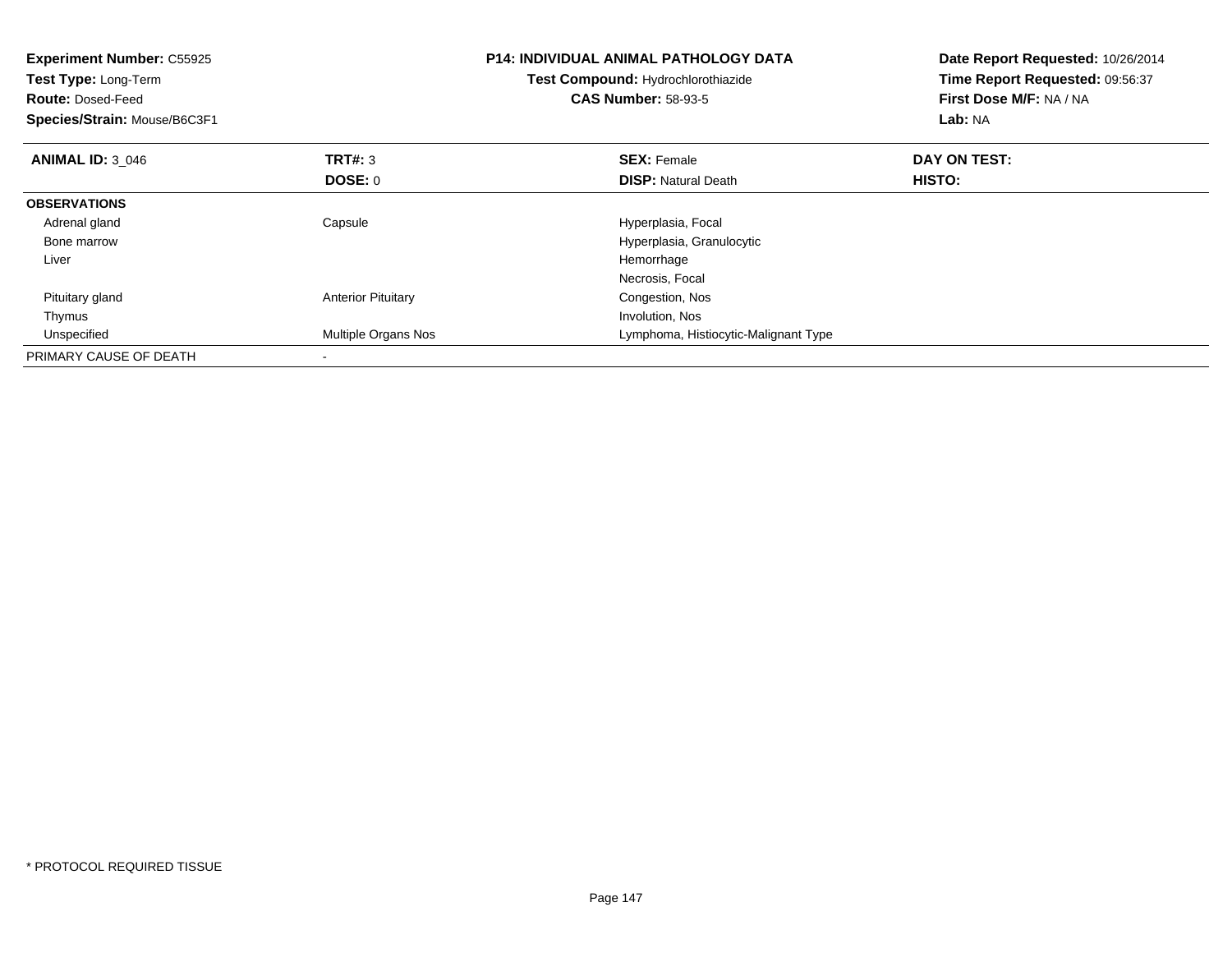| <b>Experiment Number: C55925</b><br>Test Type: Long-Term<br><b>Route: Dosed-Feed</b><br>Species/Strain: Mouse/B6C3F1 |                           | <b>P14: INDIVIDUAL ANIMAL PATHOLOGY DATA</b><br>Test Compound: Hydrochlorothiazide<br><b>CAS Number: 58-93-5</b> | Date Report Requested: 10/26/2014<br>Time Report Requested: 09:56:37<br>First Dose M/F: NA / NA<br>Lab: NA |  |
|----------------------------------------------------------------------------------------------------------------------|---------------------------|------------------------------------------------------------------------------------------------------------------|------------------------------------------------------------------------------------------------------------|--|
| <b>ANIMAL ID: 3 046</b>                                                                                              | <b>TRT#: 3</b>            | <b>SEX: Female</b>                                                                                               | DAY ON TEST:                                                                                               |  |
|                                                                                                                      | DOSE: 0                   | <b>DISP:</b> Natural Death                                                                                       | HISTO:                                                                                                     |  |
| <b>OBSERVATIONS</b>                                                                                                  |                           |                                                                                                                  |                                                                                                            |  |
| Adrenal gland                                                                                                        | Capsule                   | Hyperplasia, Focal                                                                                               |                                                                                                            |  |
| Bone marrow                                                                                                          |                           | Hyperplasia, Granulocytic                                                                                        |                                                                                                            |  |
| Liver                                                                                                                |                           | Hemorrhage                                                                                                       |                                                                                                            |  |
|                                                                                                                      |                           | Necrosis, Focal                                                                                                  |                                                                                                            |  |
| Pituitary gland                                                                                                      | <b>Anterior Pituitary</b> | Congestion, Nos                                                                                                  |                                                                                                            |  |
| Thymus                                                                                                               |                           | Involution, Nos                                                                                                  |                                                                                                            |  |
| Unspecified                                                                                                          | Multiple Organs Nos       | Lymphoma, Histiocytic-Malignant Type                                                                             |                                                                                                            |  |
| PRIMARY CAUSE OF DEATH                                                                                               |                           |                                                                                                                  |                                                                                                            |  |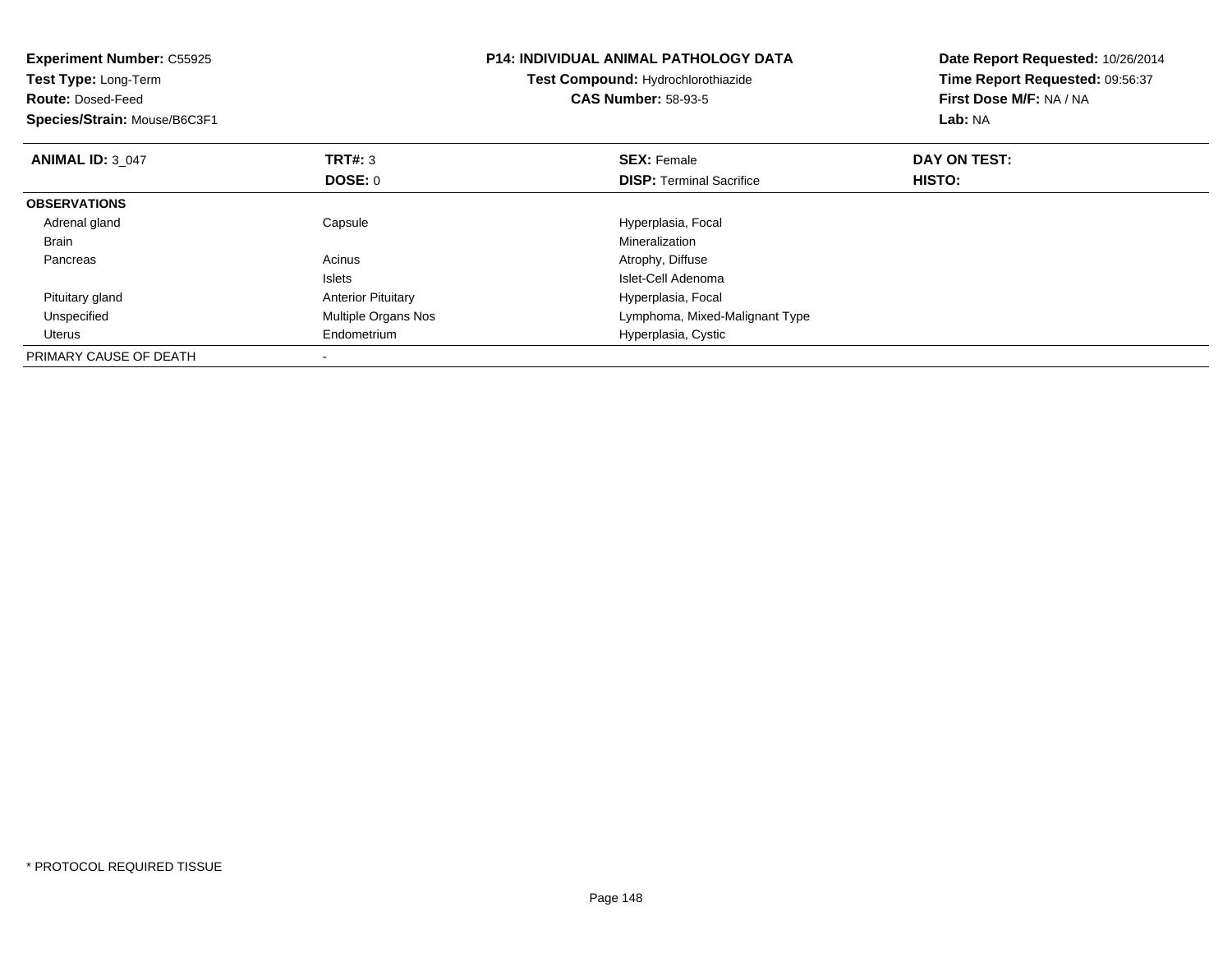| <b>Experiment Number: C55925</b><br>Test Type: Long-Term<br><b>Route: Dosed-Feed</b><br>Species/Strain: Mouse/B6C3F1 |                           | <b>P14: INDIVIDUAL ANIMAL PATHOLOGY DATA</b><br>Test Compound: Hydrochlorothiazide<br><b>CAS Number: 58-93-5</b> | Date Report Requested: 10/26/2014<br>Time Report Requested: 09:56:37<br>First Dose M/F: NA / NA<br>Lab: NA |  |
|----------------------------------------------------------------------------------------------------------------------|---------------------------|------------------------------------------------------------------------------------------------------------------|------------------------------------------------------------------------------------------------------------|--|
| <b>ANIMAL ID: 3 047</b>                                                                                              | <b>TRT#: 3</b>            | <b>SEX: Female</b>                                                                                               | DAY ON TEST:                                                                                               |  |
|                                                                                                                      | <b>DOSE: 0</b>            | <b>DISP:</b> Terminal Sacrifice                                                                                  | HISTO:                                                                                                     |  |
| <b>OBSERVATIONS</b>                                                                                                  |                           |                                                                                                                  |                                                                                                            |  |
| Adrenal gland                                                                                                        | Capsule                   | Hyperplasia, Focal                                                                                               |                                                                                                            |  |
| <b>Brain</b>                                                                                                         |                           | Mineralization                                                                                                   |                                                                                                            |  |
| Pancreas                                                                                                             | Acinus                    | Atrophy, Diffuse                                                                                                 |                                                                                                            |  |
|                                                                                                                      | <b>Islets</b>             | Islet-Cell Adenoma                                                                                               |                                                                                                            |  |
| Pituitary gland                                                                                                      | <b>Anterior Pituitary</b> | Hyperplasia, Focal                                                                                               |                                                                                                            |  |
| Unspecified                                                                                                          | Multiple Organs Nos       | Lymphoma, Mixed-Malignant Type                                                                                   |                                                                                                            |  |
| Uterus                                                                                                               | Endometrium               | Hyperplasia, Cystic                                                                                              |                                                                                                            |  |
| PRIMARY CAUSE OF DEATH                                                                                               |                           |                                                                                                                  |                                                                                                            |  |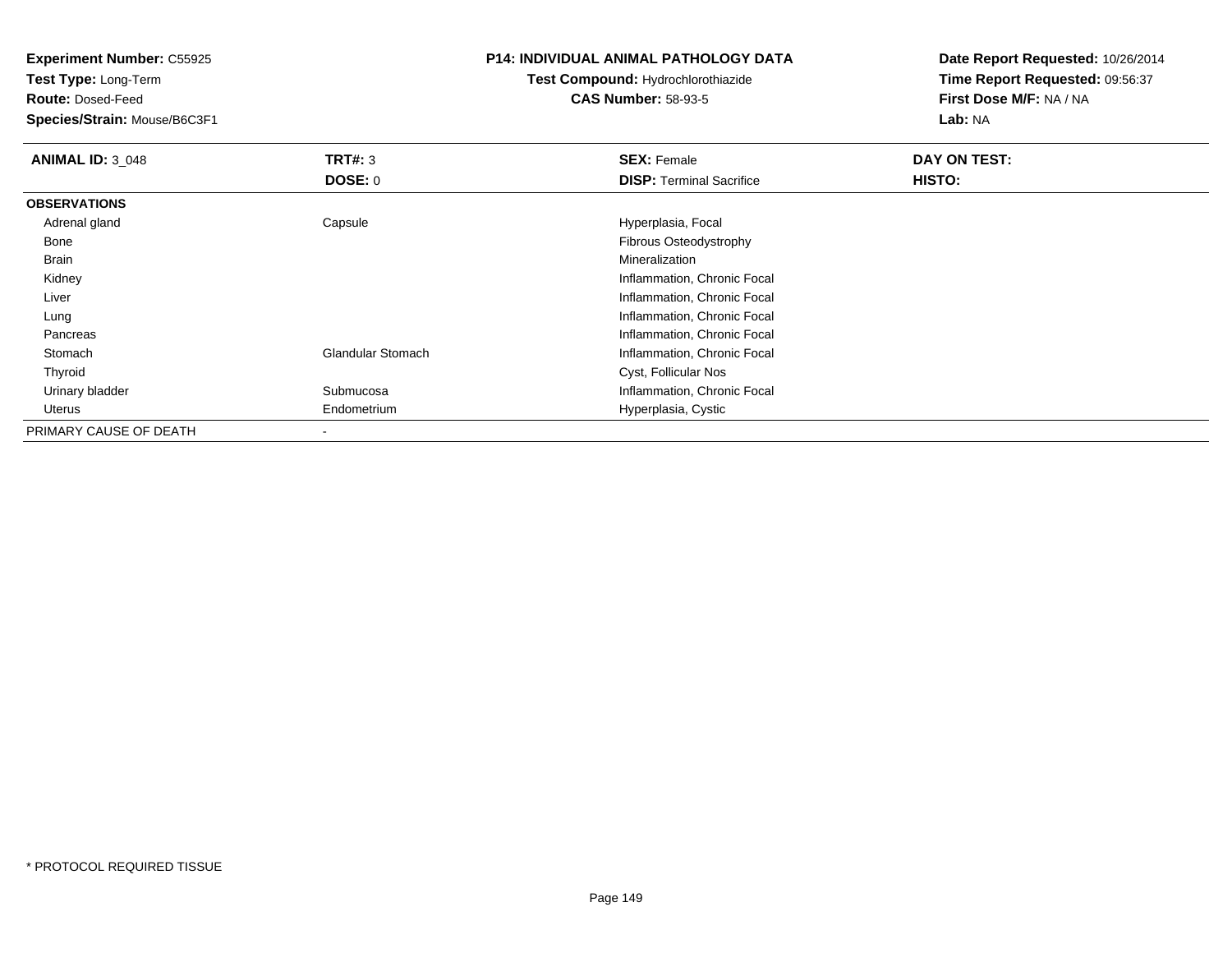**Experiment Number:** C55925

**Test Type:** Long-Term

**Route:** Dosed-Feed

**Species/Strain:** Mouse/B6C3F1

#### **P14: INDIVIDUAL ANIMAL PATHOLOGY DATA**

## **Test Compound:** Hydrochlorothiazide**CAS Number:** 58-93-5

**Date Report Requested:** 10/26/2014**Time Report Requested:** 09:56:37**First Dose M/F:** NA / NA**Lab:** NA

| <b>ANIMAL ID: 3_048</b> | TRT#: 3                  | <b>SEX: Female</b>              | DAY ON TEST: |
|-------------------------|--------------------------|---------------------------------|--------------|
|                         | DOSE: 0                  | <b>DISP: Terminal Sacrifice</b> | HISTO:       |
| <b>OBSERVATIONS</b>     |                          |                                 |              |
| Adrenal gland           | Capsule                  | Hyperplasia, Focal              |              |
| Bone                    |                          | <b>Fibrous Osteodystrophy</b>   |              |
| Brain                   |                          | Mineralization                  |              |
| Kidney                  |                          | Inflammation, Chronic Focal     |              |
| Liver                   |                          | Inflammation, Chronic Focal     |              |
| Lung                    |                          | Inflammation, Chronic Focal     |              |
| Pancreas                |                          | Inflammation, Chronic Focal     |              |
| Stomach                 | <b>Glandular Stomach</b> | Inflammation, Chronic Focal     |              |
| Thyroid                 |                          | Cyst, Follicular Nos            |              |
| Urinary bladder         | Submucosa                | Inflammation, Chronic Focal     |              |
| Uterus                  | Endometrium              | Hyperplasia, Cystic             |              |
| PRIMARY CAUSE OF DEATH  |                          |                                 |              |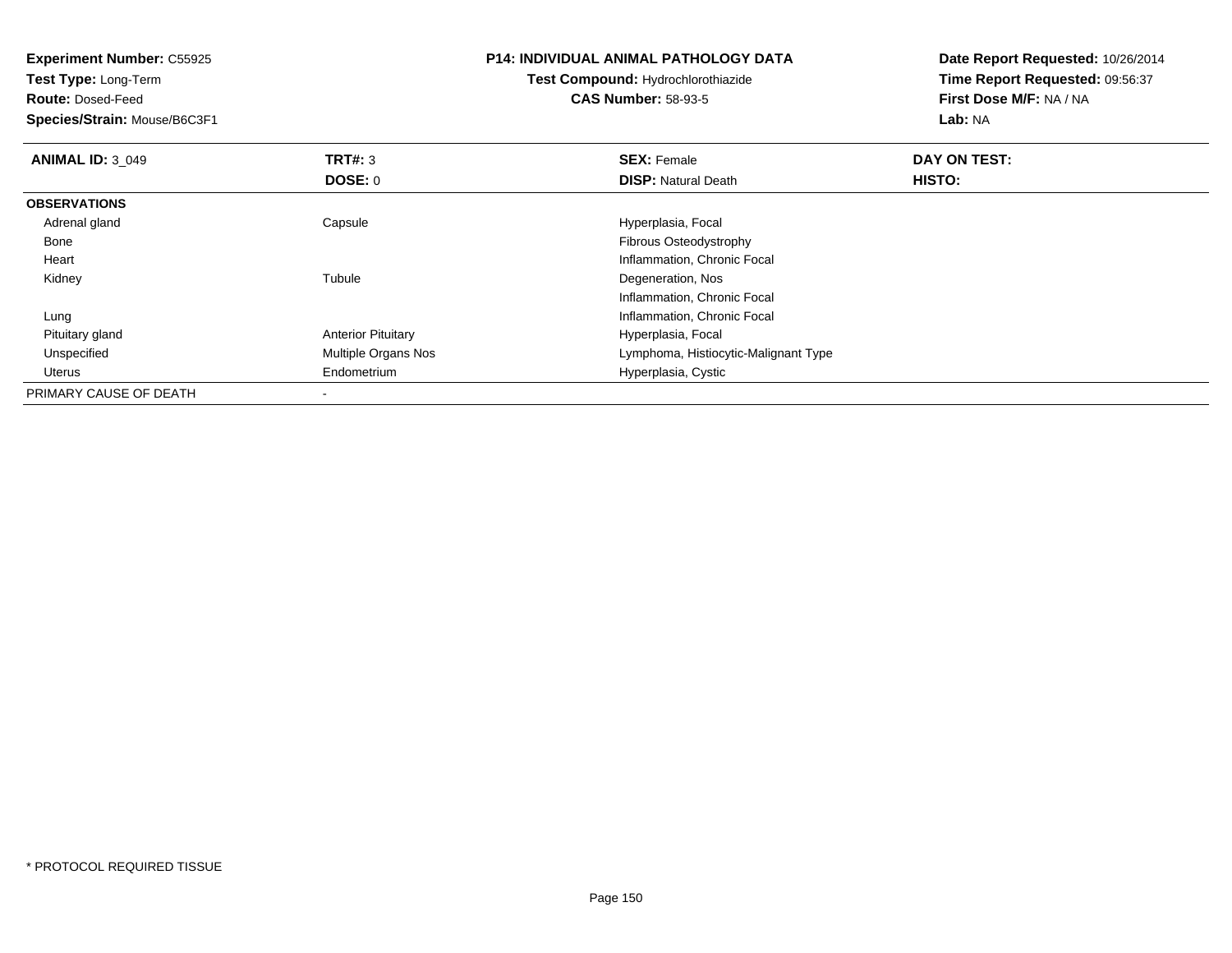**Experiment Number:** C55925**Test Type:** Long-Term**Route:** Dosed-Feed **Species/Strain:** Mouse/B6C3F1**P14: INDIVIDUAL ANIMAL PATHOLOGY DATATest Compound:** Hydrochlorothiazide**CAS Number:** 58-93-5**Date Report Requested:** 10/26/2014**Time Report Requested:** 09:56:37**First Dose M/F:** NA / NA**Lab:** NA**ANIMAL ID: 3 049 TRT#:** 3 **SEX:** Female **DAY ON TEST: DOSE:** 0**DISP:** Natural Death **HISTO: OBSERVATIONS** Adrenal glandCapsule **Capsule Hyperplasia**, Focal Bone Fibrous Osteodystrophy Heart Inflammation, Chronic Focal Kidneyy the contract of the contract of the contract of the contract of the contract of the contract of the contract of the contract of the contract of the contract of the contract of the contract of the contract of the contract Tubule **Degeneration**, Nos Inflammation, Chronic Focal LungInflammation, Chronic Focal<br>Anterior Pituitary **Anterior Pituitary** and Theorem Chronic Equations Anterior Pituitary Pituitary glandAnterior Pituitary **Anterior Pituitary** Elementary Multiple Organs Nos<br>
Multiple Organs Nos<br>
Hypphoma, Histioc UnspecifiedLymphoma, Histiocytic-Malignant Type Uterus Endometrium Hyperplasia, Cystic PRIMARY CAUSE OF DEATH-